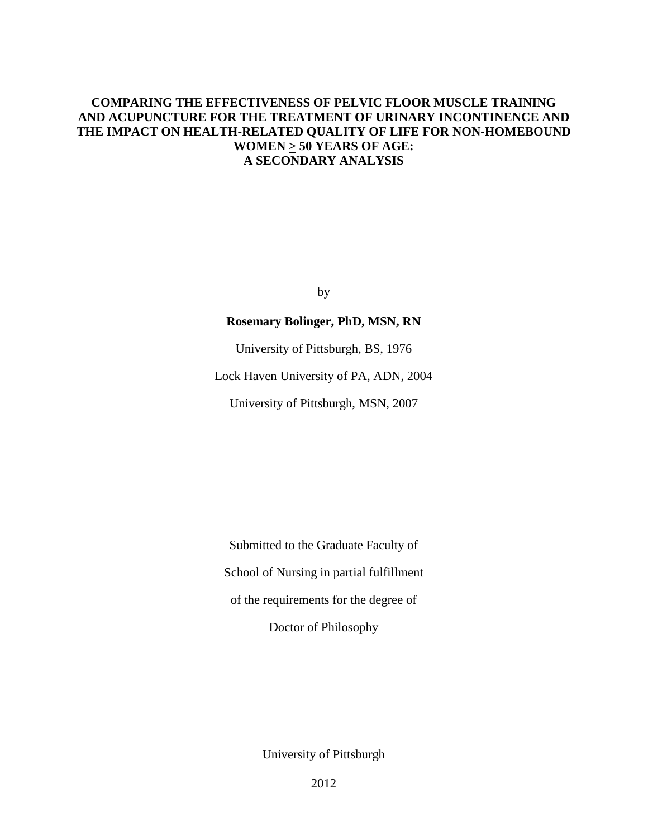# **COMPARING THE EFFECTIVENESS OF PELVIC FLOOR MUSCLE TRAINING AND ACUPUNCTURE FOR THE TREATMENT OF URINARY INCONTINENCE AND THE IMPACT ON HEALTH-RELATED QUALITY OF LIFE FOR NON-HOMEBOUND WOMEN > 50 YEARS OF AGE: A SECONDARY ANALYSIS**

by

## **Rosemary Bolinger, PhD, MSN, RN**

University of Pittsburgh, BS, 1976

Lock Haven University of PA, ADN, 2004

University of Pittsburgh, MSN, 2007

Submitted to the Graduate Faculty of School of Nursing in partial fulfillment of the requirements for the degree of Doctor of Philosophy

University of Pittsburgh

2012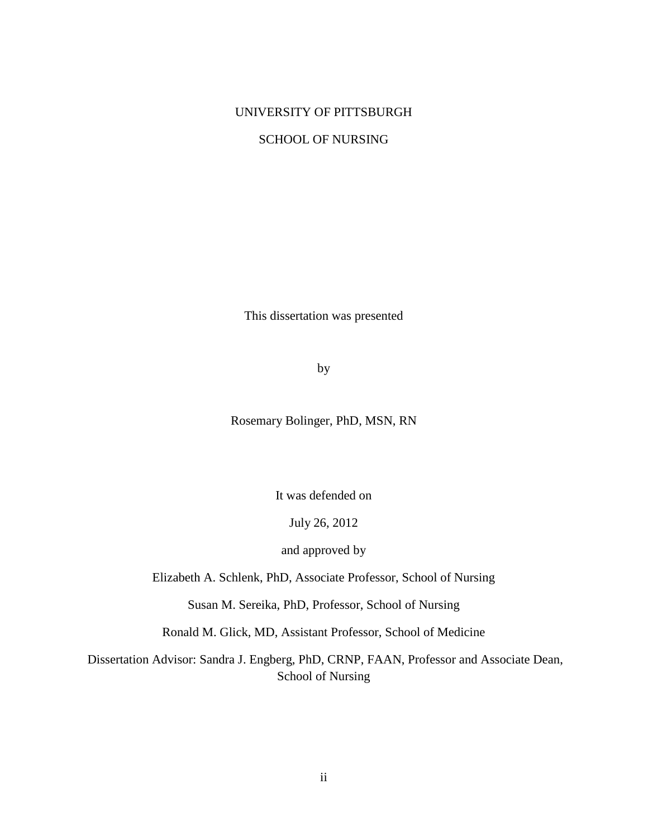# UNIVERSITY OF PITTSBURGH

# SCHOOL OF NURSING

This dissertation was presented

by

Rosemary Bolinger, PhD, MSN, RN

It was defended on

July 26, 2012

and approved by

Elizabeth A. Schlenk, PhD, Associate Professor, School of Nursing

Susan M. Sereika, PhD, Professor, School of Nursing

Ronald M. Glick, MD, Assistant Professor, School of Medicine

Dissertation Advisor: Sandra J. Engberg, PhD, CRNP, FAAN, Professor and Associate Dean, School of Nursing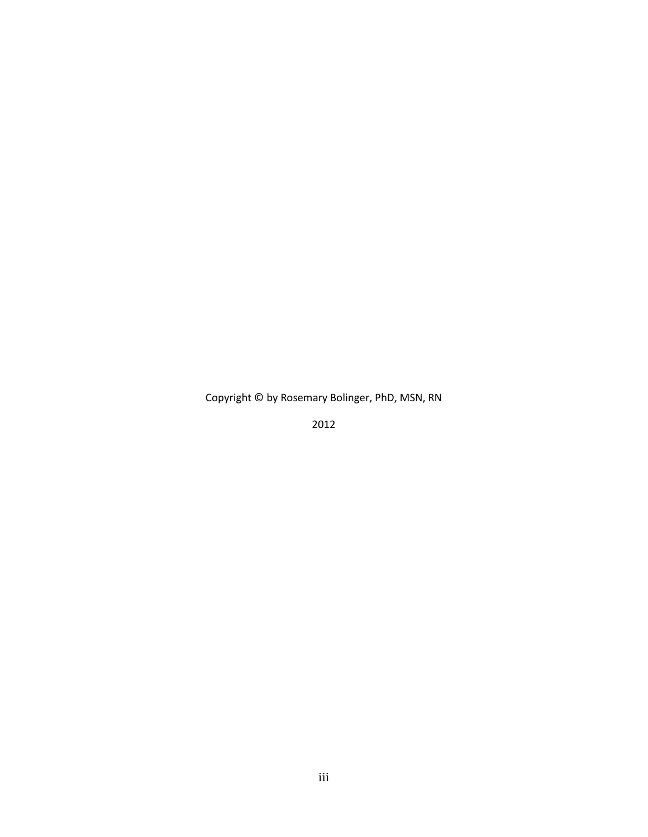Copyright © by Rosemary Bolinger, PhD, MSN, RN

2012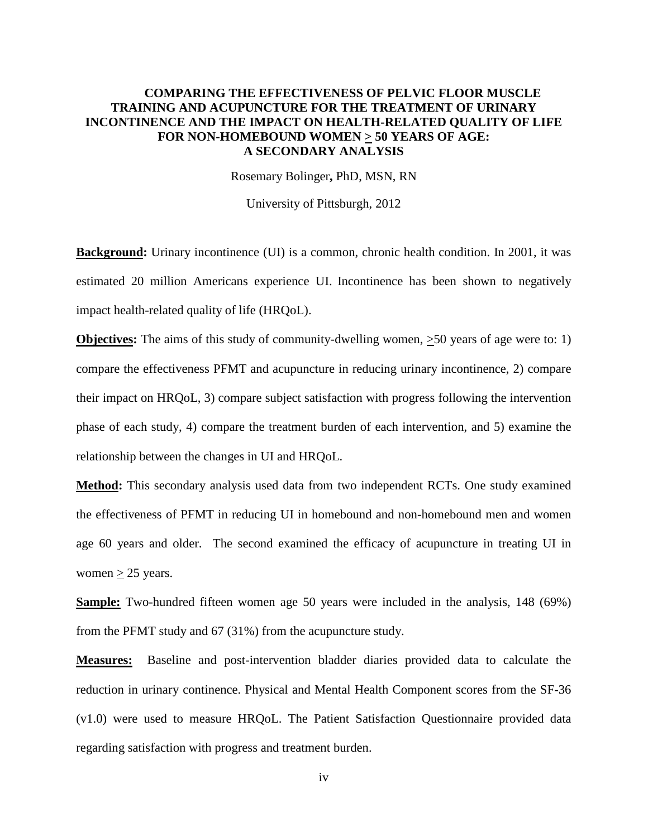# **COMPARING THE EFFECTIVENESS OF PELVIC FLOOR MUSCLE TRAINING AND ACUPUNCTURE FOR THE TREATMENT OF URINARY INCONTINENCE AND THE IMPACT ON HEALTH-RELATED QUALITY OF LIFE**  FOR NON-HOMEBOUND WOMEN  $\geq$  50 YEARS OF AGE: **A SECONDARY ANALYSIS**

Rosemary Bolinger**,** PhD, MSN, RN

University of Pittsburgh, 2012

**Background:** Urinary incontinence (UI) is a common, chronic health condition. In 2001, it was estimated 20 million Americans experience UI. Incontinence has been shown to negatively impact health-related quality of life (HRQoL).

**Objectives:** The aims of this study of community-dwelling women,  $>50$  years of age were to: 1) compare the effectiveness PFMT and acupuncture in reducing urinary incontinence, 2) compare their impact on HRQoL, 3) compare subject satisfaction with progress following the intervention phase of each study, 4) compare the treatment burden of each intervention, and 5) examine the relationship between the changes in UI and HRQoL.

**Method:** This secondary analysis used data from two independent RCTs. One study examined the effectiveness of PFMT in reducing UI in homebound and non-homebound men and women age 60 years and older. The second examined the efficacy of acupuncture in treating UI in women  $\geq$  25 years.

**Sample:** Two-hundred fifteen women age 50 years were included in the analysis, 148 (69%) from the PFMT study and 67 (31%) from the acupuncture study.

**Measures:** Baseline and post-intervention bladder diaries provided data to calculate the reduction in urinary continence. Physical and Mental Health Component scores from the SF-36 (v1.0) were used to measure HRQoL. The Patient Satisfaction Questionnaire provided data regarding satisfaction with progress and treatment burden.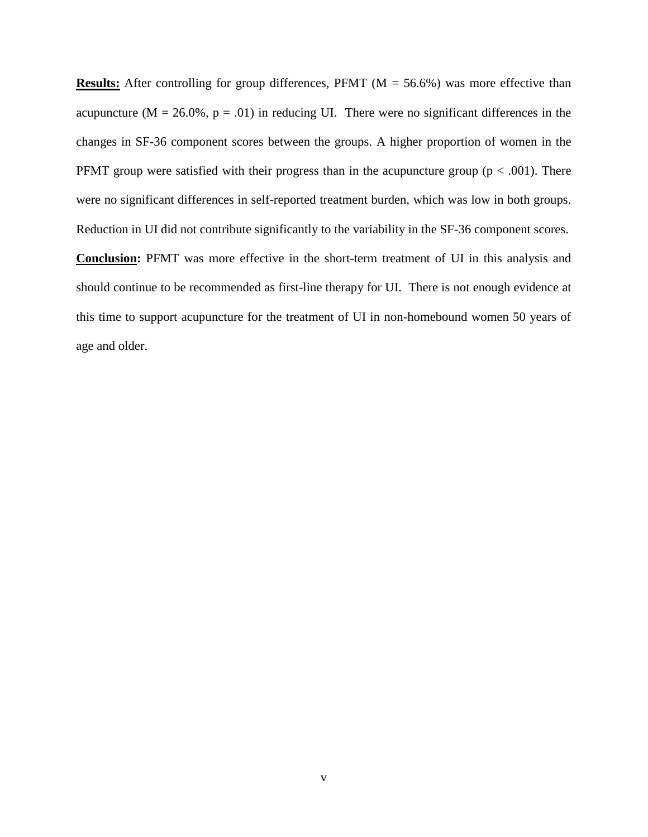**Results:** After controlling for group differences, PFMT ( $M = 56.6\%$ ) was more effective than acupuncture ( $M = 26.0\%$ ,  $p = .01$ ) in reducing UI. There were no significant differences in the changes in SF-36 component scores between the groups. A higher proportion of women in the PFMT group were satisfied with their progress than in the acupuncture group ( $p < .001$ ). There were no significant differences in self-reported treatment burden, which was low in both groups. Reduction in UI did not contribute significantly to the variability in the SF-36 component scores. **Conclusion:** PFMT was more effective in the short-term treatment of UI in this analysis and should continue to be recommended as first-line therapy for UI. There is not enough evidence at this time to support acupuncture for the treatment of UI in non-homebound women 50 years of age and older.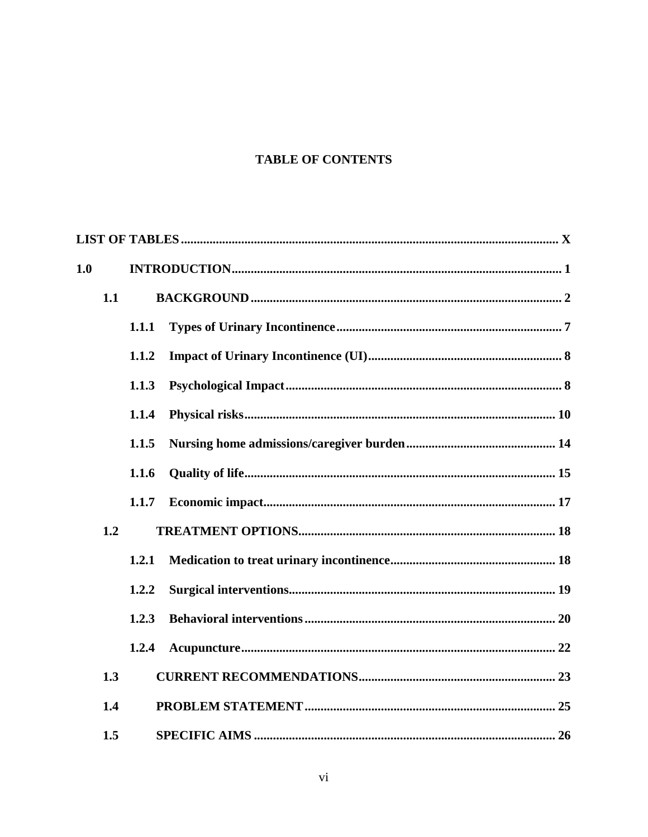# **TABLE OF CONTENTS**

| 1.0 |     |       |  |  |  |  |
|-----|-----|-------|--|--|--|--|
|     | 1.1 |       |  |  |  |  |
|     |     | 1.1.1 |  |  |  |  |
|     |     | 1.1.2 |  |  |  |  |
|     |     | 1.1.3 |  |  |  |  |
|     |     | 1.1.4 |  |  |  |  |
|     |     | 1.1.5 |  |  |  |  |
|     |     | 1.1.6 |  |  |  |  |
|     |     | 1.1.7 |  |  |  |  |
|     | 1.2 |       |  |  |  |  |
|     |     | 1.2.1 |  |  |  |  |
|     |     | 1.2.2 |  |  |  |  |
|     |     | 1.2.3 |  |  |  |  |
|     |     | 1.2.4 |  |  |  |  |
|     | 1.3 |       |  |  |  |  |
|     | 1.4 |       |  |  |  |  |
|     | 1.5 |       |  |  |  |  |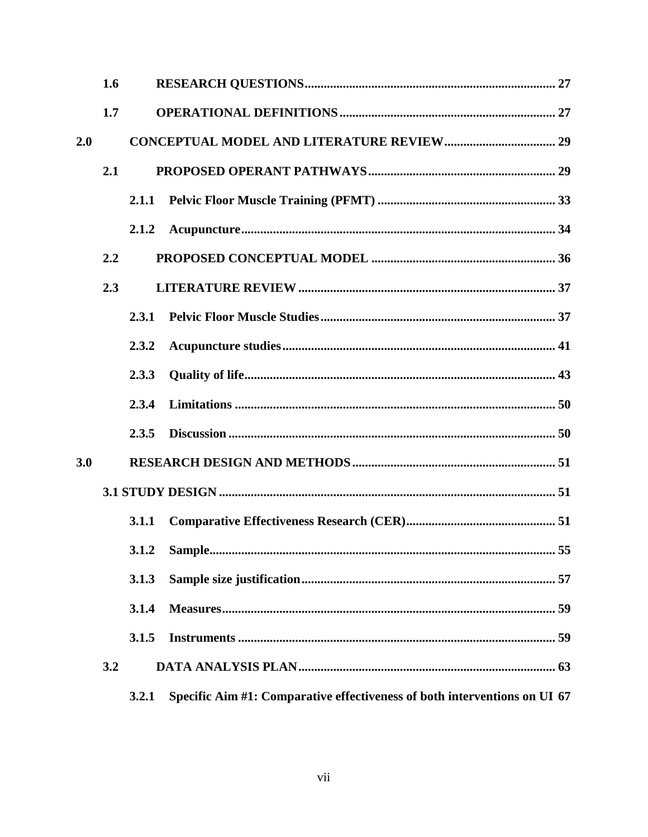|     | 1.6 |       |                                                                           |  |
|-----|-----|-------|---------------------------------------------------------------------------|--|
|     | 1.7 |       |                                                                           |  |
| 2.0 |     |       |                                                                           |  |
|     | 2.1 |       |                                                                           |  |
|     |     |       |                                                                           |  |
|     |     | 2.1.2 |                                                                           |  |
|     | 2.2 |       |                                                                           |  |
|     | 2.3 |       |                                                                           |  |
|     |     | 2.3.1 |                                                                           |  |
|     |     | 2.3.2 |                                                                           |  |
|     |     | 2.3.3 |                                                                           |  |
|     |     | 2.3.4 |                                                                           |  |
|     |     | 2.3.5 |                                                                           |  |
| 3.0 |     |       |                                                                           |  |
|     |     |       |                                                                           |  |
|     |     | 3.1.1 |                                                                           |  |
|     |     |       |                                                                           |  |
|     |     | 3.1.3 |                                                                           |  |
|     |     | 3.1.4 |                                                                           |  |
|     |     | 3.1.5 |                                                                           |  |
|     | 3.2 |       |                                                                           |  |
|     |     | 3.2.1 | Specific Aim #1: Comparative effectiveness of both interventions on UI 67 |  |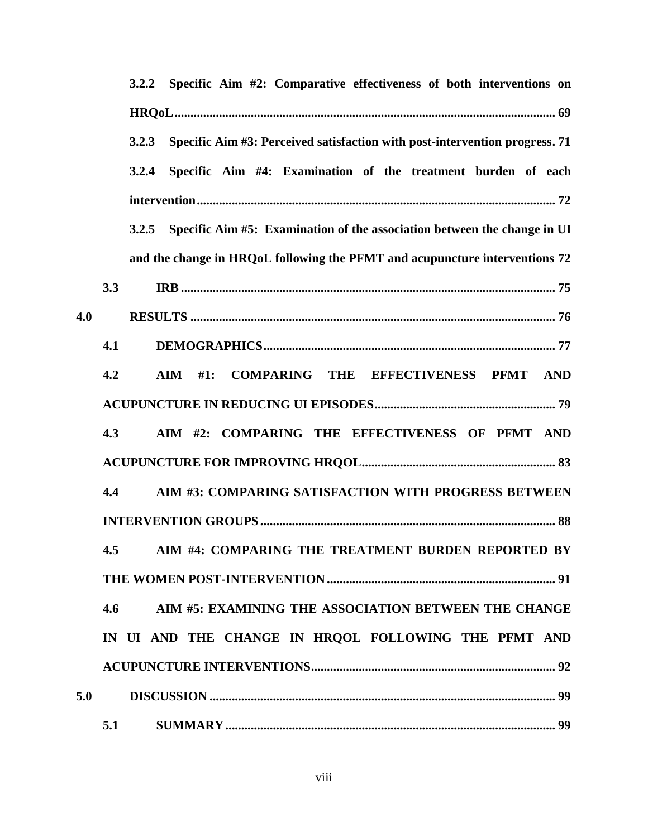|     | 3.2.2 Specific Aim #2: Comparative effectiveness of both interventions on                                  |
|-----|------------------------------------------------------------------------------------------------------------|
|     |                                                                                                            |
|     | 3.2.3 Specific Aim #3: Perceived satisfaction with post-intervention progress. 71                          |
|     | Specific Aim #4: Examination of the treatment burden of each<br>3.2.4                                      |
|     |                                                                                                            |
|     | Specific Aim #5: Examination of the association between the change in UI<br>3.2.5                          |
|     | and the change in HRQoL following the PFMT and acupuncture interventions 72                                |
|     | 3.3                                                                                                        |
| 4.0 |                                                                                                            |
|     | 4.1                                                                                                        |
|     | 4.2<br><b>COMPARING THE EFFECTIVENESS</b><br>$\mathbf{A}\mathbf{I}\mathbf{M}$<br><b>PFMT</b><br>AND<br>#1: |
|     |                                                                                                            |
|     | 4.3<br>AIM #2: COMPARING THE EFFECTIVENESS OF PFMT AND                                                     |
|     |                                                                                                            |
|     | AIM #3: COMPARING SATISFACTION WITH PROGRESS BETWEEN<br>4.4                                                |
|     |                                                                                                            |
|     | 4.5 AIM #4: COMPARING THE TREATMENT BURDEN REPORTED BY                                                     |
|     |                                                                                                            |
|     | AIM #5: EXAMINING THE ASSOCIATION BETWEEN THE CHANGE<br>4.6                                                |
|     | IN UI AND THE CHANGE IN HROOL FOLLOWING THE PFMT AND                                                       |
|     |                                                                                                            |
| 5.0 |                                                                                                            |
|     | 5.1                                                                                                        |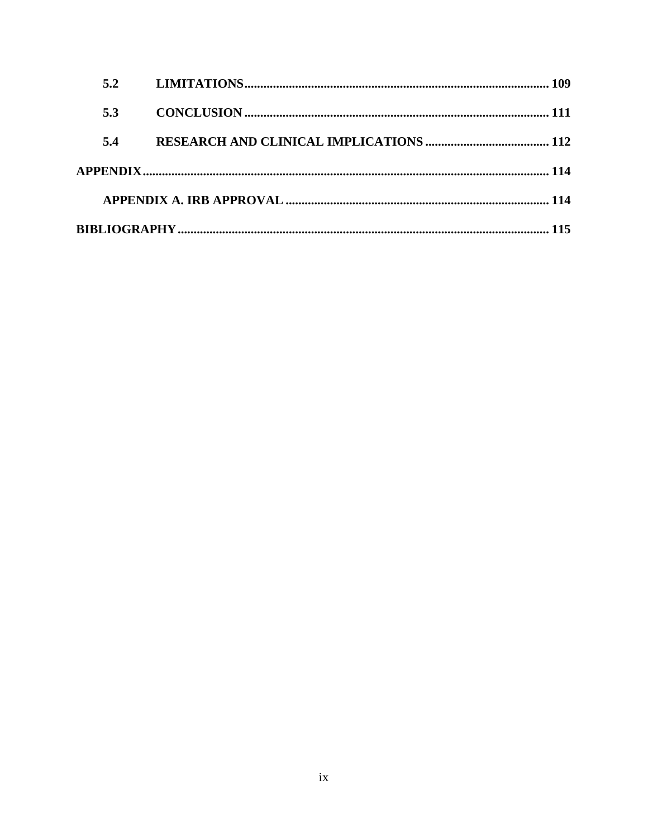| 5.2 |  |
|-----|--|
| 5.3 |  |
| 5.4 |  |
|     |  |
|     |  |
|     |  |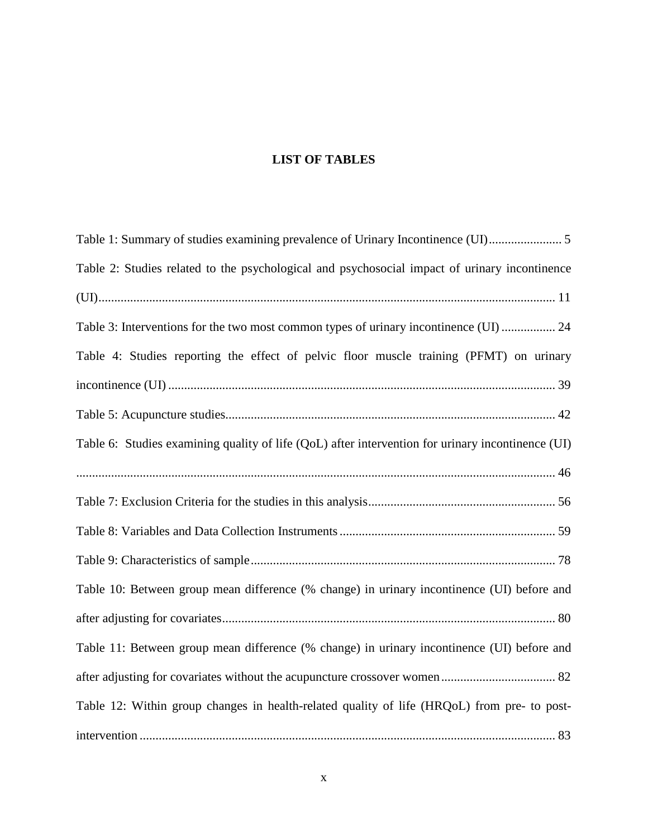# **LIST OF TABLES**

<span id="page-9-0"></span>

| Table 1: Summary of studies examining prevalence of Urinary Incontinence (UI)                     |
|---------------------------------------------------------------------------------------------------|
| Table 2: Studies related to the psychological and psychosocial impact of urinary incontinence     |
|                                                                                                   |
| Table 3: Interventions for the two most common types of urinary incontinence (UI)  24             |
| Table 4: Studies reporting the effect of pelvic floor muscle training (PFMT) on urinary           |
|                                                                                                   |
|                                                                                                   |
| Table 6: Studies examining quality of life (QoL) after intervention for urinary incontinence (UI) |
|                                                                                                   |
|                                                                                                   |
|                                                                                                   |
|                                                                                                   |
| Table 10: Between group mean difference (% change) in urinary incontinence (UI) before and        |
|                                                                                                   |
| Table 11: Between group mean difference (% change) in urinary incontinence (UI) before and        |
|                                                                                                   |
| Table 12: Within group changes in health-related quality of life (HRQoL) from pre- to post-       |
|                                                                                                   |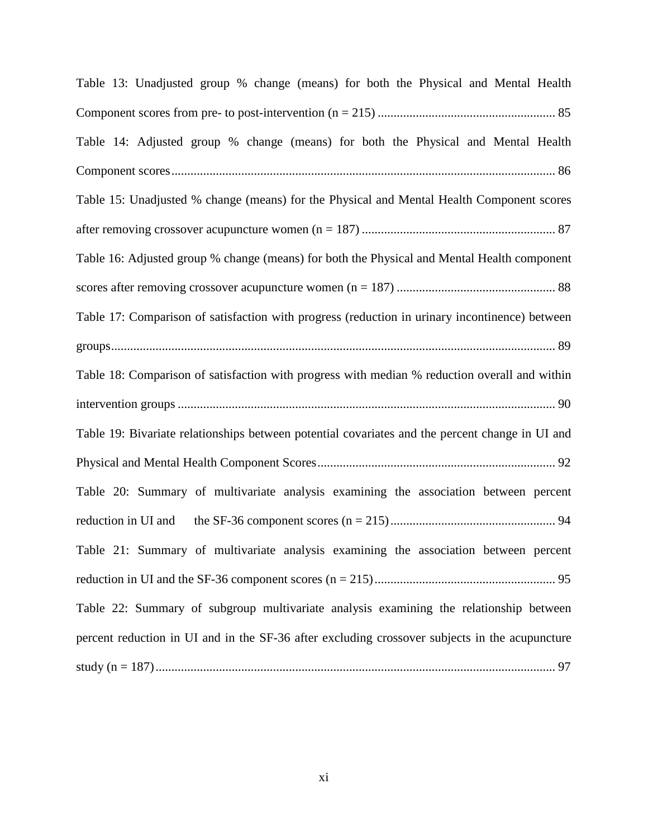[Table 13: Unadjusted group % change \(means\) for both the Physical and Mental Health](#page-97-0)  Component scores from pre- to post-intervention (n = 215) [........................................................](#page-97-0) 85 [Table 14: Adjusted group % change \(means\) for both the Physical and Mental Health](#page-98-0)  [Component scores.........................................................................................................................](#page-98-0) 86 [Table 15: Unadjusted % change \(means\) for the Physical and Mental Health Component scores](#page-99-0)  [after removing crossover acupuncture women \(n = 187\)](#page-99-0) ............................................................. 87 [Table 16: Adjusted group % change \(means\) for both the Physical and Mental Health component](#page-100-1)  [scores after removing crossover acupuncture women \(n = 187\)](#page-100-1) .................................................. 88 [Table 17: Comparison of satisfaction with progress \(reduction in urinary incontinence\) between](#page-101-0)  [groups............................................................................................................................................](#page-101-0) 89 [Table 18: Comparison of satisfaction with progress with median % reduction overall and within](#page-102-0)  intervention groups [.......................................................................................................................](#page-102-0) 90 [Table 19: Bivariate relationships between potential covariates and the percent change in UI and](#page-104-1)  [Physical and Mental Health Component Scores...........................................................................](#page-104-1) 92 [Table 20: Summary of multivariate analysis examining the association between percent](#page-106-0)  [reduction in UI and the SF-36 component scores \(n = 215\)....................................................](#page-106-0) 94 [Table 21: Summary of multivariate analysis examining the association between percent](#page-107-0)  [reduction in UI and the SF-36 component scores \(n = 215\).........................................................](#page-107-0) 95 [Table 22: Summary of subgroup multivariate analysis examining the](#page-109-0) relationship between [percent reduction in UI and in the SF-36 after excluding crossover subjects in the acupuncture](#page-109-0)  [study \(n = 187\)..............................................................................................................................](#page-109-0) 97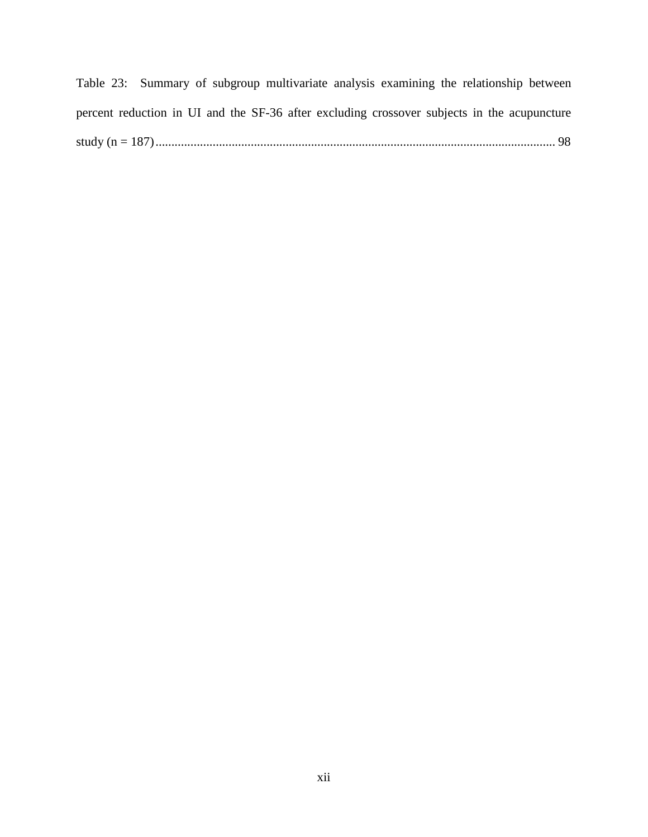[Table 23: Summary of subgroup multivariate analysis examining the relationship between](#page-110-0)  [percent reduction in UI and the SF-36 after excluding crossover subjects in the acupuncture](#page-110-0)  [study \(n = 187\)..............................................................................................................................](#page-110-0) 98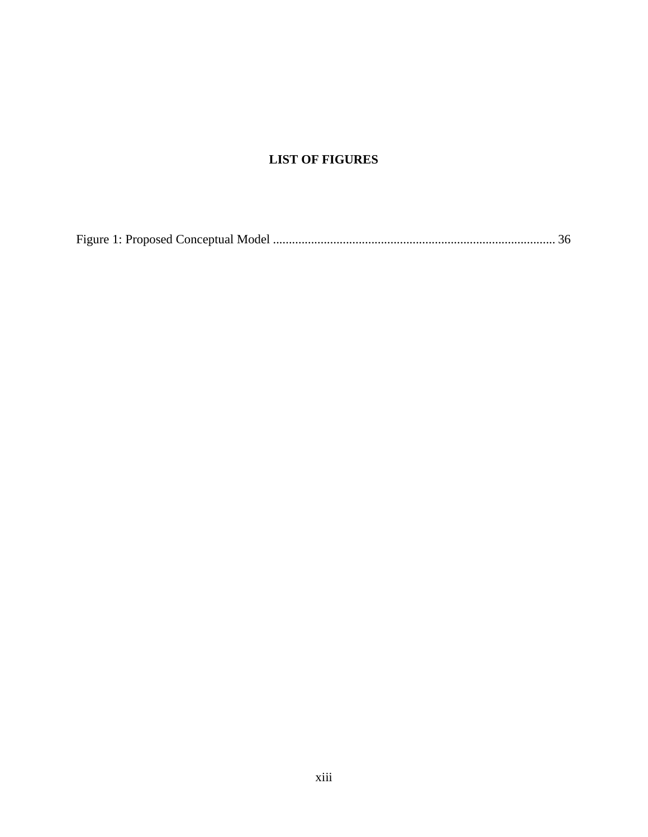# **LIST OF FIGURES**

Figure 1: Proposed Conceptual Model [.........................................................................................](#page-48-1) 36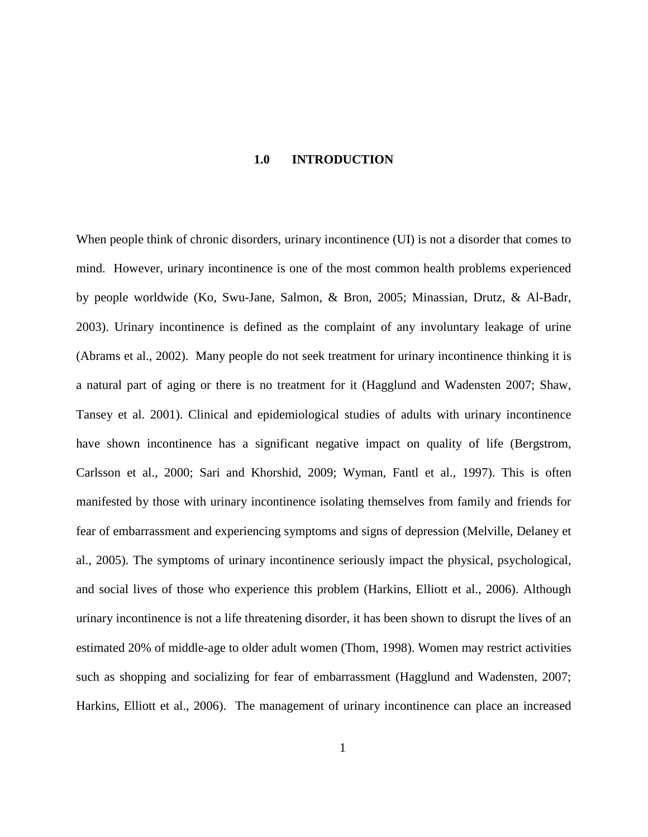#### **1.0 INTRODUCTION**

<span id="page-13-0"></span>When people think of chronic disorders, urinary incontinence (UI) is not a disorder that comes to mind. However, urinary incontinence is one of the most common health problems experienced by people worldwide (Ko, Swu-Jane, Salmon, & Bron, 2005; Minassian, Drutz, & Al-Badr, 2003). Urinary incontinence is defined as the complaint of any involuntary leakage of urine (Abrams et al., 2002). Many people do not seek treatment for urinary incontinence thinking it is a natural part of aging or there is no treatment for it (Hagglund and Wadensten 2007; Shaw, Tansey et al. 2001). Clinical and epidemiological studies of adults with urinary incontinence have shown incontinence has a significant negative impact on quality of life (Bergstrom, Carlsson et al., 2000; Sari and Khorshid, 2009; Wyman, Fantl et al., 1997). This is often manifested by those with urinary incontinence isolating themselves from family and friends for fear of embarrassment and experiencing symptoms and signs of depression (Melville, Delaney et al., 2005). The symptoms of urinary incontinence seriously impact the physical, psychological, and social lives of those who experience this problem (Harkins, Elliott et al., 2006). Although urinary incontinence is not a life threatening disorder, it has been shown to disrupt the lives of an estimated 20% of middle-age to older adult women (Thom, 1998). Women may restrict activities such as shopping and socializing for fear of embarrassment (Hagglund and Wadensten, 2007; Harkins, Elliott et al., 2006). The management of urinary incontinence can place an increased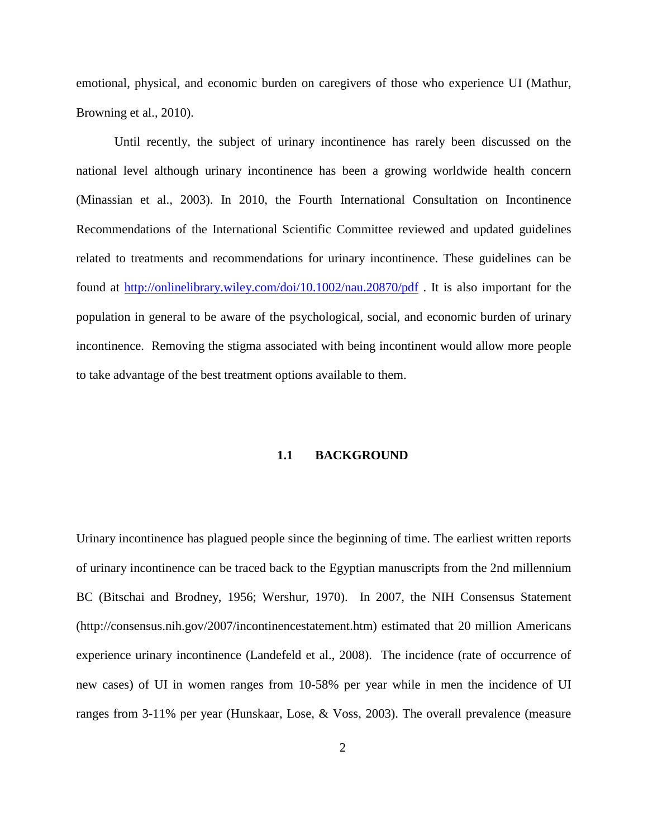emotional, physical, and economic burden on caregivers of those who experience UI (Mathur, Browning et al., 2010).

Until recently, the subject of urinary incontinence has rarely been discussed on the national level although urinary incontinence has been a growing worldwide health concern (Minassian et al., 2003). In 2010, the Fourth International Consultation on Incontinence Recommendations of the International Scientific Committee reviewed and updated guidelines related to treatments and recommendations for urinary incontinence. These guidelines can be found at<http://onlinelibrary.wiley.com/doi/10.1002/nau.20870/pdf> . It is also important for the population in general to be aware of the psychological, social, and economic burden of urinary incontinence. Removing the stigma associated with being incontinent would allow more people to take advantage of the best treatment options available to them.

### **1.1 BACKGROUND**

<span id="page-14-0"></span>Urinary incontinence has plagued people since the beginning of time. The earliest written reports of urinary incontinence can be traced back to the Egyptian manuscripts from the 2nd millennium BC (Bitschai and Brodney, 1956; Wershur, 1970). In 2007, the NIH Consensus Statement (http://consensus.nih.gov/2007/incontinencestatement.htm) estimated that 20 million Americans experience urinary incontinence (Landefeld et al., 2008). The incidence (rate of occurrence of new cases) of UI in women ranges from 10-58% per year while in men the incidence of UI ranges from 3-11% per year (Hunskaar, Lose, & Voss, 2003). The overall prevalence (measure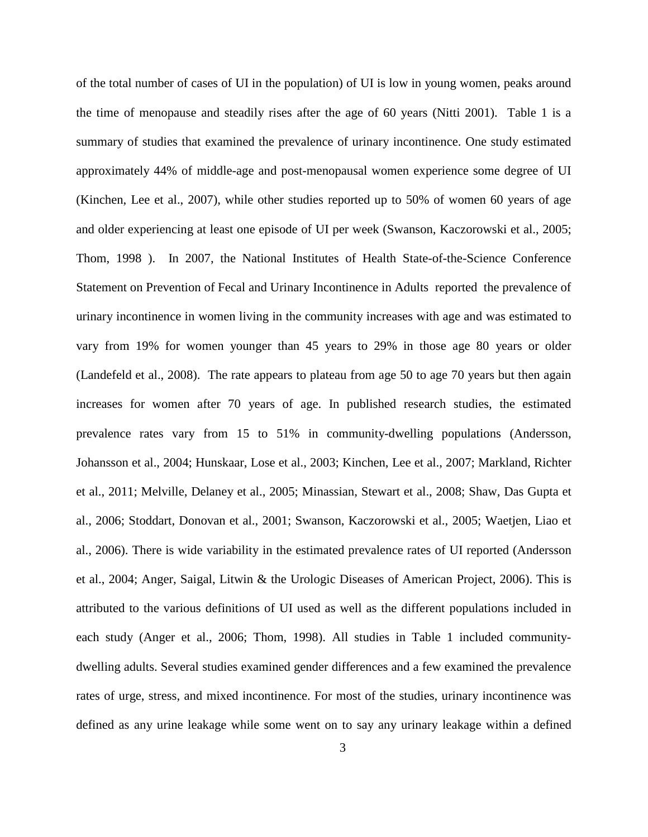of the total number of cases of UI in the population) of UI is low in young women, peaks around the time of menopause and steadily rises after the age of 60 years (Nitti 2001). Table 1 is a summary of studies that examined the prevalence of urinary incontinence. One study estimated approximately 44% of middle-age and post-menopausal women experience some degree of UI (Kinchen, Lee et al., 2007), while other studies reported up to 50% of women 60 years of age and older experiencing at least one episode of UI per week (Swanson, Kaczorowski et al., 2005; Thom, 1998 ). In 2007, the National Institutes of Health State-of-the-Science Conference Statement on Prevention of Fecal and Urinary Incontinence in Adults reported the prevalence of urinary incontinence in women living in the community increases with age and was estimated to vary from 19% for women younger than 45 years to 29% in those age 80 years or older (Landefeld et al., 2008). The rate appears to plateau from age 50 to age 70 years but then again increases for women after 70 years of age. In published research studies, the estimated prevalence rates vary from 15 to 51% in community-dwelling populations (Andersson, Johansson et al., 2004; Hunskaar, Lose et al., 2003; Kinchen, Lee et al., 2007; Markland, Richter et al., 2011; Melville, Delaney et al., 2005; Minassian, Stewart et al., 2008; Shaw, Das Gupta et al., 2006; Stoddart, Donovan et al., 2001; Swanson, Kaczorowski et al., 2005; Waetjen, Liao et al., 2006). There is wide variability in the estimated prevalence rates of UI reported (Andersson et al., 2004; Anger, Saigal, Litwin & the Urologic Diseases of American Project, 2006). This is attributed to the various definitions of UI used as well as the different populations included in each study (Anger et al., 2006; Thom, 1998). All studies in Table 1 included communitydwelling adults. Several studies examined gender differences and a few examined the prevalence rates of urge, stress, and mixed incontinence. For most of the studies, urinary incontinence was defined as any urine leakage while some went on to say any urinary leakage within a defined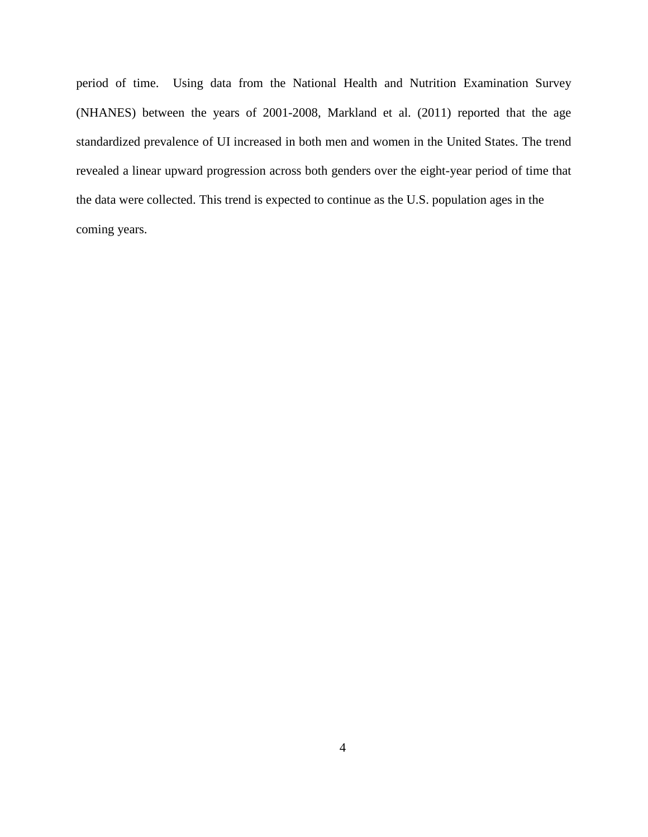period of time. Using data from the National Health and Nutrition Examination Survey (NHANES) between the years of 2001-2008, Markland et al. (2011) reported that the age standardized prevalence of UI increased in both men and women in the United States. The trend revealed a linear upward progression across both genders over the eight-year period of time that the data were collected. This trend is expected to continue as the U.S. population ages in the coming years.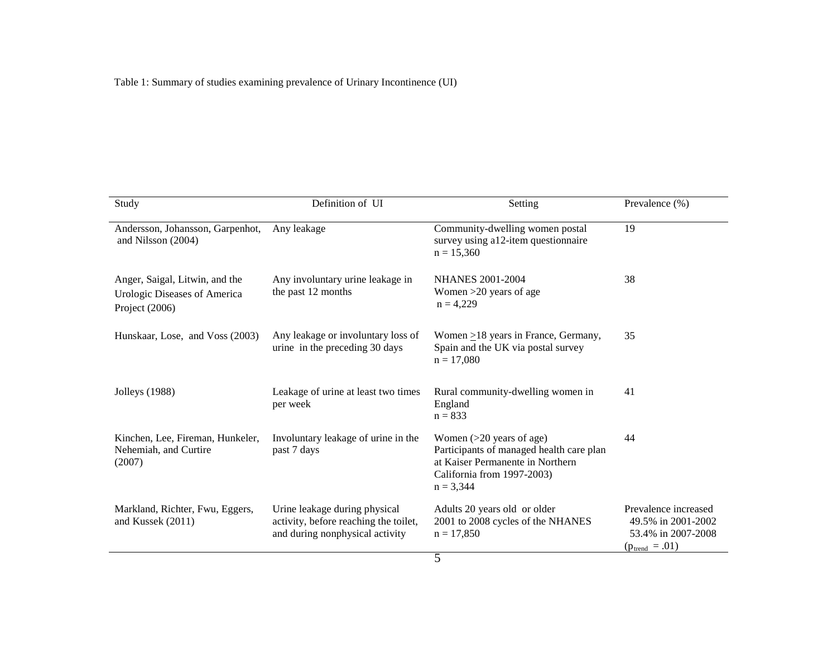<span id="page-17-0"></span>

| Study                                                                            | Definition of UI                                                                                          | Setting                                                                                                                                                 | Prevalence (%)                                                                                 |
|----------------------------------------------------------------------------------|-----------------------------------------------------------------------------------------------------------|---------------------------------------------------------------------------------------------------------------------------------------------------------|------------------------------------------------------------------------------------------------|
| Andersson, Johansson, Garpenhot,<br>and Nilsson (2004)                           | Any leakage                                                                                               | Community-dwelling women postal<br>survey using a12-item questionnaire<br>$n = 15,360$                                                                  | 19                                                                                             |
| Anger, Saigal, Litwin, and the<br>Urologic Diseases of America<br>Project (2006) | Any involuntary urine leakage in<br>the past 12 months                                                    | <b>NHANES 2001-2004</b><br>Women $>20$ years of age<br>$n = 4,229$                                                                                      | 38                                                                                             |
| Hunskaar, Lose, and Voss (2003)                                                  | Any leakage or involuntary loss of<br>urine in the preceding 30 days                                      | Women $\geq$ 18 years in France, Germany,<br>Spain and the UK via postal survey<br>$n = 17,080$                                                         | 35                                                                                             |
| <b>Jolleys</b> (1988)                                                            | Leakage of urine at least two times<br>per week                                                           | Rural community-dwelling women in<br>England<br>$n = 833$                                                                                               | 41                                                                                             |
| Kinchen, Lee, Fireman, Hunkeler,<br>Nehemiah, and Curtire<br>(2007)              | Involuntary leakage of urine in the<br>past 7 days                                                        | Women $(>20$ years of age)<br>Participants of managed health care plan<br>at Kaiser Permanente in Northern<br>California from 1997-2003)<br>$n = 3,344$ | 44                                                                                             |
| Markland, Richter, Fwu, Eggers,<br>and Kussek (2011)                             | Urine leakage during physical<br>activity, before reaching the toilet,<br>and during nonphysical activity | Adults 20 years old or older<br>2001 to 2008 cycles of the NHANES<br>$n = 17,850$                                                                       | Prevalence increased<br>49.5% in 2001-2002<br>53.4% in 2007-2008<br>$(p_{\text{trend}} = .01)$ |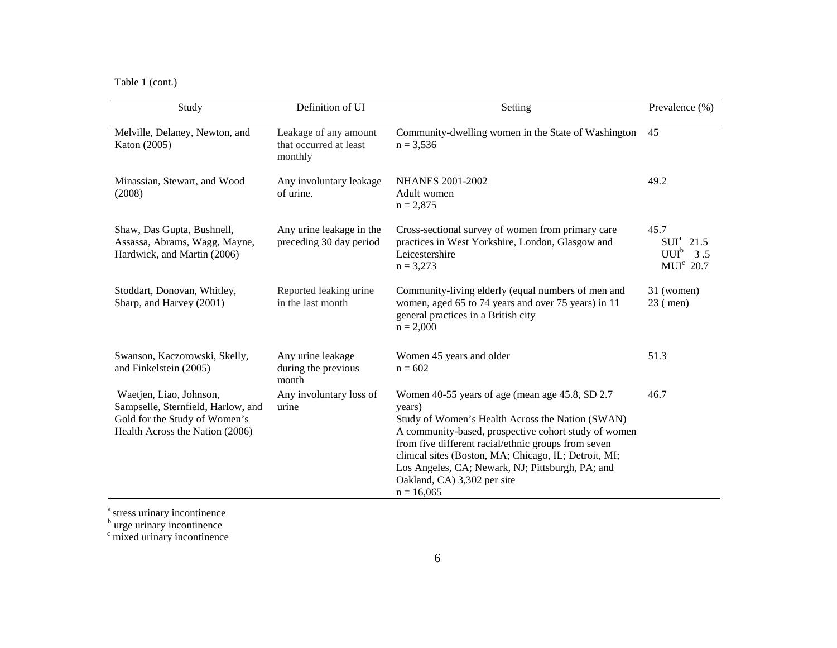Table 1 (cont.)

| Study                                                                                                                             | Definition of UI                                           | Setting                                                                                                                                                                                                                                                                                                                                                                                   | Prevalence (%)                                              |
|-----------------------------------------------------------------------------------------------------------------------------------|------------------------------------------------------------|-------------------------------------------------------------------------------------------------------------------------------------------------------------------------------------------------------------------------------------------------------------------------------------------------------------------------------------------------------------------------------------------|-------------------------------------------------------------|
| Melville, Delaney, Newton, and<br>Katon (2005)                                                                                    | Leakage of any amount<br>that occurred at least<br>monthly | Community-dwelling women in the State of Washington<br>$n = 3.536$                                                                                                                                                                                                                                                                                                                        | 45                                                          |
| Minassian, Stewart, and Wood<br>(2008)                                                                                            | Any involuntary leakage<br>of urine.                       | <b>NHANES 2001-2002</b><br>Adult women<br>$n = 2,875$                                                                                                                                                                                                                                                                                                                                     | 49.2                                                        |
| Shaw, Das Gupta, Bushnell,<br>Assassa, Abrams, Wagg, Mayne,<br>Hardwick, and Martin (2006)                                        | Any urine leakage in the<br>preceding 30 day period        | Cross-sectional survey of women from primary care<br>practices in West Yorkshire, London, Glasgow and<br>Leicestershire<br>$n = 3,273$                                                                                                                                                                                                                                                    | 45.7<br>$SUIa$ 21.5<br>$UUI^b$ 3.5<br>MUI <sup>c</sup> 20.7 |
| Stoddart, Donovan, Whitley,<br>Sharp, and Harvey (2001)                                                                           | Reported leaking urine<br>in the last month                | Community-living elderly (equal numbers of men and<br>women, aged 65 to 74 years and over 75 years) in 11<br>general practices in a British city<br>$n = 2,000$                                                                                                                                                                                                                           | 31 (women)<br>$23$ (men)                                    |
| Swanson, Kaczorowski, Skelly,<br>and Finkelstein (2005)                                                                           | Any urine leakage<br>during the previous<br>month          | Women 45 years and older<br>$n = 602$                                                                                                                                                                                                                                                                                                                                                     | 51.3                                                        |
| Waetjen, Liao, Johnson,<br>Sampselle, Sternfield, Harlow, and<br>Gold for the Study of Women's<br>Health Across the Nation (2006) | Any involuntary loss of<br>urine                           | Women 40-55 years of age (mean age 45.8, SD 2.7)<br>years)<br>Study of Women's Health Across the Nation (SWAN)<br>A community-based, prospective cohort study of women<br>from five different racial/ethnic groups from seven<br>clinical sites (Boston, MA; Chicago, IL; Detroit, MI;<br>Los Angeles, CA; Newark, NJ; Pittsburgh, PA; and<br>Oakland, CA) 3,302 per site<br>$n = 16,065$ | 46.7                                                        |

<sup>a</sup> stress urinary incontinence

 $\frac{b}{c}$  urge urinary incontinence  $\frac{c}{c}$  mixed urinary incontinence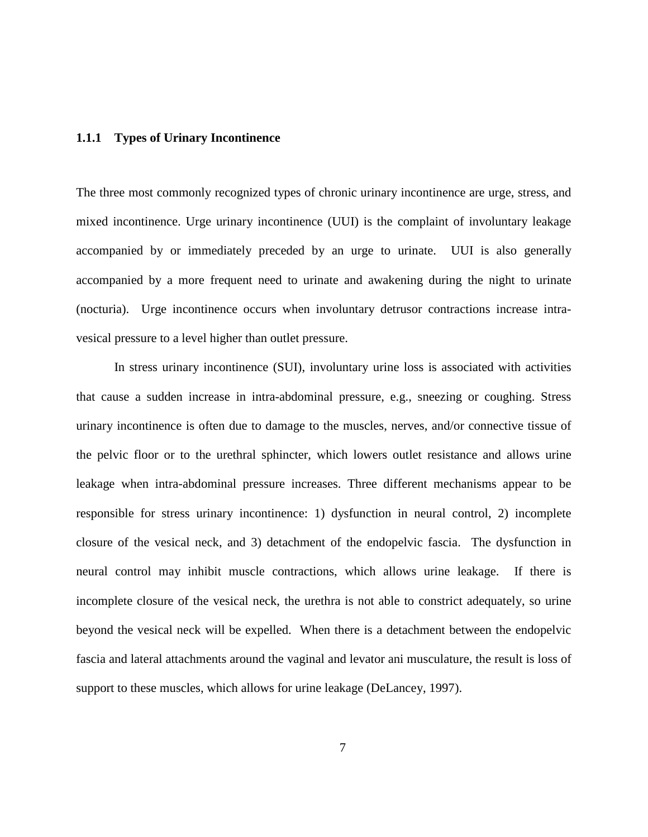## <span id="page-19-0"></span>**1.1.1 Types of Urinary Incontinence**

The three most commonly recognized types of chronic urinary incontinence are urge, stress, and mixed incontinence. Urge urinary incontinence (UUI) is the complaint of involuntary leakage accompanied by or immediately preceded by an urge to urinate. UUI is also generally accompanied by a more frequent need to urinate and awakening during the night to urinate (nocturia). Urge incontinence occurs when involuntary detrusor contractions increase intravesical pressure to a level higher than outlet pressure.

In stress urinary incontinence (SUI), involuntary urine loss is associated with activities that cause a sudden increase in intra-abdominal pressure, e.g., sneezing or coughing. Stress urinary incontinence is often due to damage to the muscles, nerves, and/or connective tissue of the pelvic floor or to the urethral sphincter, which lowers outlet resistance and allows urine leakage when intra-abdominal pressure increases. Three different mechanisms appear to be responsible for stress urinary incontinence: 1) dysfunction in neural control, 2) incomplete closure of the vesical neck, and 3) detachment of the endopelvic fascia. The dysfunction in neural control may inhibit muscle contractions, which allows urine leakage. If there is incomplete closure of the vesical neck, the urethra is not able to constrict adequately, so urine beyond the vesical neck will be expelled. When there is a detachment between the endopelvic fascia and lateral attachments around the vaginal and levator ani musculature, the result is loss of support to these muscles, which allows for urine leakage (DeLancey, 1997).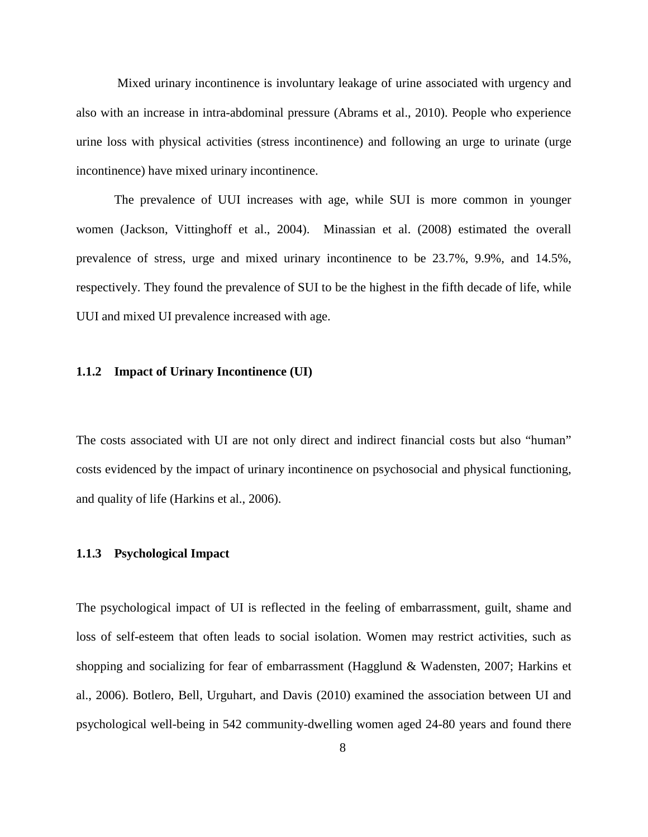Mixed urinary incontinence is involuntary leakage of urine associated with urgency and also with an increase in intra-abdominal pressure (Abrams et al., 2010). People who experience urine loss with physical activities (stress incontinence) and following an urge to urinate (urge incontinence) have mixed urinary incontinence.

The prevalence of UUI increases with age, while SUI is more common in younger women (Jackson, Vittinghoff et al., 2004). Minassian et al. (2008) estimated the overall prevalence of stress, urge and mixed urinary incontinence to be 23.7%, 9.9%, and 14.5%, respectively. They found the prevalence of SUI to be the highest in the fifth decade of life, while UUI and mixed UI prevalence increased with age.

## <span id="page-20-0"></span>**1.1.2 Impact of Urinary Incontinence (UI)**

The costs associated with UI are not only direct and indirect financial costs but also "human" costs evidenced by the impact of urinary incontinence on psychosocial and physical functioning, and quality of life (Harkins et al., 2006).

## <span id="page-20-1"></span>**1.1.3 Psychological Impact**

The psychological impact of UI is reflected in the feeling of embarrassment, guilt, shame and loss of self-esteem that often leads to social isolation. Women may restrict activities, such as shopping and socializing for fear of embarrassment (Hagglund & Wadensten, 2007; Harkins et al., 2006). Botlero, Bell, Urguhart, and Davis (2010) examined the association between UI and psychological well-being in 542 community-dwelling women aged 24-80 years and found there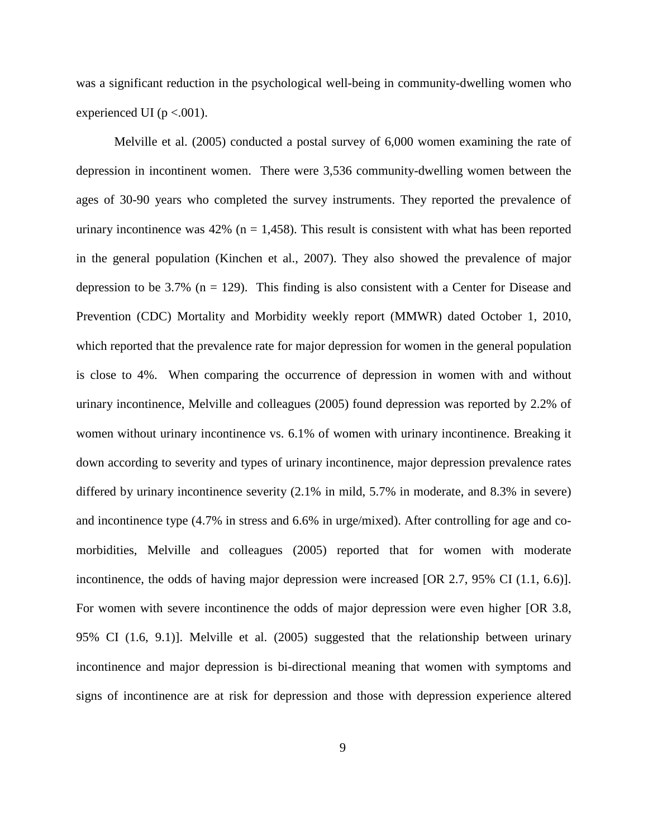was a significant reduction in the psychological well-being in community-dwelling women who experienced UI ( $p < .001$ ).

Melville et al. (2005) conducted a postal survey of 6,000 women examining the rate of depression in incontinent women. There were 3,536 community-dwelling women between the ages of 30-90 years who completed the survey instruments. They reported the prevalence of urinary incontinence was  $42\%$  (n = 1,458). This result is consistent with what has been reported in the general population (Kinchen et al., 2007). They also showed the prevalence of major depression to be 3.7% ( $n = 129$ ). This finding is also consistent with a Center for Disease and Prevention (CDC) Mortality and Morbidity weekly report (MMWR) dated October 1, 2010, which reported that the prevalence rate for major depression for women in the general population is close to 4%. When comparing the occurrence of depression in women with and without urinary incontinence, Melville and colleagues (2005) found depression was reported by 2.2% of women without urinary incontinence vs. 6.1% of women with urinary incontinence. Breaking it down according to severity and types of urinary incontinence, major depression prevalence rates differed by urinary incontinence severity (2.1% in mild, 5.7% in moderate, and 8.3% in severe) and incontinence type (4.7% in stress and 6.6% in urge/mixed). After controlling for age and comorbidities, Melville and colleagues (2005) reported that for women with moderate incontinence, the odds of having major depression were increased [OR 2.7, 95% CI (1.1, 6.6)]. For women with severe incontinence the odds of major depression were even higher [OR 3.8, 95% CI (1.6, 9.1)]. Melville et al. (2005) suggested that the relationship between urinary incontinence and major depression is bi-directional meaning that women with symptoms and signs of incontinence are at risk for depression and those with depression experience altered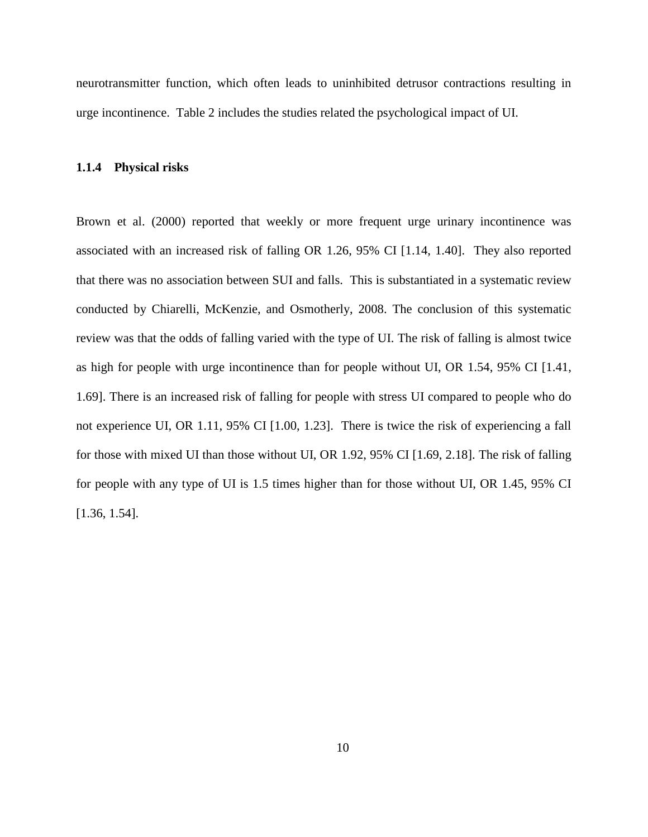neurotransmitter function, which often leads to uninhibited detrusor contractions resulting in urge incontinence. Table 2 includes the studies related the psychological impact of UI.

#### <span id="page-22-0"></span>**1.1.4 Physical risks**

Brown et al. (2000) reported that weekly or more frequent urge urinary incontinence was associated with an increased risk of falling OR 1.26, 95% CI [1.14, 1.40]. They also reported that there was no association between SUI and falls. This is substantiated in a systematic review conducted by Chiarelli, McKenzie, and Osmotherly, 2008. The conclusion of this systematic review was that the odds of falling varied with the type of UI. The risk of falling is almost twice as high for people with urge incontinence than for people without UI, OR 1.54, 95% CI [1.41, 1.69]. There is an increased risk of falling for people with stress UI compared to people who do not experience UI, OR 1.11, 95% CI [1.00, 1.23]. There is twice the risk of experiencing a fall for those with mixed UI than those without UI, OR 1.92, 95% CI [1.69, 2.18]. The risk of falling for people with any type of UI is 1.5 times higher than for those without UI, OR 1.45, 95% CI [1.36, 1.54].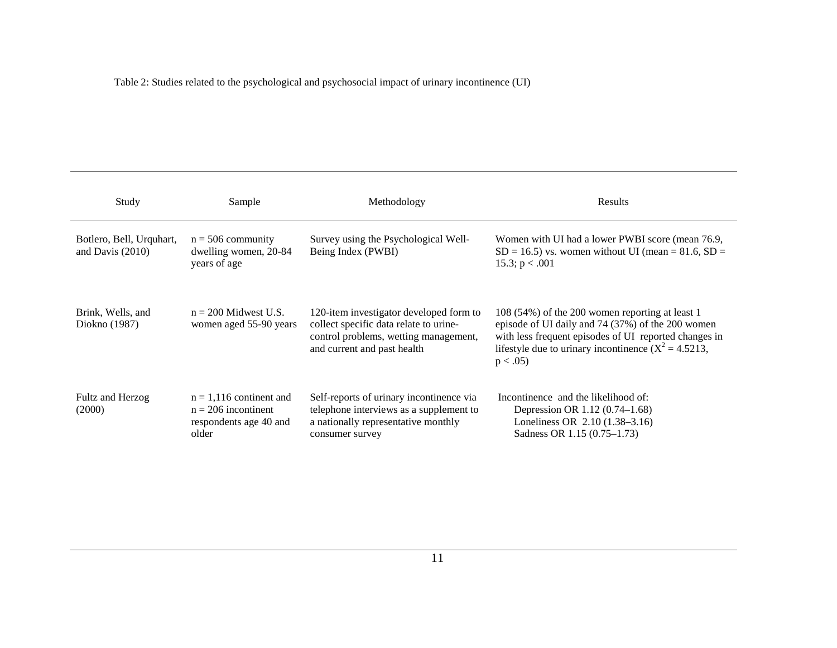Table 2: Studies related to the psychological and psychosocial impact of urinary incontinence (UI)

<span id="page-23-0"></span>

| Study                                          | Sample                                                                                | Methodology                                                                                                                                               | Results                                                                                                                                                                                                                                  |
|------------------------------------------------|---------------------------------------------------------------------------------------|-----------------------------------------------------------------------------------------------------------------------------------------------------------|------------------------------------------------------------------------------------------------------------------------------------------------------------------------------------------------------------------------------------------|
| Botlero, Bell, Urquhart,<br>and Davis $(2010)$ | $n = 506$ community<br>dwelling women, 20-84<br>years of age                          | Survey using the Psychological Well-<br>Being Index (PWBI)                                                                                                | Women with UI had a lower PWBI score (mean 76.9,<br>$SD = 16.5$ vs. women without UI (mean = 81.6, SD =<br>15.3; $p < .001$                                                                                                              |
| Brink, Wells, and<br>Diokno (1987)             | $n = 200$ Midwest U.S.<br>women aged 55-90 years                                      | 120-item investigator developed form to<br>collect specific data relate to urine-<br>control problems, wetting management,<br>and current and past health | 108 (54%) of the 200 women reporting at least 1<br>episode of UI daily and 74 (37%) of the 200 women<br>with less frequent episodes of UI reported changes in<br>lifestyle due to urinary incontinence $(X^2 = 4.5213)$ ,<br>$p < .05$ ) |
| Fultz and Herzog<br>(2000)                     | $n = 1,116$ continent and<br>$n = 206$ incontinent<br>respondents age 40 and<br>older | Self-reports of urinary incontinence via<br>telephone interviews as a supplement to<br>a nationally representative monthly<br>consumer survey             | Incontinence and the likelihood of:<br>Depression OR 1.12 (0.74–1.68)<br>Loneliness OR 2.10 (1.38–3.16)<br>Sadness OR 1.15 (0.75–1.73)                                                                                                   |

11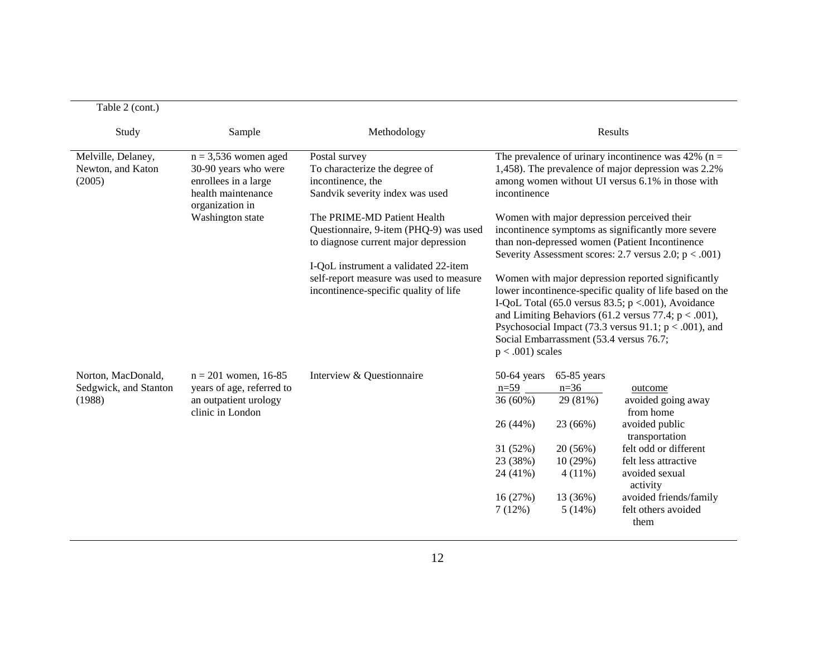| $1 \text{ and } 2 \text{ (Coll.)}$                |                                                                        |                                                                                  |                     |                                         |                                                                                                                                                                                                                                                                                                 |
|---------------------------------------------------|------------------------------------------------------------------------|----------------------------------------------------------------------------------|---------------------|-----------------------------------------|-------------------------------------------------------------------------------------------------------------------------------------------------------------------------------------------------------------------------------------------------------------------------------------------------|
| Study                                             | Sample                                                                 | Methodology                                                                      |                     | Results                                 |                                                                                                                                                                                                                                                                                                 |
| Melville, Delaney,<br>Newton, and Katon<br>(2005) | $n = 3,536$ women aged<br>30-90 years who were<br>enrollees in a large | Postal survey<br>To characterize the degree of<br>incontinence, the              |                     |                                         | The prevalence of urinary incontinence was 42% ( $n =$<br>1,458). The prevalence of major depression was 2.2%<br>among women without UI versus 6.1% in those with                                                                                                                               |
|                                                   | health maintenance<br>organization in                                  | Sandvik severity index was used                                                  | incontinence        |                                         |                                                                                                                                                                                                                                                                                                 |
|                                                   | Washington state                                                       | The PRIME-MD Patient Health                                                      |                     |                                         | Women with major depression perceived their                                                                                                                                                                                                                                                     |
|                                                   |                                                                        | Questionnaire, 9-item (PHQ-9) was used<br>to diagnose current major depression   |                     |                                         | incontinence symptoms as significantly more severe<br>than non-depressed women (Patient Incontinence<br>Severity Assessment scores: 2.7 versus 2.0; $p < .001$ )                                                                                                                                |
|                                                   |                                                                        | I-QoL instrument a validated 22-item                                             |                     |                                         |                                                                                                                                                                                                                                                                                                 |
|                                                   |                                                                        | self-report measure was used to measure<br>incontinence-specific quality of life | $p < .001$ ) scales | Social Embarrassment (53.4 versus 76.7; | Women with major depression reported significantly<br>lower incontinence-specific quality of life based on the<br>I-QoL Total (65.0 versus 83.5; $p < .001$ ), Avoidance<br>and Limiting Behaviors (61.2 versus 77.4; $p < .001$ ),<br>Psychosocial Impact (73.3 versus 91.1; $p < .001$ ), and |
| Norton, MacDonald,                                | $n = 201$ women, 16-85                                                 | Interview & Questionnaire                                                        | $50-64$ years       | $65-85$ years                           |                                                                                                                                                                                                                                                                                                 |
| Sedgwick, and Stanton                             | years of age, referred to                                              |                                                                                  | $n=59$              | $n=36$                                  | outcome                                                                                                                                                                                                                                                                                         |
| (1988)                                            | an outpatient urology<br>clinic in London                              |                                                                                  | 36 (60%)            | 29 (81%)                                | avoided going away<br>from home                                                                                                                                                                                                                                                                 |
|                                                   |                                                                        |                                                                                  | 26 (44%)            | 23 (66%)                                | avoided public<br>transportation                                                                                                                                                                                                                                                                |
|                                                   |                                                                        |                                                                                  | 31 (52%)            | 20 (56%)                                | felt odd or different                                                                                                                                                                                                                                                                           |
|                                                   |                                                                        |                                                                                  | 23 (38%)            | 10(29%)                                 | felt less attractive                                                                                                                                                                                                                                                                            |
|                                                   |                                                                        |                                                                                  | 24 (41%)            | $4(11\%)$                               | avoided sexual<br>activity                                                                                                                                                                                                                                                                      |
|                                                   |                                                                        |                                                                                  | 16 (27%)            | 13 (36%)                                | avoided friends/family                                                                                                                                                                                                                                                                          |
|                                                   |                                                                        |                                                                                  | 7(12%)              | 5(14%)                                  | felt others avoided<br>them                                                                                                                                                                                                                                                                     |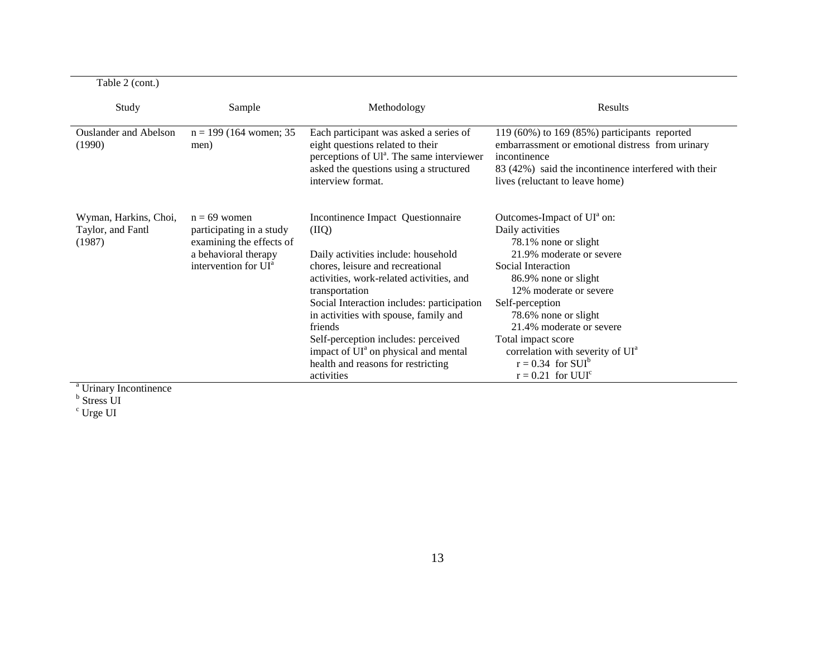| Table 2 (cont.)                                                                              |                                                                                                                                    |                                                                                                                                                                                                                                                                                                                                                                                                                                      |                                                                                                                                                                                                                                                                                                                                                                                                           |
|----------------------------------------------------------------------------------------------|------------------------------------------------------------------------------------------------------------------------------------|--------------------------------------------------------------------------------------------------------------------------------------------------------------------------------------------------------------------------------------------------------------------------------------------------------------------------------------------------------------------------------------------------------------------------------------|-----------------------------------------------------------------------------------------------------------------------------------------------------------------------------------------------------------------------------------------------------------------------------------------------------------------------------------------------------------------------------------------------------------|
| Study                                                                                        | Sample                                                                                                                             | Methodology                                                                                                                                                                                                                                                                                                                                                                                                                          | Results                                                                                                                                                                                                                                                                                                                                                                                                   |
| <b>Ouslander and Abelson</b><br>(1990)                                                       | $n = 199$ (164 women; 35<br>men)                                                                                                   | Each participant was asked a series of<br>eight questions related to their<br>perceptions of Ul <sup>a</sup> . The same interviewer<br>asked the questions using a structured<br>interview format.                                                                                                                                                                                                                                   | 119 (60%) to 169 (85%) participants reported<br>embarrassment or emotional distress from urinary<br>incontinence<br>83 (42%) said the incontinence interfered with their<br>lives (reluctant to leave home)                                                                                                                                                                                               |
| Wyman, Harkins, Choi,<br>Taylor, and Fantl<br>(1987)<br>$a \mathbf{r} + \cdots + \mathbf{r}$ | $n = 69$ women<br>participating in a study<br>examining the effects of<br>a behavioral therapy<br>intervention for UI <sup>a</sup> | Incontinence Impact Questionnaire<br>(IIQ)<br>Daily activities include: household<br>chores, leisure and recreational<br>activities, work-related activities, and<br>transportation<br>Social Interaction includes: participation<br>in activities with spouse, family and<br>friends<br>Self-perception includes: perceived<br>impact of UI <sup>a</sup> on physical and mental<br>health and reasons for restricting<br>activities | Outcomes-Impact of UI <sup>a</sup> on:<br>Daily activities<br>78.1% none or slight<br>21.9% moderate or severe<br>Social Interaction<br>86.9% none or slight<br>12% moderate or severe<br>Self-perception<br>78.6% none or slight<br>21.4% moderate or severe<br>Total impact score<br>correlation with severity of UI <sup>a</sup><br>$r = 0.34$ for SUI <sup>b</sup><br>$r = 0.21$ for UUI <sup>c</sup> |

<sup>a</sup> Urinary Incontinence

<sup>b</sup> Stress UI

 $^{\rm c}$  Urge UI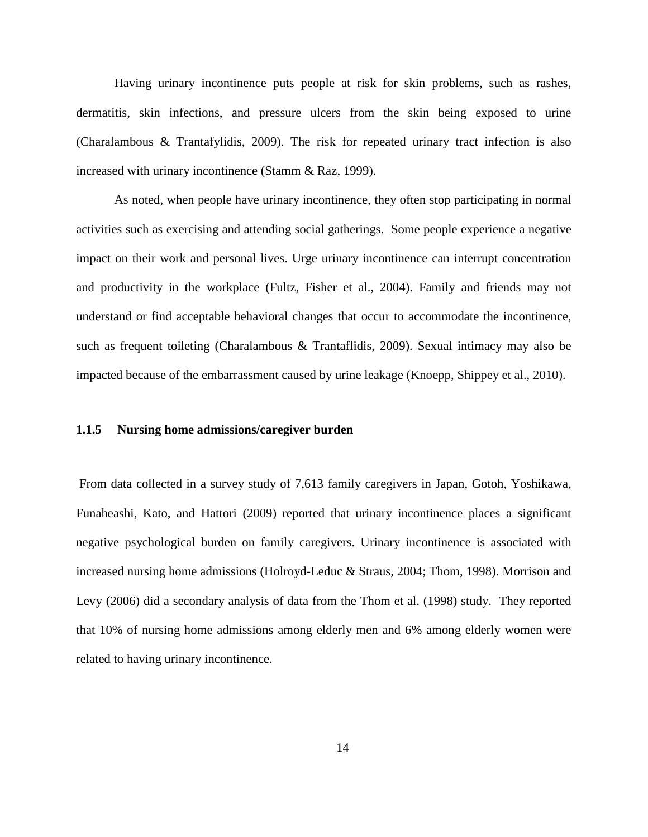Having urinary incontinence puts people at risk for skin problems, such as rashes, dermatitis, skin infections, and pressure ulcers from the skin being exposed to urine (Charalambous & Trantafylidis, 2009). The risk for repeated urinary tract infection is also increased with urinary incontinence (Stamm & Raz, 1999).

As noted, when people have urinary incontinence, they often stop participating in normal activities such as exercising and attending social gatherings. Some people experience a negative impact on their work and personal lives. Urge urinary incontinence can interrupt concentration and productivity in the workplace (Fultz, Fisher et al., 2004). Family and friends may not understand or find acceptable behavioral changes that occur to accommodate the incontinence, such as frequent toileting (Charalambous & Trantaflidis, 2009). Sexual intimacy may also be impacted because of the embarrassment caused by urine leakage (Knoepp, Shippey et al., 2010).

#### <span id="page-26-0"></span>**1.1.5 Nursing home admissions/caregiver burden**

From data collected in a survey study of 7,613 family caregivers in Japan, Gotoh, Yoshikawa, Funaheashi, Kato, and Hattori (2009) reported that urinary incontinence places a significant negative psychological burden on family caregivers. Urinary incontinence is associated with increased nursing home admissions (Holroyd-Leduc & Straus, 2004; Thom, 1998). Morrison and Levy (2006) did a secondary analysis of data from the Thom et al. (1998) study. They reported that 10% of nursing home admissions among elderly men and 6% among elderly women were related to having urinary incontinence.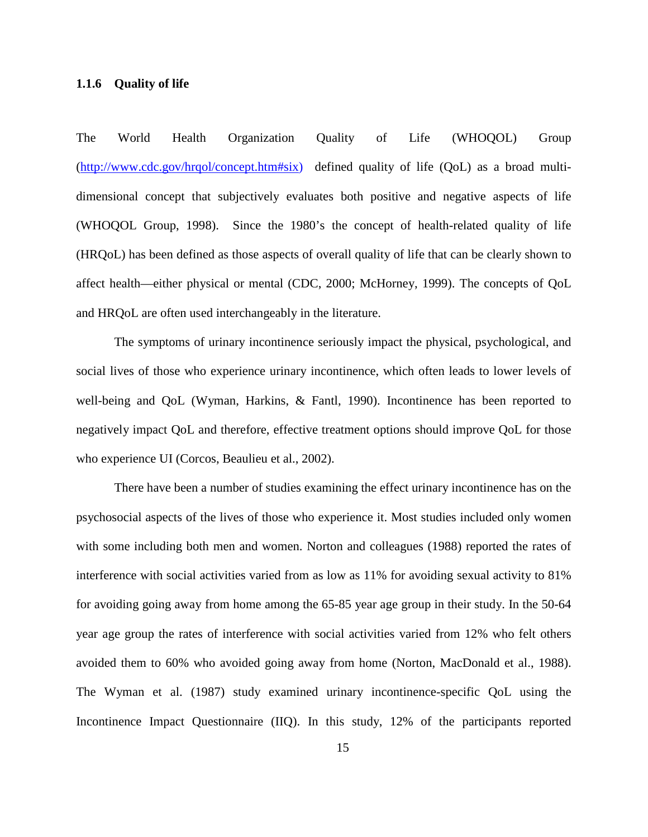### <span id="page-27-0"></span>**1.1.6 Quality of life**

The World Health Organization Quality of Life (WHOQOL) Group [\(http://www.cdc.gov/hrqol/concept.htm#six\)](http://www.cdc.gov/hrqol/concept.htm#six) defined quality of life (QoL) as a broad multidimensional concept that subjectively evaluates both positive and negative aspects of life (WHOQOL Group, 1998). Since the 1980's the concept of health-related quality of life (HRQoL) has been defined as those aspects of overall quality of life that can be clearly shown to affect health—either physical or mental (CDC, 2000; McHorney, 1999). The concepts of QoL and HRQoL are often used interchangeably in the literature.

The symptoms of urinary incontinence seriously impact the physical, psychological, and social lives of those who experience urinary incontinence, which often leads to lower levels of well-being and QoL (Wyman, Harkins, & Fantl, 1990). Incontinence has been reported to negatively impact QoL and therefore, effective treatment options should improve QoL for those who experience UI (Corcos, Beaulieu et al., 2002).

There have been a number of studies examining the effect urinary incontinence has on the psychosocial aspects of the lives of those who experience it. Most studies included only women with some including both men and women. Norton and colleagues (1988) reported the rates of interference with social activities varied from as low as 11% for avoiding sexual activity to 81% for avoiding going away from home among the 65-85 year age group in their study. In the 50-64 year age group the rates of interference with social activities varied from 12% who felt others avoided them to 60% who avoided going away from home (Norton, MacDonald et al., 1988). The Wyman et al. (1987) study examined urinary incontinence-specific QoL using the Incontinence Impact Questionnaire (IIQ). In this study, 12% of the participants reported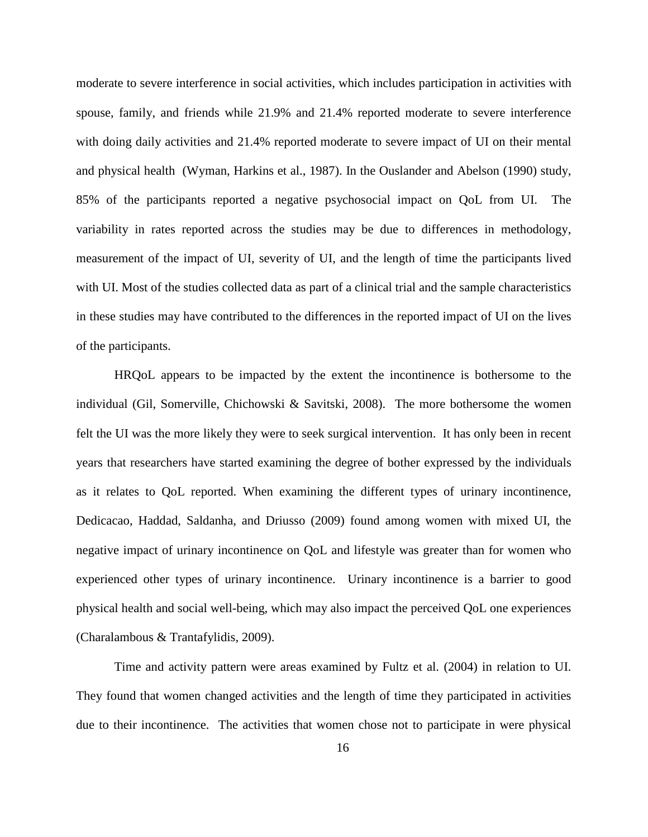moderate to severe interference in social activities, which includes participation in activities with spouse, family, and friends while 21.9% and 21.4% reported moderate to severe interference with doing daily activities and 21.4% reported moderate to severe impact of UI on their mental and physical health (Wyman, Harkins et al., 1987). In the Ouslander and Abelson (1990) study, 85% of the participants reported a negative psychosocial impact on QoL from UI. The variability in rates reported across the studies may be due to differences in methodology, measurement of the impact of UI, severity of UI, and the length of time the participants lived with UI. Most of the studies collected data as part of a clinical trial and the sample characteristics in these studies may have contributed to the differences in the reported impact of UI on the lives of the participants.

HRQoL appears to be impacted by the extent the incontinence is bothersome to the individual (Gil, Somerville, Chichowski & Savitski, 2008). The more bothersome the women felt the UI was the more likely they were to seek surgical intervention. It has only been in recent years that researchers have started examining the degree of bother expressed by the individuals as it relates to QoL reported. When examining the different types of urinary incontinence, Dedicacao, Haddad, Saldanha, and Driusso (2009) found among women with mixed UI, the negative impact of urinary incontinence on QoL and lifestyle was greater than for women who experienced other types of urinary incontinence. Urinary incontinence is a barrier to good physical health and social well-being, which may also impact the perceived QoL one experiences (Charalambous & Trantafylidis, 2009).

Time and activity pattern were areas examined by Fultz et al. (2004) in relation to UI. They found that women changed activities and the length of time they participated in activities due to their incontinence. The activities that women chose not to participate in were physical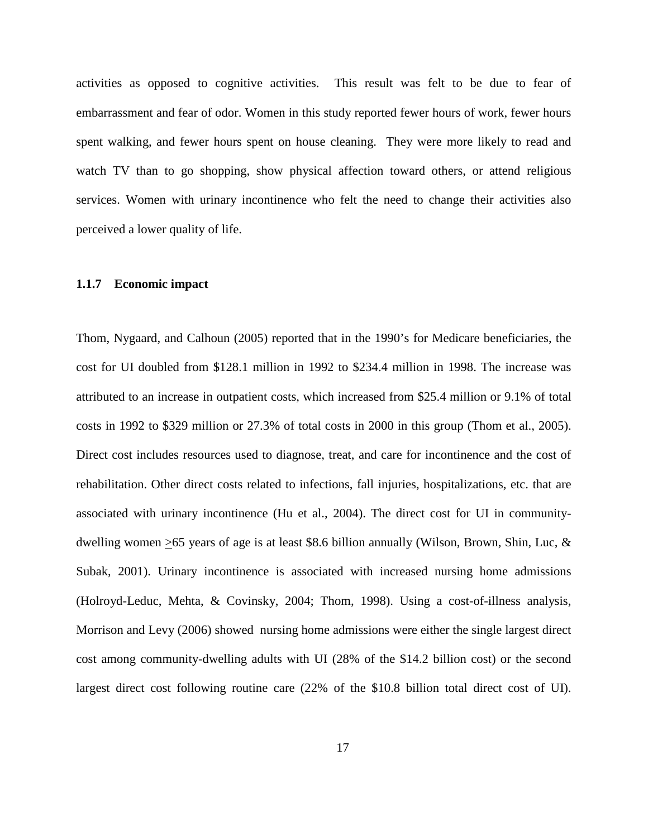activities as opposed to cognitive activities. This result was felt to be due to fear of embarrassment and fear of odor. Women in this study reported fewer hours of work, fewer hours spent walking, and fewer hours spent on house cleaning. They were more likely to read and watch TV than to go shopping, show physical affection toward others, or attend religious services. Women with urinary incontinence who felt the need to change their activities also perceived a lower quality of life.

## <span id="page-29-0"></span>**1.1.7 Economic impact**

Thom, Nygaard, and Calhoun (2005) reported that in the 1990's for Medicare beneficiaries, the cost for UI doubled from \$128.1 million in 1992 to \$234.4 million in 1998. The increase was attributed to an increase in outpatient costs, which increased from \$25.4 million or 9.1% of total costs in 1992 to \$329 million or 27.3% of total costs in 2000 in this group (Thom et al., 2005). Direct cost includes resources used to diagnose, treat, and care for incontinence and the cost of rehabilitation. Other direct costs related to infections, fall injuries, hospitalizations, etc. that are associated with urinary incontinence (Hu et al., 2004). The direct cost for UI in communitydwelling women >65 years of age is at least \$8.6 billion annually (Wilson, Brown, Shin, Luc, & Subak, 2001). Urinary incontinence is associated with increased nursing home admissions (Holroyd-Leduc, Mehta, & Covinsky, 2004; Thom, 1998). Using a cost-of-illness analysis, Morrison and Levy (2006) showed nursing home admissions were either the single largest direct cost among community-dwelling adults with UI (28% of the \$14.2 billion cost) or the second largest direct cost following routine care (22% of the \$10.8 billion total direct cost of UI).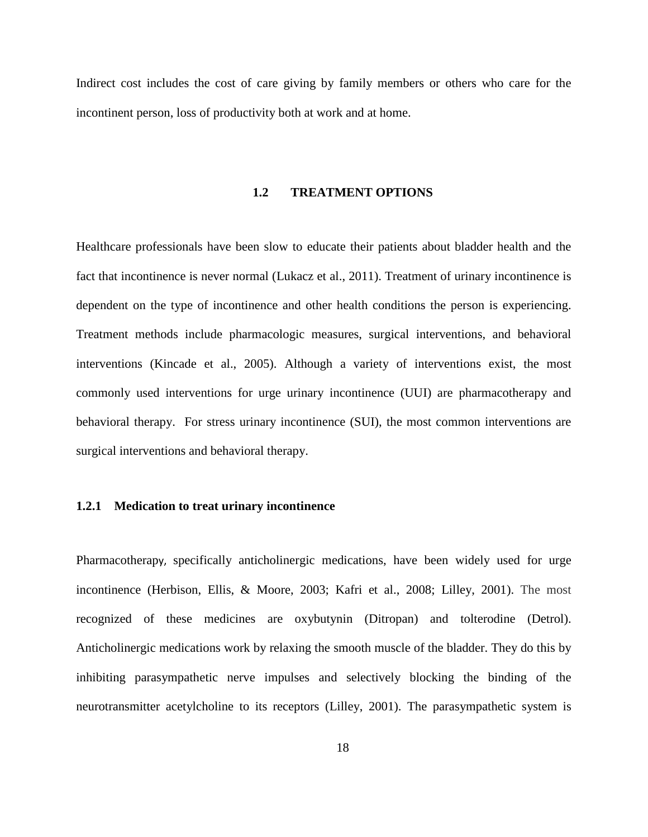<span id="page-30-0"></span>Indirect cost includes the cost of care giving by family members or others who care for the incontinent person, loss of productivity both at work and at home.

### **1.2 TREATMENT OPTIONS**

Healthcare professionals have been slow to educate their patients about bladder health and the fact that incontinence is never normal (Lukacz et al., 2011). Treatment of urinary incontinence is dependent on the type of incontinence and other health conditions the person is experiencing. Treatment methods include pharmacologic measures, surgical interventions, and behavioral interventions (Kincade et al., 2005). Although a variety of interventions exist, the most commonly used interventions for urge urinary incontinence (UUI) are pharmacotherapy and behavioral therapy. For stress urinary incontinence (SUI), the most common interventions are surgical interventions and behavioral therapy.

### <span id="page-30-1"></span>**1.2.1 Medication to treat urinary incontinence**

Pharmacotherapy, specifically anticholinergic medications, have been widely used for urge incontinence (Herbison, Ellis, & Moore, 2003; Kafri et al., 2008; Lilley, 2001). The most recognized of these medicines are oxybutynin (Ditropan) and tolterodine (Detrol). Anticholinergic medications work by relaxing the smooth muscle of the bladder. They do this by inhibiting parasympathetic nerve impulses and selectively blocking the binding of the neurotransmitter acetylcholine to its receptors (Lilley, 2001). The parasympathetic system is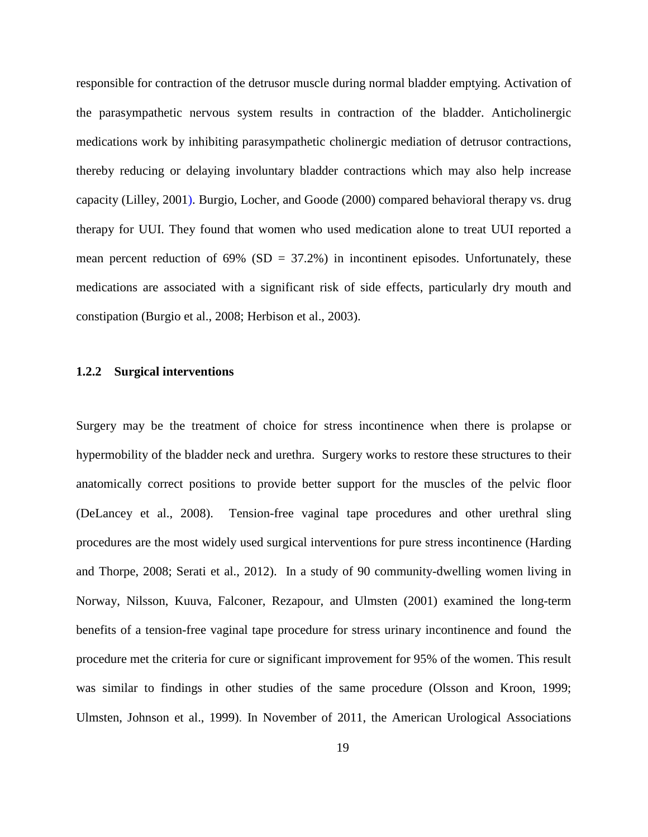responsible for contraction of the detrusor muscle during normal bladder emptying. Activation of the parasympathetic nervous system results in contraction of the bladder. Anticholinergic medications work by inhibiting parasympathetic cholinergic mediation of detrusor contractions, thereby reducing or delaying involuntary bladder contractions which may also help increase capacity (Lilley, 2001). Burgio, Locher, and Goode (2000) compared behavioral therapy vs. drug therapy for UUI. They found that women who used medication alone to treat UUI reported a mean percent reduction of  $69\%$  (SD = 37.2%) in incontinent episodes. Unfortunately, these medications are associated with a significant risk of side effects, particularly dry mouth and constipation (Burgio et al., 2008; Herbison et al., 2003).

## <span id="page-31-0"></span>**1.2.2 Surgical interventions**

Surgery may be the treatment of choice for stress incontinence when there is prolapse or hypermobility of the bladder neck and urethra. Surgery works to restore these structures to their anatomically correct positions to provide better support for the muscles of the pelvic floor (DeLancey et al., 2008). Tension-free vaginal tape procedures and other urethral sling procedures are the most widely used surgical interventions for pure stress incontinence (Harding and Thorpe, 2008; Serati et al., 2012). In a study of 90 community-dwelling women living in Norway, Nilsson, Kuuva, Falconer, Rezapour, and Ulmsten (2001) examined the long-term benefits of a tension-free vaginal tape procedure for stress urinary incontinence and found the procedure met the criteria for cure or significant improvement for 95% of the women. This result was similar to findings in other studies of the same procedure (Olsson and Kroon, 1999; Ulmsten, Johnson et al., 1999). In November of 2011, the American Urological Associations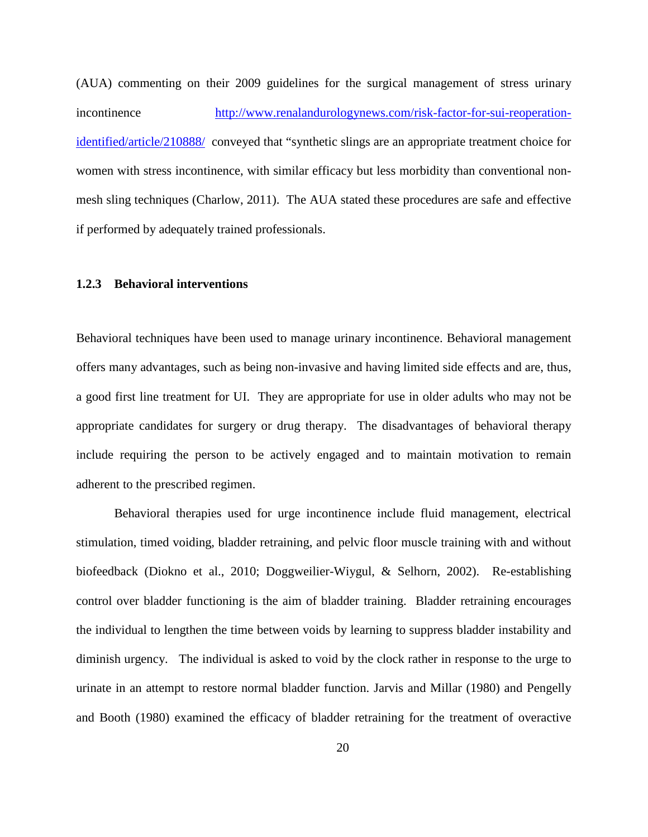(AUA) commenting on their 2009 guidelines for the surgical management of stress urinary incontinence [http://www.renalandurologynews.com/risk-factor-for-sui-reoperation](http://www.renalandurologynews.com/risk-factor-for-sui-reoperation-identified/article/210888/)[identified/article/210888/](http://www.renalandurologynews.com/risk-factor-for-sui-reoperation-identified/article/210888/) conveyed that "synthetic slings are an appropriate treatment choice for women with stress incontinence, with similar efficacy but less morbidity than conventional nonmesh sling techniques (Charlow, 2011). The AUA stated these procedures are safe and effective if performed by adequately trained professionals.

## <span id="page-32-0"></span>**1.2.3 Behavioral interventions**

Behavioral techniques have been used to manage urinary incontinence. Behavioral management offers many advantages, such as being non-invasive and having limited side effects and are, thus, a good first line treatment for UI. They are appropriate for use in older adults who may not be appropriate candidates for surgery or drug therapy. The disadvantages of behavioral therapy include requiring the person to be actively engaged and to maintain motivation to remain adherent to the prescribed regimen.

Behavioral therapies used for urge incontinence include fluid management, electrical stimulation, timed voiding, bladder retraining, and pelvic floor muscle training with and without biofeedback (Diokno et al., 2010; Doggweilier-Wiygul, & Selhorn, 2002). Re-establishing control over bladder functioning is the aim of bladder training. Bladder retraining encourages the individual to lengthen the time between voids by learning to suppress bladder instability and diminish urgency. The individual is asked to void by the clock rather in response to the urge to urinate in an attempt to restore normal bladder function. Jarvis and Millar (1980) and Pengelly and Booth (1980) examined the efficacy of bladder retraining for the treatment of overactive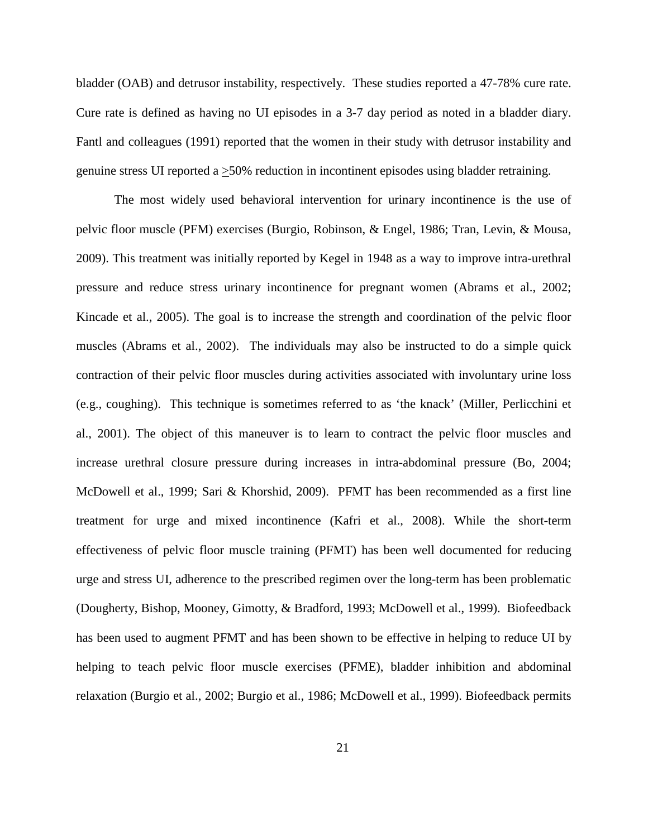bladder (OAB) and detrusor instability, respectively. These studies reported a 47-78% cure rate. Cure rate is defined as having no UI episodes in a 3-7 day period as noted in a bladder diary. Fantl and colleagues (1991) reported that the women in their study with detrusor instability and genuine stress UI reported a >50% reduction in incontinent episodes using bladder retraining.

The most widely used behavioral intervention for urinary incontinence is the use of pelvic floor muscle (PFM) exercises (Burgio, Robinson, & Engel, 1986; Tran, Levin, & Mousa, 2009). This treatment was initially reported by Kegel in 1948 as a way to improve intra-urethral pressure and reduce stress urinary incontinence for pregnant women (Abrams et al., 2002; Kincade et al., 2005). The goal is to increase the strength and coordination of the pelvic floor muscles (Abrams et al., 2002). The individuals may also be instructed to do a simple quick contraction of their pelvic floor muscles during activities associated with involuntary urine loss (e.g., coughing). This technique is sometimes referred to as 'the knack' (Miller, Perlicchini et al., 2001). The object of this maneuver is to learn to contract the pelvic floor muscles and increase urethral closure pressure during increases in intra-abdominal pressure (Bo, 2004; McDowell et al., 1999; Sari & Khorshid, 2009). PFMT has been recommended as a first line treatment for urge and mixed incontinence (Kafri et al., 2008). While the short-term effectiveness of pelvic floor muscle training (PFMT) has been well documented for reducing urge and stress UI, adherence to the prescribed regimen over the long-term has been problematic (Dougherty, Bishop, Mooney, Gimotty, & Bradford, 1993; McDowell et al., 1999). Biofeedback has been used to augment PFMT and has been shown to be effective in helping to reduce UI by helping to teach pelvic floor muscle exercises (PFME), bladder inhibition and abdominal relaxation (Burgio et al., 2002; Burgio et al., 1986; McDowell et al., 1999). Biofeedback permits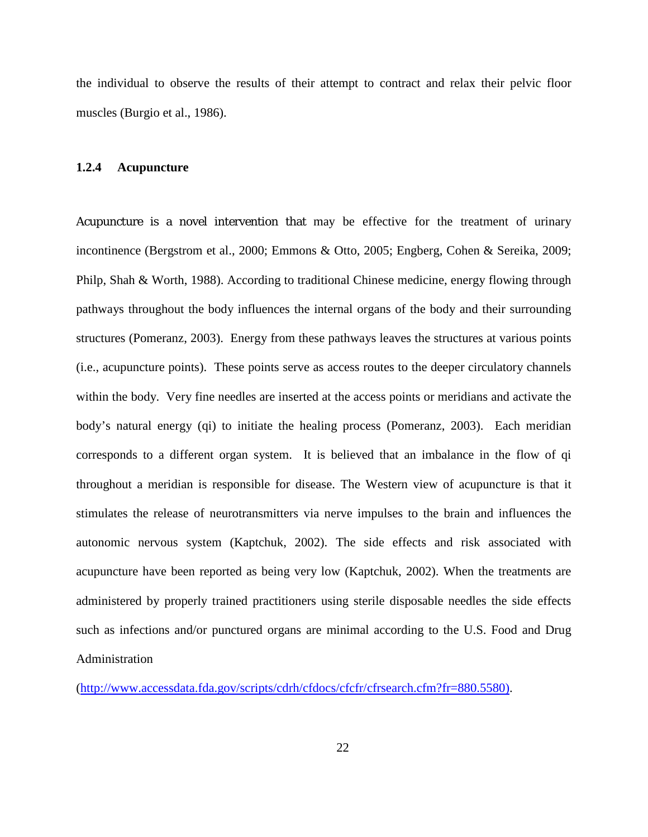the individual to observe the results of their attempt to contract and relax their pelvic floor muscles (Burgio et al., 1986).

#### <span id="page-34-0"></span>**1.2.4 Acupuncture**

Acupuncture is a novel intervention that may be effective for the treatment of urinary incontinence (Bergstrom et al., 2000; Emmons & Otto, 2005; Engberg, Cohen & Sereika, 2009; Philp, Shah & Worth, 1988). According to traditional Chinese medicine, energy flowing through pathways throughout the body influences the internal organs of the body and their surrounding structures (Pomeranz, 2003). Energy from these pathways leaves the structures at various points (i.e., acupuncture points). These points serve as access routes to the deeper circulatory channels within the body. Very fine needles are inserted at the access points or meridians and activate the body's natural energy (qi) to initiate the healing process (Pomeranz, 2003). Each meridian corresponds to a different organ system. It is believed that an imbalance in the flow of qi throughout a meridian is responsible for disease. The Western view of acupuncture is that it stimulates the release of neurotransmitters via nerve impulses to the brain and influences the autonomic nervous system (Kaptchuk, 2002). The side effects and risk associated with acupuncture have been reported as being very low (Kaptchuk, 2002). When the treatments are administered by properly trained practitioners using sterile disposable needles the side effects such as infections and/or punctured organs are minimal according to the U.S. Food and Drug Administration

[\(http://www.accessdata.fda.gov/scripts/cdrh/cfdocs/cfcfr/cfrsearch.cfm?fr=880.5580\)](http://www.accessdata.fda.gov/scripts/cdrh/cfdocs/cfcfr/cfrsearch.cfm?fr=880.5580).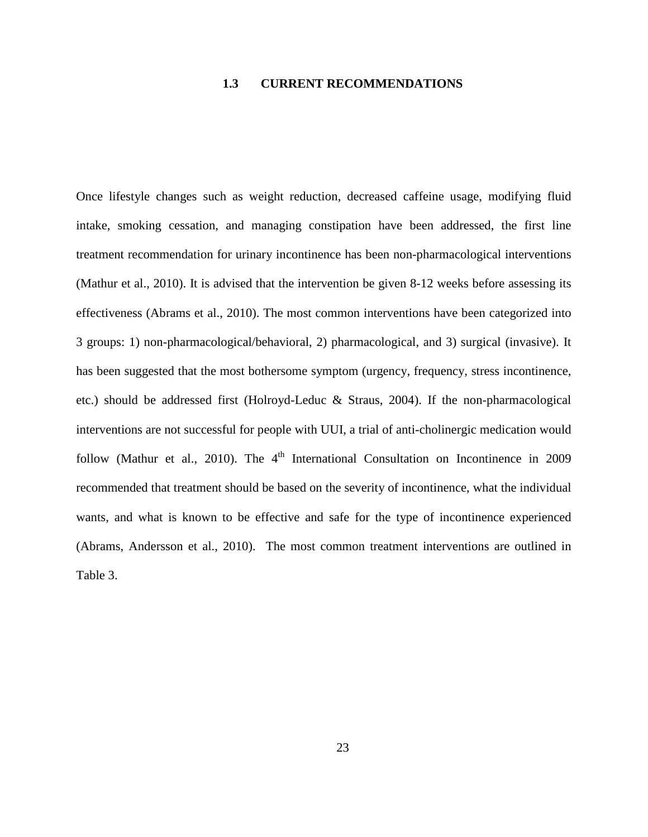# **1.3 CURRENT RECOMMENDATIONS**

<span id="page-35-0"></span>Once lifestyle changes such as weight reduction, decreased caffeine usage, modifying fluid intake, smoking cessation, and managing constipation have been addressed, the first line treatment recommendation for urinary incontinence has been non-pharmacological interventions (Mathur et al., 2010). It is advised that the intervention be given 8-12 weeks before assessing its effectiveness (Abrams et al., 2010). The most common interventions have been categorized into 3 groups: 1) non-pharmacological/behavioral, 2) pharmacological, and 3) surgical (invasive). It has been suggested that the most bothersome symptom (urgency, frequency, stress incontinence, etc.) should be addressed first (Holroyd-Leduc & Straus, 2004). If the non-pharmacological interventions are not successful for people with UUI, a trial of anti-cholinergic medication would follow (Mathur et al., 2010). The  $4<sup>th</sup>$  International Consultation on Incontinence in 2009 recommended that treatment should be based on the severity of incontinence, what the individual wants, and what is known to be effective and safe for the type of incontinence experienced (Abrams, Andersson et al., 2010). The most common treatment interventions are outlined in Table 3.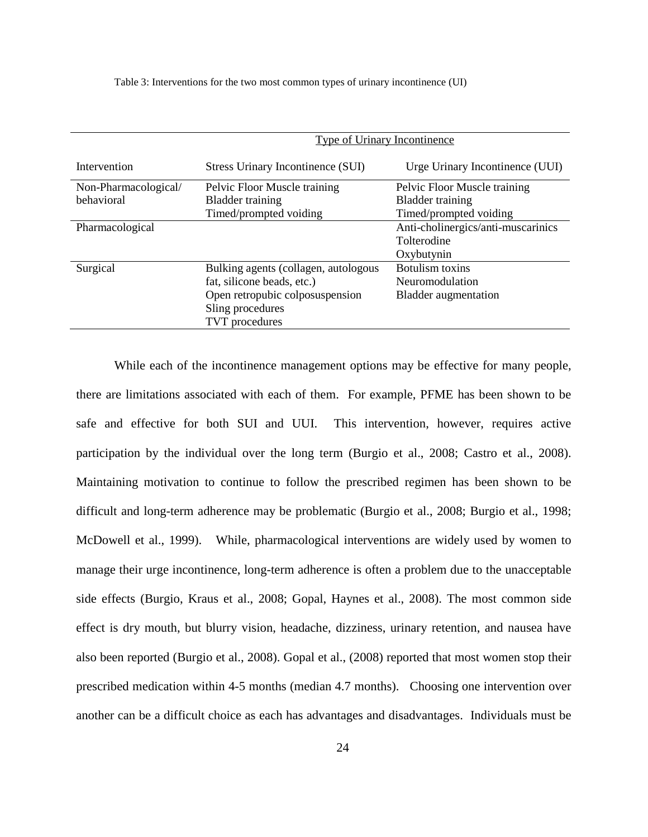Table 3: Interventions for the two most common types of urinary incontinence (UI)

|                      | Type of Urinary Incontinence         |                                    |
|----------------------|--------------------------------------|------------------------------------|
| Intervention         | Stress Urinary Incontinence (SUI)    | Urge Urinary Incontinence (UUI)    |
| Non-Pharmacological/ | Pelvic Floor Muscle training         | Pelvic Floor Muscle training       |
| behavioral           | <b>Bladder training</b>              | <b>Bladder</b> training            |
|                      | Timed/prompted voiding               | Timed/prompted voiding             |
| Pharmacological      |                                      | Anti-cholinergics/anti-muscarinics |
|                      |                                      | Tolterodine                        |
|                      |                                      | Oxybutynin                         |
| Surgical             | Bulking agents (collagen, autologous | Botulism toxins                    |
|                      | fat, silicone beads, etc.)           | Neuromodulation                    |
|                      | Open retropubic colposuspension      | <b>Bladder</b> augmentation        |
|                      | Sling procedures                     |                                    |
|                      | <b>TVT</b> procedures                |                                    |

While each of the incontinence management options may be effective for many people, there are limitations associated with each of them. For example, PFME has been shown to be safe and effective for both SUI and UUI. This intervention, however, requires active participation by the individual over the long term (Burgio et al., 2008; Castro et al., 2008). Maintaining motivation to continue to follow the prescribed regimen has been shown to be difficult and long-term adherence may be problematic (Burgio et al., 2008; Burgio et al., 1998; McDowell et al., 1999). While, pharmacological interventions are widely used by women to manage their urge incontinence, long-term adherence is often a problem due to the unacceptable side effects (Burgio, Kraus et al., 2008; Gopal, Haynes et al., 2008). The most common side effect is dry mouth, but blurry vision, headache, dizziness, urinary retention, and nausea have also been reported (Burgio et al., 2008). Gopal et al., (2008) reported that most women stop their prescribed medication within 4-5 months (median 4.7 months). Choosing one intervention over another can be a difficult choice as each has advantages and disadvantages. Individuals must be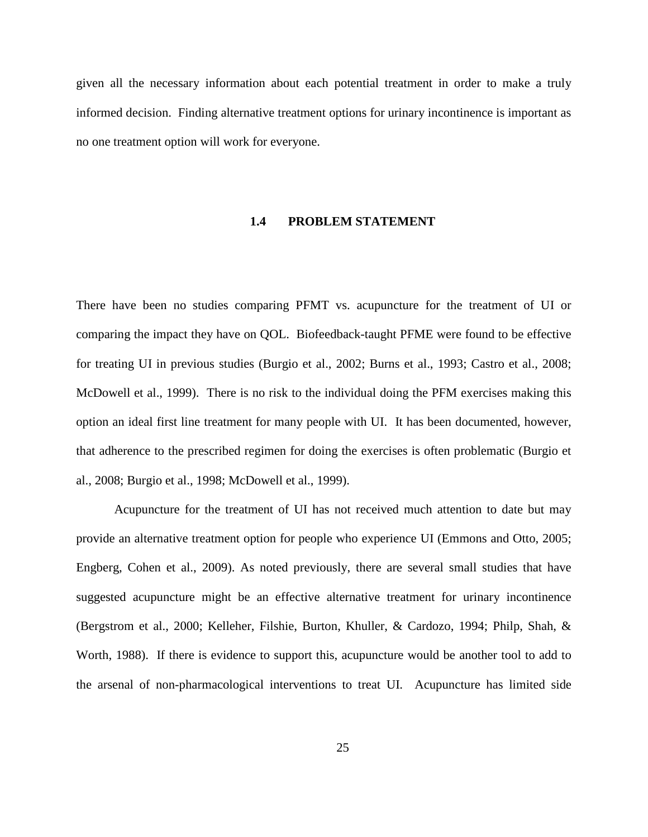given all the necessary information about each potential treatment in order to make a truly informed decision. Finding alternative treatment options for urinary incontinence is important as no one treatment option will work for everyone.

#### **1.4 PROBLEM STATEMENT**

There have been no studies comparing PFMT vs. acupuncture for the treatment of UI or comparing the impact they have on QOL. Biofeedback-taught PFME were found to be effective for treating UI in previous studies (Burgio et al., 2002; Burns et al., 1993; Castro et al., 2008; McDowell et al., 1999). There is no risk to the individual doing the PFM exercises making this option an ideal first line treatment for many people with UI. It has been documented, however, that adherence to the prescribed regimen for doing the exercises is often problematic (Burgio et al., 2008; Burgio et al., 1998; McDowell et al., 1999).

Acupuncture for the treatment of UI has not received much attention to date but may provide an alternative treatment option for people who experience UI (Emmons and Otto, 2005; Engberg, Cohen et al., 2009). As noted previously, there are several small studies that have suggested acupuncture might be an effective alternative treatment for urinary incontinence (Bergstrom et al., 2000; Kelleher, Filshie, Burton, Khuller, & Cardozo, 1994; Philp, Shah, & Worth, 1988). If there is evidence to support this, acupuncture would be another tool to add to the arsenal of non-pharmacological interventions to treat UI. Acupuncture has limited side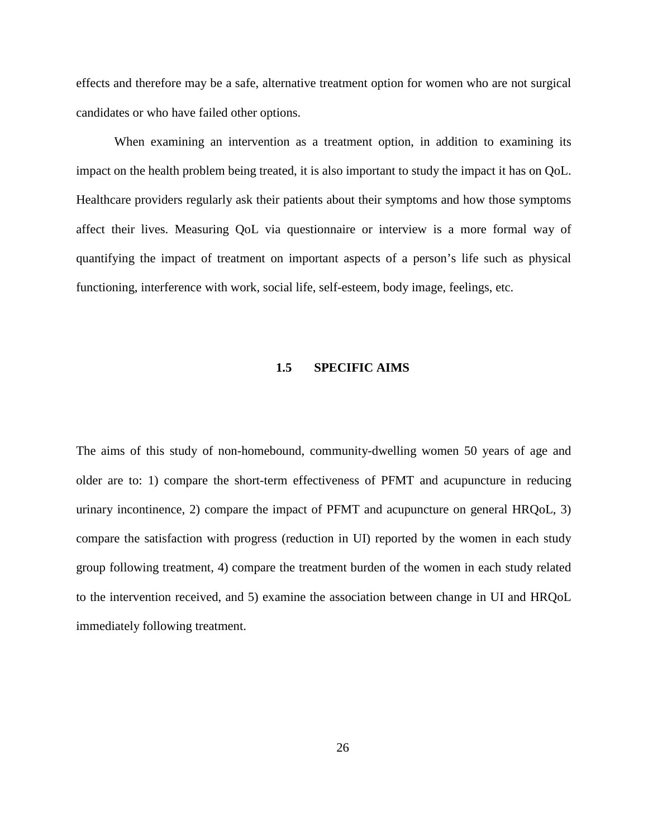effects and therefore may be a safe, alternative treatment option for women who are not surgical candidates or who have failed other options.

When examining an intervention as a treatment option, in addition to examining its impact on the health problem being treated, it is also important to study the impact it has on QoL. Healthcare providers regularly ask their patients about their symptoms and how those symptoms affect their lives. Measuring QoL via questionnaire or interview is a more formal way of quantifying the impact of treatment on important aspects of a person's life such as physical functioning, interference with work, social life, self-esteem, body image, feelings, etc.

### **1.5 SPECIFIC AIMS**

The aims of this study of non-homebound, community-dwelling women 50 years of age and older are to: 1) compare the short-term effectiveness of PFMT and acupuncture in reducing urinary incontinence, 2) compare the impact of PFMT and acupuncture on general HRQoL, 3) compare the satisfaction with progress (reduction in UI) reported by the women in each study group following treatment, 4) compare the treatment burden of the women in each study related to the intervention received, and 5) examine the association between change in UI and HRQoL immediately following treatment.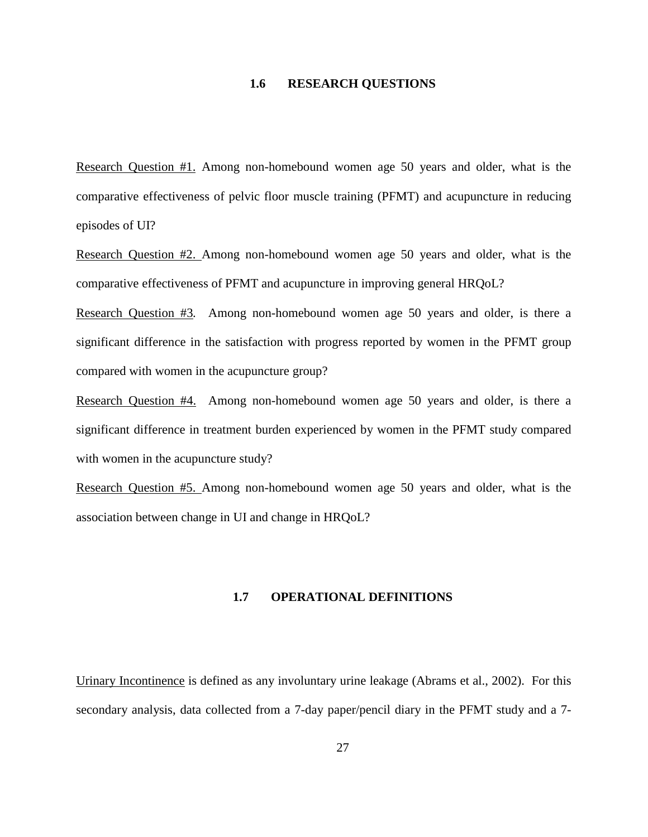# **1.6 RESEARCH QUESTIONS**

Research Question #1. Among non-homebound women age 50 years and older, what is the comparative effectiveness of pelvic floor muscle training (PFMT) and acupuncture in reducing episodes of UI?

Research Question #2. Among non-homebound women age 50 years and older, what is the comparative effectiveness of PFMT and acupuncture in improving general HRQoL?

Research Question #3*.* Among non-homebound women age 50 years and older, is there a significant difference in the satisfaction with progress reported by women in the PFMT group compared with women in the acupuncture group?

Research Question #4.Among non-homebound women age 50 years and older, is there a significant difference in treatment burden experienced by women in the PFMT study compared with women in the acupuncture study?

Research Question #5. Among non-homebound women age 50 years and older, what is the association between change in UI and change in HRQoL?

### **1.7 OPERATIONAL DEFINITIONS**

Urinary Incontinence is defined as any involuntary urine leakage (Abrams et al., 2002). For this secondary analysis, data collected from a 7-day paper/pencil diary in the PFMT study and a 7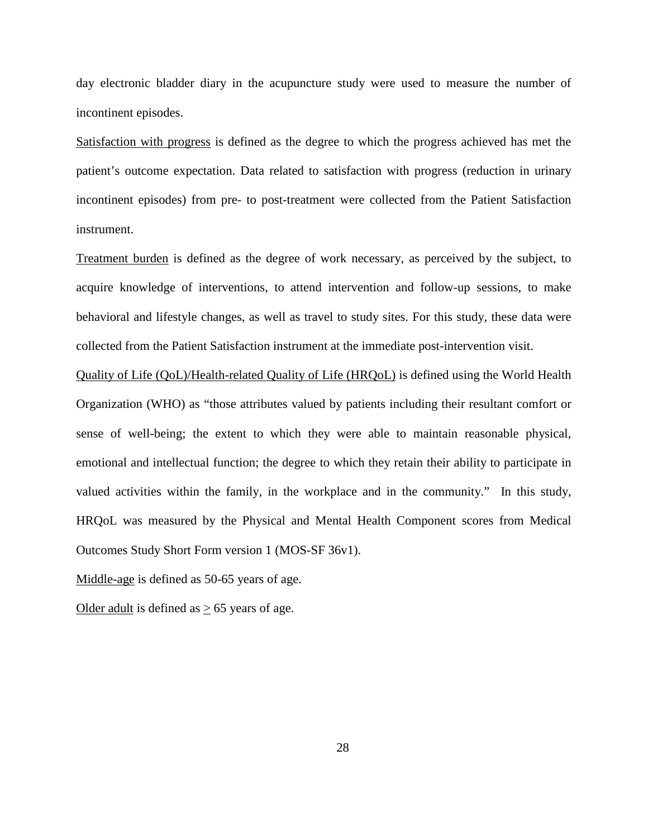day electronic bladder diary in the acupuncture study were used to measure the number of incontinent episodes.

Satisfaction with progress is defined as the degree to which the progress achieved has met the patient's outcome expectation. Data related to satisfaction with progress (reduction in urinary incontinent episodes) from pre- to post-treatment were collected from the Patient Satisfaction instrument.

Treatment burden is defined as the degree of work necessary, as perceived by the subject, to acquire knowledge of interventions, to attend intervention and follow-up sessions, to make behavioral and lifestyle changes, as well as travel to study sites. For this study, these data were collected from the Patient Satisfaction instrument at the immediate post-intervention visit.

Quality of Life (QoL)/Health-related Quality of Life (HRQoL) is defined using the World Health Organization (WHO) as "those attributes valued by patients including their resultant comfort or sense of well-being; the extent to which they were able to maintain reasonable physical, emotional and intellectual function; the degree to which they retain their ability to participate in valued activities within the family, in the workplace and in the community." In this study, HRQoL was measured by the Physical and Mental Health Component scores from Medical Outcomes Study Short Form version 1 (MOS-SF 36v1).

Middle-age is defined as 50-65 years of age.

Older adult is defined as  $\geq$  65 years of age.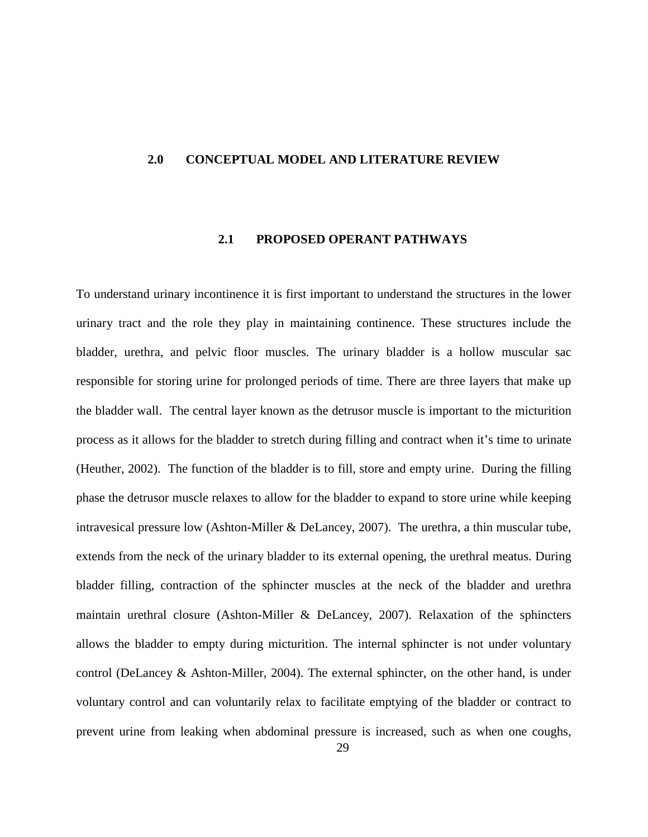### **2.0 CONCEPTUAL MODEL AND LITERATURE REVIEW**

### **2.1 PROPOSED OPERANT PATHWAYS**

To understand urinary incontinence it is first important to understand the structures in the lower urinary tract and the role they play in maintaining continence. These structures include the bladder, urethra, and pelvic floor muscles. The urinary bladder is a hollow muscular sac responsible for storing urine for prolonged periods of time. There are three layers that make up the bladder wall. The central layer known as the detrusor muscle is important to the micturition process as it allows for the bladder to stretch during filling and contract when it's time to urinate (Heuther, 2002). The function of the bladder is to fill, store and empty urine. During the filling phase the detrusor muscle relaxes to allow for the bladder to expand to store urine while keeping intravesical pressure low (Ashton-Miller & DeLancey, 2007). The urethra, a thin muscular tube, extends from the neck of the urinary bladder to its external opening, the urethral meatus. During bladder filling, contraction of the sphincter muscles at the neck of the bladder and urethra maintain urethral closure (Ashton-Miller & DeLancey, 2007). Relaxation of the sphincters allows the bladder to empty during micturition. The internal sphincter is not under voluntary control (DeLancey & Ashton-Miller, 2004). The external sphincter, on the other hand, is under voluntary control and can voluntarily relax to facilitate emptying of the bladder or contract to prevent urine from leaking when abdominal pressure is increased, such as when one coughs,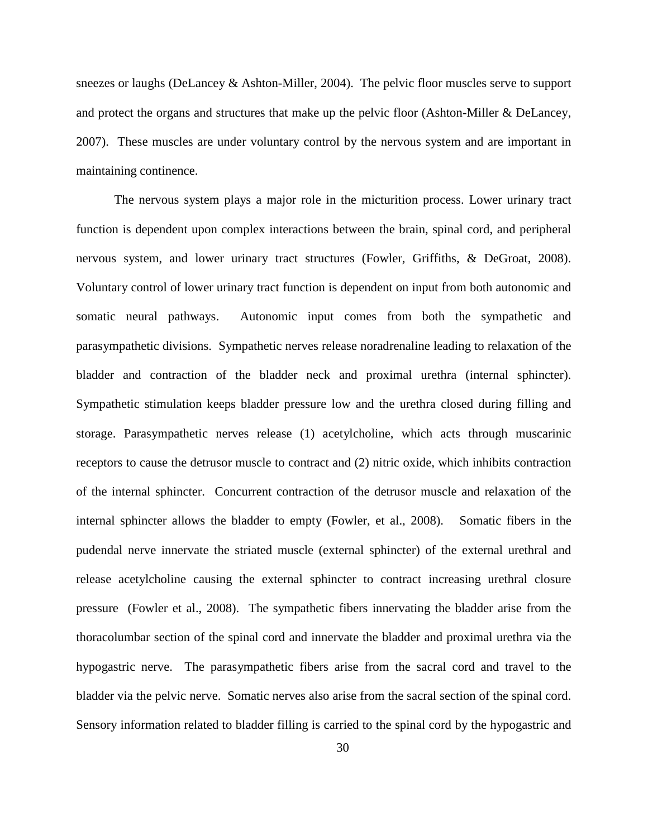sneezes or laughs (DeLancey & Ashton-Miller, 2004). The pelvic floor muscles serve to support and protect the organs and structures that make up the pelvic floor (Ashton-Miller & DeLancey, 2007). These muscles are under voluntary control by the nervous system and are important in maintaining continence.

The nervous system plays a major role in the micturition process. Lower urinary tract function is dependent upon complex interactions between the brain, spinal cord, and peripheral nervous system, and lower urinary tract structures (Fowler, Griffiths, & DeGroat, 2008). Voluntary control of lower urinary tract function is dependent on input from both autonomic and somatic neural pathways. Autonomic input comes from both the sympathetic and parasympathetic divisions. Sympathetic nerves release noradrenaline leading to relaxation of the bladder and contraction of the bladder neck and proximal urethra (internal sphincter). Sympathetic stimulation keeps bladder pressure low and the urethra closed during filling and storage. Parasympathetic nerves release (1) acetylcholine, which acts through muscarinic receptors to cause the detrusor muscle to contract and (2) nitric oxide, which inhibits contraction of the internal sphincter. Concurrent contraction of the detrusor muscle and relaxation of the internal sphincter allows the bladder to empty (Fowler, et al., 2008). Somatic fibers in the pudendal nerve innervate the striated muscle (external sphincter) of the external urethral and release acetylcholine causing the external sphincter to contract increasing urethral closure pressure (Fowler et al., 2008). The sympathetic fibers innervating the bladder arise from the thoracolumbar section of the spinal cord and innervate the bladder and proximal urethra via the hypogastric nerve. The parasympathetic fibers arise from the sacral cord and travel to the bladder via the pelvic nerve. Somatic nerves also arise from the sacral section of the spinal cord. Sensory information related to bladder filling is carried to the spinal cord by the hypogastric and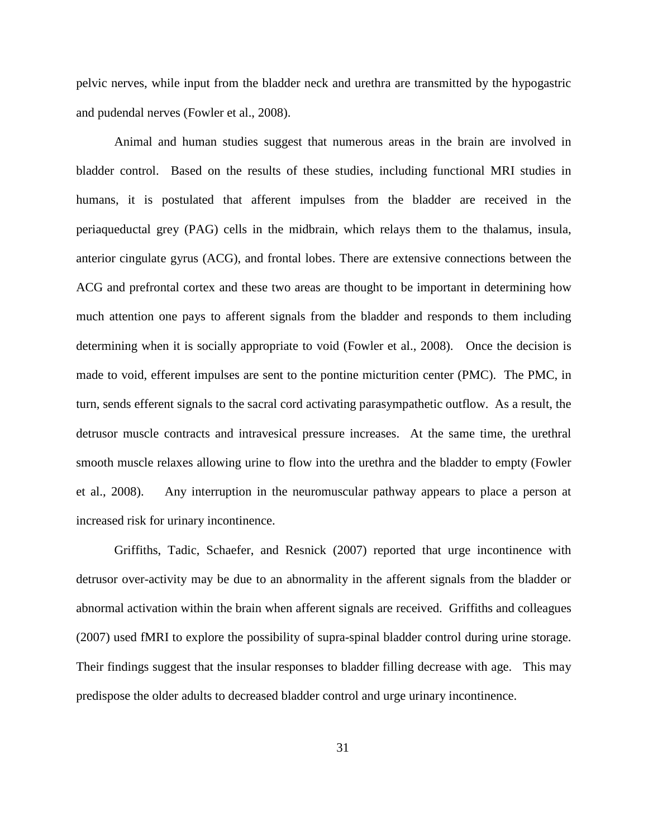pelvic nerves, while input from the bladder neck and urethra are transmitted by the hypogastric and pudendal nerves (Fowler et al., 2008).

Animal and human studies suggest that numerous areas in the brain are involved in bladder control. Based on the results of these studies, including functional MRI studies in humans, it is postulated that afferent impulses from the bladder are received in the periaqueductal grey (PAG) cells in the midbrain, which relays them to the thalamus, insula, anterior cingulate gyrus (ACG), and frontal lobes. There are extensive connections between the ACG and prefrontal cortex and these two areas are thought to be important in determining how much attention one pays to afferent signals from the bladder and responds to them including determining when it is socially appropriate to void (Fowler et al., 2008). Once the decision is made to void, efferent impulses are sent to the pontine micturition center (PMC). The PMC, in turn, sends efferent signals to the sacral cord activating parasympathetic outflow. As a result, the detrusor muscle contracts and intravesical pressure increases. At the same time, the urethral smooth muscle relaxes allowing urine to flow into the urethra and the bladder to empty (Fowler et al., 2008). Any interruption in the neuromuscular pathway appears to place a person at increased risk for urinary incontinence.

Griffiths, Tadic, Schaefer, and Resnick (2007) reported that urge incontinence with detrusor over-activity may be due to an abnormality in the afferent signals from the bladder or abnormal activation within the brain when afferent signals are received. Griffiths and colleagues (2007) used fMRI to explore the possibility of supra-spinal bladder control during urine storage. Their findings suggest that the insular responses to bladder filling decrease with age. This may predispose the older adults to decreased bladder control and urge urinary incontinence.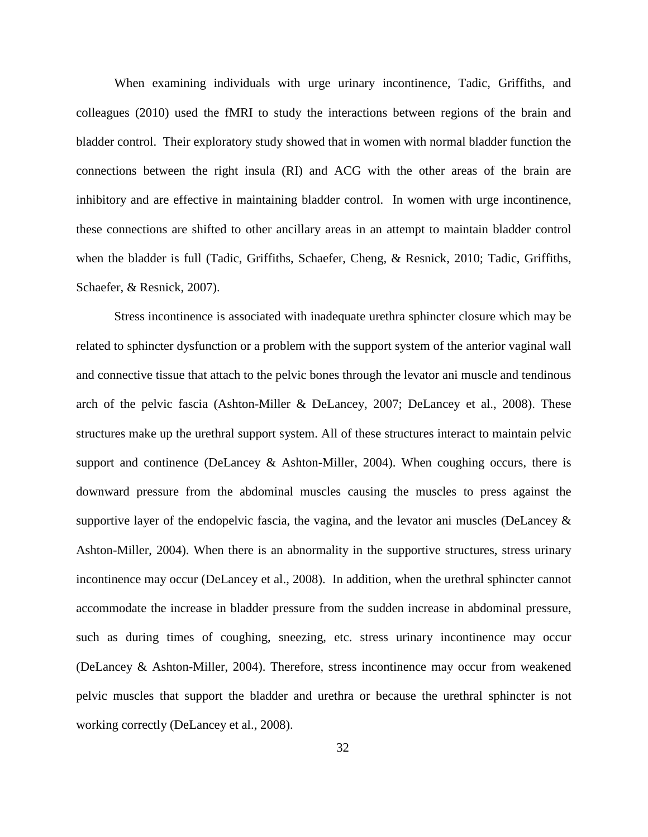When examining individuals with urge urinary incontinence, Tadic, Griffiths, and colleagues (2010) used the fMRI to study the interactions between regions of the brain and bladder control. Their exploratory study showed that in women with normal bladder function the connections between the right insula (RI) and ACG with the other areas of the brain are inhibitory and are effective in maintaining bladder control. In women with urge incontinence, these connections are shifted to other ancillary areas in an attempt to maintain bladder control when the bladder is full (Tadic, Griffiths, Schaefer, Cheng, & Resnick, 2010; Tadic, Griffiths, Schaefer, & Resnick, 2007).

Stress incontinence is associated with inadequate urethra sphincter closure which may be related to sphincter dysfunction or a problem with the support system of the anterior vaginal wall and connective tissue that attach to the pelvic bones through the levator ani muscle and tendinous arch of the pelvic fascia (Ashton-Miller & DeLancey, 2007; DeLancey et al., 2008). These structures make up the urethral support system. All of these structures interact to maintain pelvic support and continence (DeLancey  $\&$  Ashton-Miller, 2004). When coughing occurs, there is downward pressure from the abdominal muscles causing the muscles to press against the supportive layer of the endopelvic fascia, the vagina, and the levator ani muscles (DeLancey  $\&$ Ashton-Miller, 2004). When there is an abnormality in the supportive structures, stress urinary incontinence may occur (DeLancey et al., 2008). In addition, when the urethral sphincter cannot accommodate the increase in bladder pressure from the sudden increase in abdominal pressure, such as during times of coughing, sneezing, etc. stress urinary incontinence may occur (DeLancey & Ashton-Miller, 2004). Therefore, stress incontinence may occur from weakened pelvic muscles that support the bladder and urethra or because the urethral sphincter is not working correctly (DeLancey et al., 2008).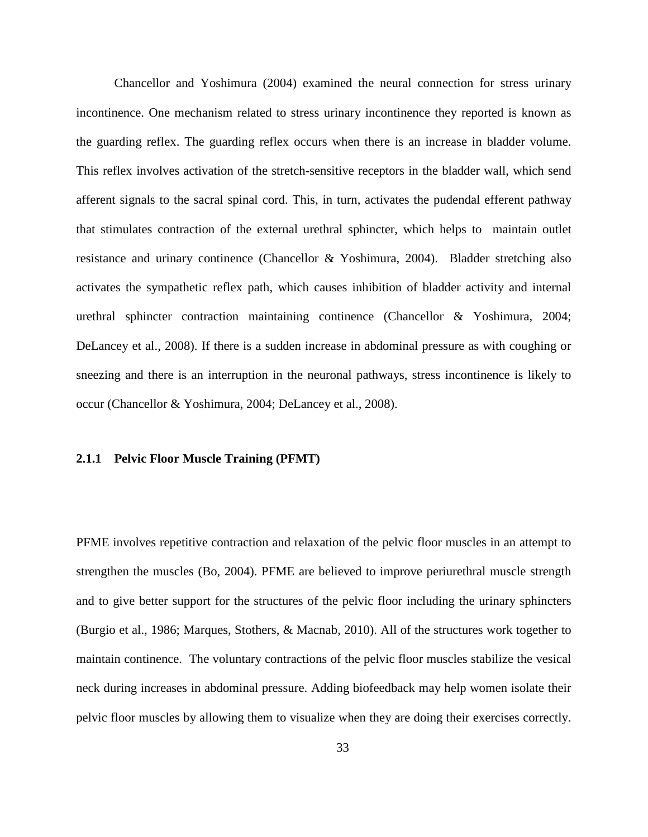Chancellor and Yoshimura (2004) examined the neural connection for stress urinary incontinence. One mechanism related to stress urinary incontinence they reported is known as the guarding reflex. The guarding reflex occurs when there is an increase in bladder volume. This reflex involves activation of the stretch-sensitive receptors in the bladder wall, which send afferent signals to the sacral spinal cord. This, in turn, activates the pudendal efferent pathway that stimulates contraction of the external urethral sphincter, which helps to maintain outlet resistance and urinary continence (Chancellor & Yoshimura, 2004). Bladder stretching also activates the sympathetic reflex path, which causes inhibition of bladder activity and internal urethral sphincter contraction maintaining continence (Chancellor & Yoshimura, 2004; DeLancey et al., 2008). If there is a sudden increase in abdominal pressure as with coughing or sneezing and there is an interruption in the neuronal pathways, stress incontinence is likely to occur (Chancellor & Yoshimura, 2004; DeLancey et al., 2008).

### **2.1.1 Pelvic Floor Muscle Training (PFMT)**

PFME involves repetitive contraction and relaxation of the pelvic floor muscles in an attempt to strengthen the muscles (Bo, 2004). PFME are believed to improve periurethral muscle strength and to give better support for the structures of the pelvic floor including the urinary sphincters (Burgio et al., 1986; Marques, Stothers, & Macnab, 2010). All of the structures work together to maintain continence. The voluntary contractions of the pelvic floor muscles stabilize the vesical neck during increases in abdominal pressure. Adding biofeedback may help women isolate their pelvic floor muscles by allowing them to visualize when they are doing their exercises correctly.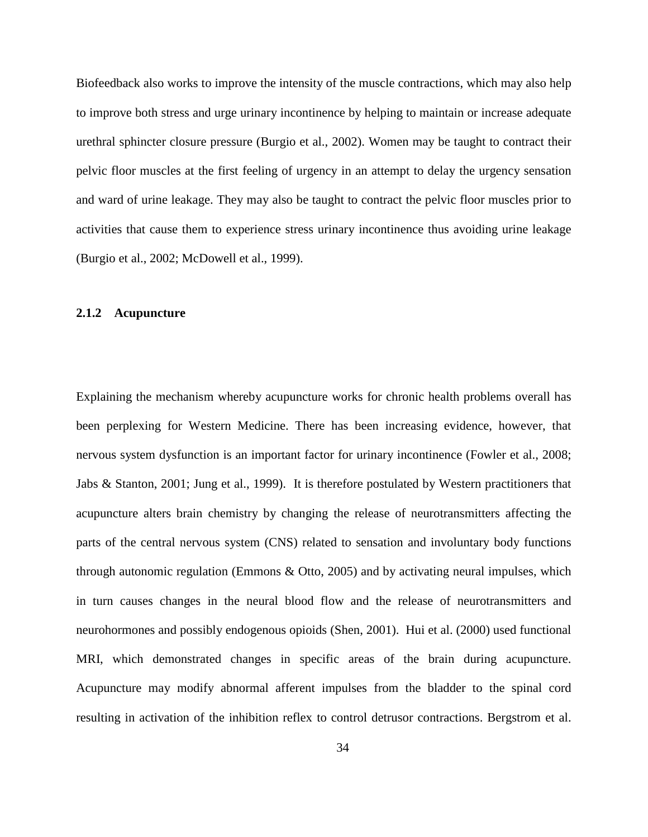Biofeedback also works to improve the intensity of the muscle contractions, which may also help to improve both stress and urge urinary incontinence by helping to maintain or increase adequate urethral sphincter closure pressure (Burgio et al., 2002). Women may be taught to contract their pelvic floor muscles at the first feeling of urgency in an attempt to delay the urgency sensation and ward of urine leakage. They may also be taught to contract the pelvic floor muscles prior to activities that cause them to experience stress urinary incontinence thus avoiding urine leakage (Burgio et al., 2002; McDowell et al., 1999).

### **2.1.2 Acupuncture**

Explaining the mechanism whereby acupuncture works for chronic health problems overall has been perplexing for Western Medicine. There has been increasing evidence, however, that nervous system dysfunction is an important factor for urinary incontinence (Fowler et al., 2008; Jabs & Stanton, 2001; Jung et al., 1999). It is therefore postulated by Western practitioners that acupuncture alters brain chemistry by changing the release of neurotransmitters affecting the parts of the central nervous system (CNS) related to sensation and involuntary body functions through autonomic regulation (Emmons & Otto, 2005) and by activating neural impulses, which in turn causes changes in the neural blood flow and the release of neurotransmitters and neurohormones and possibly endogenous opioids (Shen, 2001). Hui et al. (2000) used functional MRI, which demonstrated changes in specific areas of the brain during acupuncture. Acupuncture may modify abnormal afferent impulses from the bladder to the spinal cord resulting in activation of the inhibition reflex to control detrusor contractions. Bergstrom et al.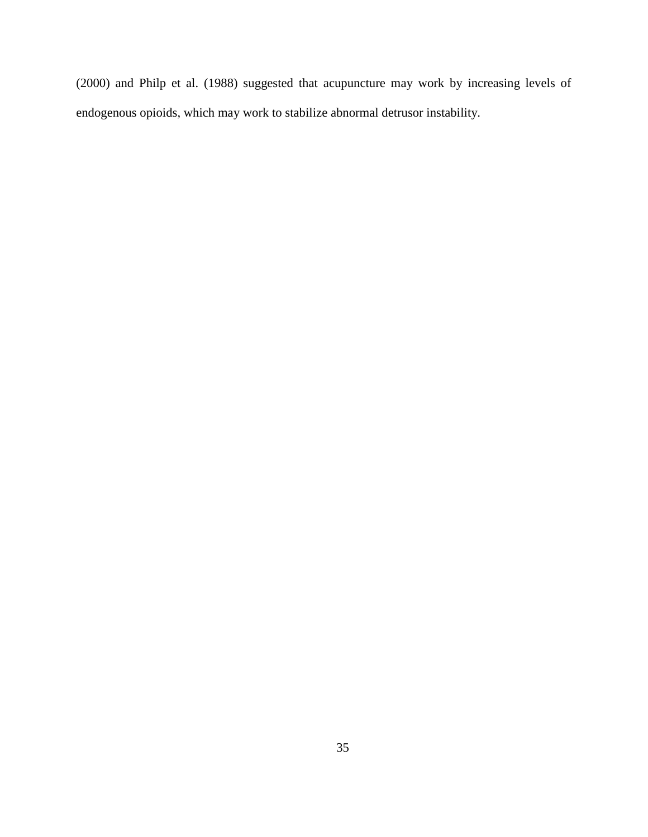(2000) and Philp et al. (1988) suggested that acupuncture may work by increasing levels of endogenous opioids, which may work to stabilize abnormal detrusor instability.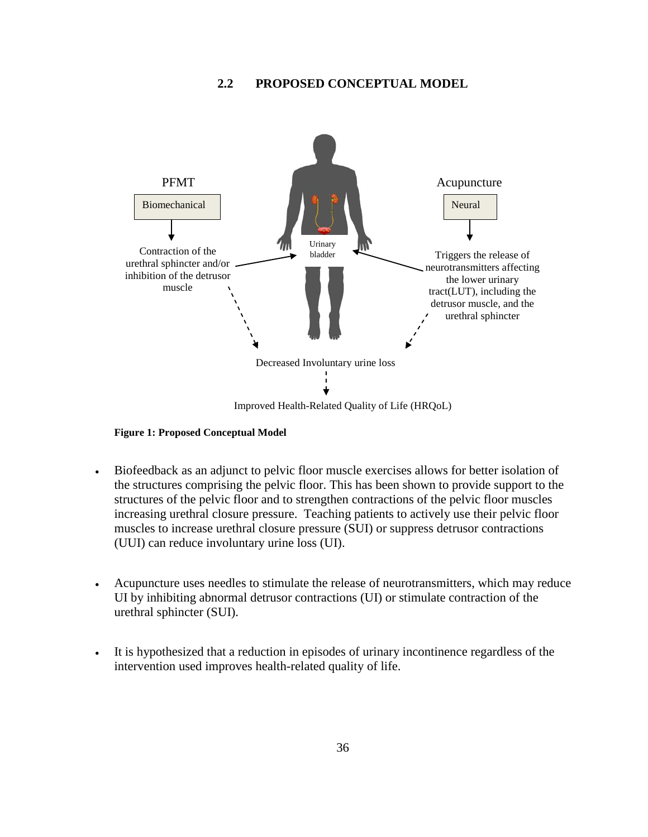# **2.2 PROPOSED CONCEPTUAL MODEL**



#### **Figure 1: Proposed Conceptual Model**

- Biofeedback as an adjunct to pelvic floor muscle exercises allows for better isolation of the structures comprising the pelvic floor. This has been shown to provide support to the structures of the pelvic floor and to strengthen contractions of the pelvic floor muscles increasing urethral closure pressure. Teaching patients to actively use their pelvic floor muscles to increase urethral closure pressure (SUI) or suppress detrusor contractions (UUI) can reduce involuntary urine loss (UI).
- Acupuncture uses needles to stimulate the release of neurotransmitters, which may reduce UI by inhibiting abnormal detrusor contractions (UI) or stimulate contraction of the urethral sphincter (SUI).
- It is hypothesized that a reduction in episodes of urinary incontinence regardless of the intervention used improves health-related quality of life.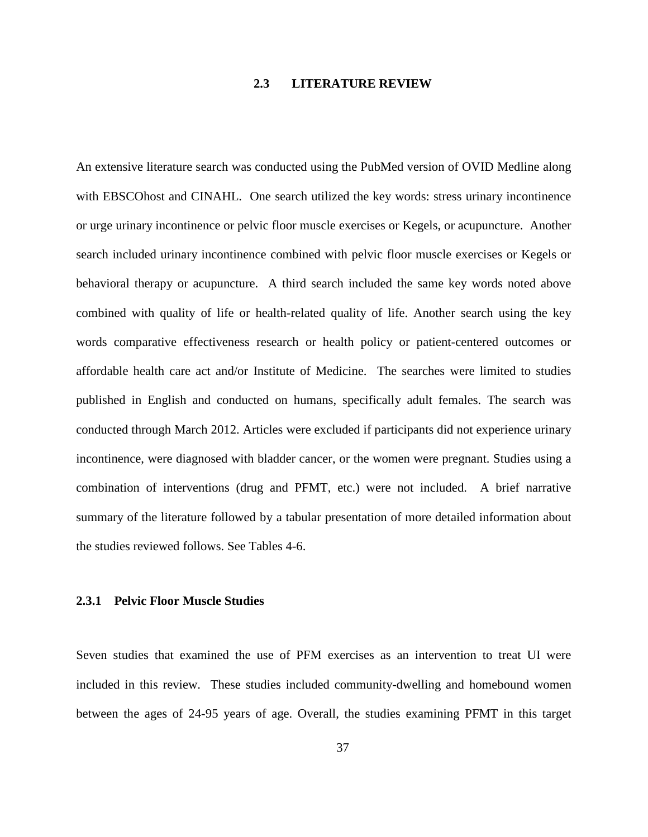# **2.3 LITERATURE REVIEW**

An extensive literature search was conducted using the PubMed version of OVID Medline along with EBSCOhost and CINAHL. One search utilized the key words: stress urinary incontinence or urge urinary incontinence or pelvic floor muscle exercises or Kegels, or acupuncture. Another search included urinary incontinence combined with pelvic floor muscle exercises or Kegels or behavioral therapy or acupuncture. A third search included the same key words noted above combined with quality of life or health-related quality of life. Another search using the key words comparative effectiveness research or health policy or patient-centered outcomes or affordable health care act and/or Institute of Medicine. The searches were limited to studies published in English and conducted on humans, specifically adult females. The search was conducted through March 2012. Articles were excluded if participants did not experience urinary incontinence, were diagnosed with bladder cancer, or the women were pregnant. Studies using a combination of interventions (drug and PFMT, etc.) were not included. A brief narrative summary of the literature followed by a tabular presentation of more detailed information about the studies reviewed follows. See Tables 4-6.

### **2.3.1 Pelvic Floor Muscle Studies**

Seven studies that examined the use of PFM exercises as an intervention to treat UI were included in this review.These studies included community-dwelling and homebound women between the ages of 24-95 years of age. Overall, the studies examining PFMT in this target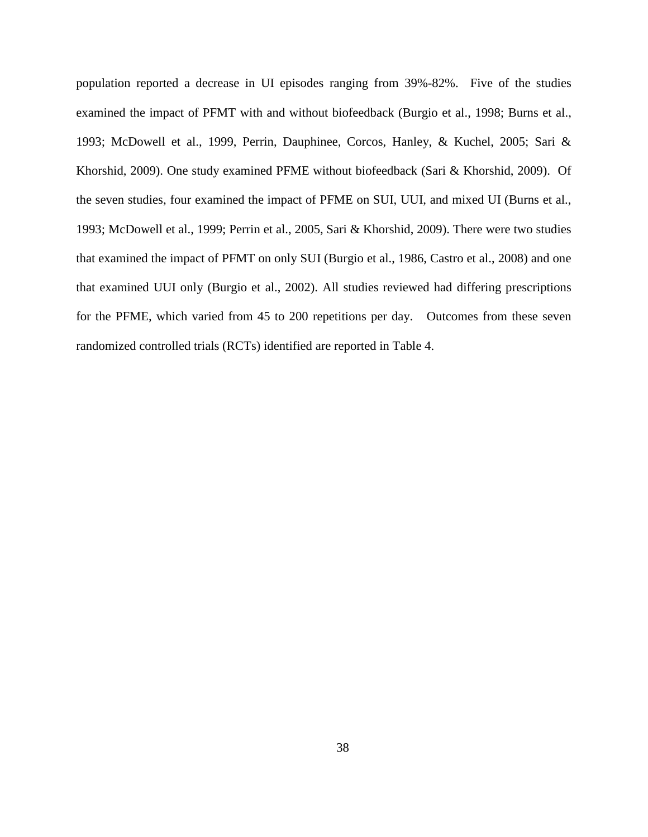population reported a decrease in UI episodes ranging from 39%-82%. Five of the studies examined the impact of PFMT with and without biofeedback (Burgio et al., 1998; Burns et al., 1993; McDowell et al., 1999, Perrin, Dauphinee, Corcos, Hanley, & Kuchel, 2005; Sari & Khorshid, 2009). One study examined PFME without biofeedback (Sari & Khorshid, 2009). Of the seven studies, four examined the impact of PFME on SUI, UUI, and mixed UI (Burns et al., 1993; McDowell et al., 1999; Perrin et al., 2005, Sari & Khorshid, 2009). There were two studies that examined the impact of PFMT on only SUI (Burgio et al., 1986, Castro et al., 2008) and one that examined UUI only (Burgio et al., 2002). All studies reviewed had differing prescriptions for the PFME, which varied from 45 to 200 repetitions per day. Outcomes from these seven randomized controlled trials (RCTs) identified are reported in Table 4.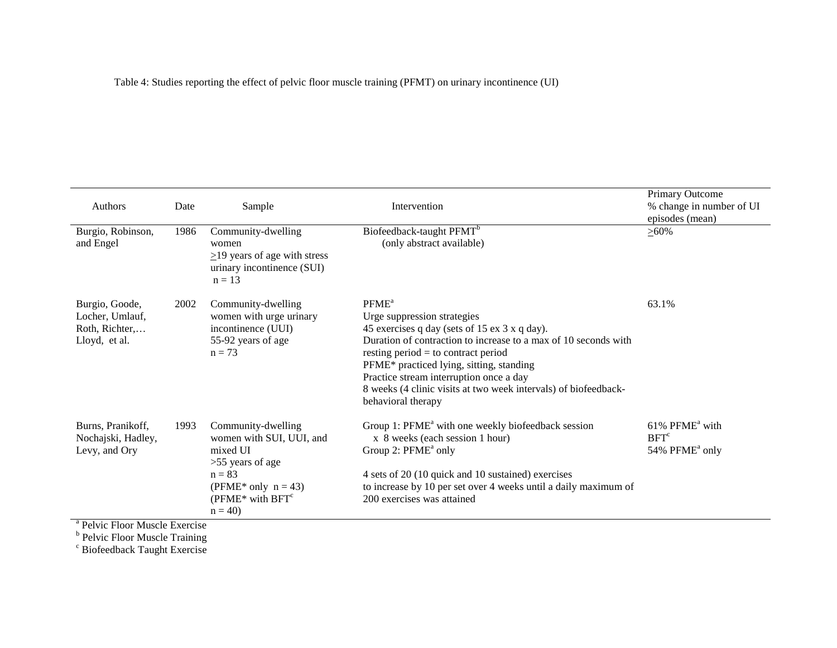Table 4: Studies reporting the effect of pelvic floor muscle training (PFMT) on urinary incontinence (UI)

| Authors<br>Burgio, Robinson,                                         | Date<br>1986 | Sample<br>Community-dwelling                                                                                                                                | Intervention<br>Biofeedback-taught PFMT <sup>b</sup>                                                                                                                                                                                                                                                                                                                                          | <b>Primary Outcome</b><br>% change in number of UI<br>episodes (mean)<br>$> 60\%$ |
|----------------------------------------------------------------------|--------------|-------------------------------------------------------------------------------------------------------------------------------------------------------------|-----------------------------------------------------------------------------------------------------------------------------------------------------------------------------------------------------------------------------------------------------------------------------------------------------------------------------------------------------------------------------------------------|-----------------------------------------------------------------------------------|
| and Engel                                                            |              | women<br>$\geq$ 19 years of age with stress<br>urinary incontinence (SUI)<br>$n = 13$                                                                       | (only abstract available)                                                                                                                                                                                                                                                                                                                                                                     |                                                                                   |
| Burgio, Goode,<br>Locher, Umlauf,<br>Roth, Richter,<br>Lloyd, et al. | 2002         | Community-dwelling<br>women with urge urinary<br>incontinence (UUI)<br>55-92 years of age<br>$n = 73$                                                       | PFME <sup>a</sup><br>Urge suppression strategies<br>45 exercises q day (sets of 15 ex 3 x q day).<br>Duration of contraction to increase to a max of 10 seconds with<br>resting period $=$ to contract period<br>PFME* practiced lying, sitting, standing<br>Practice stream interruption once a day<br>8 weeks (4 clinic visits at two week intervals) of biofeedback-<br>behavioral therapy | 63.1%                                                                             |
| Burns, Pranikoff,<br>Nochajski, Hadley,<br>Levy, and Ory             | 1993         | Community-dwelling<br>women with SUI, UUI, and<br>mixed UI<br>$>55$ years of age<br>$n = 83$<br>(PFME* only $n = 43$ )<br>( $PFME*$ with $BFTc$<br>$n = 40$ | Group 1: PFME <sup>a</sup> with one weekly biofeedback session<br>x 8 weeks (each session 1 hour)<br>Group 2: PFME <sup>a</sup> only<br>4 sets of 20 (10 quick and 10 sustained) exercises<br>to increase by 10 per set over 4 weeks until a daily maximum of<br>200 exercises was attained                                                                                                   | 61% PFME <sup>a</sup> with<br>BFT <sup>c</sup><br>54% PFME <sup>a</sup> only      |

<sup>a</sup> Pelvic Floor Muscle Exercise

<sup>b</sup> Pelvic Floor Muscle Training

<sup>c</sup> Biofeedback Taught Exercise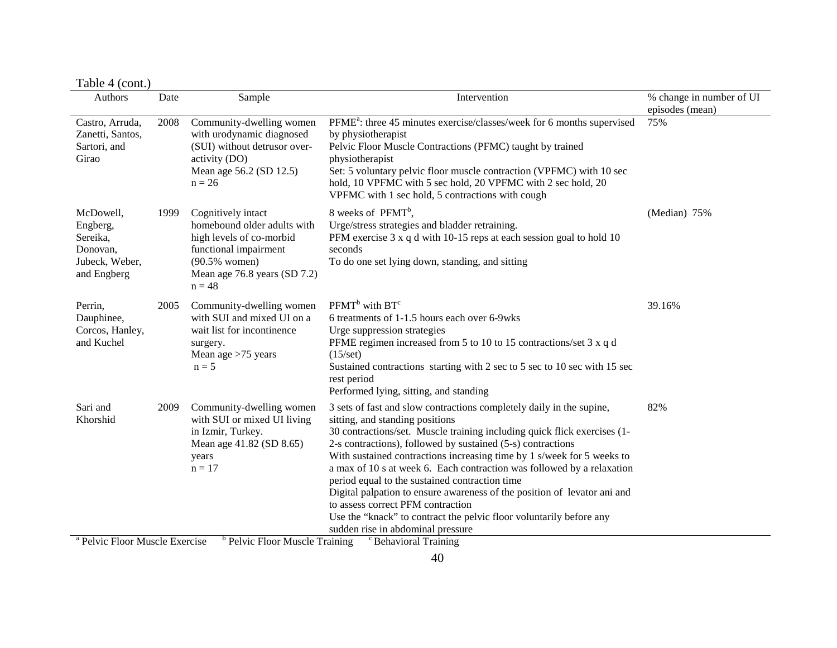Table 4 (cont.)

| .<br>$\cdots$<br>Authors                                                       | Date | Sample                                                                                                                                                                | Intervention                                                                                                                                                                                                                                                                                                                                                                                                                                                                                                                                                                                                                                                                          | % change in number of UI<br>episodes (mean) |
|--------------------------------------------------------------------------------|------|-----------------------------------------------------------------------------------------------------------------------------------------------------------------------|---------------------------------------------------------------------------------------------------------------------------------------------------------------------------------------------------------------------------------------------------------------------------------------------------------------------------------------------------------------------------------------------------------------------------------------------------------------------------------------------------------------------------------------------------------------------------------------------------------------------------------------------------------------------------------------|---------------------------------------------|
| Castro, Arruda,<br>Zanetti, Santos,<br>Sartori, and<br>Girao                   | 2008 | Community-dwelling women<br>with urodynamic diagnosed<br>(SUI) without detrusor over-<br>activity (DO)<br>Mean age 56.2 (SD 12.5)<br>$n = 26$                         | PFME <sup>a</sup> : three 45 minutes exercise/classes/week for 6 months supervised<br>by physiotherapist<br>Pelvic Floor Muscle Contractions (PFMC) taught by trained<br>physiotherapist<br>Set: 5 voluntary pelvic floor muscle contraction (VPFMC) with 10 sec<br>hold, 10 VPFMC with 5 sec hold, 20 VPFMC with 2 sec hold, 20<br>VPFMC with 1 sec hold, 5 contractions with cough                                                                                                                                                                                                                                                                                                  | 75%                                         |
| McDowell.<br>Engberg,<br>Sereika,<br>Donovan,<br>Jubeck, Weber,<br>and Engberg | 1999 | Cognitively intact<br>homebound older adults with<br>high levels of co-morbid<br>functional impairment<br>$(90.5%$ women)<br>Mean age 76.8 years (SD 7.2)<br>$n = 48$ | 8 weeks of PFMT <sup>b</sup> ,<br>Urge/stress strategies and bladder retraining.<br>PFM exercise 3 x q d with 10-15 reps at each session goal to hold 10<br>seconds<br>To do one set lying down, standing, and sitting                                                                                                                                                                                                                                                                                                                                                                                                                                                                | (Median) 75%                                |
| Perrin,<br>Dauphinee,<br>Corcos, Hanley,<br>and Kuchel                         | 2005 | Community-dwelling women<br>with SUI and mixed UI on a<br>wait list for incontinence<br>surgery.<br>Mean age $>75$ years<br>$n = 5$                                   | $PFMTb$ with $BTc$<br>6 treatments of 1-1.5 hours each over 6-9 wks<br>Urge suppression strategies<br>PFME regimen increased from 5 to 10 to 15 contractions/set 3 x q d<br>$(15/\text{set})$<br>Sustained contractions starting with 2 sec to 5 sec to 10 sec with 15 sec<br>rest period<br>Performed lying, sitting, and standing                                                                                                                                                                                                                                                                                                                                                   | 39.16%                                      |
| Sari and<br>Khorshid                                                           | 2009 | Community-dwelling women<br>with SUI or mixed UI living<br>in Izmir, Turkey.<br>Mean age 41.82 (SD 8.65)<br>years<br>$n = 17$                                         | 3 sets of fast and slow contractions completely daily in the supine,<br>sitting, and standing positions<br>30 contractions/set. Muscle training including quick flick exercises (1-<br>2-s contractions), followed by sustained (5-s) contractions<br>With sustained contractions increasing time by 1 s/week for 5 weeks to<br>a max of 10 s at week 6. Each contraction was followed by a relaxation<br>period equal to the sustained contraction time<br>Digital palpation to ensure awareness of the position of levator ani and<br>to assess correct PFM contraction<br>Use the "knack" to contract the pelvic floor voluntarily before any<br>sudden rise in abdominal pressure | 82%                                         |
| <sup>a</sup> Pelvic Floor Muscle Exercise                                      |      |                                                                                                                                                                       | $^{\rm b}$ Pelvic Floor Muscle Training $^{\rm c}$ Rehavioral Training                                                                                                                                                                                                                                                                                                                                                                                                                                                                                                                                                                                                                |                                             |

Pelvic Floor Muscle Exercise <sup>b</sup> Pelvic Floor Muscle Training <sup>c</sup> Behavioral Training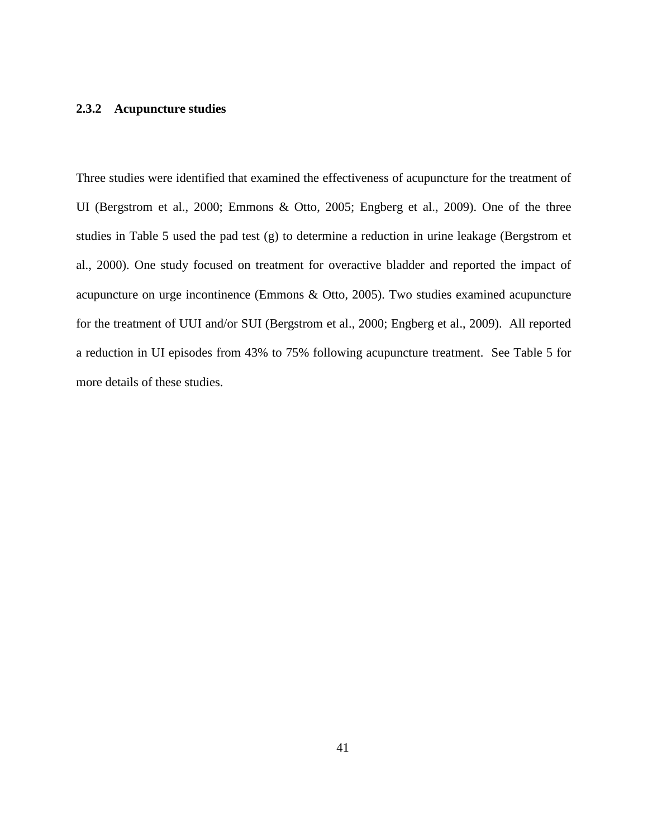### **2.3.2 Acupuncture studies**

Three studies were identified that examined the effectiveness of acupuncture for the treatment of UI (Bergstrom et al., 2000; Emmons & Otto, 2005; Engberg et al., 2009). One of the three studies in Table 5 used the pad test (g) to determine a reduction in urine leakage (Bergstrom et al., 2000). One study focused on treatment for overactive bladder and reported the impact of acupuncture on urge incontinence (Emmons & Otto, 2005). Two studies examined acupuncture for the treatment of UUI and/or SUI (Bergstrom et al., 2000; Engberg et al., 2009). All reported a reduction in UI episodes from 43% to 75% following acupuncture treatment. See Table 5 for more details of these studies.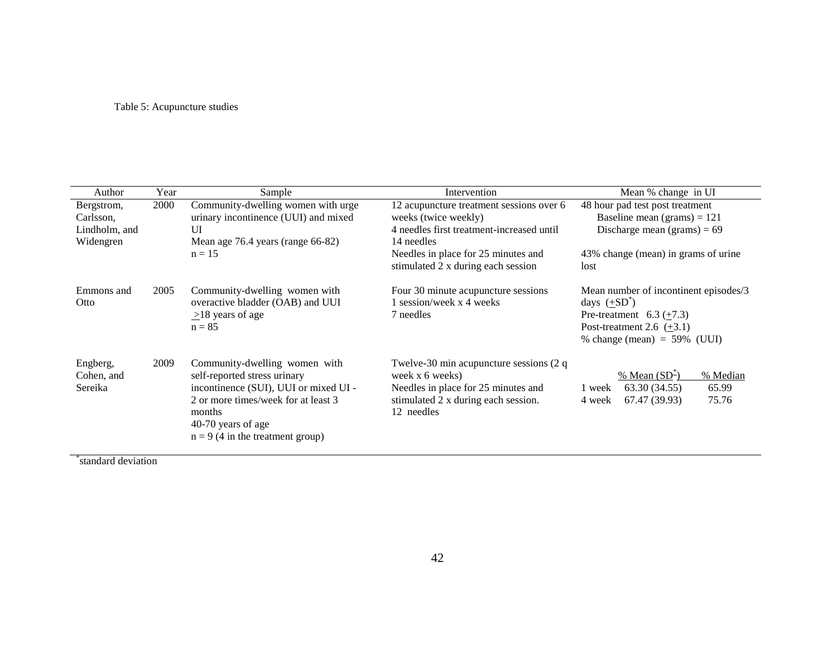# Table 5: Acupuncture studies

| Author                            | Year | Sample                                                                                                                                                                                                              | Intervention                                                                                                                                              | Mean % change in UI                                                                                                                                                          |
|-----------------------------------|------|---------------------------------------------------------------------------------------------------------------------------------------------------------------------------------------------------------------------|-----------------------------------------------------------------------------------------------------------------------------------------------------------|------------------------------------------------------------------------------------------------------------------------------------------------------------------------------|
| Bergstrom,                        | 2000 | Community-dwelling women with urge                                                                                                                                                                                  | 12 acupuncture treatment sessions over 6                                                                                                                  | 48 hour pad test post treatment                                                                                                                                              |
| Carlsson,                         |      | urinary incontinence (UUI) and mixed                                                                                                                                                                                | weeks (twice weekly)                                                                                                                                      | Baseline mean (grams) = $121$                                                                                                                                                |
| Lindholm, and                     |      | UI                                                                                                                                                                                                                  | 4 needles first treatment-increased until                                                                                                                 | Discharge mean (grams) = $69$                                                                                                                                                |
| Widengren                         |      | Mean age 76.4 years (range 66-82)                                                                                                                                                                                   | 14 needles                                                                                                                                                |                                                                                                                                                                              |
|                                   |      | $n = 15$                                                                                                                                                                                                            | Needles in place for 25 minutes and<br>stimulated 2 x during each session                                                                                 | 43% change (mean) in grams of urine<br>lost                                                                                                                                  |
| Emmons and<br>Otto                | 2005 | Community-dwelling women with<br>overactive bladder (OAB) and UUI<br>$\geq$ 18 years of age<br>$n = 85$                                                                                                             | Four 30 minute acupuncture sessions<br>1 session/week x 4 weeks<br>7 needles                                                                              | Mean number of incontinent episodes/3<br>days $(\pm SD^*)$<br>Pre-treatment $6.3 \left( \pm 7.3 \right)$<br>Post-treatment 2.6 $(\pm 3.1)$<br>% change (mean) $= 59\%$ (UUI) |
| Engberg,<br>Cohen, and<br>Sereika | 2009 | Community-dwelling women with<br>self-reported stress urinary<br>incontinence (SUI), UUI or mixed UI -<br>2 or more times/week for at least 3<br>months<br>40-70 years of age<br>$n = 9$ (4 in the treatment group) | Twelve-30 min acupuncture sessions $(2 q)$<br>week x 6 weeks)<br>Needles in place for 25 minutes and<br>stimulated 2 x during each session.<br>12 needles | % Mean $(SD^2)$<br>% Median<br>65.99<br>63.30 (34.55)<br>1 week<br>67.47 (39.93)<br>75.76<br>4 week                                                                          |

\* standard deviation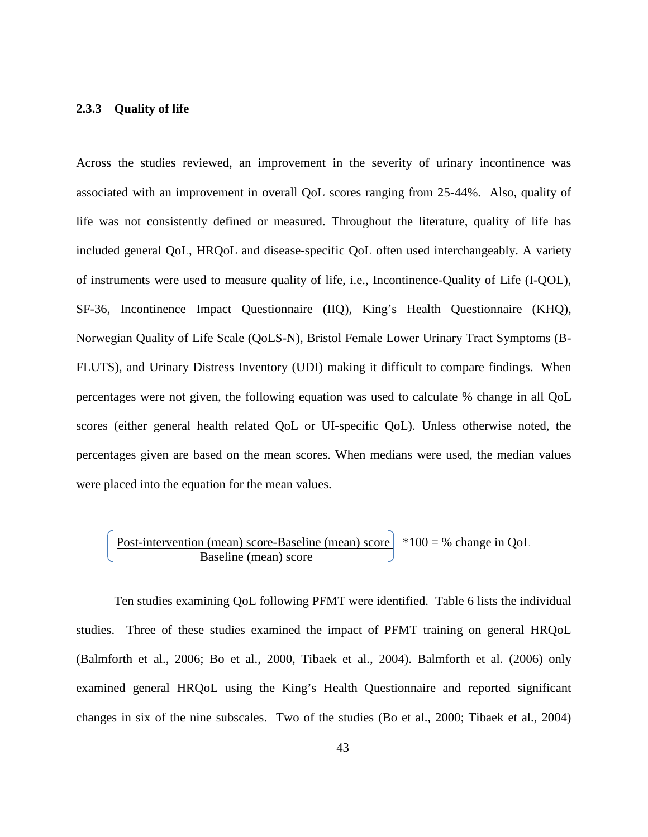#### **2.3.3 Quality of life**

Across the studies reviewed, an improvement in the severity of urinary incontinence was associated with an improvement in overall QoL scores ranging from 25-44%. Also, quality of life was not consistently defined or measured. Throughout the literature, quality of life has included general QoL, HRQoL and disease-specific QoL often used interchangeably. A variety of instruments were used to measure quality of life, i.e., Incontinence-Quality of Life (I-QOL), SF-36, Incontinence Impact Questionnaire (IIQ), King's Health Questionnaire (KHQ), Norwegian Quality of Life Scale (QoLS-N), Bristol Female Lower Urinary Tract Symptoms (B-FLUTS), and Urinary Distress Inventory (UDI) making it difficult to compare findings. When percentages were not given, the following equation was used to calculate % change in all QoL scores (either general health related QoL or UI-specific QoL). Unless otherwise noted, the percentages given are based on the mean scores. When medians were used, the median values were placed into the equation for the mean values.

$$
\begin{array}{|l|}\n \hline\n \text{Post-intervention (mean) score-Baseline (mean) score} & *100 = % \text{ change in QoL} \\
\hline\n \text{Baseline (mean) score} & & *100 = % \text{ change in QoL}\n \hline\n \end{array}
$$

Ten studies examining QoL following PFMT were identified. Table 6 lists the individual studies. Three of these studies examined the impact of PFMT training on general HRQoL (Balmforth et al., 2006; Bo et al., 2000, Tibaek et al., 2004). Balmforth et al. (2006) only examined general HRQoL using the King's Health Questionnaire and reported significant changes in six of the nine subscales. Two of the studies (Bo et al., 2000; Tibaek et al., 2004)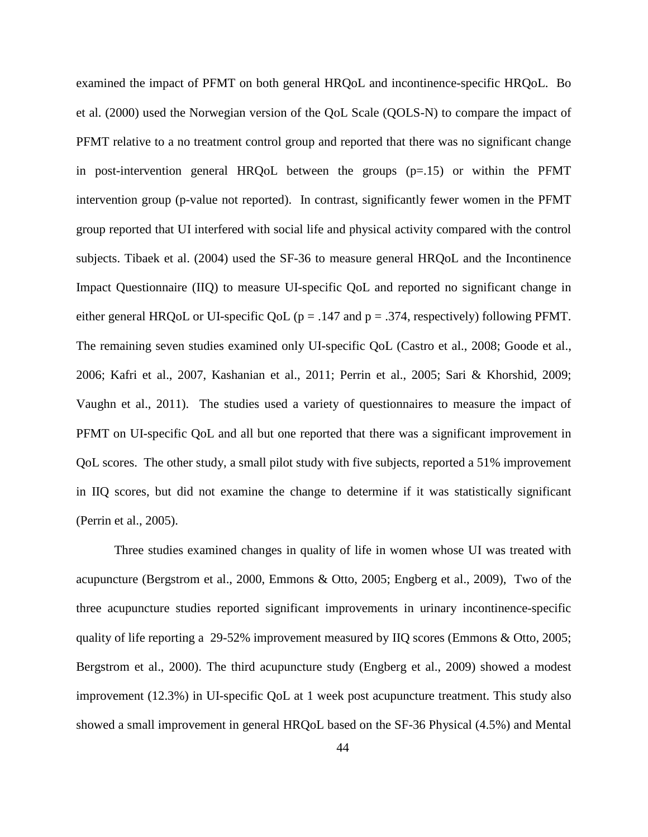examined the impact of PFMT on both general HRQoL and incontinence-specific HRQoL. Bo et al. (2000) used the Norwegian version of the QoL Scale (QOLS-N) to compare the impact of PFMT relative to a no treatment control group and reported that there was no significant change in post-intervention general HRQoL between the groups (p=.15) or within the PFMT intervention group (p-value not reported). In contrast, significantly fewer women in the PFMT group reported that UI interfered with social life and physical activity compared with the control subjects. Tibaek et al. (2004) used the SF-36 to measure general HRQoL and the Incontinence Impact Questionnaire (IIQ) to measure UI-specific QoL and reported no significant change in either general HRQoL or UI-specific QoL ( $p = .147$  and  $p = .374$ , respectively) following PFMT. The remaining seven studies examined only UI-specific QoL (Castro et al., 2008; Goode et al., 2006; Kafri et al., 2007, Kashanian et al., 2011; Perrin et al., 2005; Sari & Khorshid, 2009; Vaughn et al., 2011). The studies used a variety of questionnaires to measure the impact of PFMT on UI-specific QoL and all but one reported that there was a significant improvement in QoL scores. The other study, a small pilot study with five subjects, reported a 51% improvement in IIQ scores, but did not examine the change to determine if it was statistically significant (Perrin et al., 2005).

Three studies examined changes in quality of life in women whose UI was treated with acupuncture (Bergstrom et al., 2000, Emmons & Otto, 2005; Engberg et al., 2009), Two of the three acupuncture studies reported significant improvements in urinary incontinence-specific quality of life reporting a 29-52% improvement measured by IIQ scores (Emmons & Otto, 2005; Bergstrom et al., 2000). The third acupuncture study (Engberg et al., 2009) showed a modest improvement (12.3%) in UI-specific QoL at 1 week post acupuncture treatment. This study also showed a small improvement in general HRQoL based on the SF-36 Physical (4.5%) and Mental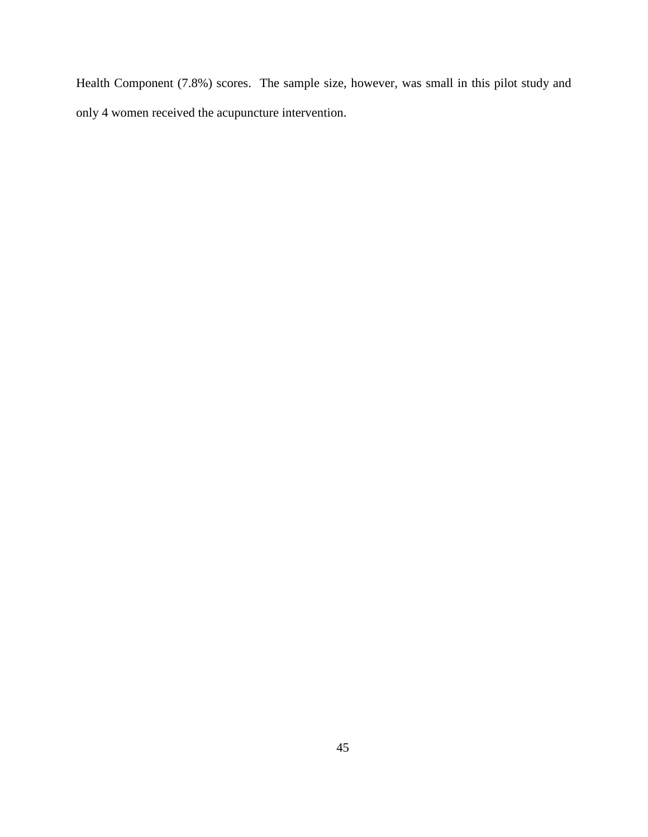Health Component (7.8%) scores. The sample size, however, was small in this pilot study and only 4 women received the acupuncture intervention.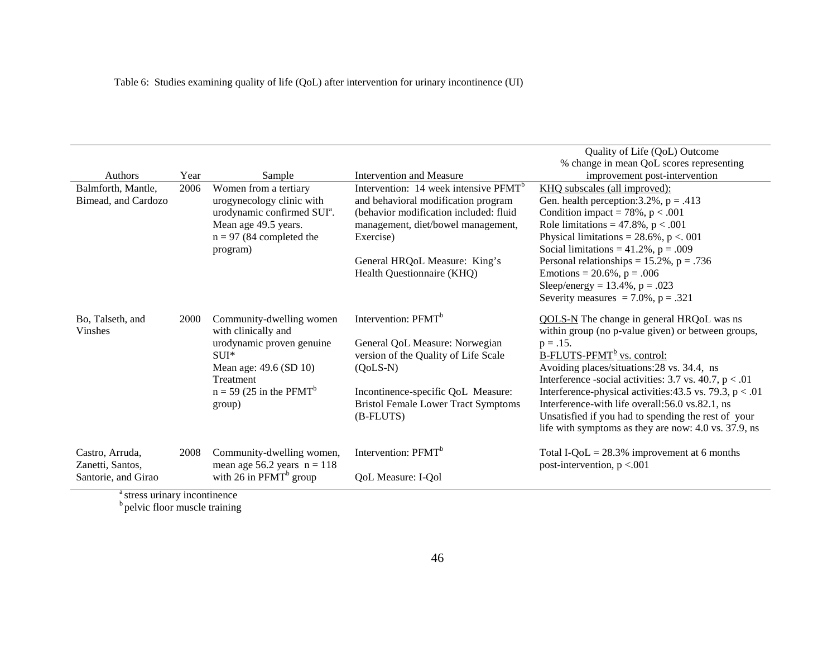| <b>Authors</b><br>Balmforth, Mantle,<br>Bimead, and Cardozo | Year<br>2006 | Sample<br>Women from a tertiary<br>urogynecology clinic with<br>urodynamic confirmed SUI <sup>a</sup> .<br>Mean age 49.5 years.<br>$n = 97$ (84 completed the<br>program)        | Intervention and Measure<br>Intervention: 14 week intensive PFMT <sup>b</sup><br>and behavioral modification program<br>(behavior modification included: fluid<br>management, diet/bowel management,<br>Exercise)<br>General HRQoL Measure: King's | Quality of Life (QoL) Outcome<br>% change in mean QoL scores representing<br>improvement post-intervention<br>KHQ subscales (all improved):<br>Gen. health perception: $3.2\%$ , p = .413<br>Condition impact = $78\%$ , p < .001<br>Role limitations = $47.8\%$ , p < .001<br>Physical limitations = $28.6\%$ , p < 001<br>Social limitations = $41.2\%$ , p = .009<br>Personal relationships = $15.2\%$ , p = .736                                                                                |
|-------------------------------------------------------------|--------------|----------------------------------------------------------------------------------------------------------------------------------------------------------------------------------|----------------------------------------------------------------------------------------------------------------------------------------------------------------------------------------------------------------------------------------------------|-----------------------------------------------------------------------------------------------------------------------------------------------------------------------------------------------------------------------------------------------------------------------------------------------------------------------------------------------------------------------------------------------------------------------------------------------------------------------------------------------------|
|                                                             |              |                                                                                                                                                                                  | Health Questionnaire (KHQ)                                                                                                                                                                                                                         | Emotions = $20.6\%$ , p = .006<br>Sleep/energy = $13.4\%$ , p = .023<br>Severity measures = $7.0\%$ , p = .321                                                                                                                                                                                                                                                                                                                                                                                      |
| Bo, Talseth, and<br><b>Vinshes</b>                          | 2000         | Community-dwelling women<br>with clinically and<br>urodynamic proven genuine<br>$SUI*$<br>Mean age: 49.6 (SD 10)<br>Treatment<br>$n = 59$ (25 in the PFMT <sup>b</sup><br>group) | Intervention: PFMT <sup>b</sup><br>General QoL Measure: Norwegian<br>version of the Quality of Life Scale<br>$(OoLS-N)$<br>Incontinence-specific QoL Measure:<br><b>Bristol Female Lower Tract Symptoms</b><br>(B-FLUTS)                           | QOLS-N The change in general HRQoL was ns<br>within group (no p-value given) or between groups,<br>$p = .15$ .<br>B-FLUTS-PFMT <sup>b</sup> vs. control:<br>Avoiding places/situations: 28 vs. 34.4, ns<br>Interference -social activities: 3.7 vs. 40.7, $p < .01$<br>Interference-physical activities: 43.5 vs. 79.3, $p < .01$<br>Interference-with life overall:56.0 vs.82.1, ns<br>Unsatisfied if you had to spending the rest of your<br>life with symptoms as they are now: 4.0 vs. 37.9, ns |
| Castro, Arruda,<br>Zanetti, Santos,<br>Santorie, and Girao  | 2008         | Community-dwelling women,<br>mean age 56.2 years $n = 118$<br>with 26 in $PFMT^b$ group                                                                                          | Intervention: PFMT <sup>b</sup><br>QoL Measure: I-Qol                                                                                                                                                                                              | Total I-QoL = $28.3\%$ improvement at 6 months<br>post-intervention, $p < 0.001$                                                                                                                                                                                                                                                                                                                                                                                                                    |

<sup>a</sup> stress urinary incontinence<br><sup>b</sup> pelvic floor muscle training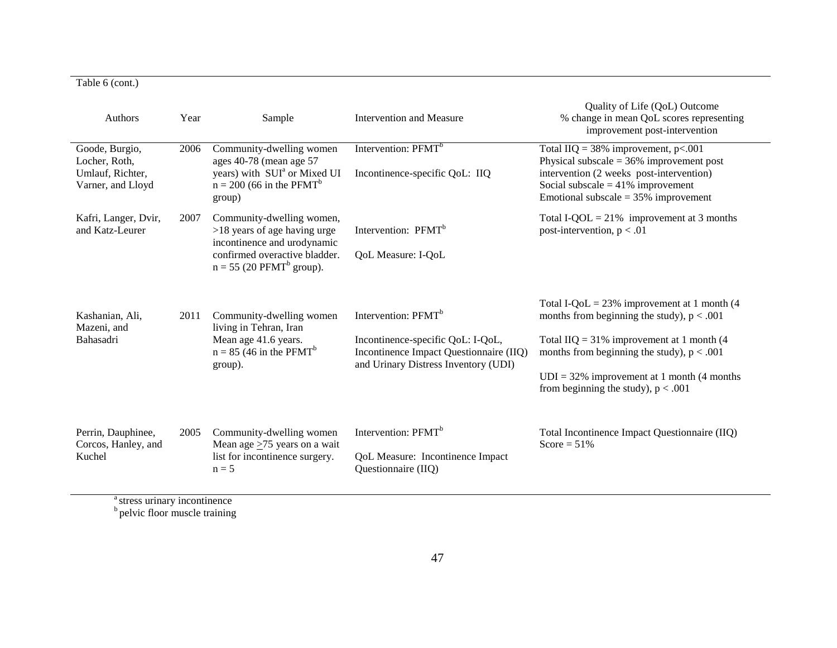# Table 6 (cont.)

| Authors                                                                  | Year | Sample                                                                                                                                                                | Intervention and Measure                                                                                                                                | Quality of Life (QoL) Outcome<br>% change in mean QoL scores representing<br>improvement post-intervention                                                                                                                                                                                 |
|--------------------------------------------------------------------------|------|-----------------------------------------------------------------------------------------------------------------------------------------------------------------------|---------------------------------------------------------------------------------------------------------------------------------------------------------|--------------------------------------------------------------------------------------------------------------------------------------------------------------------------------------------------------------------------------------------------------------------------------------------|
| Goode, Burgio,<br>Locher, Roth,<br>Umlauf, Richter,<br>Varner, and Lloyd | 2006 | Community-dwelling women<br>ages 40-78 (mean age 57<br>years) with SUI <sup>a</sup> or Mixed UI<br>$n = 200$ (66 in the PFMT <sup>b</sup><br>group)                   | Intervention: PFMT <sup>b</sup><br>Incontinence-specific QoL: IIQ                                                                                       | Total IIQ = $38\%$ improvement, p<.001<br>Physical subscale $=$ 36% improvement post<br>intervention (2 weeks post-intervention)<br>Social subscale = $41\%$ improvement<br>Emotional subscale = $35\%$ improvement                                                                        |
| Kafri, Langer, Dvir,<br>and Katz-Leurer                                  | 2007 | Community-dwelling women,<br>$>18$ years of age having urge<br>incontinence and urodynamic<br>confirmed overactive bladder.<br>$n = 55$ (20 PFMT <sup>b</sup> group). | Intervention: PFMT <sup>b</sup><br>QoL Measure: I-QoL                                                                                                   | Total I-QOL = $21\%$ improvement at 3 months<br>post-intervention, $p < .01$                                                                                                                                                                                                               |
| Kashanian, Ali,<br>Mazeni, and<br>Bahasadri                              | 2011 | Community-dwelling women<br>living in Tehran, Iran<br>Mean age 41.6 years.<br>$n = 85$ (46 in the PFMT <sup>b</sup> )<br>group).                                      | Intervention: PFMT <sup>b</sup><br>Incontinence-specific QoL: I-QoL,<br>Incontinence Impact Questionnaire (IIQ)<br>and Urinary Distress Inventory (UDI) | Total I-QoL = $23\%$ improvement at 1 month (4)<br>months from beginning the study), $p < .001$<br>Total IIQ = $31\%$ improvement at 1 month (4<br>months from beginning the study), $p < .001$<br>$UDI = 32\%$ improvement at 1 month (4 months)<br>from beginning the study), $p < .001$ |
| Perrin, Dauphinee,<br>Corcos, Hanley, and<br>Kuchel                      | 2005 | Community-dwelling women<br>Mean age $\geq$ 75 years on a wait<br>list for incontinence surgery.<br>$n = 5$                                                           | Intervention: PFMT <sup>b</sup><br>QoL Measure: Incontinence Impact<br>Questionnaire (IIQ)                                                              | Total Incontinence Impact Questionnaire (IIQ)<br>Score = $51\%$                                                                                                                                                                                                                            |

<sup>a</sup> stress urinary incontinence <sup>b</sup> pelvic floor muscle training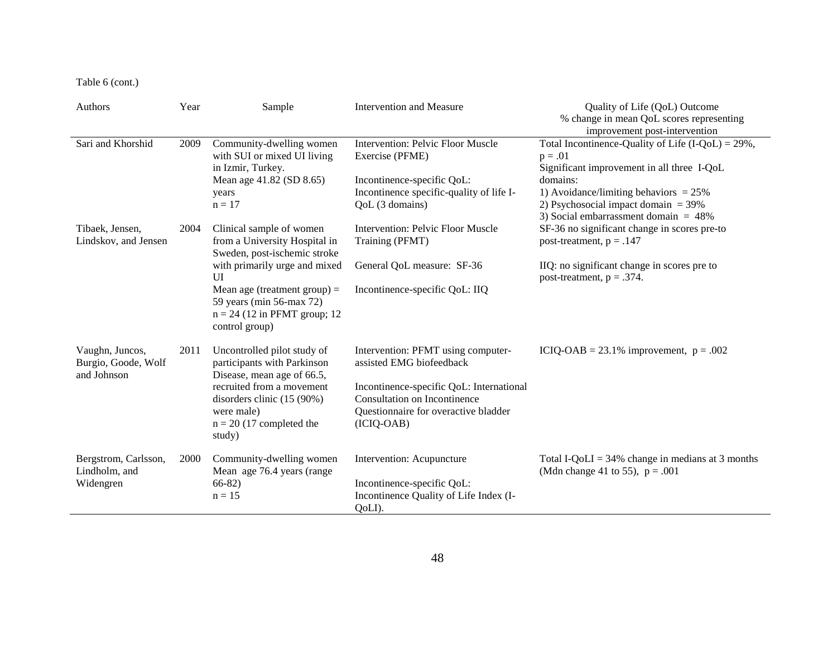Table 6 (cont.)

| Authors                                               | Year | Sample                                                                                                                        | <b>Intervention and Measure</b>                                                                                                                          | Quality of Life (QoL) Outcome<br>% change in mean QoL scores representing<br>improvement post-intervention                                                                                                                                                   |
|-------------------------------------------------------|------|-------------------------------------------------------------------------------------------------------------------------------|----------------------------------------------------------------------------------------------------------------------------------------------------------|--------------------------------------------------------------------------------------------------------------------------------------------------------------------------------------------------------------------------------------------------------------|
| Sari and Khorshid                                     | 2009 | Community-dwelling women<br>with SUI or mixed UI living<br>in Izmir, Turkey.<br>Mean age 41.82 (SD 8.65)<br>years<br>$n = 17$ | <b>Intervention: Pelvic Floor Muscle</b><br>Exercise (PFME)<br>Incontinence-specific QoL:<br>Incontinence specific-quality of life I-<br>QoL (3 domains) | Total Incontinence-Quality of Life $(I-QoL) = 29\%$ ,<br>$p = .01$<br>Significant improvement in all three I-QoL<br>domains:<br>1) Avoidance/limiting behaviors $= 25\%$<br>2) Psychosocial impact domain $=$ 39%<br>3) Social embarrassment domain $= 48\%$ |
| Tibaek, Jensen,<br>Lindskov, and Jensen               | 2004 | Clinical sample of women<br>from a University Hospital in<br>Sweden, post-ischemic stroke                                     | <b>Intervention: Pelvic Floor Muscle</b><br>Training (PFMT)                                                                                              | SF-36 no significant change in scores pre-to<br>post-treatment, $p = .147$                                                                                                                                                                                   |
|                                                       |      | with primarily urge and mixed<br>UI                                                                                           | General QoL measure: SF-36                                                                                                                               | IIQ: no significant change in scores pre to                                                                                                                                                                                                                  |
|                                                       |      | Mean age (treatment group) $=$<br>59 years (min 56-max 72)<br>$n = 24$ (12 in PFMT group; 12<br>control group)                | Incontinence-specific QoL: IIQ                                                                                                                           | post-treatment, $p = .374$ .                                                                                                                                                                                                                                 |
| Vaughn, Juncos,<br>Burgio, Goode, Wolf<br>and Johnson | 2011 | Uncontrolled pilot study of<br>participants with Parkinson<br>Disease, mean age of 66.5,                                      | Intervention: PFMT using computer-<br>assisted EMG biofeedback                                                                                           | ICIQ-OAB = $23.1\%$ improvement, $p = .002$                                                                                                                                                                                                                  |
|                                                       |      | recruited from a movement<br>disorders clinic (15 (90%)<br>were male)<br>$n = 20$ (17 completed the<br>study)                 | Incontinence-specific QoL: International<br><b>Consultation on Incontinence</b><br>Questionnaire for overactive bladder<br>$(ICIQ-OAB)$                  |                                                                                                                                                                                                                                                              |
| Bergstrom, Carlsson,<br>Lindholm, and                 | 2000 | Community-dwelling women<br>Mean age 76.4 years (range                                                                        | Intervention: Acupuncture                                                                                                                                | Total I-QoLI = $34\%$ change in medians at 3 months<br>(Mdn change 41 to 55), $p = .001$                                                                                                                                                                     |
| Widengren                                             |      | $66-82)$<br>$n = 15$                                                                                                          | Incontinence-specific QoL:<br>Incontinence Quality of Life Index (I-<br>QoLI).                                                                           |                                                                                                                                                                                                                                                              |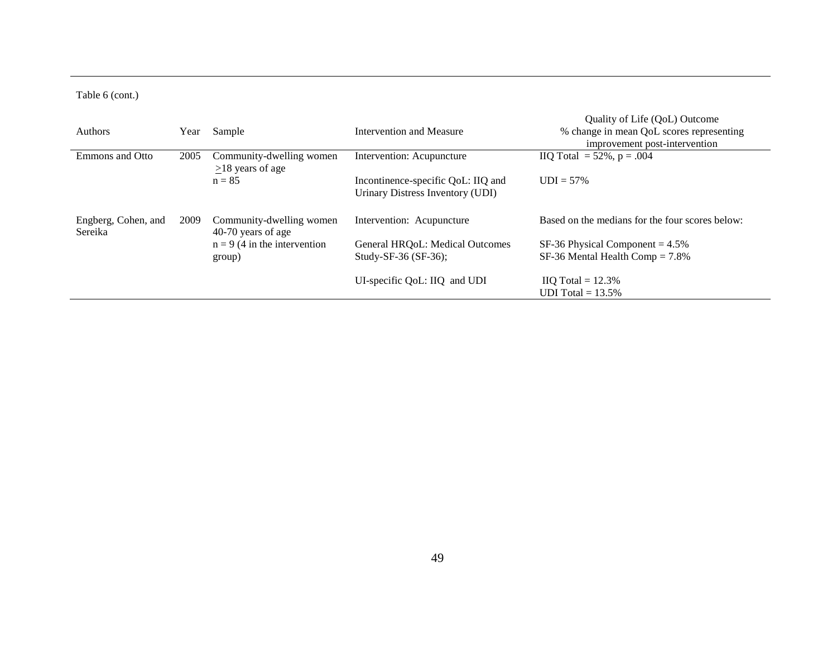# Table 6 (cont.)

| <b>Authors</b>                 | Year | Sample                                         | Intervention and Measure                                               | Quality of Life (QoL) Outcome<br>% change in mean QoL scores representing<br>improvement post-intervention |
|--------------------------------|------|------------------------------------------------|------------------------------------------------------------------------|------------------------------------------------------------------------------------------------------------|
| <b>Emmons</b> and Otto         | 2005 | Community-dwelling women                       | Intervention: Acupuncture                                              | $IQ Total = 52\%, p = .004$                                                                                |
|                                |      | $>18$ years of age<br>$n = 85$                 | Incontinence-specific QoL: IIQ and<br>Urinary Distress Inventory (UDI) | $UDI = 57\%$                                                                                               |
| Engberg, Cohen, and<br>Sereika | 2009 | Community-dwelling women<br>40-70 years of age | Intervention: Acupuncture                                              | Based on the medians for the four scores below:                                                            |
|                                |      | $n = 9$ (4 in the intervention<br>group)       | General HRQoL: Medical Outcomes<br>Study-SF-36 $(SF-36)$ :             | SF-36 Physical Component = $4.5\%$<br>$SF-36$ Mental Health Comp = 7.8%                                    |
|                                |      |                                                | UI-specific QoL: IIQ and UDI                                           | $IQ Total = 12.3\%$<br>UDI Total = $13.5\%$                                                                |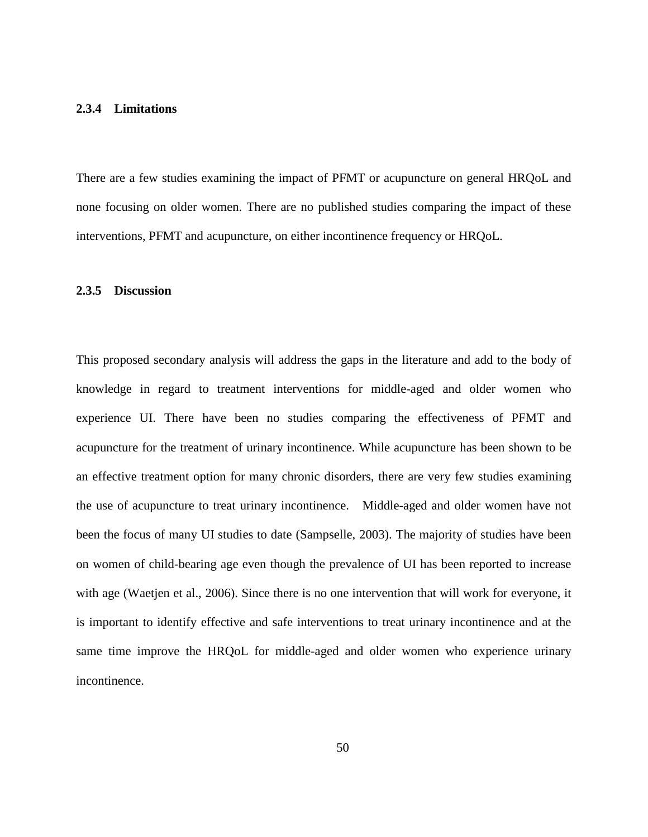#### **2.3.4 Limitations**

There are a few studies examining the impact of PFMT or acupuncture on general HRQoL and none focusing on older women. There are no published studies comparing the impact of these interventions, PFMT and acupuncture, on either incontinence frequency or HRQoL.

# **2.3.5 Discussion**

This proposed secondary analysis will address the gaps in the literature and add to the body of knowledge in regard to treatment interventions for middle-aged and older women who experience UI. There have been no studies comparing the effectiveness of PFMT and acupuncture for the treatment of urinary incontinence. While acupuncture has been shown to be an effective treatment option for many chronic disorders, there are very few studies examining the use of acupuncture to treat urinary incontinence. Middle-aged and older women have not been the focus of many UI studies to date (Sampselle, 2003). The majority of studies have been on women of child-bearing age even though the prevalence of UI has been reported to increase with age (Waetjen et al., 2006). Since there is no one intervention that will work for everyone, it is important to identify effective and safe interventions to treat urinary incontinence and at the same time improve the HRQoL for middle-aged and older women who experience urinary incontinence.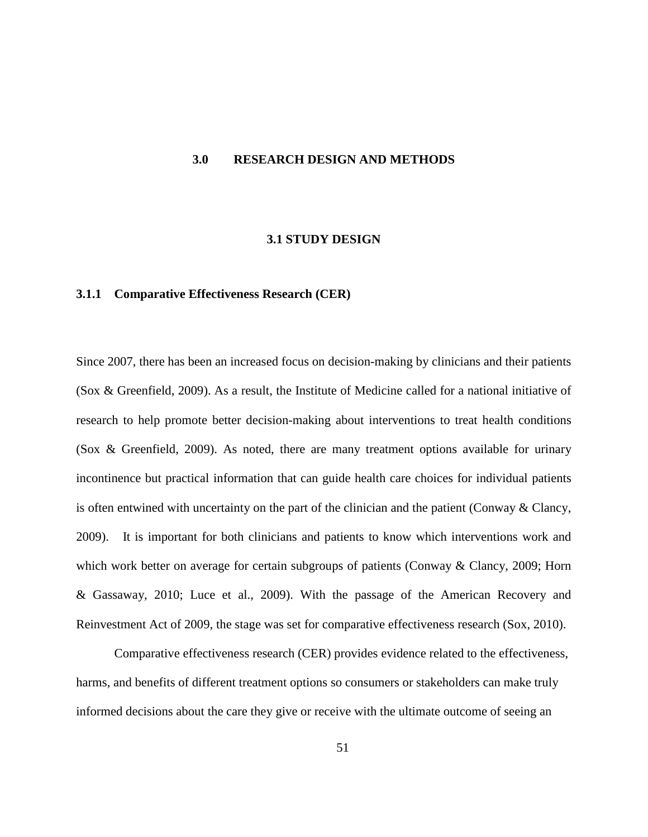### **3.0 RESEARCH DESIGN AND METHODS**

#### **3.1 STUDY DESIGN**

#### **3.1.1 Comparative Effectiveness Research (CER)**

Since 2007, there has been an increased focus on decision-making by clinicians and their patients (Sox & Greenfield, 2009). As a result, the Institute of Medicine called for a national initiative of research to help promote better decision-making about interventions to treat health conditions (Sox & Greenfield, 2009). As noted, there are many treatment options available for urinary incontinence but practical information that can guide health care choices for individual patients is often entwined with uncertainty on the part of the clinician and the patient (Conway  $\&$  Clancy, 2009). It is important for both clinicians and patients to know which interventions work and which work better on average for certain subgroups of patients (Conway & Clancy, 2009; Horn & Gassaway, 2010; Luce et al., 2009). With the passage of the American Recovery and Reinvestment Act of 2009, the stage was set for comparative effectiveness research (Sox, 2010).

Comparative effectiveness research (CER) provides evidence related to the effectiveness, harms, and benefits of different treatment options so consumers or stakeholders can make truly informed decisions about the care they give or receive with the ultimate outcome of seeing an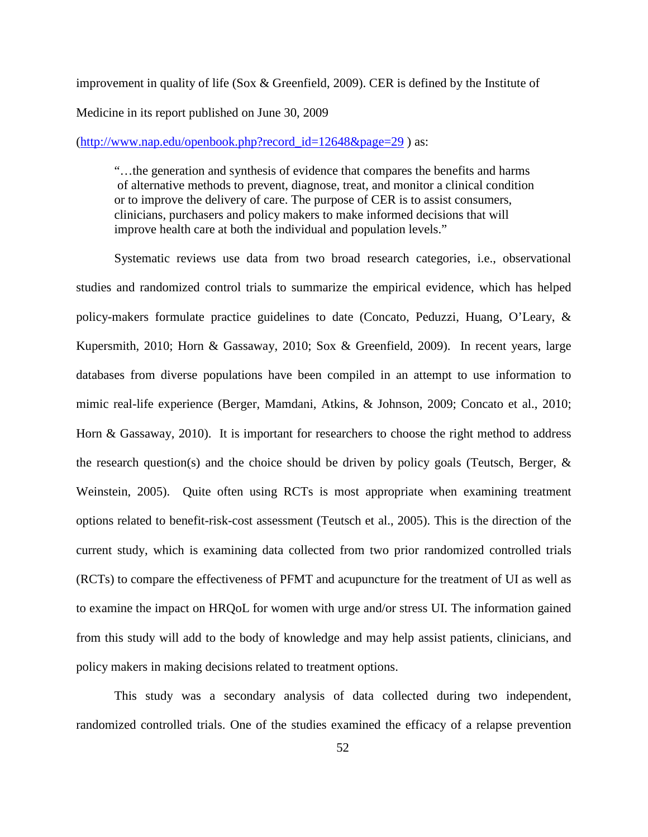improvement in quality of life (Sox & Greenfield, 2009). CER is defined by the Institute of Medicine in its report published on June 30, 2009

#### [\(http://www.nap.edu/openbook.php?record\\_id=12648&page=29](http://www.nap.edu/openbook.php?record_id=12648&page=29) ) as:

"…the generation and synthesis of evidence that compares the benefits and harms of alternative methods to prevent, diagnose, treat, and monitor a clinical condition or to improve the delivery of care. The purpose of CER is to assist consumers, clinicians, purchasers and policy makers to make informed decisions that will improve health care at both the individual and population levels."

Systematic reviews use data from two broad research categories, i.e., observational studies and randomized control trials to summarize the empirical evidence, which has helped policy-makers formulate practice guidelines to date (Concato, Peduzzi, Huang, O'Leary, & Kupersmith, 2010; Horn & Gassaway, 2010; Sox & Greenfield, 2009). In recent years, large databases from diverse populations have been compiled in an attempt to use information to mimic real-life experience (Berger, Mamdani, Atkins, & Johnson, 2009; Concato et al., 2010; Horn & Gassaway, 2010). It is important for researchers to choose the right method to address the research question(s) and the choice should be driven by policy goals (Teutsch, Berger,  $\&$ Weinstein, 2005). Quite often using RCTs is most appropriate when examining treatment options related to benefit-risk-cost assessment (Teutsch et al., 2005). This is the direction of the current study, which is examining data collected from two prior randomized controlled trials (RCTs) to compare the effectiveness of PFMT and acupuncture for the treatment of UI as well as to examine the impact on HRQoL for women with urge and/or stress UI. The information gained from this study will add to the body of knowledge and may help assist patients, clinicians, and policy makers in making decisions related to treatment options.

This study was a secondary analysis of data collected during two independent, randomized controlled trials. One of the studies examined the efficacy of a relapse prevention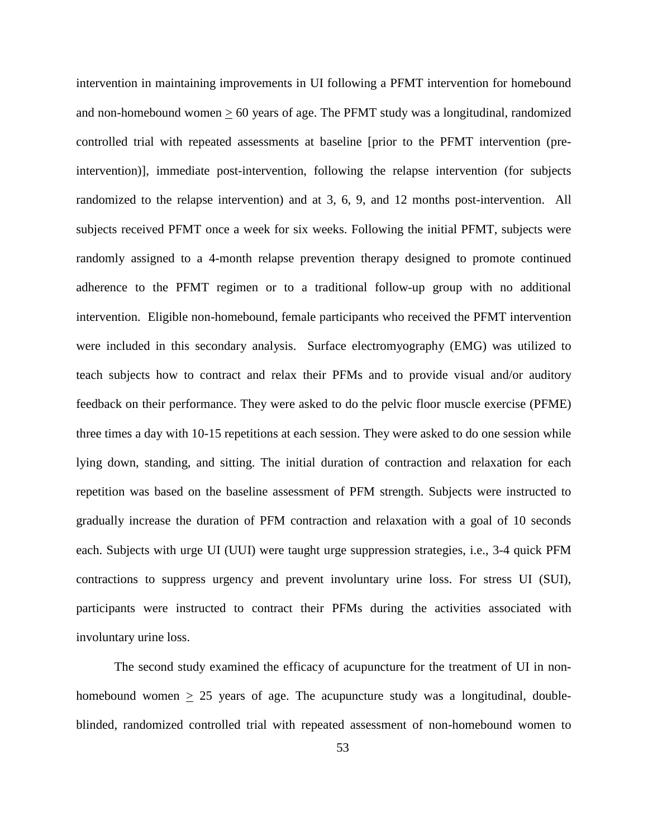intervention in maintaining improvements in UI following a PFMT intervention for homebound and non-homebound women  $> 60$  years of age. The PFMT study was a longitudinal, randomized controlled trial with repeated assessments at baseline [prior to the PFMT intervention (preintervention)], immediate post-intervention, following the relapse intervention (for subjects randomized to the relapse intervention) and at 3, 6, 9, and 12 months post-intervention. All subjects received PFMT once a week for six weeks. Following the initial PFMT, subjects were randomly assigned to a 4-month relapse prevention therapy designed to promote continued adherence to the PFMT regimen or to a traditional follow-up group with no additional intervention. Eligible non-homebound, female participants who received the PFMT intervention were included in this secondary analysis. Surface electromyography (EMG) was utilized to teach subjects how to contract and relax their PFMs and to provide visual and/or auditory feedback on their performance. They were asked to do the pelvic floor muscle exercise (PFME) three times a day with 10-15 repetitions at each session. They were asked to do one session while lying down, standing, and sitting. The initial duration of contraction and relaxation for each repetition was based on the baseline assessment of PFM strength. Subjects were instructed to gradually increase the duration of PFM contraction and relaxation with a goal of 10 seconds each. Subjects with urge UI (UUI) were taught urge suppression strategies, i.e., 3-4 quick PFM contractions to suppress urgency and prevent involuntary urine loss. For stress UI (SUI), participants were instructed to contract their PFMs during the activities associated with involuntary urine loss.

The second study examined the efficacy of acupuncture for the treatment of UI in nonhomebound women > 25 years of age. The acupuncture study was a longitudinal, doubleblinded, randomized controlled trial with repeated assessment of non-homebound women to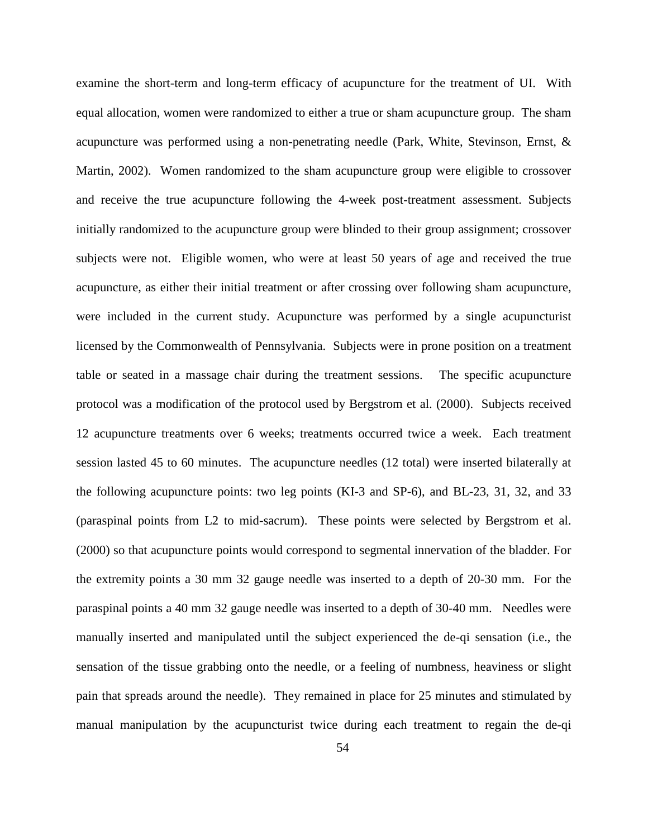examine the short-term and long-term efficacy of acupuncture for the treatment of UI. With equal allocation, women were randomized to either a true or sham acupuncture group. The sham acupuncture was performed using a non-penetrating needle (Park, White, Stevinson, Ernst, & Martin, 2002). Women randomized to the sham acupuncture group were eligible to crossover and receive the true acupuncture following the 4-week post-treatment assessment. Subjects initially randomized to the acupuncture group were blinded to their group assignment; crossover subjects were not. Eligible women, who were at least 50 years of age and received the true acupuncture, as either their initial treatment or after crossing over following sham acupuncture, were included in the current study. Acupuncture was performed by a single acupuncturist licensed by the Commonwealth of Pennsylvania. Subjects were in prone position on a treatment table or seated in a massage chair during the treatment sessions. The specific acupuncture protocol was a modification of the protocol used by Bergstrom et al. (2000). Subjects received 12 acupuncture treatments over 6 weeks; treatments occurred twice a week. Each treatment session lasted 45 to 60 minutes. The acupuncture needles (12 total) were inserted bilaterally at the following acupuncture points: two leg points (KI-3 and SP-6), and BL-23, 31, 32, and 33 (paraspinal points from L2 to mid-sacrum). These points were selected by Bergstrom et al. (2000) so that acupuncture points would correspond to segmental innervation of the bladder. For the extremity points a 30 mm 32 gauge needle was inserted to a depth of 20-30 mm. For the paraspinal points a 40 mm 32 gauge needle was inserted to a depth of 30-40 mm. Needles were manually inserted and manipulated until the subject experienced the de-qi sensation (i.e., the sensation of the tissue grabbing onto the needle, or a feeling of numbness, heaviness or slight pain that spreads around the needle). They remained in place for 25 minutes and stimulated by manual manipulation by the acupuncturist twice during each treatment to regain the de-qi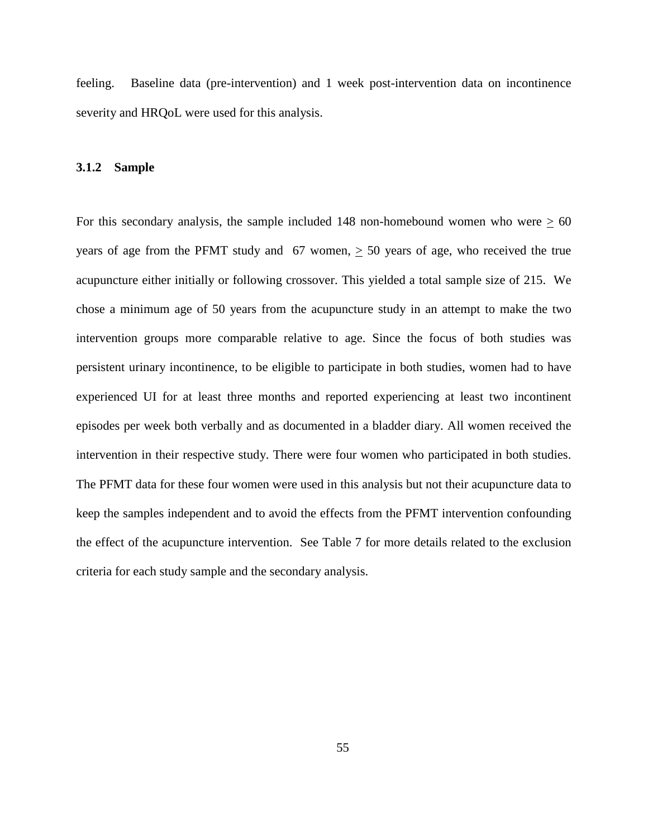feeling. Baseline data (pre-intervention) and 1 week post-intervention data on incontinence severity and HRQoL were used for this analysis.

#### **3.1.2 Sample**

For this secondary analysis, the sample included 148 non-homebound women who were  $\geq 60$ years of age from the PFMT study and 67 women, > 50 years of age, who received the true acupuncture either initially or following crossover. This yielded a total sample size of 215. We chose a minimum age of 50 years from the acupuncture study in an attempt to make the two intervention groups more comparable relative to age. Since the focus of both studies was persistent urinary incontinence, to be eligible to participate in both studies, women had to have experienced UI for at least three months and reported experiencing at least two incontinent episodes per week both verbally and as documented in a bladder diary. All women received the intervention in their respective study. There were four women who participated in both studies. The PFMT data for these four women were used in this analysis but not their acupuncture data to keep the samples independent and to avoid the effects from the PFMT intervention confounding the effect of the acupuncture intervention. See Table 7 for more details related to the exclusion criteria for each study sample and the secondary analysis.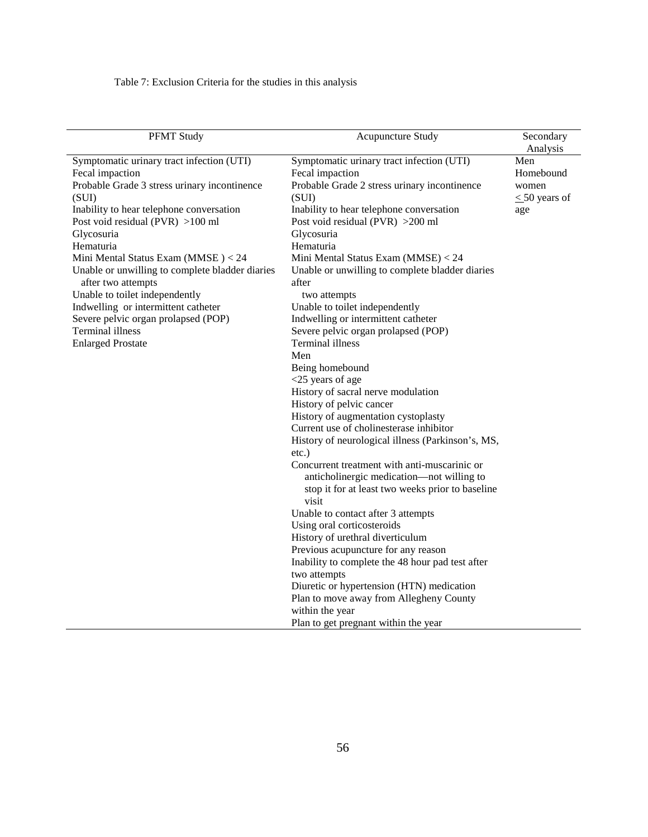Table 7: Exclusion Criteria for the studies in this analysis

| <b>PFMT Study</b>                               | Acupuncture Study                                 | Secondary<br>Analysis |
|-------------------------------------------------|---------------------------------------------------|-----------------------|
| Symptomatic urinary tract infection (UTI)       | Symptomatic urinary tract infection (UTI)         | Men                   |
| Fecal impaction                                 | Fecal impaction                                   | Homebound             |
| Probable Grade 3 stress urinary incontinence    | Probable Grade 2 stress urinary incontinence      | women                 |
| (SUI)                                           | (SUI)                                             | $\leq 50$ years of    |
| Inability to hear telephone conversation        | Inability to hear telephone conversation          | age                   |
| Post void residual (PVR) $>100$ ml              | Post void residual (PVR) > 200 ml                 |                       |
| Glycosuria                                      | Glycosuria                                        |                       |
| Hematuria                                       | Hematuria                                         |                       |
| Mini Mental Status Exam (MMSE) < 24             | Mini Mental Status Exam (MMSE) < 24               |                       |
| Unable or unwilling to complete bladder diaries | Unable or unwilling to complete bladder diaries   |                       |
| after two attempts                              | after                                             |                       |
| Unable to toilet independently                  | two attempts                                      |                       |
| Indwelling or intermittent catheter             | Unable to toilet independently                    |                       |
| Severe pelvic organ prolapsed (POP)             | Indwelling or intermittent catheter               |                       |
| Terminal illness                                | Severe pelvic organ prolapsed (POP)               |                       |
| <b>Enlarged Prostate</b>                        | Terminal illness                                  |                       |
|                                                 | Men                                               |                       |
|                                                 | Being homebound                                   |                       |
|                                                 | $<$ 25 years of age                               |                       |
|                                                 | History of sacral nerve modulation                |                       |
|                                                 | History of pelvic cancer                          |                       |
|                                                 | History of augmentation cystoplasty               |                       |
|                                                 | Current use of cholinesterase inhibitor           |                       |
|                                                 | History of neurological illness (Parkinson's, MS, |                       |
|                                                 | $etc.$ )                                          |                       |
|                                                 | Concurrent treatment with anti-muscarinic or      |                       |
|                                                 | anticholinergic medication-not willing to         |                       |
|                                                 | stop it for at least two weeks prior to baseline  |                       |
|                                                 | visit                                             |                       |
|                                                 | Unable to contact after 3 attempts                |                       |
|                                                 | Using oral corticosteroids                        |                       |
|                                                 | History of urethral diverticulum                  |                       |
|                                                 | Previous acupuncture for any reason               |                       |
|                                                 | Inability to complete the 48 hour pad test after  |                       |
|                                                 | two attempts                                      |                       |
|                                                 | Diuretic or hypertension (HTN) medication         |                       |
|                                                 | Plan to move away from Allegheny County           |                       |
|                                                 | within the year                                   |                       |
|                                                 | Plan to get pregnant within the year              |                       |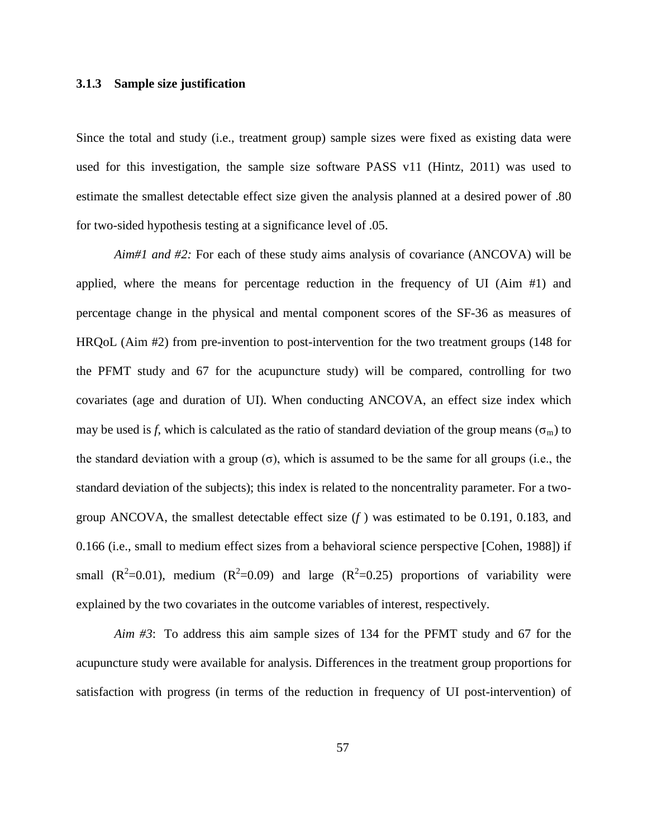### **3.1.3 Sample size justification**

Since the total and study (i.e., treatment group) sample sizes were fixed as existing data were used for this investigation, the sample size software PASS v11 (Hintz, 2011) was used to estimate the smallest detectable effect size given the analysis planned at a desired power of .80 for two-sided hypothesis testing at a significance level of .05.

*Aim#1 and #2:* For each of these study aims analysis of covariance (ANCOVA) will be applied, where the means for percentage reduction in the frequency of UI (Aim #1) and percentage change in the physical and mental component scores of the SF-36 as measures of HRQoL (Aim #2) from pre-invention to post-intervention for the two treatment groups (148 for the PFMT study and 67 for the acupuncture study) will be compared, controlling for two covariates (age and duration of UI). When conducting ANCOVA, an effect size index which may be used is *f*, which is calculated as the ratio of standard deviation of the group means ( $\sigma_m$ ) to the standard deviation with a group  $(\sigma)$ , which is assumed to be the same for all groups (i.e., the standard deviation of the subjects); this index is related to the noncentrality parameter. For a twogroup ANCOVA, the smallest detectable effect size (*f* ) was estimated to be 0.191, 0.183, and 0.166 (i.e., small to medium effect sizes from a behavioral science perspective [Cohen, 1988]) if small  $(R^2=0.01)$ , medium  $(R^2=0.09)$  and large  $(R^2=0.25)$  proportions of variability were explained by the two covariates in the outcome variables of interest, respectively.

*Aim #3*: To address this aim sample sizes of 134 for the PFMT study and 67 for the acupuncture study were available for analysis. Differences in the treatment group proportions for satisfaction with progress (in terms of the reduction in frequency of UI post-intervention) of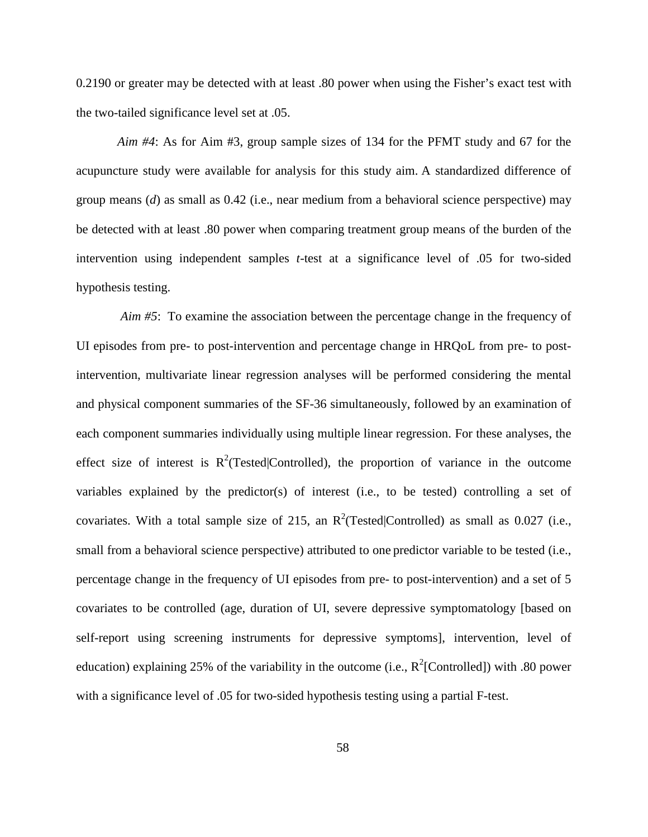0.2190 or greater may be detected with at least .80 power when using the Fisher's exact test with the two-tailed significance level set at .05.

*Aim #4*: As for Aim #3, group sample sizes of 134 for the PFMT study and 67 for the acupuncture study were available for analysis for this study aim. A standardized difference of group means (*d*) as small as 0.42 (i.e., near medium from a behavioral science perspective) may be detected with at least .80 power when comparing treatment group means of the burden of the intervention using independent samples *t*-test at a significance level of .05 for two-sided hypothesis testing.

 *Aim #5*: To examine the association between the percentage change in the frequency of UI episodes from pre- to post-intervention and percentage change in HRQoL from pre- to postintervention, multivariate linear regression analyses will be performed considering the mental and physical component summaries of the SF-36 simultaneously, followed by an examination of each component summaries individually using multiple linear regression. For these analyses, the effect size of interest is  $R^2$ (Tested|Controlled), the proportion of variance in the outcome variables explained by the predictor(s) of interest (i.e., to be tested) controlling a set of covariates. With a total sample size of 215, an  $R^2$ (Tested|Controlled) as small as 0.027 (i.e., small from a behavioral science perspective) attributed to one predictor variable to be tested (i.e., percentage change in the frequency of UI episodes from pre- to post-intervention) and a set of 5 covariates to be controlled (age, duration of UI, severe depressive symptomatology [based on self-report using screening instruments for depressive symptoms], intervention, level of education) explaining 25% of the variability in the outcome (i.e.,  $R^2$ [Controlled]) with .80 power with a significance level of .05 for two-sided hypothesis testing using a partial F-test.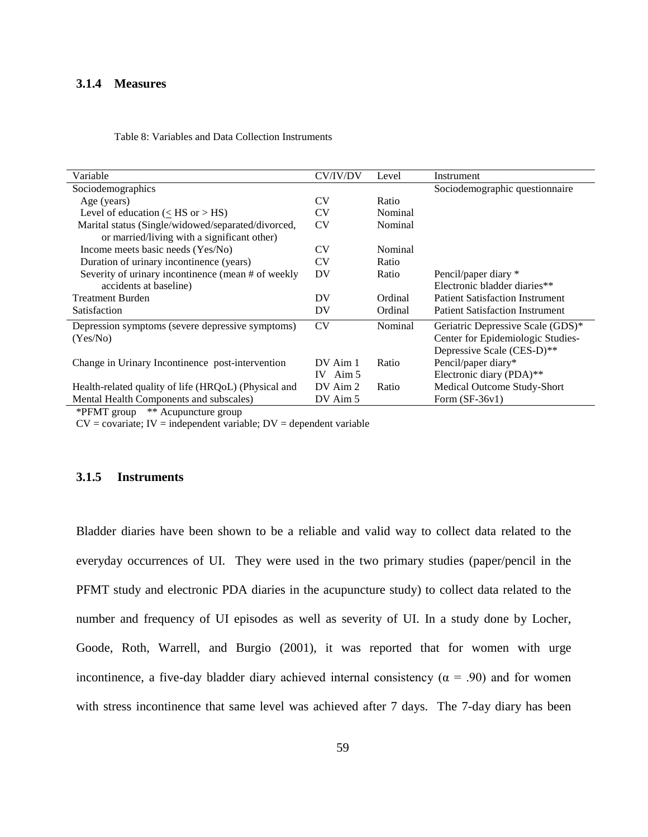### **3.1.4 Measures**

| <b>CV/IV/DV</b> | Level   | Instrument                             |
|-----------------|---------|----------------------------------------|
|                 |         | Sociodemographic questionnaire         |
| CV              | Ratio   |                                        |
| <b>CV</b>       | Nominal |                                        |
| <b>CV</b>       | Nominal |                                        |
|                 |         |                                        |
| CV              | Nominal |                                        |
| <b>CV</b>       | Ratio   |                                        |
| DV              | Ratio   | Pencil/paper diary *                   |
|                 |         | Electronic bladder diaries**           |
| DV              | Ordinal | <b>Patient Satisfaction Instrument</b> |
| DV              | Ordinal | <b>Patient Satisfaction Instrument</b> |
| <b>CV</b>       | Nominal | Geriatric Depressive Scale (GDS)*      |
|                 |         | Center for Epidemiologic Studies-      |
|                 |         | Depressive Scale (CES-D)**             |
| DV Aim 1        | Ratio   | Pencil/paper diary*                    |
| IV Aim $5$      |         | Electronic diary (PDA)**               |
| DV Aim 2        | Ratio   | Medical Outcome Study-Short            |
| DV Aim 5        |         | Form $(SF-36v1)$                       |
|                 |         |                                        |

Table 8: Variables and Data Collection Instruments

\*PFMT group \*\* Acupuncture group

 $CV = covariate$ ;  $IV = independent variable$ ;  $DV = dependent variable$ 

# **3.1.5 Instruments**

Bladder diaries have been shown to be a reliable and valid way to collect data related to the everyday occurrences of UI. They were used in the two primary studies (paper/pencil in the PFMT study and electronic PDA diaries in the acupuncture study) to collect data related to the number and frequency of UI episodes as well as severity of UI. In a study done by Locher, Goode, Roth, Warrell, and Burgio (2001), it was reported that for women with urge incontinence, a five-day bladder diary achieved internal consistency ( $\alpha$  = .90) and for women with stress incontinence that same level was achieved after 7 days. The 7-day diary has been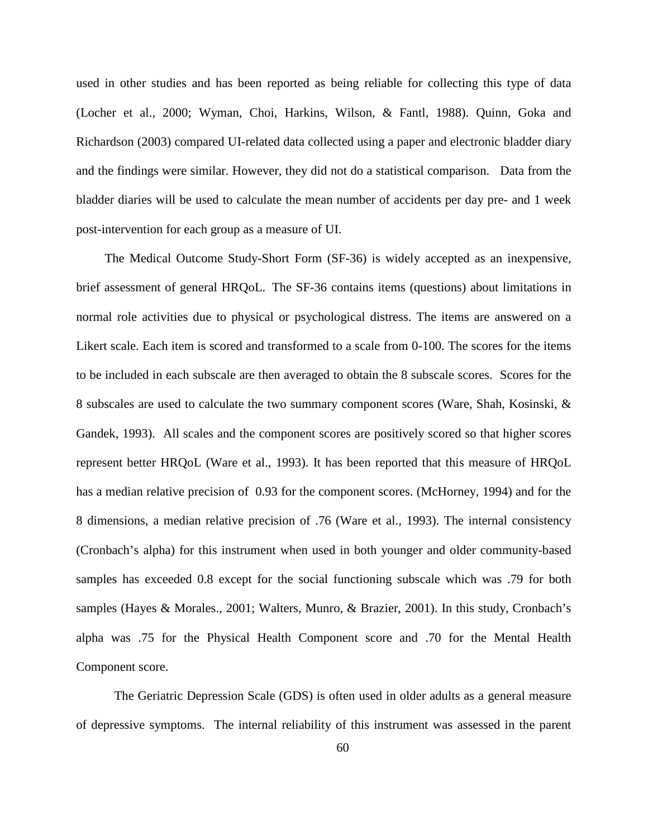used in other studies and has been reported as being reliable for collecting this type of data (Locher et al., 2000; Wyman, Choi, Harkins, Wilson, & Fantl, 1988). Quinn, Goka and Richardson (2003) compared UI-related data collected using a paper and electronic bladder diary and the findings were similar. However, they did not do a statistical comparison. Data from the bladder diaries will be used to calculate the mean number of accidents per day pre- and 1 week post-intervention for each group as a measure of UI.

 The Medical Outcome Study-Short Form (SF-36) is widely accepted as an inexpensive, brief assessment of general HRQoL. The SF-36 contains items (questions) about limitations in normal role activities due to physical or psychological distress. The items are answered on a Likert scale. Each item is scored and transformed to a scale from 0-100. The scores for the items to be included in each subscale are then averaged to obtain the 8 subscale scores. Scores for the 8 subscales are used to calculate the two summary component scores (Ware, Shah, Kosinski, & Gandek, 1993). All scales and the component scores are positively scored so that higher scores represent better HRQoL (Ware et al., 1993). It has been reported that this measure of HRQoL has a median relative precision of 0.93 for the component scores. (McHorney, 1994) and for the 8 dimensions, a median relative precision of .76 (Ware et al., 1993). The internal consistency (Cronbach's alpha) for this instrument when used in both younger and older community-based samples has exceeded 0.8 except for the social functioning subscale which was .79 for both samples (Hayes & Morales., 2001; Walters, Munro, & Brazier, 2001). In this study, Cronbach's alpha was .75 for the Physical Health Component score and .70 for the Mental Health Component score.

The Geriatric Depression Scale (GDS) is often used in older adults as a general measure of depressive symptoms. The internal reliability of this instrument was assessed in the parent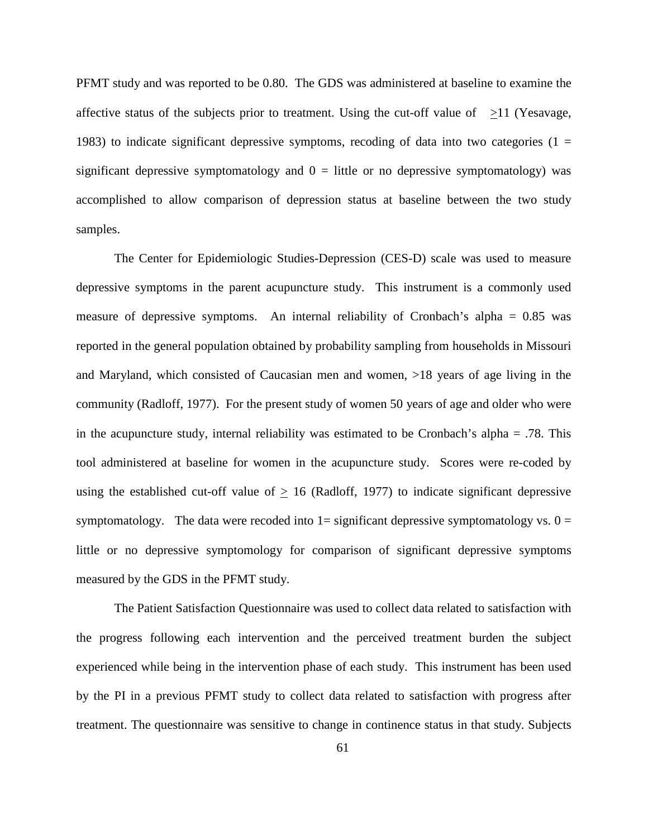PFMT study and was reported to be 0.80. The GDS was administered at baseline to examine the affective status of the subjects prior to treatment. Using the cut-off value of  $\geq$ 11 (Yesavage, 1983) to indicate significant depressive symptoms, recoding of data into two categories (1  $=$ significant depressive symptomatology and  $0 =$  little or no depressive symptomatology) was accomplished to allow comparison of depression status at baseline between the two study samples.

The Center for Epidemiologic Studies-Depression (CES-D) scale was used to measure depressive symptoms in the parent acupuncture study. This instrument is a commonly used measure of depressive symptoms. An internal reliability of Cronbach's alpha  $= 0.85$  was reported in the general population obtained by probability sampling from households in Missouri and Maryland, which consisted of Caucasian men and women, >18 years of age living in the community (Radloff, 1977). For the present study of women 50 years of age and older who were in the acupuncture study, internal reliability was estimated to be Cronbach's alpha = .78. This tool administered at baseline for women in the acupuncture study. Scores were re-coded by using the established cut-off value of  $\geq 16$  (Radloff, 1977) to indicate significant depressive symptomatology. The data were recoded into  $1=$  significant depressive symptomatology vs.  $0=$ little or no depressive symptomology for comparison of significant depressive symptoms measured by the GDS in the PFMT study.

The Patient Satisfaction Questionnaire was used to collect data related to satisfaction with the progress following each intervention and the perceived treatment burden the subject experienced while being in the intervention phase of each study. This instrument has been used by the PI in a previous PFMT study to collect data related to satisfaction with progress after treatment. The questionnaire was sensitive to change in continence status in that study. Subjects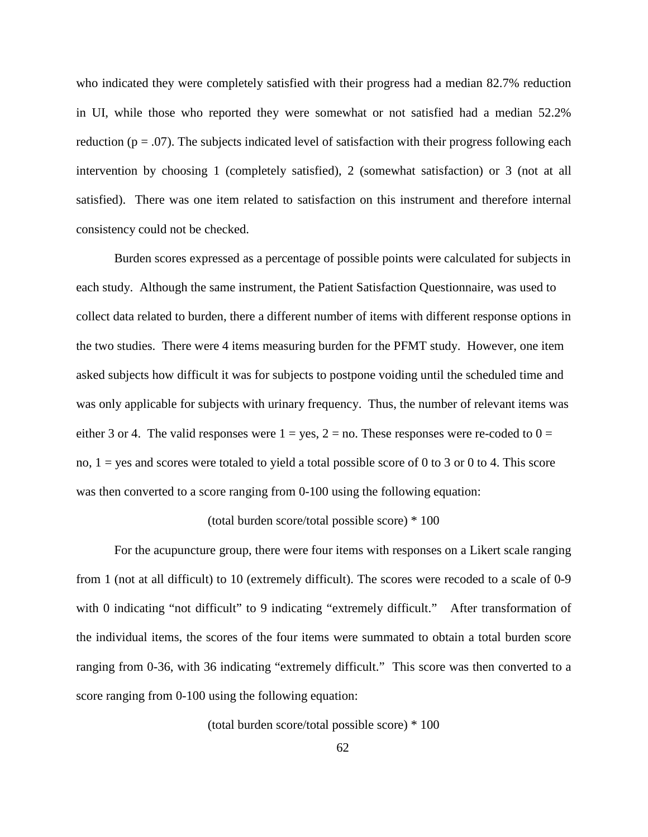who indicated they were completely satisfied with their progress had a median 82.7% reduction in UI, while those who reported they were somewhat or not satisfied had a median 52.2% reduction ( $p = .07$ ). The subjects indicated level of satisfaction with their progress following each intervention by choosing 1 (completely satisfied), 2 (somewhat satisfaction) or 3 (not at all satisfied). There was one item related to satisfaction on this instrument and therefore internal consistency could not be checked.

Burden scores expressed as a percentage of possible points were calculated for subjects in each study. Although the same instrument, the Patient Satisfaction Questionnaire, was used to collect data related to burden, there a different number of items with different response options in the two studies. There were 4 items measuring burden for the PFMT study. However, one item asked subjects how difficult it was for subjects to postpone voiding until the scheduled time and was only applicable for subjects with urinary frequency. Thus, the number of relevant items was either 3 or 4. The valid responses were  $1 = yes$ ,  $2 = no$ . These responses were re-coded to  $0 =$ no,  $1 =$  yes and scores were totaled to yield a total possible score of 0 to 3 or 0 to 4. This score was then converted to a score ranging from 0-100 using the following equation:

### (total burden score/total possible score) \* 100

For the acupuncture group, there were four items with responses on a Likert scale ranging from 1 (not at all difficult) to 10 (extremely difficult). The scores were recoded to a scale of 0-9 with 0 indicating "not difficult" to 9 indicating "extremely difficult." After transformation of the individual items, the scores of the four items were summated to obtain a total burden score ranging from 0-36, with 36 indicating "extremely difficult." This score was then converted to a score ranging from 0-100 using the following equation:

(total burden score/total possible score) \* 100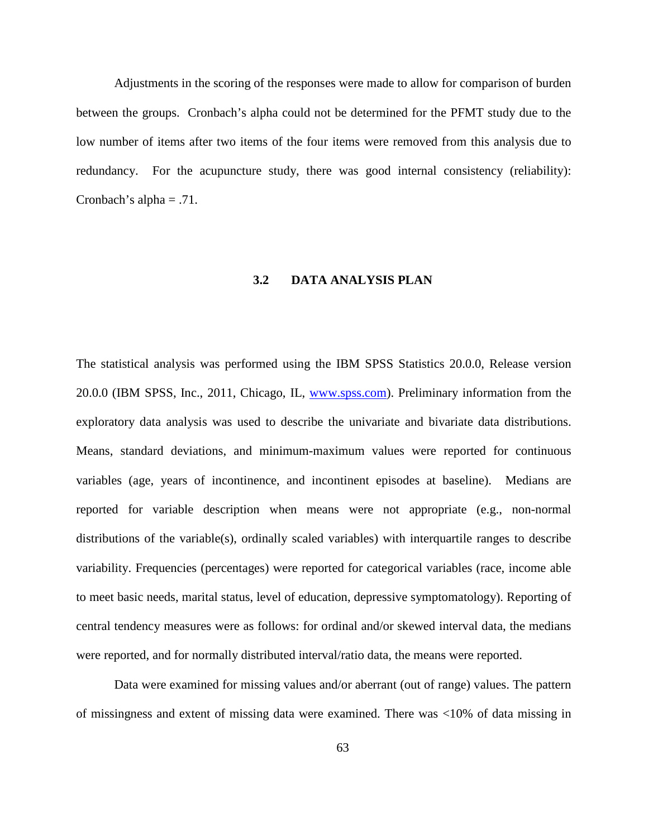Adjustments in the scoring of the responses were made to allow for comparison of burden between the groups. Cronbach's alpha could not be determined for the PFMT study due to the low number of items after two items of the four items were removed from this analysis due to redundancy. For the acupuncture study, there was good internal consistency (reliability): Cronbach's alpha  $= .71$ .

## **3.2 DATA ANALYSIS PLAN**

The statistical analysis was performed using the IBM SPSS Statistics 20.0.0, Release version 20.0.0 (IBM SPSS, Inc., 2011, Chicago, IL, [www.spss.com\)](http://www.spss.com/). Preliminary information from the exploratory data analysis was used to describe the univariate and bivariate data distributions. Means, standard deviations, and minimum-maximum values were reported for continuous variables (age, years of incontinence, and incontinent episodes at baseline). Medians are reported for variable description when means were not appropriate (e.g., non-normal distributions of the variable(s), ordinally scaled variables) with interquartile ranges to describe variability. Frequencies (percentages) were reported for categorical variables (race, income able to meet basic needs, marital status, level of education, depressive symptomatology). Reporting of central tendency measures were as follows: for ordinal and/or skewed interval data, the medians were reported, and for normally distributed interval/ratio data, the means were reported.

Data were examined for missing values and/or aberrant (out of range) values. The pattern of missingness and extent of missing data were examined. There was <10% of data missing in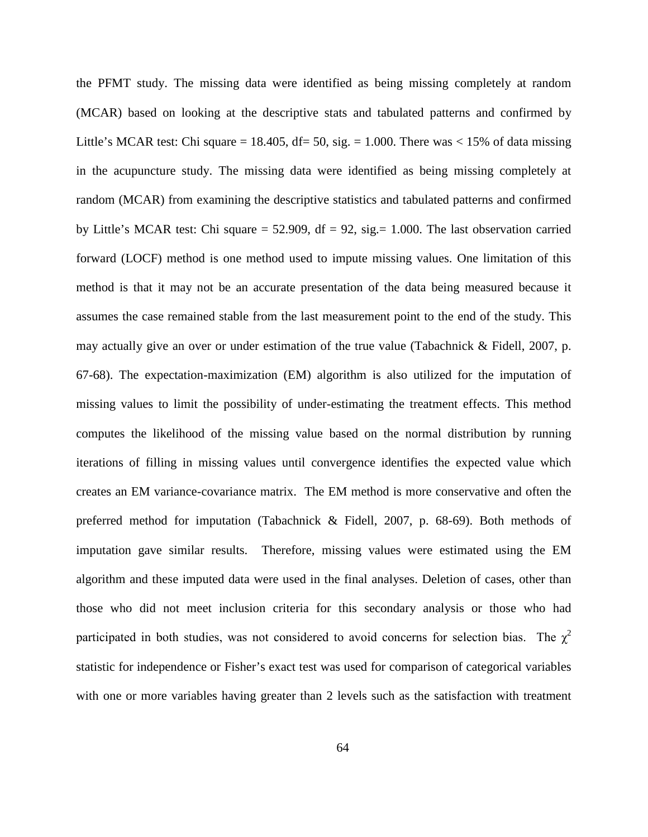the PFMT study. The missing data were identified as being missing completely at random (MCAR) based on looking at the descriptive stats and tabulated patterns and confirmed by Little's MCAR test: Chi square = 18.405, df= 50, sig. = 1.000. There was  $\lt 15\%$  of data missing in the acupuncture study. The missing data were identified as being missing completely at random (MCAR) from examining the descriptive statistics and tabulated patterns and confirmed by Little's MCAR test: Chi square  $= 52.909$ , df  $= 92$ , sig.  $= 1.000$ . The last observation carried forward (LOCF) method is one method used to impute missing values. One limitation of this method is that it may not be an accurate presentation of the data being measured because it assumes the case remained stable from the last measurement point to the end of the study. This may actually give an over or under estimation of the true value (Tabachnick & Fidell, 2007, p. 67-68). The expectation-maximization (EM) algorithm is also utilized for the imputation of missing values to limit the possibility of under-estimating the treatment effects. This method computes the likelihood of the missing value based on the normal distribution by running iterations of filling in missing values until convergence identifies the expected value which creates an EM variance-covariance matrix. The EM method is more conservative and often the preferred method for imputation (Tabachnick & Fidell, 2007, p. 68-69). Both methods of imputation gave similar results. Therefore, missing values were estimated using the EM algorithm and these imputed data were used in the final analyses. Deletion of cases, other than those who did not meet inclusion criteria for this secondary analysis or those who had participated in both studies, was not considered to avoid concerns for selection bias. The  $\chi^2$ statistic for independence or Fisher's exact test was used for comparison of categorical variables with one or more variables having greater than 2 levels such as the satisfaction with treatment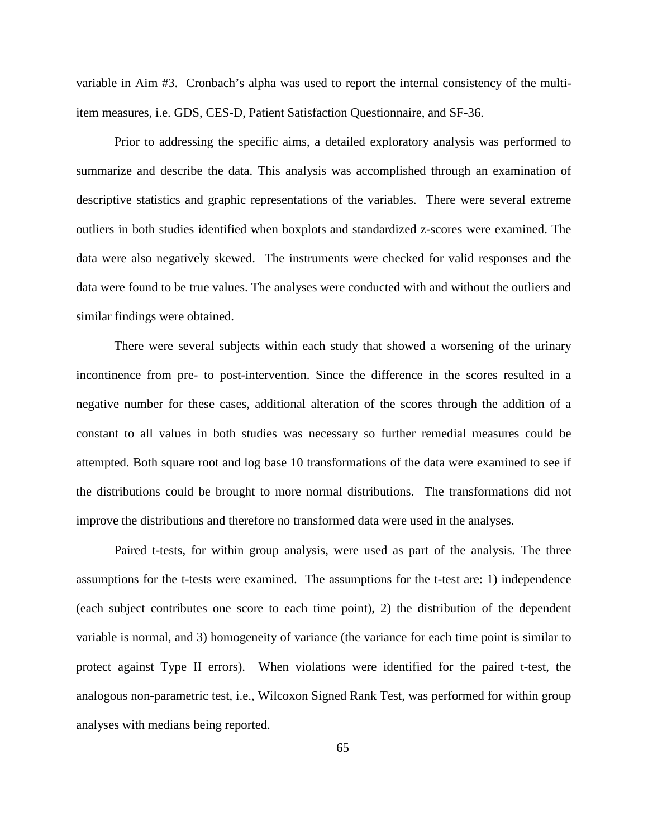variable in Aim #3. Cronbach's alpha was used to report the internal consistency of the multiitem measures, i.e. GDS, CES-D, Patient Satisfaction Questionnaire, and SF-36.

Prior to addressing the specific aims, a detailed exploratory analysis was performed to summarize and describe the data. This analysis was accomplished through an examination of descriptive statistics and graphic representations of the variables. There were several extreme outliers in both studies identified when boxplots and standardized z-scores were examined. The data were also negatively skewed. The instruments were checked for valid responses and the data were found to be true values. The analyses were conducted with and without the outliers and similar findings were obtained.

There were several subjects within each study that showed a worsening of the urinary incontinence from pre- to post-intervention. Since the difference in the scores resulted in a negative number for these cases, additional alteration of the scores through the addition of a constant to all values in both studies was necessary so further remedial measures could be attempted. Both square root and log base 10 transformations of the data were examined to see if the distributions could be brought to more normal distributions. The transformations did not improve the distributions and therefore no transformed data were used in the analyses.

Paired t-tests, for within group analysis, were used as part of the analysis. The three assumptions for the t-tests were examined. The assumptions for the t-test are: 1) independence (each subject contributes one score to each time point), 2) the distribution of the dependent variable is normal, and 3) homogeneity of variance (the variance for each time point is similar to protect against Type II errors). When violations were identified for the paired t-test, the analogous non-parametric test, i.e., Wilcoxon Signed Rank Test, was performed for within group analyses with medians being reported.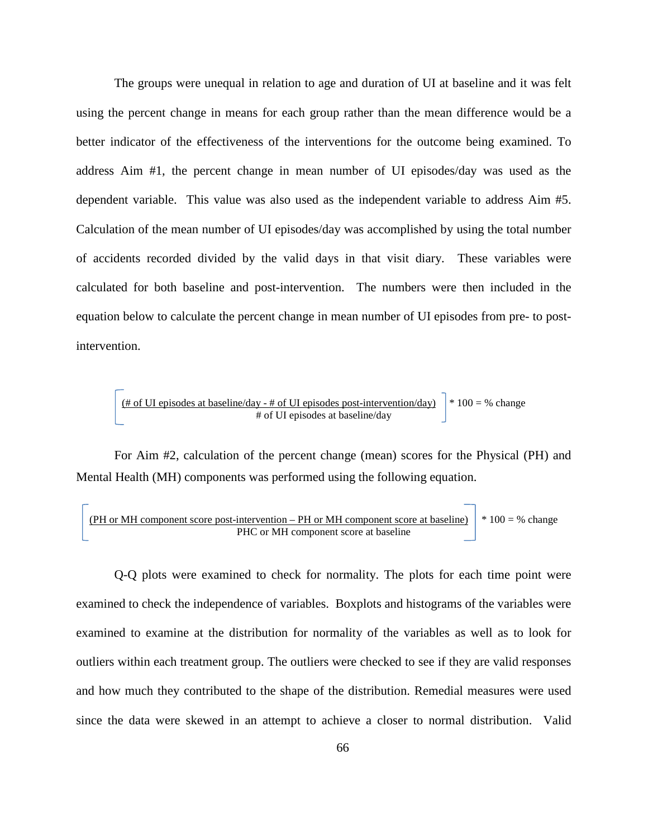The groups were unequal in relation to age and duration of UI at baseline and it was felt using the percent change in means for each group rather than the mean difference would be a better indicator of the effectiveness of the interventions for the outcome being examined. To address Aim #1, the percent change in mean number of UI episodes/day was used as the dependent variable. This value was also used as the independent variable to address Aim #5. Calculation of the mean number of UI episodes/day was accomplished by using the total number of accidents recorded divided by the valid days in that visit diary. These variables were calculated for both baseline and post-intervention. The numbers were then included in the equation below to calculate the percent change in mean number of UI episodes from pre- to postintervention.

$$
\frac{\text{# of UI episodes at baseline/day - # of UI episodes post-intervention/day)}}{\text{# of UI episodes at baseline/day}} \text{ * } 100 = \text{ % change}
$$

For Aim #2, calculation of the percent change (mean) scores for the Physical (PH) and Mental Health (MH) components was performed using the following equation.

(PH or MH component score post-intervention – PH or MH component score at baseline) \* 
$$
100 = %
$$
 change  
PHC or MH component score at baseline

Q-Q plots were examined to check for normality. The plots for each time point were examined to check the independence of variables. Boxplots and histograms of the variables were examined to examine at the distribution for normality of the variables as well as to look for outliers within each treatment group. The outliers were checked to see if they are valid responses and how much they contributed to the shape of the distribution. Remedial measures were used since the data were skewed in an attempt to achieve a closer to normal distribution. Valid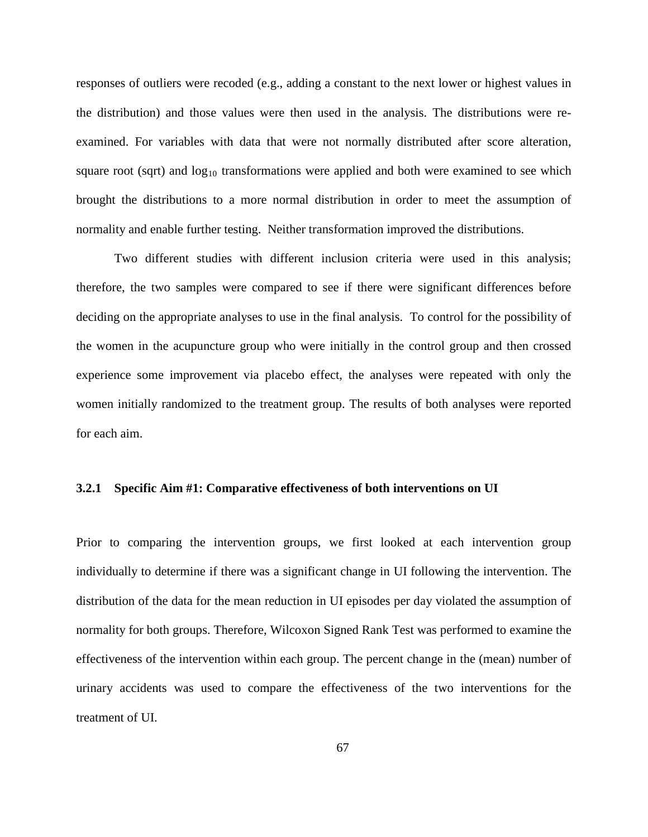responses of outliers were recoded (e.g., adding a constant to the next lower or highest values in the distribution) and those values were then used in the analysis. The distributions were reexamined. For variables with data that were not normally distributed after score alteration, square root (sqrt) and  $log_{10}$  transformations were applied and both were examined to see which brought the distributions to a more normal distribution in order to meet the assumption of normality and enable further testing. Neither transformation improved the distributions.

Two different studies with different inclusion criteria were used in this analysis; therefore, the two samples were compared to see if there were significant differences before deciding on the appropriate analyses to use in the final analysis. To control for the possibility of the women in the acupuncture group who were initially in the control group and then crossed experience some improvement via placebo effect, the analyses were repeated with only the women initially randomized to the treatment group. The results of both analyses were reported for each aim.

## **3.2.1 Specific Aim #1: Comparative effectiveness of both interventions on UI**

Prior to comparing the intervention groups, we first looked at each intervention group individually to determine if there was a significant change in UI following the intervention. The distribution of the data for the mean reduction in UI episodes per day violated the assumption of normality for both groups. Therefore, Wilcoxon Signed Rank Test was performed to examine the effectiveness of the intervention within each group. The percent change in the (mean) number of urinary accidents was used to compare the effectiveness of the two interventions for the treatment of UI.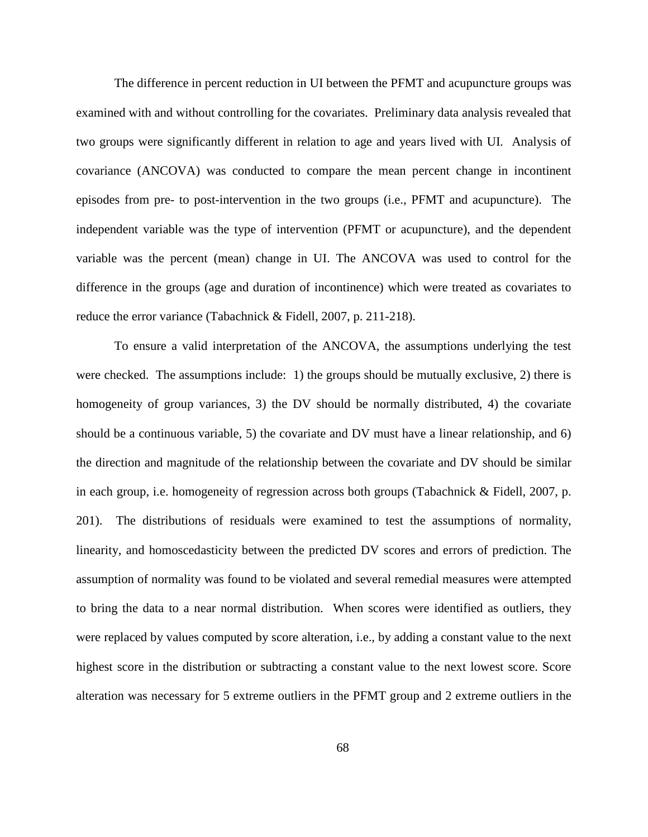The difference in percent reduction in UI between the PFMT and acupuncture groups was examined with and without controlling for the covariates. Preliminary data analysis revealed that two groups were significantly different in relation to age and years lived with UI. Analysis of covariance (ANCOVA) was conducted to compare the mean percent change in incontinent episodes from pre- to post-intervention in the two groups (i.e., PFMT and acupuncture). The independent variable was the type of intervention (PFMT or acupuncture), and the dependent variable was the percent (mean) change in UI. The ANCOVA was used to control for the difference in the groups (age and duration of incontinence) which were treated as covariates to reduce the error variance (Tabachnick & Fidell, 2007, p. 211-218).

To ensure a valid interpretation of the ANCOVA, the assumptions underlying the test were checked. The assumptions include: 1) the groups should be mutually exclusive, 2) there is homogeneity of group variances, 3) the DV should be normally distributed, 4) the covariate should be a continuous variable, 5) the covariate and DV must have a linear relationship, and 6) the direction and magnitude of the relationship between the covariate and DV should be similar in each group, i.e. homogeneity of regression across both groups (Tabachnick & Fidell, 2007, p. 201). The distributions of residuals were examined to test the assumptions of normality, linearity, and homoscedasticity between the predicted DV scores and errors of prediction. The assumption of normality was found to be violated and several remedial measures were attempted to bring the data to a near normal distribution. When scores were identified as outliers, they were replaced by values computed by score alteration, i.e., by adding a constant value to the next highest score in the distribution or subtracting a constant value to the next lowest score. Score alteration was necessary for 5 extreme outliers in the PFMT group and 2 extreme outliers in the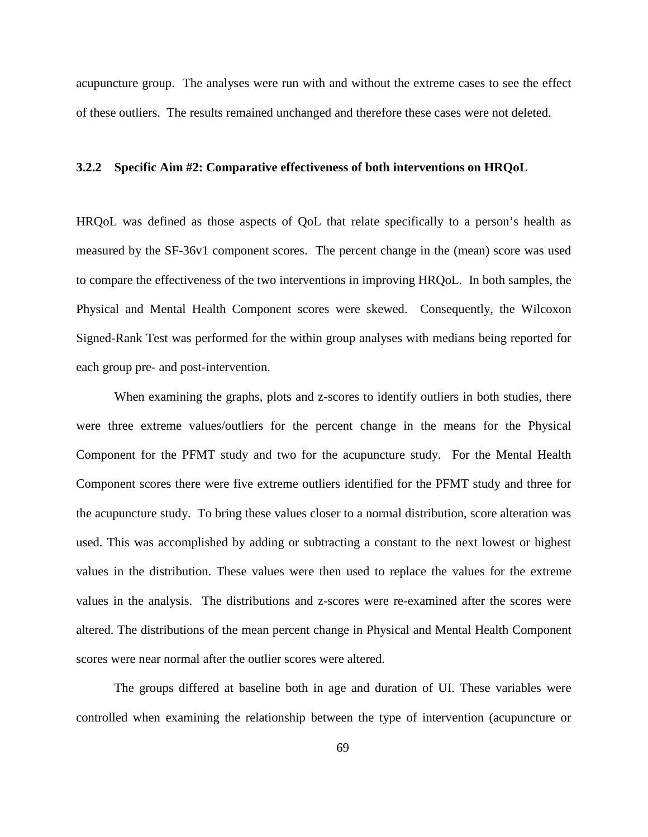acupuncture group. The analyses were run with and without the extreme cases to see the effect of these outliers. The results remained unchanged and therefore these cases were not deleted.

#### **3.2.2 Specific Aim #2: Comparative effectiveness of both interventions on HRQoL**

HRQoL was defined as those aspects of QoL that relate specifically to a person's health as measured by the SF-36v1 component scores. The percent change in the (mean) score was used to compare the effectiveness of the two interventions in improving HRQoL. In both samples, the Physical and Mental Health Component scores were skewed. Consequently, the Wilcoxon Signed-Rank Test was performed for the within group analyses with medians being reported for each group pre- and post-intervention.

When examining the graphs, plots and z-scores to identify outliers in both studies, there were three extreme values/outliers for the percent change in the means for the Physical Component for the PFMT study and two for the acupuncture study. For the Mental Health Component scores there were five extreme outliers identified for the PFMT study and three for the acupuncture study. To bring these values closer to a normal distribution, score alteration was used. This was accomplished by adding or subtracting a constant to the next lowest or highest values in the distribution. These values were then used to replace the values for the extreme values in the analysis. The distributions and z-scores were re-examined after the scores were altered. The distributions of the mean percent change in Physical and Mental Health Component scores were near normal after the outlier scores were altered.

The groups differed at baseline both in age and duration of UI. These variables were controlled when examining the relationship between the type of intervention (acupuncture or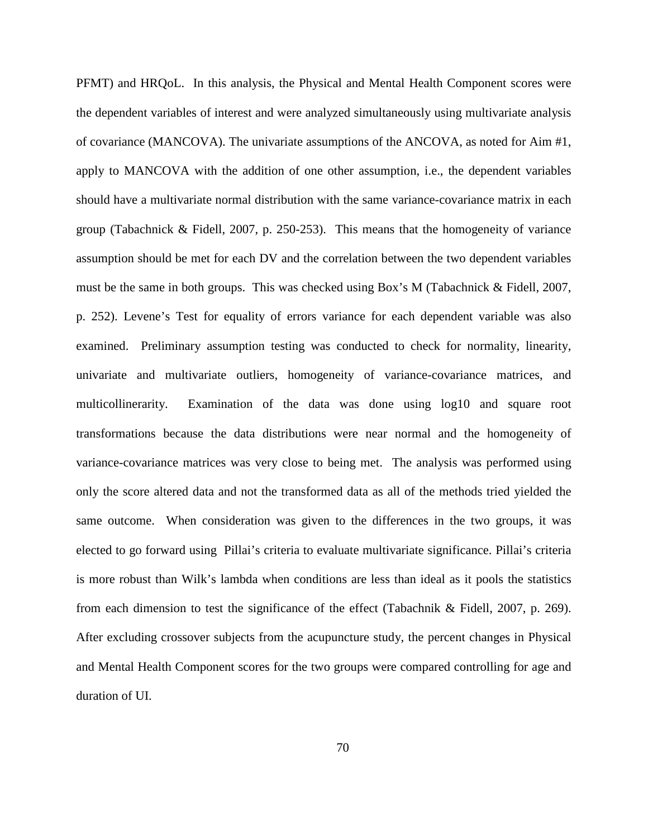PFMT) and HRQoL. In this analysis, the Physical and Mental Health Component scores were the dependent variables of interest and were analyzed simultaneously using multivariate analysis of covariance (MANCOVA). The univariate assumptions of the ANCOVA, as noted for Aim #1, apply to MANCOVA with the addition of one other assumption, i.e., the dependent variables should have a multivariate normal distribution with the same variance-covariance matrix in each group (Tabachnick & Fidell, 2007, p. 250-253). This means that the homogeneity of variance assumption should be met for each DV and the correlation between the two dependent variables must be the same in both groups. This was checked using Box's M (Tabachnick & Fidell, 2007, p. 252). Levene's Test for equality of errors variance for each dependent variable was also examined. Preliminary assumption testing was conducted to check for normality, linearity, univariate and multivariate outliers, homogeneity of variance-covariance matrices, and multicollinerarity. Examination of the data was done using log10 and square root transformations because the data distributions were near normal and the homogeneity of variance-covariance matrices was very close to being met. The analysis was performed using only the score altered data and not the transformed data as all of the methods tried yielded the same outcome. When consideration was given to the differences in the two groups, it was elected to go forward using Pillai's criteria to evaluate multivariate significance. Pillai's criteria is more robust than Wilk's lambda when conditions are less than ideal as it pools the statistics from each dimension to test the significance of the effect (Tabachnik & Fidell, 2007, p. 269). After excluding crossover subjects from the acupuncture study, the percent changes in Physical and Mental Health Component scores for the two groups were compared controlling for age and duration of UI.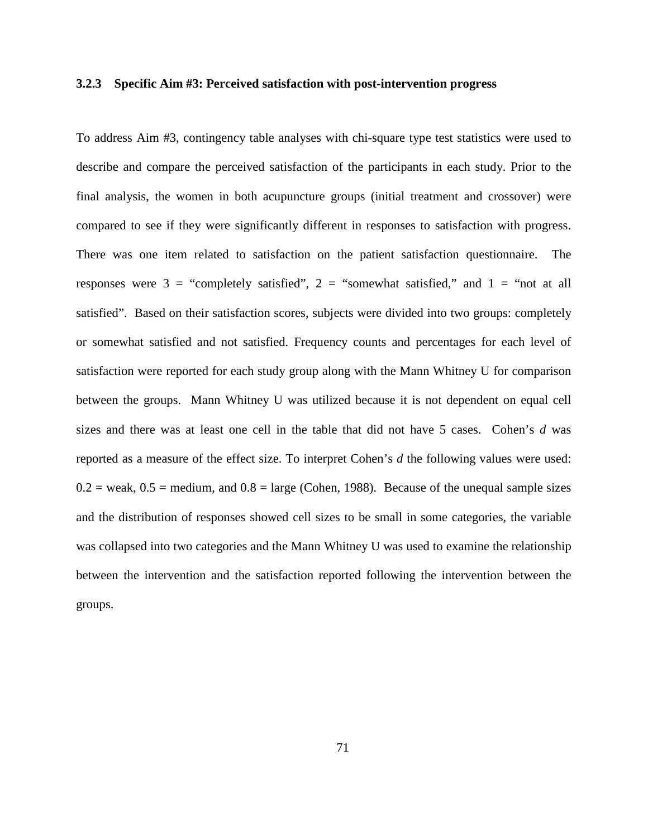#### **3.2.3 Specific Aim #3: Perceived satisfaction with post-intervention progress**

To address Aim #3, contingency table analyses with chi-square type test statistics were used to describe and compare the perceived satisfaction of the participants in each study. Prior to the final analysis, the women in both acupuncture groups (initial treatment and crossover) were compared to see if they were significantly different in responses to satisfaction with progress. There was one item related to satisfaction on the patient satisfaction questionnaire. The responses were  $3 =$  "completely satisfied",  $2 =$  "somewhat satisfied," and  $1 =$  "not at all satisfied". Based on their satisfaction scores, subjects were divided into two groups: completely or somewhat satisfied and not satisfied. Frequency counts and percentages for each level of satisfaction were reported for each study group along with the Mann Whitney U for comparison between the groups. Mann Whitney U was utilized because it is not dependent on equal cell sizes and there was at least one cell in the table that did not have 5 cases. Cohen's *d* was reported as a measure of the effect size. To interpret Cohen's *d* the following values were used:  $0.2$  = weak,  $0.5$  = medium, and  $0.8$  = large (Cohen, 1988). Because of the unequal sample sizes and the distribution of responses showed cell sizes to be small in some categories, the variable was collapsed into two categories and the Mann Whitney U was used to examine the relationship between the intervention and the satisfaction reported following the intervention between the groups.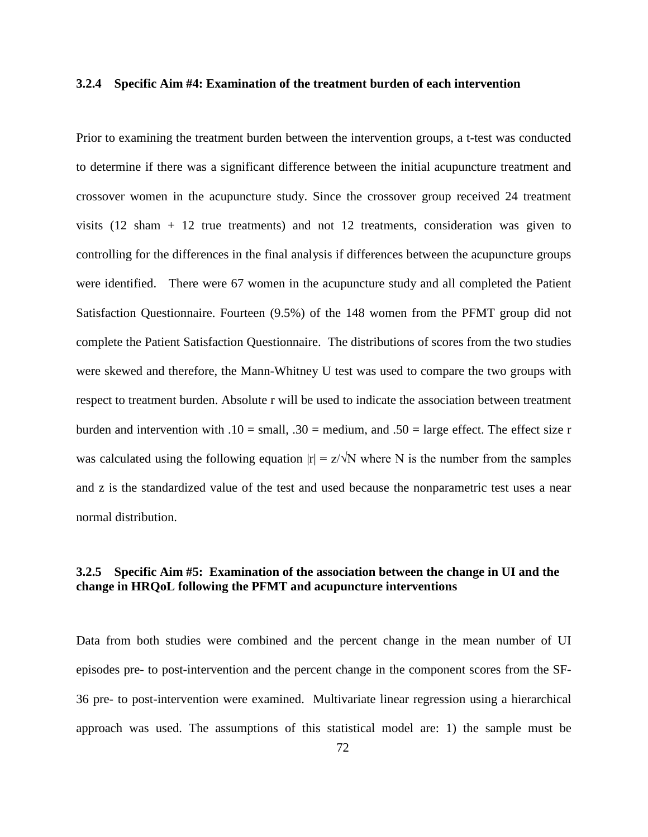#### **3.2.4 Specific Aim #4: Examination of the treatment burden of each intervention**

Prior to examining the treatment burden between the intervention groups, a t-test was conducted to determine if there was a significant difference between the initial acupuncture treatment and crossover women in the acupuncture study. Since the crossover group received 24 treatment visits (12 sham + 12 true treatments) and not 12 treatments, consideration was given to controlling for the differences in the final analysis if differences between the acupuncture groups were identified. There were 67 women in the acupuncture study and all completed the Patient Satisfaction Questionnaire. Fourteen (9.5%) of the 148 women from the PFMT group did not complete the Patient Satisfaction Questionnaire. The distributions of scores from the two studies were skewed and therefore, the Mann-Whitney U test was used to compare the two groups with respect to treatment burden. Absolute r will be used to indicate the association between treatment burden and intervention with  $.10 = \text{small}$ ,  $.30 = \text{medium}$ , and  $.50 = \text{large effect}$ . The effect size r was calculated using the following equation  $|r| = z/\sqrt{N}$  where N is the number from the samples and z is the standardized value of the test and used because the nonparametric test uses a near normal distribution.

## **3.2.5 Specific Aim #5: Examination of the association between the change in UI and the change in HRQoL following the PFMT and acupuncture interventions**

Data from both studies were combined and the percent change in the mean number of UI episodes pre- to post-intervention and the percent change in the component scores from the SF-36 pre- to post-intervention were examined. Multivariate linear regression using a hierarchical approach was used. The assumptions of this statistical model are: 1) the sample must be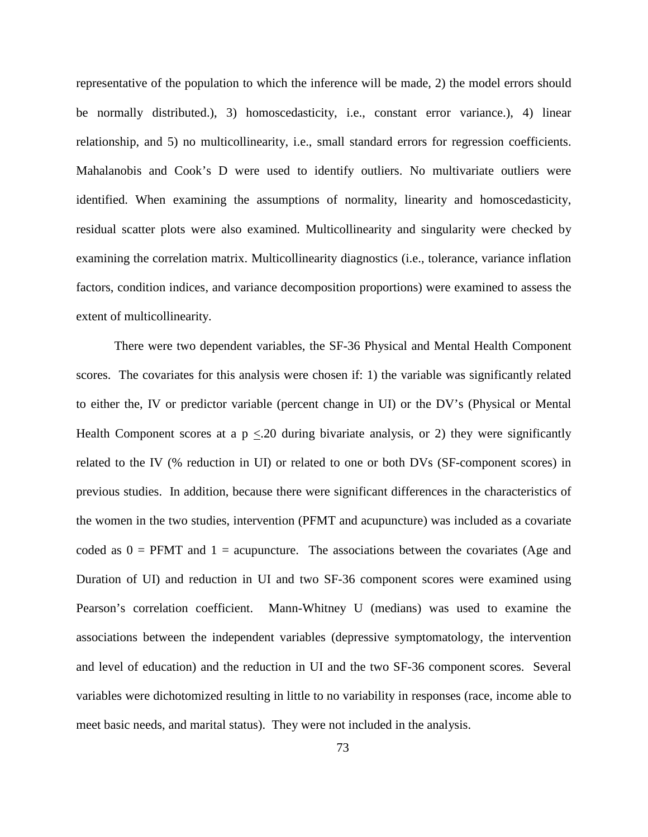representative of the population to which the inference will be made, 2) the model errors should be normally distributed.), 3) homoscedasticity, i.e., constant error variance.), 4) linear relationship, and 5) no multicollinearity, i.e., small standard errors for regression coefficients. Mahalanobis and Cook's D were used to identify outliers. No multivariate outliers were identified. When examining the assumptions of normality, linearity and homoscedasticity, residual scatter plots were also examined. Multicollinearity and singularity were checked by examining the correlation matrix. Multicollinearity diagnostics (i.e., tolerance, variance inflation factors, condition indices, and variance decomposition proportions) were examined to assess the extent of multicollinearity.

There were two dependent variables, the SF-36 Physical and Mental Health Component scores. The covariates for this analysis were chosen if: 1) the variable was significantly related to either the, IV or predictor variable (percent change in UI) or the DV's (Physical or Mental Health Component scores at a  $p \le 20$  during bivariate analysis, or 2) they were significantly related to the IV (% reduction in UI) or related to one or both DVs (SF-component scores) in previous studies. In addition, because there were significant differences in the characteristics of the women in the two studies, intervention (PFMT and acupuncture) was included as a covariate coded as  $0 = PFMT$  and  $1 = \text{acupuncture}$ . The associations between the covariates (Age and Duration of UI) and reduction in UI and two SF-36 component scores were examined using Pearson's correlation coefficient. Mann-Whitney U (medians) was used to examine the associations between the independent variables (depressive symptomatology, the intervention and level of education) and the reduction in UI and the two SF-36 component scores. Several variables were dichotomized resulting in little to no variability in responses (race, income able to meet basic needs, and marital status). They were not included in the analysis.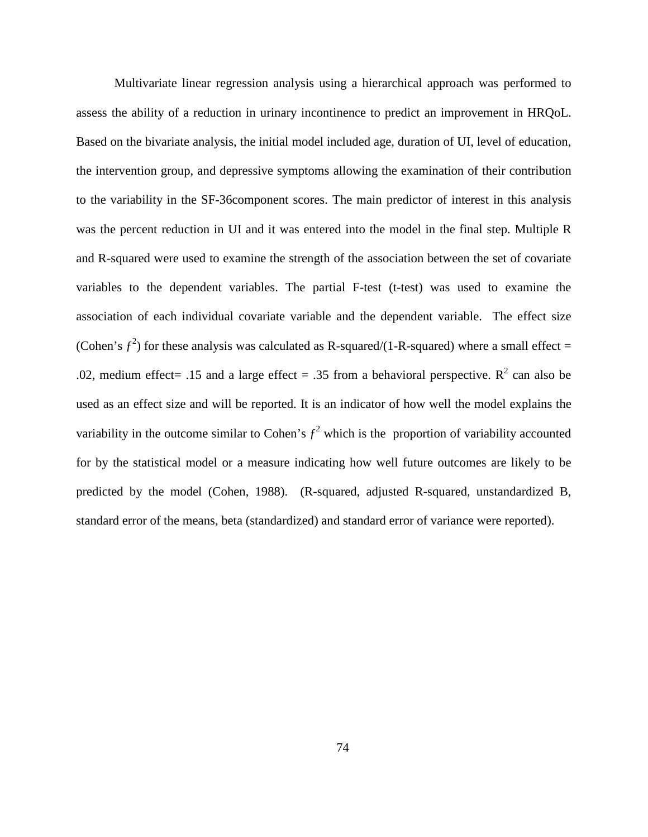Multivariate linear regression analysis using a hierarchical approach was performed to assess the ability of a reduction in urinary incontinence to predict an improvement in HRQoL. Based on the bivariate analysis, the initial model included age, duration of UI, level of education, the intervention group, and depressive symptoms allowing the examination of their contribution to the variability in the SF-36component scores. The main predictor of interest in this analysis was the percent reduction in UI and it was entered into the model in the final step. Multiple R and R-squared were used to examine the strength of the association between the set of covariate variables to the dependent variables. The partial F-test (t-test) was used to examine the association of each individual covariate variable and the dependent variable. The effect size (Cohen's  $f^2$ ) for these analysis was calculated as R-squared/(1-R-squared) where a small effect = .02, medium effect= .15 and a large effect = .35 from a behavioral perspective.  $R^2$  can also be used as an effect size and will be reported. It is an indicator of how well the model explains the variability in the outcome similar to Cohen's  $f^2$  which is the proportion of variability accounted for by the statistical model or a measure indicating how well future outcomes are likely to be predicted by the model (Cohen, 1988). (R-squared, adjusted R-squared, unstandardized B, standard error of the means, beta (standardized) and standard error of variance were reported).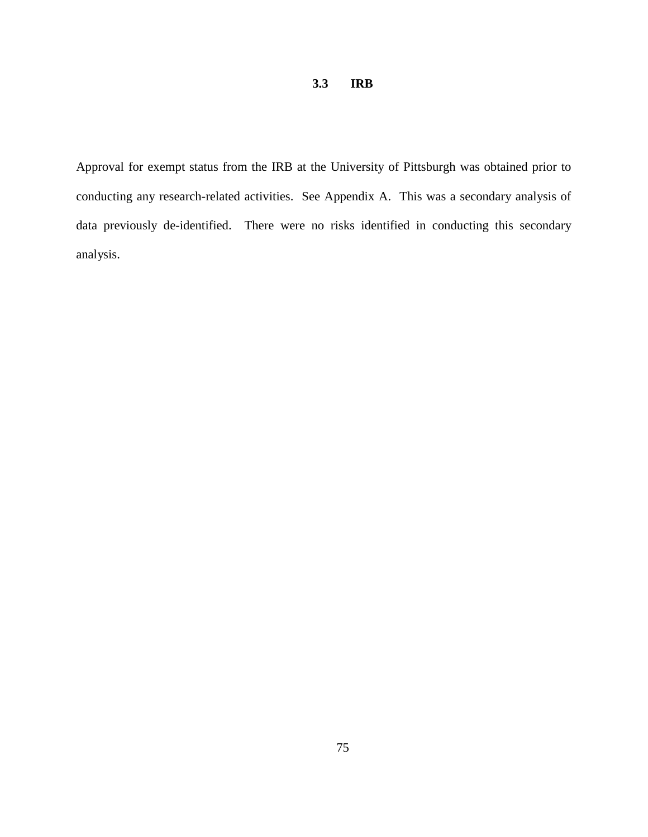# **3.3 IRB**

Approval for exempt status from the IRB at the University of Pittsburgh was obtained prior to conducting any research-related activities. See Appendix A. This was a secondary analysis of data previously de-identified. There were no risks identified in conducting this secondary analysis.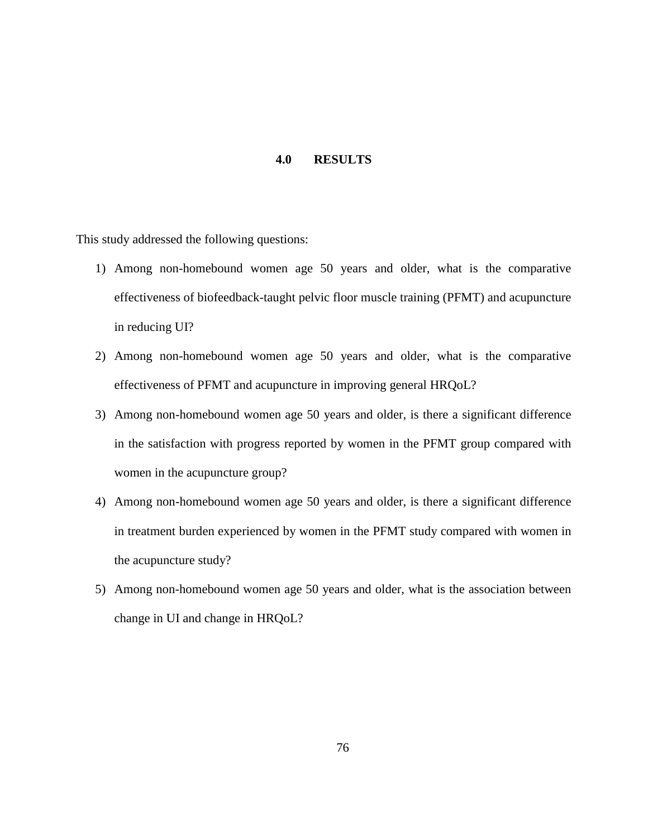#### **4.0 RESULTS**

This study addressed the following questions:

- 1) Among non-homebound women age 50 years and older, what is the comparative effectiveness of biofeedback-taught pelvic floor muscle training (PFMT) and acupuncture in reducing UI?
- 2) Among non-homebound women age 50 years and older, what is the comparative effectiveness of PFMT and acupuncture in improving general HRQoL?
- 3) Among non-homebound women age 50 years and older, is there a significant difference in the satisfaction with progress reported by women in the PFMT group compared with women in the acupuncture group?
- 4) Among non-homebound women age 50 years and older, is there a significant difference in treatment burden experienced by women in the PFMT study compared with women in the acupuncture study?
- 5) Among non-homebound women age 50 years and older, what is the association between change in UI and change in HRQoL?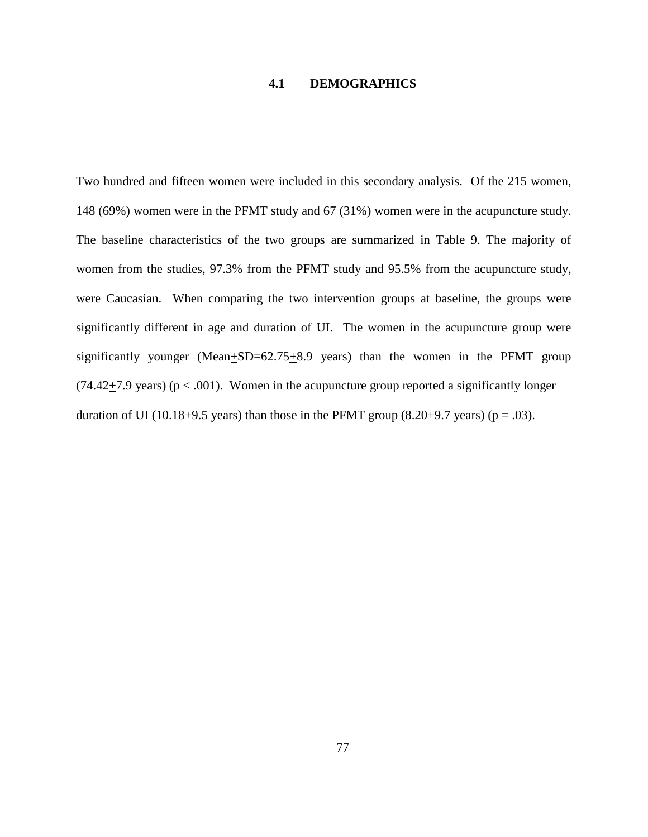## **4.1 DEMOGRAPHICS**

Two hundred and fifteen women were included in this secondary analysis. Of the 215 women, 148 (69%) women were in the PFMT study and 67 (31%) women were in the acupuncture study. The baseline characteristics of the two groups are summarized in Table 9. The majority of women from the studies, 97.3% from the PFMT study and 95.5% from the acupuncture study, were Caucasian. When comparing the two intervention groups at baseline, the groups were significantly different in age and duration of UI. The women in the acupuncture group were significantly younger (Mean $\pm$ SD=62.75 $\pm$ 8.9 years) than the women in the PFMT group  $(74.42 \pm 7.9 \text{ years})$  (p < .001). Women in the acupuncture group reported a significantly longer duration of UI (10.18 $\pm$ 9.5 years) than those in the PFMT group (8.20 $\pm$ 9.7 years) (p = .03).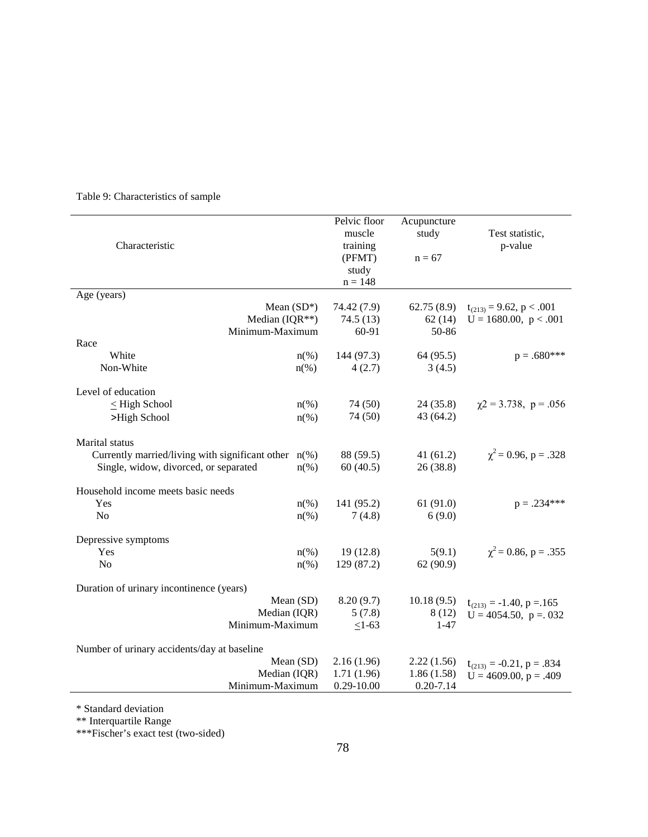| Characteristic                                                                                                                | Pelvic floor<br>muscle<br>training<br>(PFMT)<br>study<br>$n = 148$ | Acupuncture<br>study<br>$n = 67$ | Test statistic,<br>p-value     |  |  |
|-------------------------------------------------------------------------------------------------------------------------------|--------------------------------------------------------------------|----------------------------------|--------------------------------|--|--|
| Age (years)                                                                                                                   |                                                                    |                                  |                                |  |  |
| Mean $(SD^*)$                                                                                                                 | 74.42 (7.9)                                                        | 62.75(8.9)                       | $t_{(213)} = 9.62$ , p < .001  |  |  |
| Median (IQR**)                                                                                                                | 74.5(13)                                                           | 62(14)                           | $U = 1680.00$ , $p < .001$     |  |  |
| Minimum-Maximum                                                                                                               | 60-91                                                              | 50-86                            |                                |  |  |
| Race                                                                                                                          |                                                                    |                                  | $p=.680***$                    |  |  |
| White<br>$n\left(\%\right)$<br>Non-White                                                                                      | 144 (97.3)<br>4(2.7)                                               | 64 (95.5)<br>3(4.5)              |                                |  |  |
| $n(\%)$                                                                                                                       |                                                                    |                                  |                                |  |  |
| Level of education                                                                                                            |                                                                    |                                  |                                |  |  |
| $\leq$ High School<br>$n(\%)$                                                                                                 | 74 (50)                                                            | 24(35.8)                         | $\gamma$ 2 = 3.738, p = .056   |  |  |
| >High School<br>$n\left(\%\right)$                                                                                            | 74 (50)                                                            | 43 (64.2)                        |                                |  |  |
| Marital status<br>Currently married/living with significant other $n$ (%)<br>Single, widow, divorced, or separated<br>$n(\%)$ | 88 (59.5)<br>60(40.5)                                              | 41(61.2)<br>26(38.8)             | $\chi^2$ = 0.96, p = .328      |  |  |
| Household income meets basic needs                                                                                            |                                                                    |                                  |                                |  |  |
| Yes<br>$n\left(\%\right)$                                                                                                     | 141 (95.2)                                                         | 61(91.0)                         | $p = .234***$                  |  |  |
| N <sub>o</sub><br>$n(\%)$                                                                                                     | 7(4.8)                                                             | 6(9.0)                           |                                |  |  |
| Depressive symptoms                                                                                                           |                                                                    |                                  |                                |  |  |
| Yes<br>$n\left(\%\right)$                                                                                                     | 19(12.8)                                                           | 5(9.1)                           | $\chi^2$ = 0.86, p = .355      |  |  |
| N <sub>o</sub><br>$n(\%)$                                                                                                     | 129 (87.2)                                                         | 62(90.9)                         |                                |  |  |
| Duration of urinary incontinence (years)                                                                                      |                                                                    |                                  |                                |  |  |
| Mean (SD)                                                                                                                     | 8.20(9.7)                                                          | 10.18(9.5)                       | $t_{(213)} = -1.40$ , p = 165  |  |  |
| Median (IQR)                                                                                                                  | 5(7.8)                                                             | 8(12)                            | $U = 4054.50$ , $p = 0.032$    |  |  |
| Minimum-Maximum                                                                                                               | $\leq$ 1-63                                                        | $1 - 47$                         |                                |  |  |
| Number of urinary accidents/day at baseline                                                                                   |                                                                    |                                  |                                |  |  |
| Mean (SD)                                                                                                                     | 2.16(1.96)                                                         | 2.22(1.56)                       | $t_{(213)} = -0.21$ , p = .834 |  |  |
| Median (IQR)                                                                                                                  | 1.71(1.96)                                                         | 1.86(1.58)                       | $U = 4609.00$ , $p = .409$     |  |  |
| Minimum-Maximum                                                                                                               | $0.29 - 10.00$                                                     | $0.20 - 7.14$                    |                                |  |  |

# Table 9: Characteristics of sample

\* Standard deviation

\*\* Interquartile Range

\*\*\*Fischer's exact test (two-sided)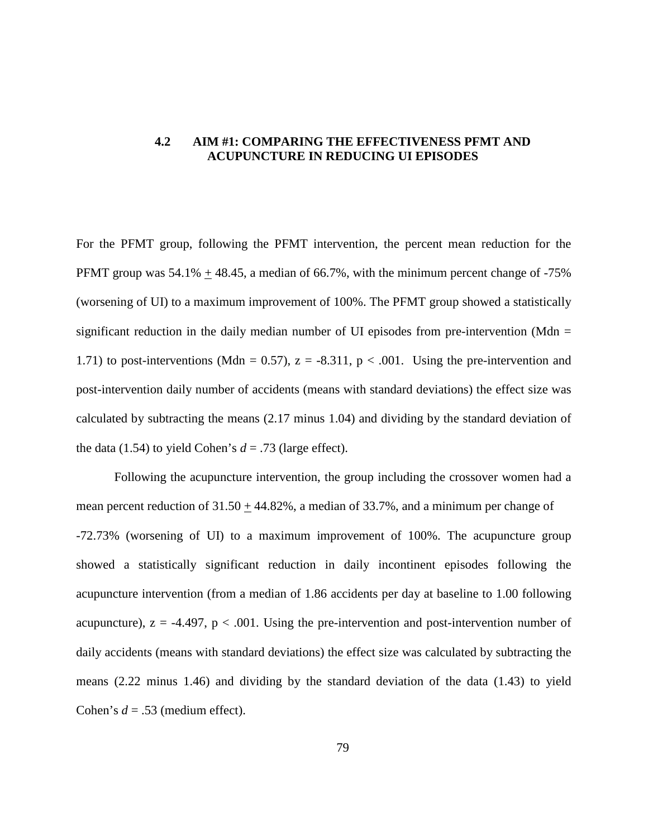# **4.2 AIM #1: COMPARING THE EFFECTIVENESS PFMT AND ACUPUNCTURE IN REDUCING UI EPISODES**

For the PFMT group, following the PFMT intervention, the percent mean reduction for the PFMT group was  $54.1\% + 48.45$ , a median of 66.7%, with the minimum percent change of  $-75\%$ (worsening of UI) to a maximum improvement of 100%. The PFMT group showed a statistically significant reduction in the daily median number of UI episodes from pre-intervention (Mdn  $=$ 1.71) to post-interventions (Mdn = 0.57),  $z = -8.311$ ,  $p < .001$ . Using the pre-intervention and post-intervention daily number of accidents (means with standard deviations) the effect size was calculated by subtracting the means (2.17 minus 1.04) and dividing by the standard deviation of the data (1.54) to yield Cohen's  $d = .73$  (large effect).

Following the acupuncture intervention, the group including the crossover women had a mean percent reduction of  $31.50 + 44.82\%$ , a median of 33.7%, and a minimum per change of -72.73% (worsening of UI) to a maximum improvement of 100%. The acupuncture group showed a statistically significant reduction in daily incontinent episodes following the acupuncture intervention (from a median of 1.86 accidents per day at baseline to 1.00 following acupuncture),  $z = -4.497$ ,  $p < .001$ . Using the pre-intervention and post-intervention number of daily accidents (means with standard deviations) the effect size was calculated by subtracting the means (2.22 minus 1.46) and dividing by the standard deviation of the data (1.43) to yield Cohen's *d* = .53 (medium effect).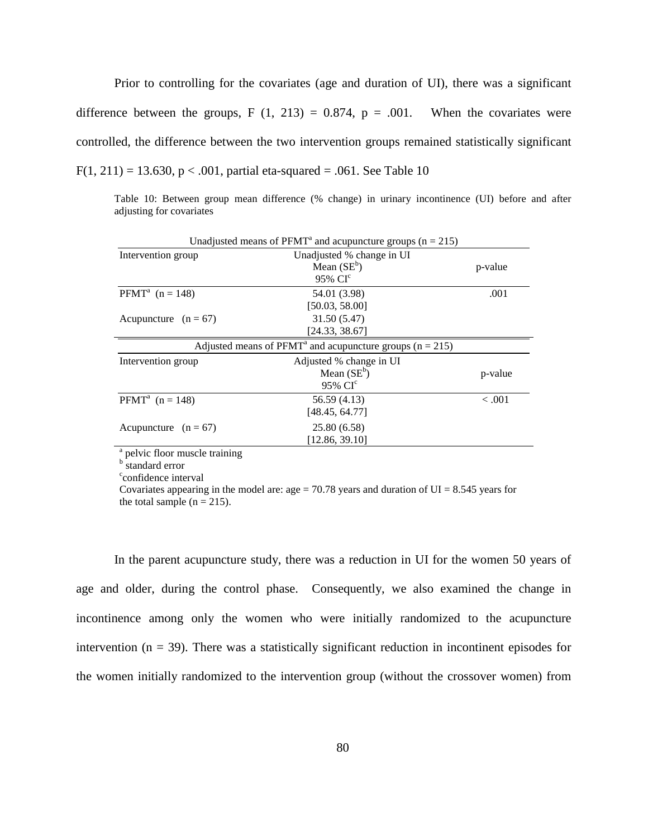Prior to controlling for the covariates (age and duration of UI), there was a significant difference between the groups, F  $(1, 213) = 0.874$ , p = .001. When the covariates were controlled, the difference between the two intervention groups remained statistically significant  $F(1, 211) = 13.630$ ,  $p < .001$ , partial eta-squared = .061. See Table 10

Table 10: Between group mean difference (% change) in urinary incontinence (UI) before and after adjusting for covariates

| Unadjusted means of PFMT <sup>a</sup> and acupuncture groups ( $n = 215$ ) |                                                                          |         |  |  |
|----------------------------------------------------------------------------|--------------------------------------------------------------------------|---------|--|--|
| Intervention group                                                         | Unadjusted % change in UI                                                |         |  |  |
|                                                                            | Mean $(SE^b)$                                                            | p-value |  |  |
|                                                                            | 95% CI <sup>c</sup>                                                      |         |  |  |
| <b>PFMT</b> <sup>a</sup> $(n = 148)$                                       | 54.01 (3.98)                                                             | .001    |  |  |
|                                                                            | [50.03, 58.00]                                                           |         |  |  |
| Acupuncture $(n = 67)$                                                     | 31.50 (5.47)                                                             |         |  |  |
|                                                                            | [24.33, 38.67]                                                           |         |  |  |
|                                                                            | Adjusted means of PFMT <sup>a</sup> and acupuncture groups ( $n = 215$ ) |         |  |  |
| Intervention group                                                         | Adjusted % change in UI                                                  |         |  |  |
|                                                                            | Mean $(SE^b)$                                                            | p-value |  |  |
|                                                                            | 95% CI <sup>c</sup>                                                      |         |  |  |
| <b>PFMT</b> <sup>a</sup> $(n = 148)$                                       | 56.59 (4.13)                                                             | $-.001$ |  |  |
|                                                                            | [48.45, 64.77]                                                           |         |  |  |
| Acupuncture $(n = 67)$                                                     | 25.80 (6.58)                                                             |         |  |  |
|                                                                            | [12.86, 39.10]                                                           |         |  |  |
|                                                                            |                                                                          |         |  |  |

 $\frac{a}{b}$  pelvic floor muscle training b standard error

<sup>c</sup>confidence interval

Covariates appearing in the model are: age =  $70.78$  years and duration of UI = 8.545 years for the total sample  $(n = 215)$ .

In the parent acupuncture study, there was a reduction in UI for the women 50 years of age and older, during the control phase. Consequently, we also examined the change in incontinence among only the women who were initially randomized to the acupuncture intervention ( $n = 39$ ). There was a statistically significant reduction in incontinent episodes for the women initially randomized to the intervention group (without the crossover women) from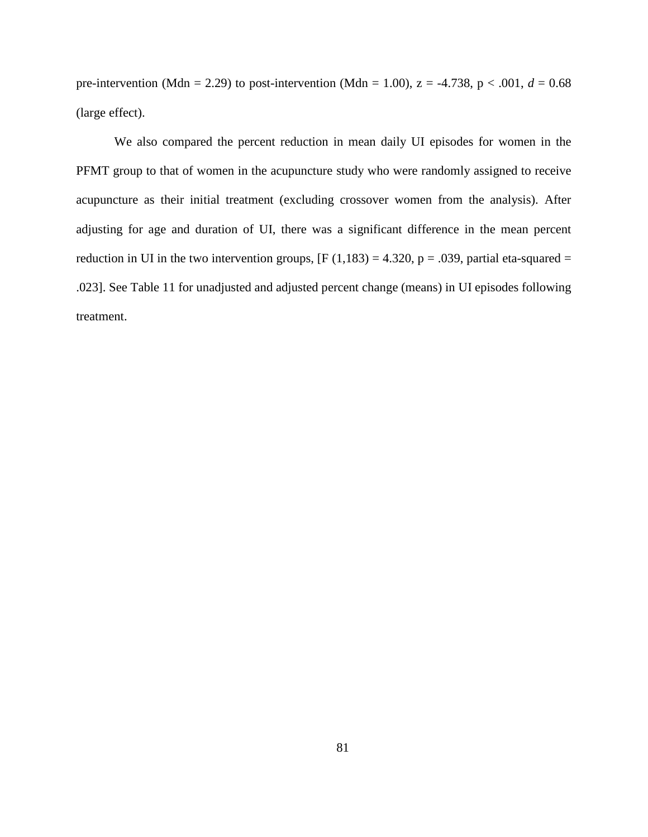pre-intervention (Mdn = 2.29) to post-intervention (Mdn = 1.00),  $z = -4.738$ ,  $p < .001$ ,  $d = 0.68$ (large effect).

We also compared the percent reduction in mean daily UI episodes for women in the PFMT group to that of women in the acupuncture study who were randomly assigned to receive acupuncture as their initial treatment (excluding crossover women from the analysis). After adjusting for age and duration of UI, there was a significant difference in the mean percent reduction in UI in the two intervention groups,  $[F (1,183) = 4.320, p = .039,$  partial eta-squared = .023]. See Table 11 for unadjusted and adjusted percent change (means) in UI episodes following treatment.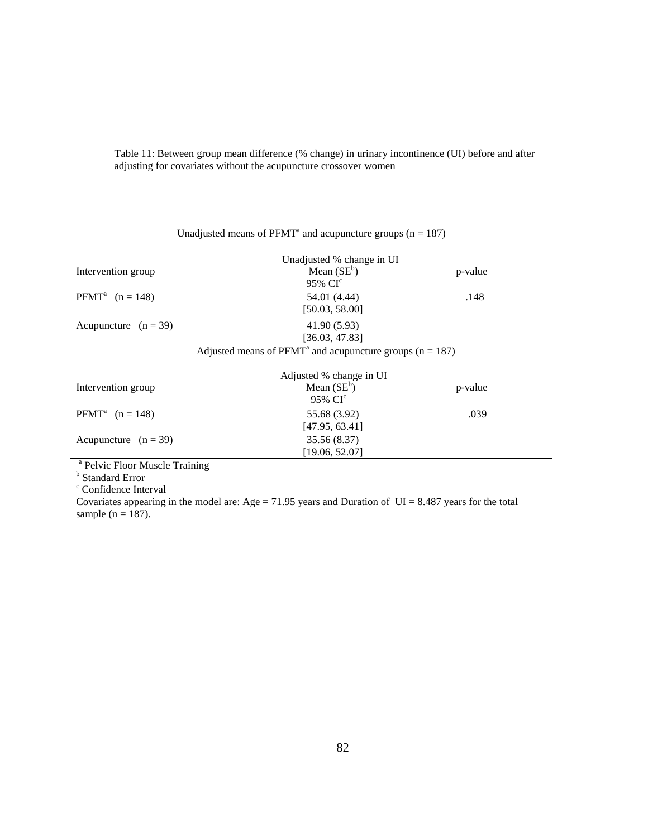|                                      | Unadjusted means of $P F M T^a$ and acupuncture groups ( $n = 187$ ) |         |  |
|--------------------------------------|----------------------------------------------------------------------|---------|--|
|                                      | Unadjusted % change in UI                                            |         |  |
| Intervention group                   | Mean $(SE^b)$<br>95% CI <sup>c</sup>                                 | p-value |  |
| <b>PFMT</b> <sup>a</sup> $(n = 148)$ | 54.01 (4.44)<br>[50.03, 58.00]                                       | .148    |  |
| Acupuncture $(n = 39)$               | 41.90 (5.93)<br>[36.03, 47.83]                                       |         |  |
|                                      | Adjusted means of $PFMT^a$ and acupuncture groups ( $n = 187$ )      |         |  |
| Intervention group                   | Adjusted % change in UI<br>M <sub>can</sub> (SE <sup>b</sup> )       | n voluo |  |

Table 11: Between group mean difference (% change) in urinary incontinence (UI) before and after adjusting for covariates without the acupuncture crossover women

|                                      | Adjusted % change in UI |         |
|--------------------------------------|-------------------------|---------|
| Intervention group                   | Mean $(SE^b)$           | p-value |
|                                      | 95% CI <sup>c</sup>     |         |
| <b>PFMT</b> <sup>a</sup> $(n = 148)$ | 55.68 (3.92)            | .039    |
|                                      | [47.95, 63.41]          |         |
| Acupuncture $(n = 39)$               | 35.56 (8.37)            |         |
|                                      | [19.06, 52.07]          |         |

<sup>a</sup> Pelvic Floor Muscle Training<br><sup>b</sup> Standard Error<br><sup>c</sup> Confidence Interval

Covariates appearing in the model are: Age =  $71.95$  years and Duration of UI = 8.487 years for the total sample ( $n = 187$ ).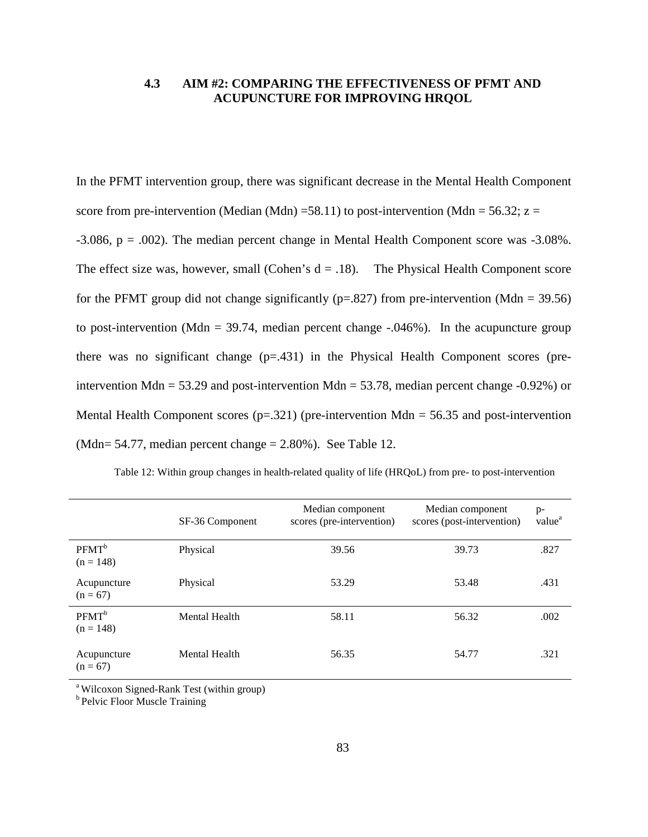# **4.3 AIM #2: COMPARING THE EFFECTIVENESS OF PFMT AND ACUPUNCTURE FOR IMPROVING HRQOL**

In the PFMT intervention group, there was significant decrease in the Mental Health Component score from pre-intervention (Median (Mdn) =58.11) to post-intervention (Mdn = 56.32;  $z =$  $-3.086$ ,  $p = .002$ ). The median percent change in Mental Health Component score was  $-3.08\%$ . The effect size was, however, small (Cohen's  $d = .18$ ). The Physical Health Component score for the PFMT group did not change significantly ( $p=.827$ ) from pre-intervention (Mdn = 39.56) to post-intervention (Mdn = 39.74, median percent change  $-.046%$ ). In the acupuncture group there was no significant change (p=.431) in the Physical Health Component scores (preintervention Mdn = 53.29 and post-intervention Mdn = 53.78, median percent change  $-0.92\%$ ) or Mental Health Component scores  $(p=.321)$  (pre-intervention Mdn = 56.35 and post-intervention (Mdn= 54.77, median percent change  $= 2.80\%$ ). See Table 12.

|                                  | SF-36 Component | Median component<br>scores (pre-intervention) | Median component<br>scores (post-intervention) | $p-$<br>value <sup>a</sup> |
|----------------------------------|-----------------|-----------------------------------------------|------------------------------------------------|----------------------------|
| PFMT <sup>b</sup><br>$(n = 148)$ | Physical        | 39.56                                         | 39.73                                          | .827                       |
| Acupuncture<br>$(n = 67)$        | Physical        | 53.29                                         | 53.48                                          | .431                       |
| PFMT <sup>b</sup><br>$(n = 148)$ | Mental Health   | 58.11                                         | 56.32                                          | .002                       |
| Acupuncture<br>$(n = 67)$        | Mental Health   | 56.35                                         | 54.77                                          | .321                       |

Table 12: Within group changes in health-related quality of life (HRQoL) from pre- to post-intervention

<sup>a</sup> Wilcoxon Signed-Rank Test (within group)

<sup>b</sup> Pelvic Floor Muscle Training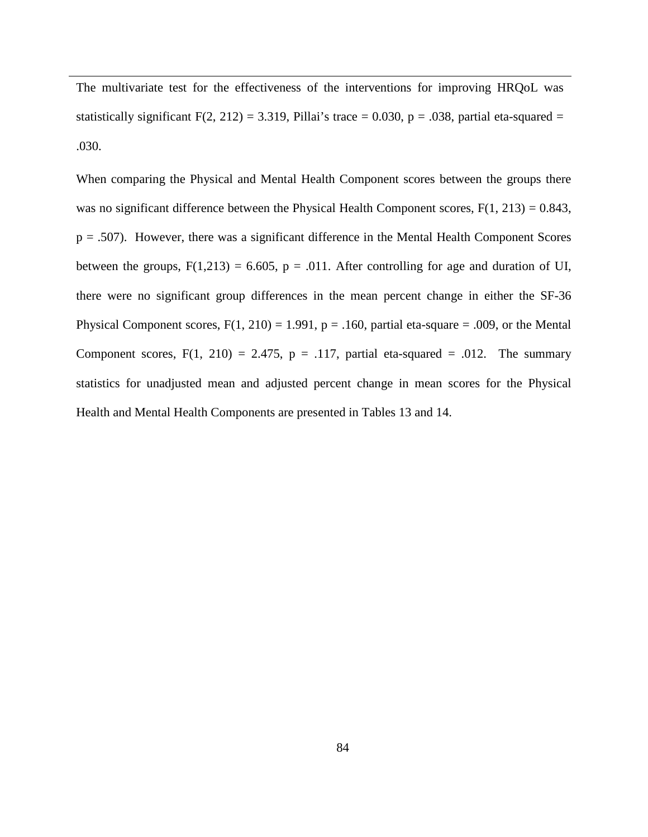The multivariate test for the effectiveness of the interventions for improving HRQoL was statistically significant  $F(2, 212) = 3.319$ , Pillai's trace = 0.030, p = .038, partial eta-squared = .030.

When comparing the Physical and Mental Health Component scores between the groups there was no significant difference between the Physical Health Component scores,  $F(1, 213) = 0.843$ ,  $p = .507$ ). However, there was a significant difference in the Mental Health Component Scores between the groups,  $F(1,213) = 6.605$ ,  $p = .011$ . After controlling for age and duration of UI, there were no significant group differences in the mean percent change in either the SF-36 Physical Component scores,  $F(1, 210) = 1.991$ ,  $p = .160$ , partial eta-square = .009, or the Mental Component scores,  $F(1, 210) = 2.475$ ,  $p = .117$ , partial eta-squared = .012. The summary statistics for unadjusted mean and adjusted percent change in mean scores for the Physical Health and Mental Health Components are presented in Tables 13 and 14.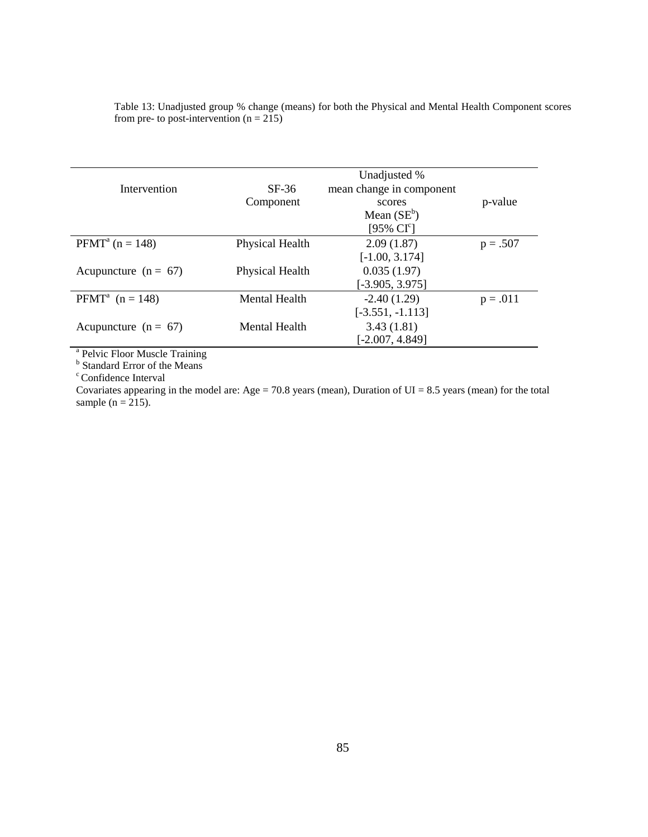Table 13: Unadjusted group % change (means) for both the Physical and Mental Health Component scores from pre- to post-intervention  $(n = 215)$ 

|                                        |                 | Unadjusted %             |            |
|----------------------------------------|-----------------|--------------------------|------------|
| Intervention                           | $SF-36$         | mean change in component |            |
|                                        | Component       | scores                   | p-value    |
|                                        |                 | Mean $(SE^b)$            |            |
|                                        |                 | [95% $CIc$ ]             |            |
| <b>PFMT</b> <sup>a</sup> ( $n = 148$ ) | Physical Health | 2.09(1.87)               | $p = .507$ |
|                                        |                 | $[-1.00, 3.174]$         |            |
| Acupuncture ( $n = 67$ )               | Physical Health | 0.035(1.97)              |            |
|                                        |                 | $[-3.905, 3.975]$        |            |
| <b>PFMT</b> <sup>a</sup> $(n = 148)$   | Mental Health   | $-2.40(1.29)$            | $p = .011$ |
|                                        |                 | $[-3.551, -1.113]$       |            |
| Acupuncture ( $n = 67$ )               | Mental Health   | 3.43(1.81)               |            |
|                                        |                 | $[-2.007, 4.849]$        |            |

<sup>a</sup> Pelvic Floor Muscle Training<br><sup>b</sup> Standard Error of the Means c Confidence Interval

Covariates appearing in the model are: Age =  $70.8$  years (mean), Duration of UI =  $8.5$  years (mean) for the total sample ( $n = 215$ ).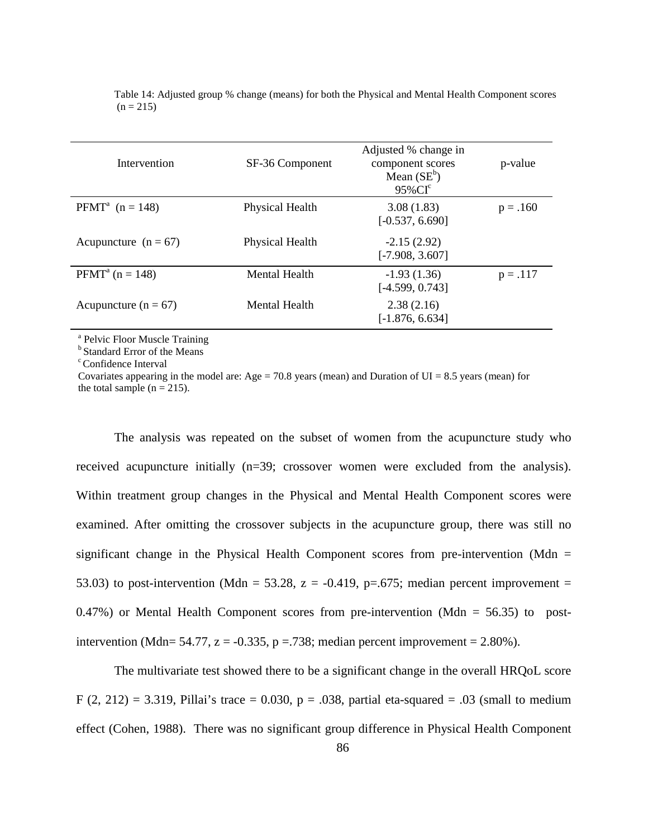| Intervention                         | SF-36 Component        | Adjusted % change in<br>component scores<br>Mean $(SE^b)$<br>$95\%$ CI <sup>c</sup> | p-value    |
|--------------------------------------|------------------------|-------------------------------------------------------------------------------------|------------|
| <b>PFMT</b> <sup>a</sup> $(n = 148)$ | <b>Physical Health</b> | 3.08(1.83)<br>$[-0.537, 6.690]$                                                     | $p = .160$ |
| Acupuncture $(n = 67)$               | Physical Health        | $-2.15(2.92)$<br>$[-7.908, 3.607]$                                                  |            |
| $PFMTa$ (n = 148)                    | Mental Health          | $-1.93(1.36)$<br>$[-4.599, 0.743]$                                                  | $p = .117$ |
| Acupuncture ( $n = 67$ )             | Mental Health          | 2.38(2.16)<br>$[-1.876, 6.634]$                                                     |            |

Table 14: Adjusted group % change (means) for both the Physical and Mental Health Component scores  $(n = 215)$ 

<sup>a</sup> Pelvic Floor Muscle Training

<sup>b</sup> Standard Error of the Means

c Confidence Interval

Covariates appearing in the model are: Age = 70.8 years (mean) and Duration of UI = 8.5 years (mean) for the total sample ( $n = 215$ ).

The analysis was repeated on the subset of women from the acupuncture study who received acupuncture initially (n=39; crossover women were excluded from the analysis). Within treatment group changes in the Physical and Mental Health Component scores were examined. After omitting the crossover subjects in the acupuncture group, there was still no significant change in the Physical Health Component scores from pre-intervention (Mdn  $=$ 53.03) to post-intervention (Mdn = 53.28, z = -0.419, p=.675; median percent improvement =  $0.47\%$ ) or Mental Health Component scores from pre-intervention (Mdn = 56.35) to postintervention (Mdn= 54.77,  $z = -0.335$ ,  $p = 738$ ; median percent improvement = 2.80%).

The multivariate test showed there to be a significant change in the overall HRQoL score F (2, 212) = 3.319, Pillai's trace = 0.030,  $p = .038$ , partial eta-squared = .03 (small to medium effect (Cohen, 1988). There was no significant group difference in Physical Health Component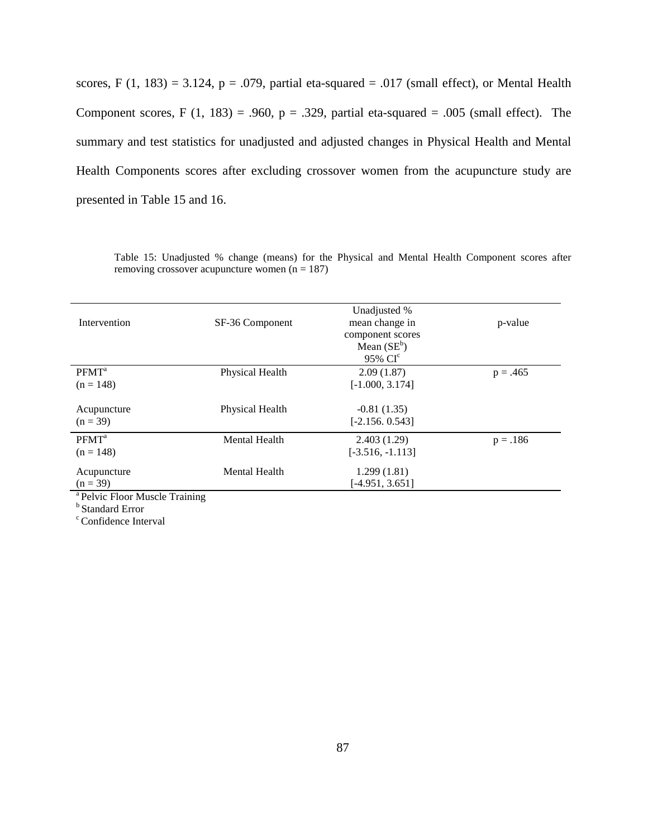scores, F (1, 183) = 3.124, p = .079, partial eta-squared = .017 (small effect), or Mental Health Component scores, F (1, 183) = .960,  $p = .329$ , partial eta-squared = .005 (small effect). The summary and test statistics for unadjusted and adjusted changes in Physical Health and Mental Health Components scores after excluding crossover women from the acupuncture study are presented in Table 15 and 16.

Table 15: Unadjusted % change (means) for the Physical and Mental Health Component scores after removing crossover acupuncture women  $(n = 187)$ 

| Intervention                          | SF-36 Component      | Unadjusted %<br>mean change in<br>component scores | p-value    |
|---------------------------------------|----------------------|----------------------------------------------------|------------|
|                                       |                      | Mean $(SE^b)$                                      |            |
|                                       |                      | 95% CI <sup>c</sup>                                |            |
| PFMT <sup>a</sup>                     | Physical Health      | 2.09(1.87)                                         | $p = .465$ |
| $(n = 148)$                           |                      | $[-1.000, 3.174]$                                  |            |
| Acupuncture                           | Physical Health      | $-0.81(1.35)$                                      |            |
| $(n = 39)$                            |                      | $[-2.156.0.543]$                                   |            |
| PFMT <sup>a</sup>                     | <b>Mental Health</b> | 2.403(1.29)                                        | $p = .186$ |
| $(n = 148)$                           |                      | $[-3.516, -1.113]$                                 |            |
| Acupuncture                           | <b>Mental Health</b> | 1.299(1.81)                                        |            |
| $(n = 39)$                            |                      | $[-4.951, 3.651]$                                  |            |
| $\Delta$ Delvie Elega Musele Treining |                      |                                                    |            |

Pelvic Floor Muscle Training

b Standard Error

<sup>c</sup> Confidence Interval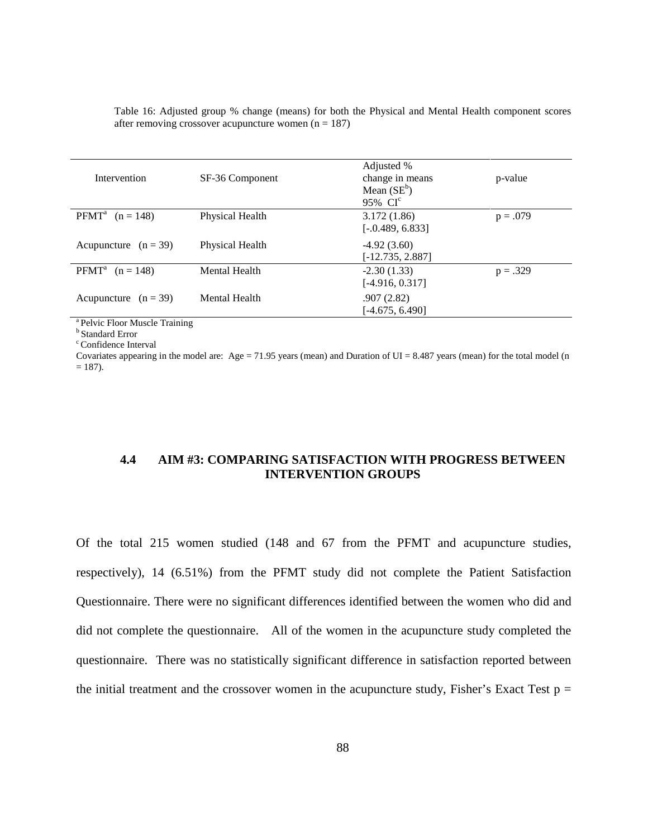| Intervention                         | SF-36 Component      | Adjusted %<br>change in means<br>Mean $(SE^b)$<br>95% CI <sup>c</sup> | p-value    |
|--------------------------------------|----------------------|-----------------------------------------------------------------------|------------|
| <b>PFMT</b> <sup>a</sup> $(n = 148)$ | Physical Health      | 3.172(1.86)<br>$[-0.489, 6.833]$                                      | $p = .079$ |
| Acupuncture $(n = 39)$               | Physical Health      | $-4.92(3.60)$<br>$[-12.735, 2.887]$                                   |            |
| <b>PFMT</b> <sup>a</sup> $(n = 148)$ | <b>Mental Health</b> | $-2.30(1.33)$<br>$[-4.916, 0.317]$                                    | $p = .329$ |
| Acupuncture $(n = 39)$               | Mental Health        | .907(2.82)<br>$[-4.675, 6.490]$                                       |            |

Table 16: Adjusted group % change (means) for both the Physical and Mental Health component scores after removing crossover acupuncture women  $(n = 187)$ 

<sup>a</sup> Pelvic Floor Muscle Training

**b** Standard Error

<sup>c</sup> Confidence Interval

Covariates appearing in the model are: Age = 71.95 years (mean) and Duration of UI = 8.487 years (mean) for the total model (n  $= 187$ ).

# **4.4 AIM #3: COMPARING SATISFACTION WITH PROGRESS BETWEEN INTERVENTION GROUPS**

Of the total 215 women studied (148 and 67 from the PFMT and acupuncture studies, respectively), 14 (6.51%) from the PFMT study did not complete the Patient Satisfaction Questionnaire. There were no significant differences identified between the women who did and did not complete the questionnaire. All of the women in the acupuncture study completed the questionnaire. There was no statistically significant difference in satisfaction reported between the initial treatment and the crossover women in the acupuncture study, Fisher's Exact Test  $p =$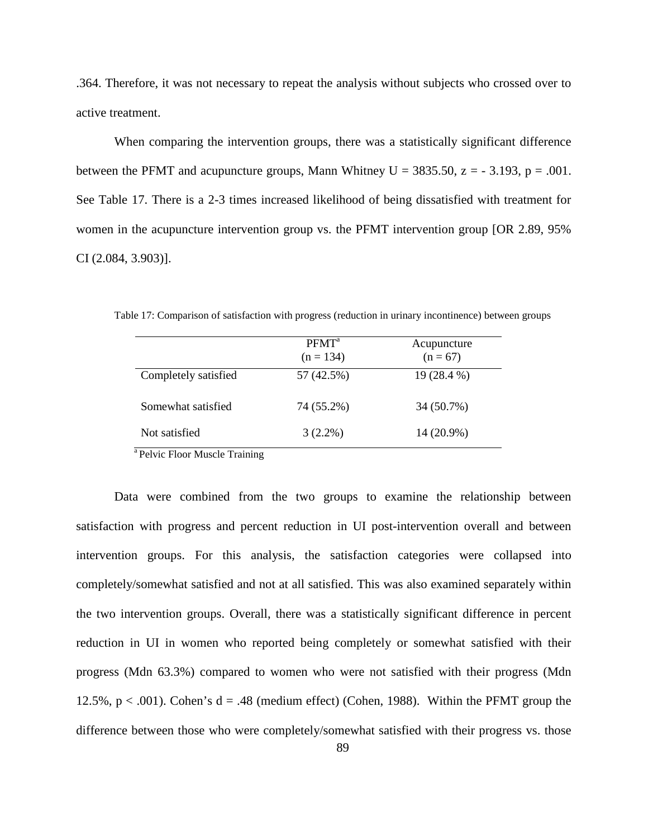.364. Therefore, it was not necessary to repeat the analysis without subjects who crossed over to active treatment.

When comparing the intervention groups, there was a statistically significant difference between the PFMT and acupuncture groups, Mann Whitney U =  $3835.50$ ,  $z = -3.193$ ,  $p = .001$ . See Table 17. There is a 2-3 times increased likelihood of being dissatisfied with treatment for women in the acupuncture intervention group vs. the PFMT intervention group [OR 2.89, 95% CI (2.084, 3.903)].

|                      | PFMT <sup>a</sup><br>$(n = 134)$ | Acupuncture<br>$(n = 67)$ |
|----------------------|----------------------------------|---------------------------|
| Completely satisfied | 57 (42.5%)                       | 19 (28.4 %)               |
| Somewhat satisfied   | 74 (55.2%)                       | 34 (50.7%)                |
| Not satisfied        | $3(2.2\%)$                       | 14 (20.9%)                |

Table 17: Comparison of satisfaction with progress (reduction in urinary incontinence) between groups

<sup>a</sup> Pelvic Floor Muscle Training

Data were combined from the two groups to examine the relationship between satisfaction with progress and percent reduction in UI post-intervention overall and between intervention groups. For this analysis, the satisfaction categories were collapsed into completely/somewhat satisfied and not at all satisfied. This was also examined separately within the two intervention groups. Overall, there was a statistically significant difference in percent reduction in UI in women who reported being completely or somewhat satisfied with their progress (Mdn 63.3%) compared to women who were not satisfied with their progress (Mdn 12.5%,  $p < .001$ ). Cohen's  $d = .48$  (medium effect) (Cohen, 1988). Within the PFMT group the difference between those who were completely/somewhat satisfied with their progress vs. those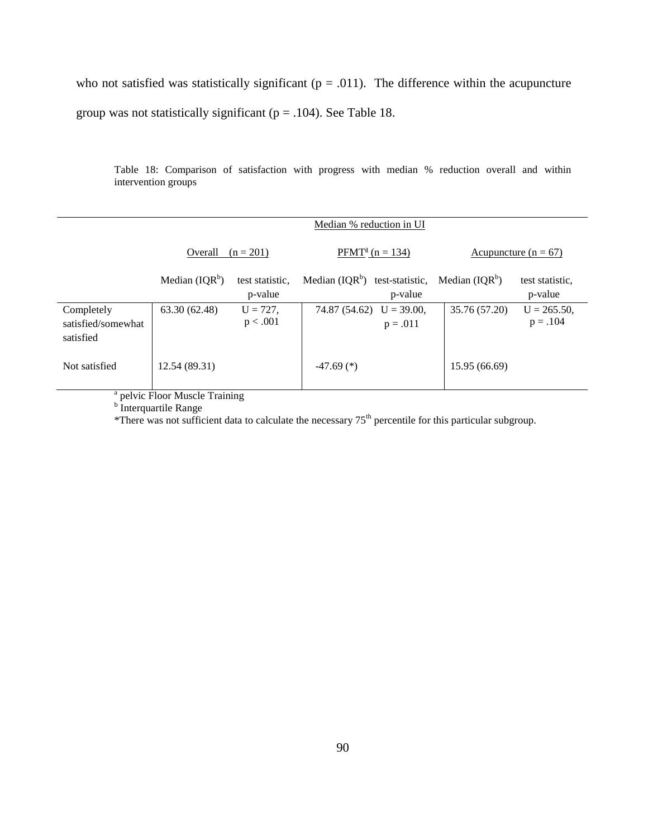who not satisfied was statistically significant ( $p = .011$ ). The difference within the acupuncture group was not statistically significant ( $p = .104$ ). See Table 18.

Table 18: Comparison of satisfaction with progress with median % reduction overall and within intervention groups

|                                               |                  |                            | Median % reduction in UI         |                             |                   |                                 |
|-----------------------------------------------|------------------|----------------------------|----------------------------------|-----------------------------|-------------------|---------------------------------|
|                                               | Overall          | $(n = 201)$                |                                  | $PFMT^a$ (n = 134)          |                   | <u>Acupuncture</u> ( $n = 67$ ) |
|                                               | Median $(IQR^b)$ | test statistic,<br>p-value | Median $(IQR^b)$ test-statistic, | p-value                     | Median $( IQR^b)$ | test statistic.<br>p-value      |
| Completely<br>satisfied/somewhat<br>satisfied | 63.30 (62.48)    | $U = 727,$<br>p < .001     | 74.87 (54.62)                    | $U = 39.00$ ,<br>$p = .011$ | 35.76 (57.20)     | $U = 265.50$ ,<br>$p = .104$    |
| Not satisfied                                 | 12.54 (89.31)    |                            | $-47.69$ (*)                     |                             | 15.95 (66.69)     |                                 |

 $a<sup>b</sup>$  pelvic Floor Muscle Training b Interquartile Range

\*There was not sufficient data to calculate the necessary 75<sup>th</sup> percentile for this particular subgroup.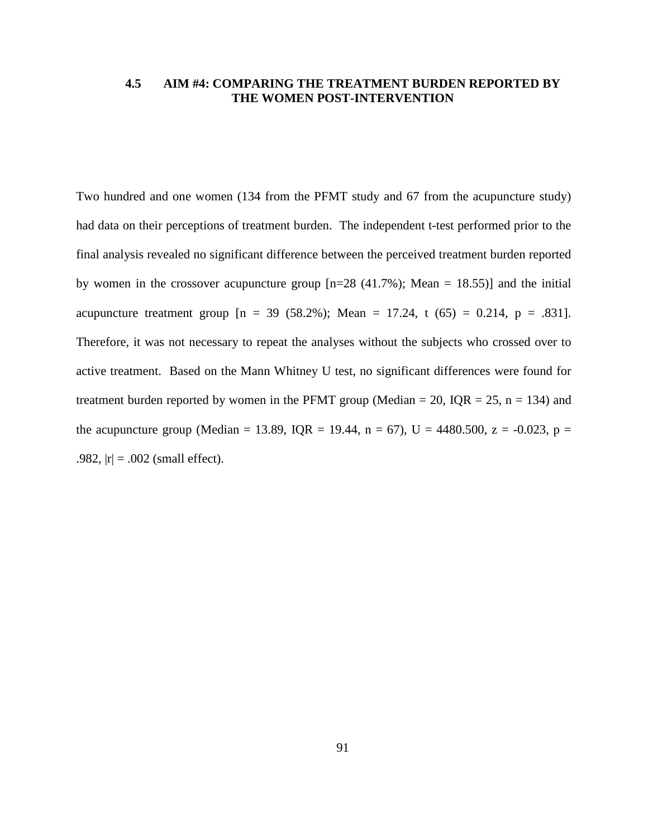## **4.5 AIM #4: COMPARING THE TREATMENT BURDEN REPORTED BY THE WOMEN POST-INTERVENTION**

Two hundred and one women (134 from the PFMT study and 67 from the acupuncture study) had data on their perceptions of treatment burden. The independent t-test performed prior to the final analysis revealed no significant difference between the perceived treatment burden reported by women in the crossover acupuncture group  $[n=28 (41.7\%)$ ; Mean = 18.55) and the initial acupuncture treatment group  $[n = 39 (58.2\%)$ ; Mean = 17.24, t  $(65) = 0.214$ , p = .831. Therefore, it was not necessary to repeat the analyses without the subjects who crossed over to active treatment. Based on the Mann Whitney U test, no significant differences were found for treatment burden reported by women in the PFMT group (Median = 20, IQR = 25, n = 134) and the acupuncture group (Median = 13.89, IQR = 19.44, n = 67), U = 4480.500, z = -0.023, p = .982,  $|r| = .002$  (small effect).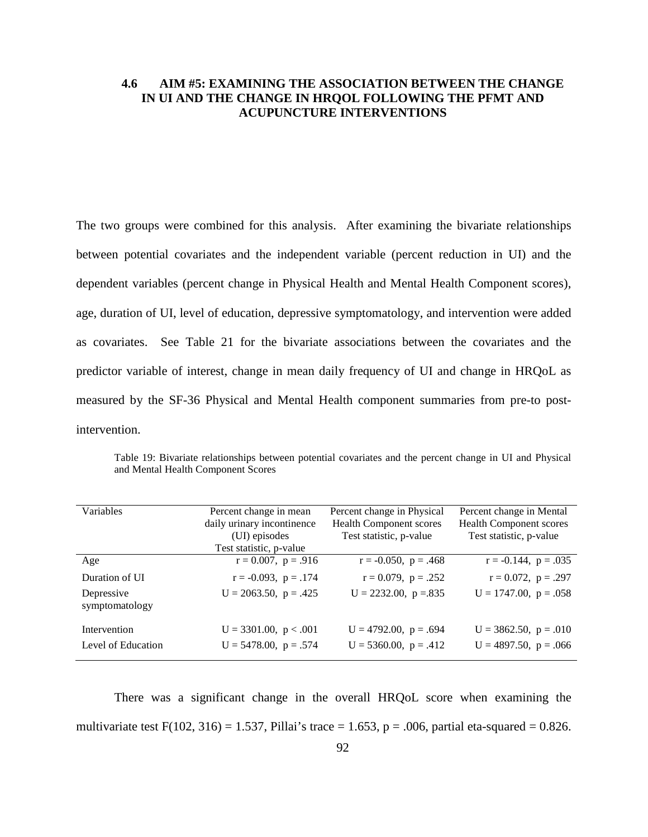# **4.6 AIM #5: EXAMINING THE ASSOCIATION BETWEEN THE CHANGE IN UI AND THE CHANGE IN HRQOL FOLLOWING THE PFMT AND ACUPUNCTURE INTERVENTIONS**

The two groups were combined for this analysis. After examining the bivariate relationships between potential covariates and the independent variable (percent reduction in UI) and the dependent variables (percent change in Physical Health and Mental Health Component scores), age, duration of UI, level of education, depressive symptomatology, and intervention were added as covariates. See Table 21 for the bivariate associations between the covariates and the predictor variable of interest, change in mean daily frequency of UI and change in HRQoL as measured by the SF-36 Physical and Mental Health component summaries from pre-to postintervention.

| Variables                    | Percent change in mean<br>daily urinary incontinence<br>(UI) episodes<br>Test statistic, p-value | Percent change in Physical<br><b>Health Component scores</b><br>Test statistic, p-value | Percent change in Mental<br><b>Health Component scores</b><br>Test statistic, p-value |
|------------------------------|--------------------------------------------------------------------------------------------------|-----------------------------------------------------------------------------------------|---------------------------------------------------------------------------------------|
| Age                          | $r = 0.007$ , $p = .916$                                                                         | $r = -0.050$ , $p = .468$                                                               | $r = -0.144$ , $p = .035$                                                             |
| Duration of UI               | $r = -0.093$ , $p = .174$                                                                        | $r = 0.079$ , $p = .252$                                                                | $r = 0.072$ , $p = .297$                                                              |
| Depressive<br>symptomatology | $U = 2063.50$ , $p = .425$                                                                       | $U = 2232.00$ , $p = 835$                                                               | $U = 1747.00$ , $p = .058$                                                            |
| Intervention                 | $U = 3301.00$ , $p < .001$                                                                       | $U = 4792.00$ , $p = .694$                                                              | $U = 3862.50$ , $p = .010$                                                            |
| Level of Education           | $U = 5478.00$ , $p = .574$                                                                       | $U = 5360.00$ , $p = .412$                                                              | $U = 4897.50$ , $p = .066$                                                            |

Table 19: Bivariate relationships between potential covariates and the percent change in UI and Physical and Mental Health Component Scores

There was a significant change in the overall HRQoL score when examining the multivariate test  $F(102, 316) = 1.537$ , Pillai's trace = 1.653, p = .006, partial eta-squared = 0.826.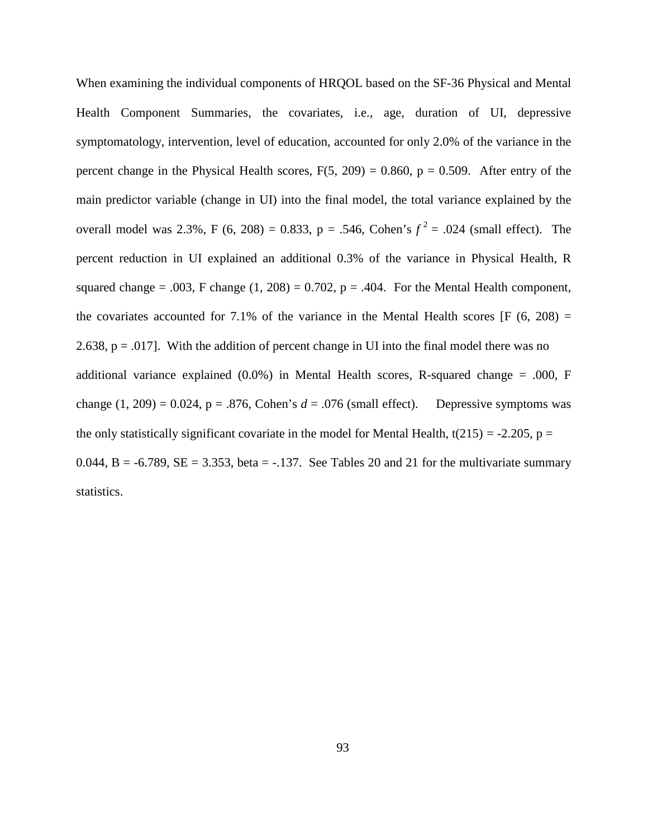When examining the individual components of HRQOL based on the SF-36 Physical and Mental Health Component Summaries, the covariates, i.e., age, duration of UI, depressive symptomatology, intervention, level of education, accounted for only 2.0% of the variance in the percent change in the Physical Health scores,  $F(5, 209) = 0.860$ ,  $p = 0.509$ . After entry of the main predictor variable (change in UI) into the final model, the total variance explained by the overall model was 2.3%, F (6, 208) = 0.833, p = .546, Cohen's  $f^2$  = .024 (small effect). The percent reduction in UI explained an additional 0.3% of the variance in Physical Health, R squared change = .003, F change  $(1, 208) = 0.702$ ,  $p = .404$ . For the Mental Health component, the covariates accounted for 7.1% of the variance in the Mental Health scores  $[F (6, 208) =$ 2.638,  $p = .017$ . With the addition of percent change in UI into the final model there was no additional variance explained  $(0.0\%)$  in Mental Health scores, R-squared change = .000, F change  $(1, 209) = 0.024$ ,  $p = .876$ , Cohen's  $d = .076$  (small effect). Depressive symptoms was the only statistically significant covariate in the model for Mental Health,  $t(215) = -2.205$ ,  $p =$ 0.044, B = -6.789, SE = 3.353, beta = -.137. See Tables 20 and 21 for the multivariate summary statistics.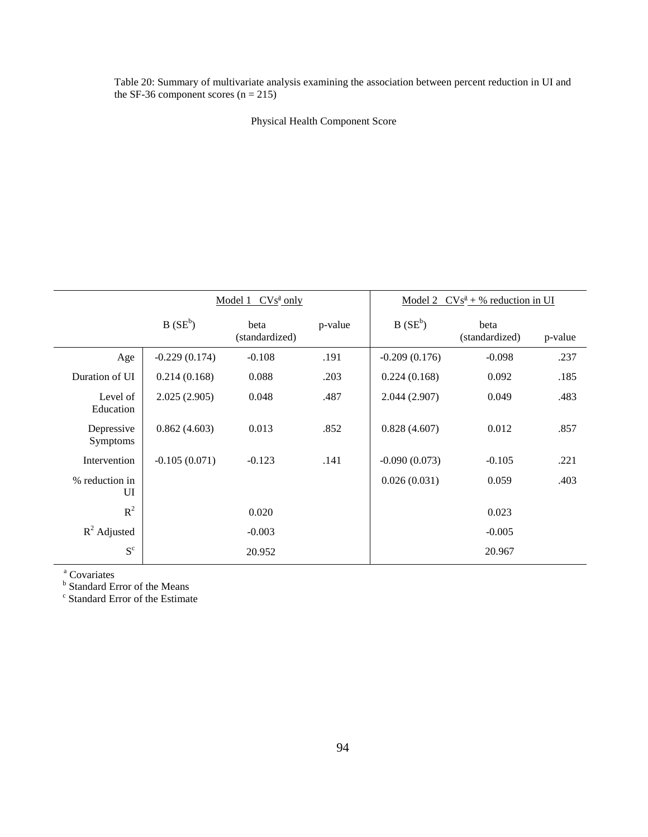Table 20: Summary of multivariate analysis examining the association between percent reduction in UI and the SF-36 component scores  $(n = 215)$ 

Physical Health Component Score

|                        | $CVs^2$ only<br>Model 1 |                        |         | Model 2<br>$CVs^{\underline{a}} + \%$ reduction in UI |                        |         |
|------------------------|-------------------------|------------------------|---------|-------------------------------------------------------|------------------------|---------|
|                        | $B(SE^b)$               | beta<br>(standardized) | p-value | $B(SE^b)$                                             | beta<br>(standardized) | p-value |
| Age                    | $-0.229(0.174)$         | $-0.108$               | .191    | $-0.209(0.176)$                                       | $-0.098$               | .237    |
| Duration of UI         | 0.214(0.168)            | 0.088                  | .203    | 0.224(0.168)                                          | 0.092                  | .185    |
| Level of<br>Education  | 2.025(2.905)            | 0.048                  | .487    | 2.044(2.907)                                          | 0.049                  | .483    |
| Depressive<br>Symptoms | 0.862(4.603)            | 0.013                  | .852    | 0.828(4.607)                                          | 0.012                  | .857    |
| Intervention           | $-0.105(0.071)$         | $-0.123$               | .141    | $-0.090(0.073)$                                       | $-0.105$               | .221    |
| % reduction in<br>UI   |                         |                        |         | 0.026(0.031)                                          | 0.059                  | .403    |
| $R^2$                  |                         | 0.020                  |         |                                                       | 0.023                  |         |
| $R^2$ Adjusted         |                         | $-0.003$               |         |                                                       | $-0.005$               |         |
| $S^c$                  |                         | 20.952                 |         |                                                       | 20.967                 |         |

<sup>a</sup> Covariates<br><sup>b</sup> Standard Error of the Means<br><sup>c</sup> Standard Error of the Estimate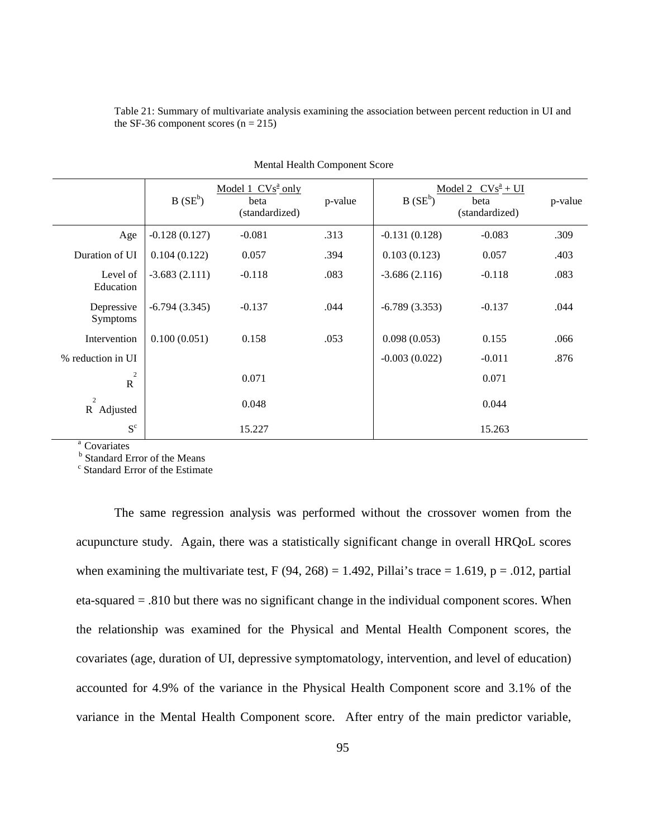| Table 21: Summary of multivariate analysis examining the association between percent reduction in UI and |  |  |
|----------------------------------------------------------------------------------------------------------|--|--|
| the SF-36 component scores $(n = 215)$                                                                   |  |  |

|                                  | $B(SE^b)$       | Model 1 $CVsa$ only<br>beta<br>(standardized) | p-value | $B(SE^b)$       | Model 2 $CVs^a + UI$<br>beta<br>(standardized) | p-value |
|----------------------------------|-----------------|-----------------------------------------------|---------|-----------------|------------------------------------------------|---------|
| Age                              | $-0.128(0.127)$ | $-0.081$                                      | .313    | $-0.131(0.128)$ | $-0.083$                                       | .309    |
| Duration of UI                   | 0.104(0.122)    | 0.057                                         | .394    | 0.103(0.123)    | 0.057                                          | .403    |
| Level of<br>Education            | $-3.683(2.111)$ | $-0.118$                                      | .083    | $-3.686(2.116)$ | $-0.118$                                       | .083    |
| Depressive<br><b>Symptoms</b>    | $-6.794(3.345)$ | $-0.137$                                      | .044    | $-6.789(3.353)$ | $-0.137$                                       | .044    |
| Intervention                     | 0.100(0.051)    | 0.158                                         | .053    | 0.098(0.053)    | 0.155                                          | .066    |
| % reduction in UI                |                 |                                               |         | $-0.003(0.022)$ | $-0.011$                                       | .876    |
| $\boldsymbol{2}$<br>$\mathbb{R}$ |                 | 0.071                                         |         |                 | 0.071                                          |         |
| $\overline{c}$<br>R Adjusted     |                 | 0.048                                         |         |                 | 0.044                                          |         |
| $\mathbf{S}^\mathrm{c}$          |                 | 15.227                                        |         |                 | 15.263                                         |         |

| Mental Health Component Score |
|-------------------------------|
|-------------------------------|

<sup>a</sup> Covariates<br><sup>b</sup> Standard Error of the Means<br><sup>c</sup> Standard Error of the Estimate

The same regression analysis was performed without the crossover women from the acupuncture study. Again, there was a statistically significant change in overall HRQoL scores when examining the multivariate test,  $F(94, 268) = 1.492$ , Pillai's trace = 1.619, p = .012, partial eta-squared = .810 but there was no significant change in the individual component scores. When the relationship was examined for the Physical and Mental Health Component scores, the covariates (age, duration of UI, depressive symptomatology, intervention, and level of education) accounted for 4.9% of the variance in the Physical Health Component score and 3.1% of the variance in the Mental Health Component score. After entry of the main predictor variable,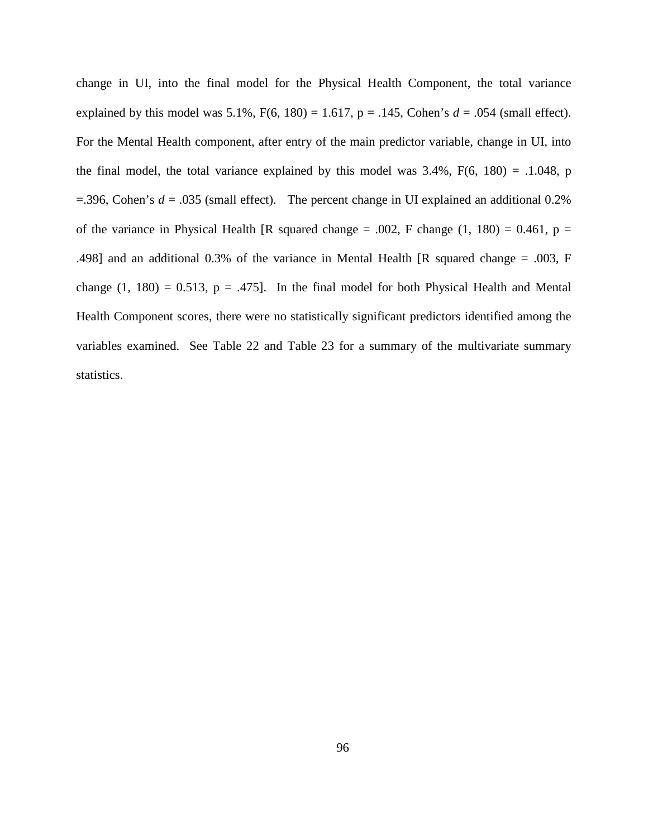change in UI, into the final model for the Physical Health Component, the total variance explained by this model was  $5.1\%$ ,  $F(6, 180) = 1.617$ ,  $p = .145$ , Cohen's  $d = .054$  (small effect). For the Mental Health component, after entry of the main predictor variable, change in UI, into the final model, the total variance explained by this model was  $3.4\%$ ,  $F(6, 180) = .1.048$ , p  $=$ .396, Cohen's  $d = .035$  (small effect). The percent change in UI explained an additional 0.2% of the variance in Physical Health [R squared change = .002, F change  $(1, 180) = 0.461$ , p = .498] and an additional 0.3% of the variance in Mental Health [R squared change = .003, F change  $(1, 180) = 0.513$ ,  $p = .475$ ]. In the final model for both Physical Health and Mental Health Component scores, there were no statistically significant predictors identified among the variables examined. See Table 22 and Table 23 for a summary of the multivariate summary statistics.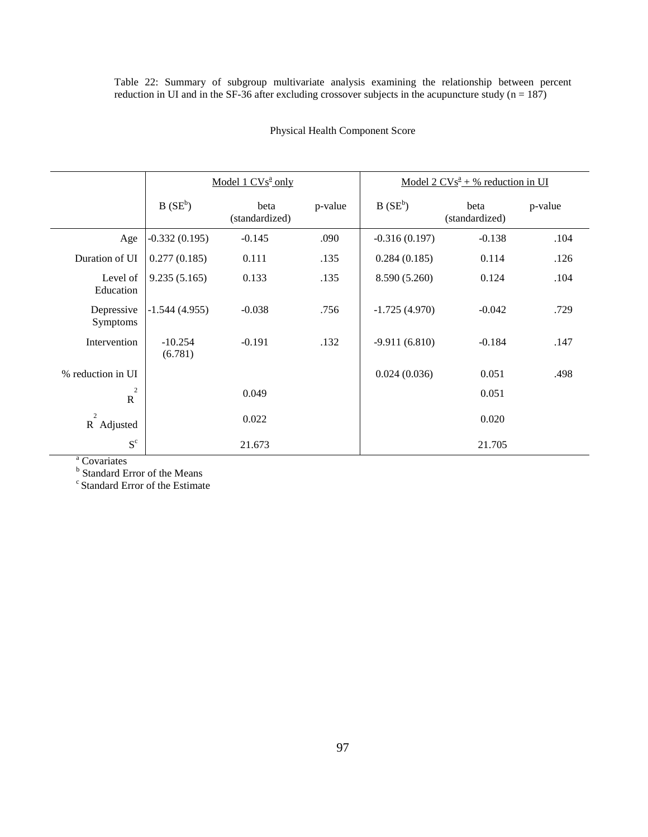Table 22: Summary of subgroup multivariate analysis examining the relationship between percent reduction in UI and in the SF-36 after excluding crossover subjects in the acupuncture study  $(n = 187)$ 

|                               |                      | Model 1 $CVs^2$ only   |         | <u>Model 2 <math>CVs^2 + %</math> reduction in UI</u> |                        |         |  |
|-------------------------------|----------------------|------------------------|---------|-------------------------------------------------------|------------------------|---------|--|
|                               | $B(SE^b)$            | beta<br>(standardized) | p-value | $B(SE^b)$                                             | beta<br>(standardized) | p-value |  |
| Age                           | $-0.332(0.195)$      | $-0.145$               | .090    | $-0.316(0.197)$                                       | $-0.138$               | .104    |  |
| Duration of UI                | 0.277(0.185)         | 0.111                  | .135    | 0.284(0.185)                                          | 0.114                  | .126    |  |
| Level of<br>Education         | 9.235(5.165)         | 0.133                  | .135    | 8.590 (5.260)                                         | 0.124                  | .104    |  |
| Depressive<br>Symptoms        | $-1.544(4.955)$      | $-0.038$               | .756    | $-1.725(4.970)$                                       | $-0.042$               | .729    |  |
| Intervention                  | $-10.254$<br>(6.781) | $-0.191$               | .132    | $-9.911(6.810)$                                       | $-0.184$               | .147    |  |
| % reduction in UI             |                      |                        |         | 0.024(0.036)                                          | 0.051                  | .498    |  |
| $\overline{c}$<br>$\mathbf R$ |                      | 0.049                  |         |                                                       | 0.051                  |         |  |
| $\overline{c}$<br>R Adjusted  |                      | 0.022                  |         |                                                       | 0.020                  |         |  |
| $S^c$                         |                      | 21.673                 |         |                                                       | 21.705                 |         |  |

# Physical Health Component Score

<sup>a</sup> Covariates<br><sup>b</sup> Standard Error of the Means<br><sup>c</sup> Standard Error of the Estimate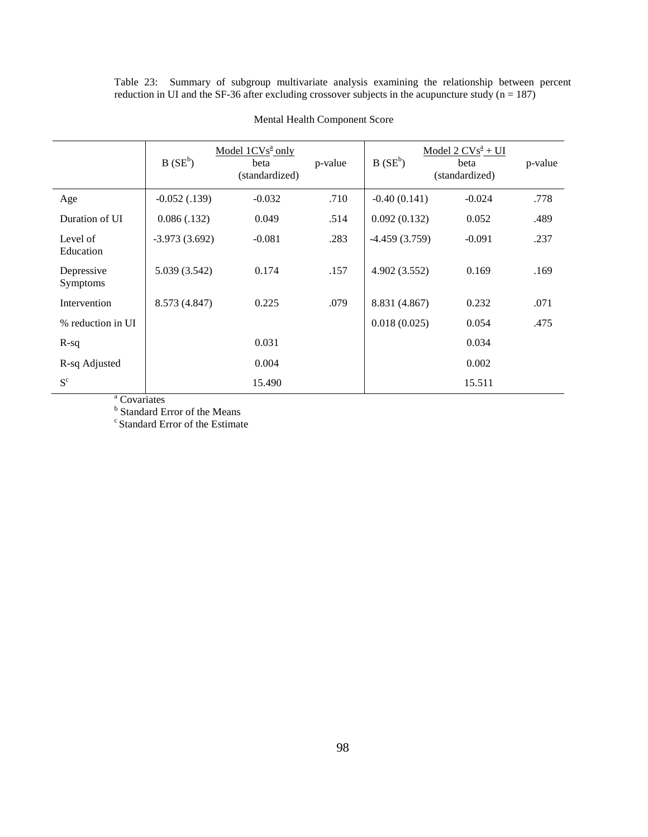Table 23: Summary of subgroup multivariate analysis examining the relationship between percent reduction in UI and the SF-36 after excluding crossover subjects in the acupuncture study  $(n = 187)$ 

|                        | $B(SE^b)$       | Model $1CVs^2$ only<br>beta<br>(standardized) | p-value | $B(SE^b)$       | Model $2 CVs^{\underline{a}} + UI$<br>beta<br>(standardized) | p-value |
|------------------------|-----------------|-----------------------------------------------|---------|-----------------|--------------------------------------------------------------|---------|
| Age                    | $-0.052(0.139)$ | $-0.032$                                      | .710    | $-0.40(0.141)$  | $-0.024$                                                     | .778    |
| Duration of UI         | 0.086(0.132)    | 0.049                                         | .514    | 0.092(0.132)    | 0.052                                                        | .489    |
| Level of<br>Education  | $-3.973(3.692)$ | $-0.081$                                      | .283    | $-4.459(3.759)$ | $-0.091$                                                     | .237    |
| Depressive<br>Symptoms | 5.039 (3.542)   | 0.174                                         | .157    | 4.902 (3.552)   | 0.169                                                        | .169    |
| Intervention           | 8.573 (4.847)   | 0.225                                         | .079    | 8.831 (4.867)   | 0.232                                                        | .071    |
| % reduction in UI      |                 |                                               |         | 0.018(0.025)    | 0.054                                                        | .475    |
| $R-sq$                 |                 | 0.031                                         |         |                 | 0.034                                                        |         |
| R-sq Adjusted          |                 | 0.004                                         |         |                 | 0.002                                                        |         |
| $S^c$                  |                 | 15.490                                        |         |                 | 15.511                                                       |         |

#### Mental Health Component Score

<sup>a</sup> Covariates<br><sup>b</sup> Standard Error of the Means<br><sup>c</sup> Standard Error of the Estimate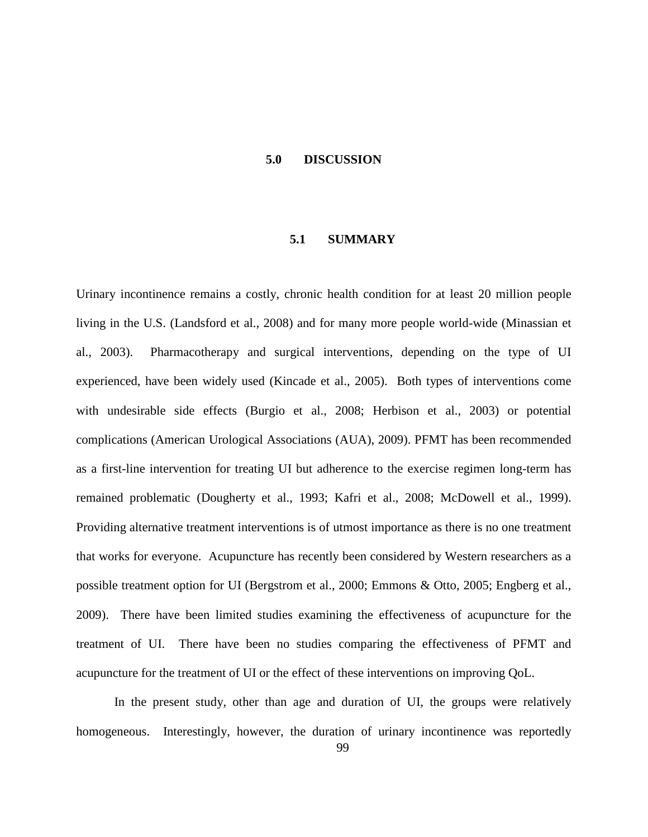#### **5.0 DISCUSSION**

#### **5.1 SUMMARY**

Urinary incontinence remains a costly, chronic health condition for at least 20 million people living in the U.S. (Landsford et al., 2008) and for many more people world-wide (Minassian et al., 2003). Pharmacotherapy and surgical interventions, depending on the type of UI experienced, have been widely used (Kincade et al., 2005). Both types of interventions come with undesirable side effects (Burgio et al., 2008; Herbison et al., 2003) or potential complications (American Urological Associations (AUA), 2009). PFMT has been recommended as a first-line intervention for treating UI but adherence to the exercise regimen long-term has remained problematic (Dougherty et al., 1993; Kafri et al., 2008; McDowell et al., 1999). Providing alternative treatment interventions is of utmost importance as there is no one treatment that works for everyone. Acupuncture has recently been considered by Western researchers as a possible treatment option for UI (Bergstrom et al., 2000; Emmons & Otto, 2005; Engberg et al., 2009). There have been limited studies examining the effectiveness of acupuncture for the treatment of UI. There have been no studies comparing the effectiveness of PFMT and acupuncture for the treatment of UI or the effect of these interventions on improving QoL.

In the present study, other than age and duration of UI, the groups were relatively homogeneous. Interestingly, however, the duration of urinary incontinence was reportedly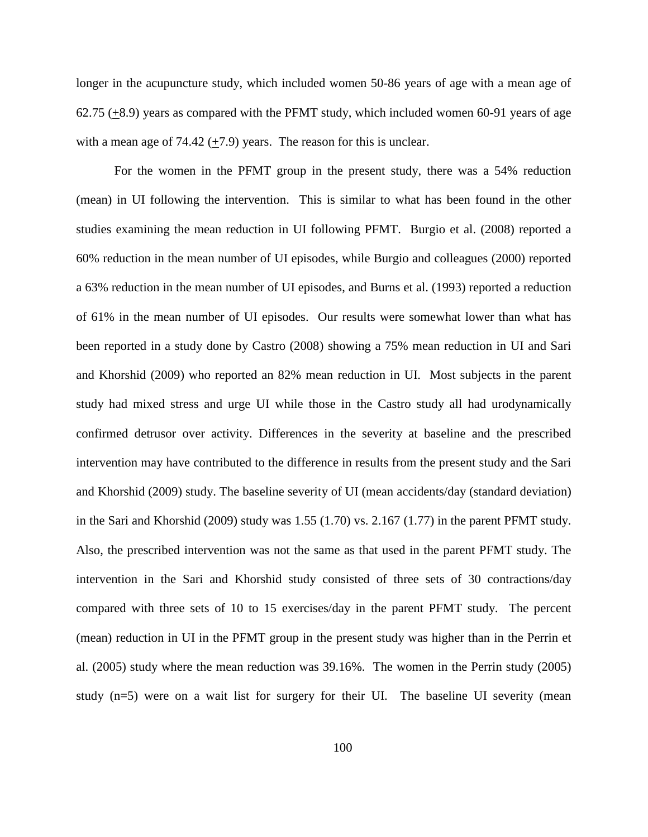longer in the acupuncture study, which included women 50-86 years of age with a mean age of 62.75 (+8.9) years as compared with the PFMT study, which included women 60-91 years of age with a mean age of  $74.42 (+7.9)$  years. The reason for this is unclear.

For the women in the PFMT group in the present study, there was a 54% reduction (mean) in UI following the intervention. This is similar to what has been found in the other studies examining the mean reduction in UI following PFMT. Burgio et al. (2008) reported a 60% reduction in the mean number of UI episodes, while Burgio and colleagues (2000) reported a 63% reduction in the mean number of UI episodes, and Burns et al. (1993) reported a reduction of 61% in the mean number of UI episodes. Our results were somewhat lower than what has been reported in a study done by Castro (2008) showing a 75% mean reduction in UI and Sari and Khorshid (2009) who reported an 82% mean reduction in UI. Most subjects in the parent study had mixed stress and urge UI while those in the Castro study all had urodynamically confirmed detrusor over activity. Differences in the severity at baseline and the prescribed intervention may have contributed to the difference in results from the present study and the Sari and Khorshid (2009) study. The baseline severity of UI (mean accidents/day (standard deviation) in the Sari and Khorshid (2009) study was 1.55 (1.70) vs. 2.167 (1.77) in the parent PFMT study. Also, the prescribed intervention was not the same as that used in the parent PFMT study. The intervention in the Sari and Khorshid study consisted of three sets of 30 contractions/day compared with three sets of 10 to 15 exercises/day in the parent PFMT study. The percent (mean) reduction in UI in the PFMT group in the present study was higher than in the Perrin et al. (2005) study where the mean reduction was 39.16%. The women in the Perrin study (2005) study (n=5) were on a wait list for surgery for their UI. The baseline UI severity (mean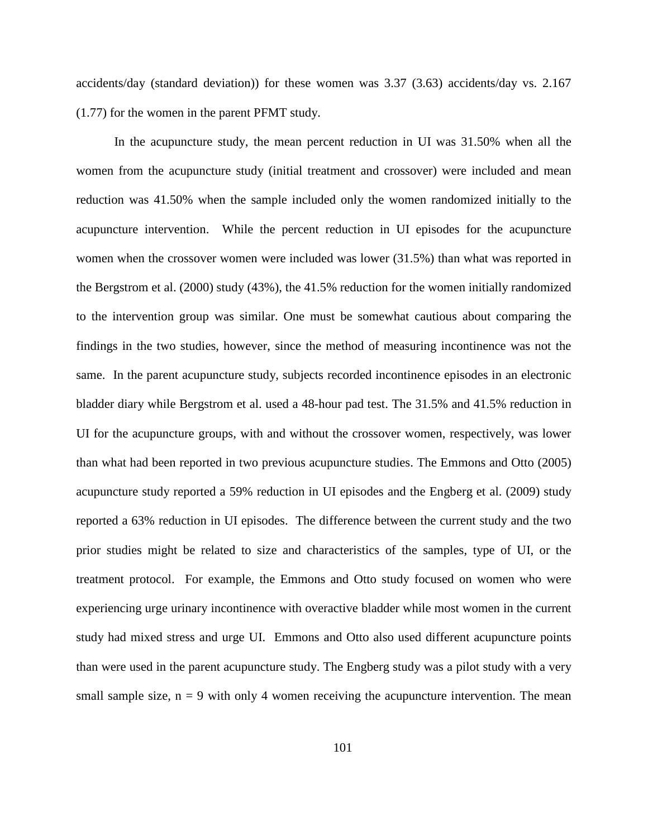accidents/day (standard deviation)) for these women was 3.37 (3.63) accidents/day vs. 2.167 (1.77) for the women in the parent PFMT study.

In the acupuncture study, the mean percent reduction in UI was 31.50% when all the women from the acupuncture study (initial treatment and crossover) were included and mean reduction was 41.50% when the sample included only the women randomized initially to the acupuncture intervention. While the percent reduction in UI episodes for the acupuncture women when the crossover women were included was lower (31.5%) than what was reported in the Bergstrom et al. (2000) study (43%), the 41.5% reduction for the women initially randomized to the intervention group was similar. One must be somewhat cautious about comparing the findings in the two studies, however, since the method of measuring incontinence was not the same. In the parent acupuncture study, subjects recorded incontinence episodes in an electronic bladder diary while Bergstrom et al. used a 48-hour pad test. The 31.5% and 41.5% reduction in UI for the acupuncture groups, with and without the crossover women, respectively, was lower than what had been reported in two previous acupuncture studies. The Emmons and Otto (2005) acupuncture study reported a 59% reduction in UI episodes and the Engberg et al. (2009) study reported a 63% reduction in UI episodes. The difference between the current study and the two prior studies might be related to size and characteristics of the samples, type of UI, or the treatment protocol. For example, the Emmons and Otto study focused on women who were experiencing urge urinary incontinence with overactive bladder while most women in the current study had mixed stress and urge UI. Emmons and Otto also used different acupuncture points than were used in the parent acupuncture study. The Engberg study was a pilot study with a very small sample size,  $n = 9$  with only 4 women receiving the acupuncture intervention. The mean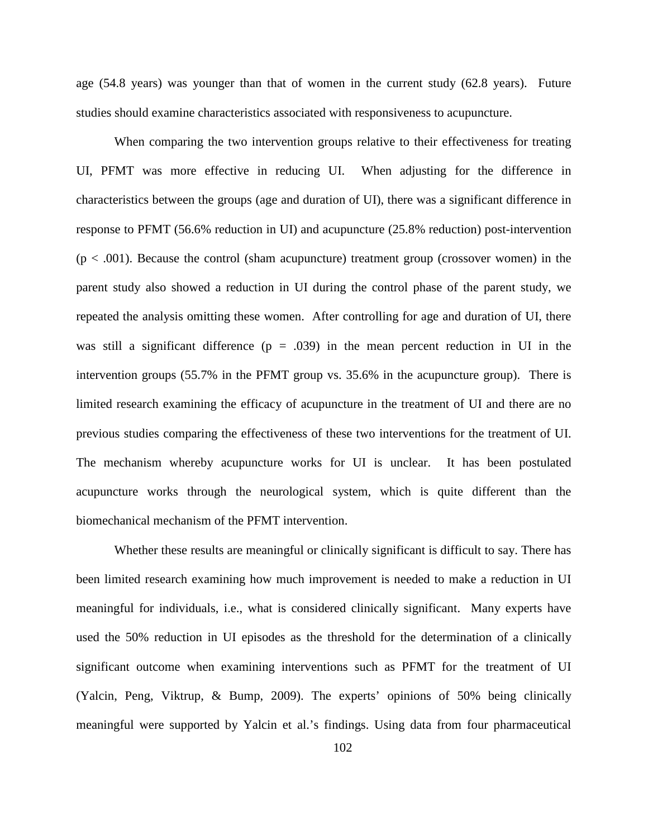age (54.8 years) was younger than that of women in the current study (62.8 years). Future studies should examine characteristics associated with responsiveness to acupuncture.

When comparing the two intervention groups relative to their effectiveness for treating UI, PFMT was more effective in reducing UI. When adjusting for the difference in characteristics between the groups (age and duration of UI), there was a significant difference in response to PFMT (56.6% reduction in UI) and acupuncture (25.8% reduction) post-intervention  $(p < .001)$ . Because the control (sham acupuncture) treatment group (crossover women) in the parent study also showed a reduction in UI during the control phase of the parent study, we repeated the analysis omitting these women. After controlling for age and duration of UI, there was still a significant difference  $(p = .039)$  in the mean percent reduction in UI in the intervention groups (55.7% in the PFMT group vs. 35.6% in the acupuncture group). There is limited research examining the efficacy of acupuncture in the treatment of UI and there are no previous studies comparing the effectiveness of these two interventions for the treatment of UI. The mechanism whereby acupuncture works for UI is unclear. It has been postulated acupuncture works through the neurological system, which is quite different than the biomechanical mechanism of the PFMT intervention.

Whether these results are meaningful or clinically significant is difficult to say. There has been limited research examining how much improvement is needed to make a reduction in UI meaningful for individuals, i.e., what is considered clinically significant. Many experts have used the 50% reduction in UI episodes as the threshold for the determination of a clinically significant outcome when examining interventions such as PFMT for the treatment of UI (Yalcin, Peng, Viktrup, & Bump, 2009). The experts' opinions of 50% being clinically meaningful were supported by Yalcin et al.'s findings. Using data from four pharmaceutical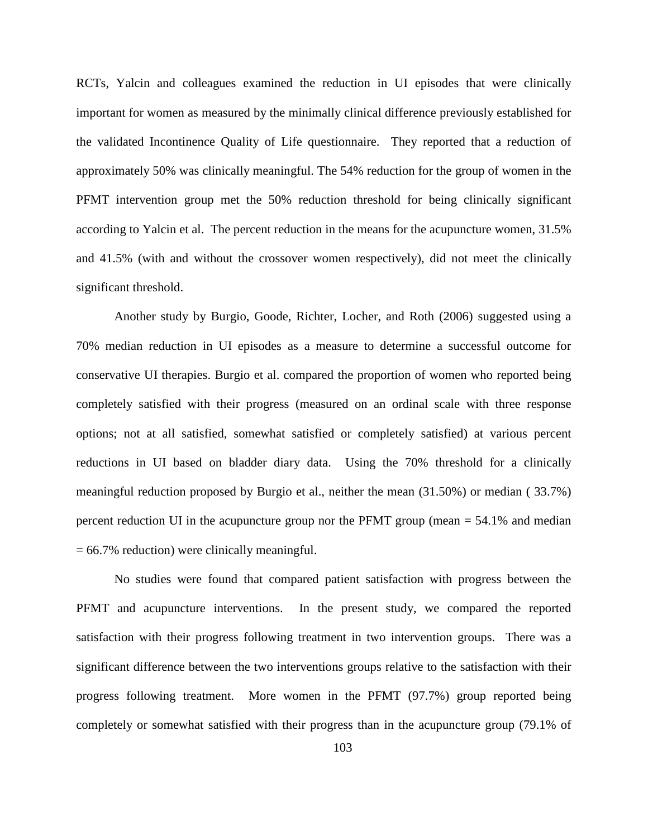RCTs, Yalcin and colleagues examined the reduction in UI episodes that were clinically important for women as measured by the minimally clinical difference previously established for the validated Incontinence Quality of Life questionnaire. They reported that a reduction of approximately 50% was clinically meaningful. The 54% reduction for the group of women in the PFMT intervention group met the 50% reduction threshold for being clinically significant according to Yalcin et al. The percent reduction in the means for the acupuncture women, 31.5% and 41.5% (with and without the crossover women respectively), did not meet the clinically significant threshold.

Another study by Burgio, Goode, Richter, Locher, and Roth (2006) suggested using a 70% median reduction in UI episodes as a measure to determine a successful outcome for conservative UI therapies. Burgio et al. compared the proportion of women who reported being completely satisfied with their progress (measured on an ordinal scale with three response options; not at all satisfied, somewhat satisfied or completely satisfied) at various percent reductions in UI based on bladder diary data. Using the 70% threshold for a clinically meaningful reduction proposed by Burgio et al., neither the mean (31.50%) or median ( 33.7%) percent reduction UI in the acupuncture group nor the PFMT group (mean  $= 54.1\%$  and median = 66.7% reduction) were clinically meaningful.

No studies were found that compared patient satisfaction with progress between the PFMT and acupuncture interventions. In the present study, we compared the reported satisfaction with their progress following treatment in two intervention groups. There was a significant difference between the two interventions groups relative to the satisfaction with their progress following treatment. More women in the PFMT (97.7%) group reported being completely or somewhat satisfied with their progress than in the acupuncture group (79.1% of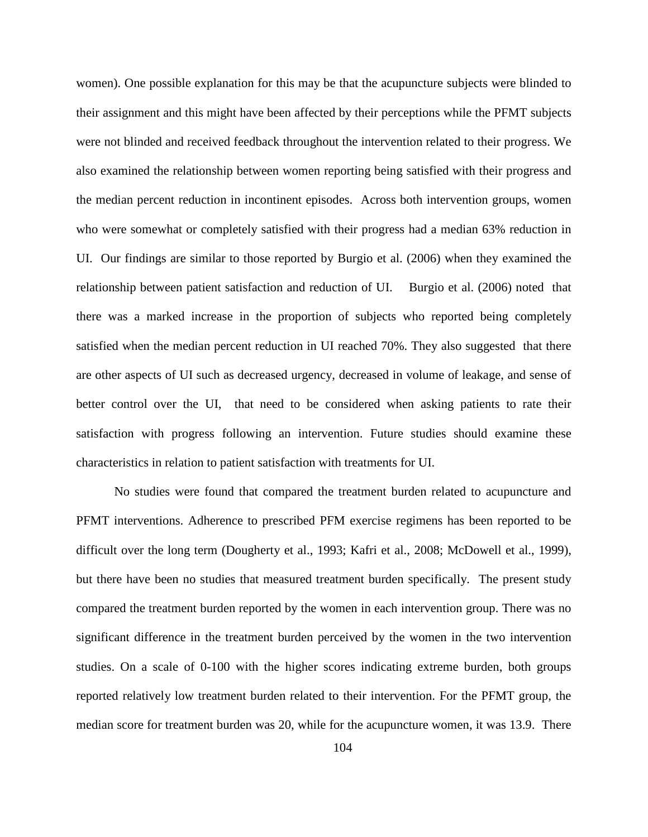women). One possible explanation for this may be that the acupuncture subjects were blinded to their assignment and this might have been affected by their perceptions while the PFMT subjects were not blinded and received feedback throughout the intervention related to their progress. We also examined the relationship between women reporting being satisfied with their progress and the median percent reduction in incontinent episodes. Across both intervention groups, women who were somewhat or completely satisfied with their progress had a median 63% reduction in UI. Our findings are similar to those reported by Burgio et al. (2006) when they examined the relationship between patient satisfaction and reduction of UI. Burgio et al. (2006) noted that there was a marked increase in the proportion of subjects who reported being completely satisfied when the median percent reduction in UI reached 70%. They also suggested that there are other aspects of UI such as decreased urgency, decreased in volume of leakage, and sense of better control over the UI, that need to be considered when asking patients to rate their satisfaction with progress following an intervention. Future studies should examine these characteristics in relation to patient satisfaction with treatments for UI.

No studies were found that compared the treatment burden related to acupuncture and PFMT interventions. Adherence to prescribed PFM exercise regimens has been reported to be difficult over the long term (Dougherty et al., 1993; Kafri et al., 2008; McDowell et al., 1999), but there have been no studies that measured treatment burden specifically. The present study compared the treatment burden reported by the women in each intervention group. There was no significant difference in the treatment burden perceived by the women in the two intervention studies. On a scale of 0-100 with the higher scores indicating extreme burden, both groups reported relatively low treatment burden related to their intervention. For the PFMT group, the median score for treatment burden was 20, while for the acupuncture women, it was 13.9. There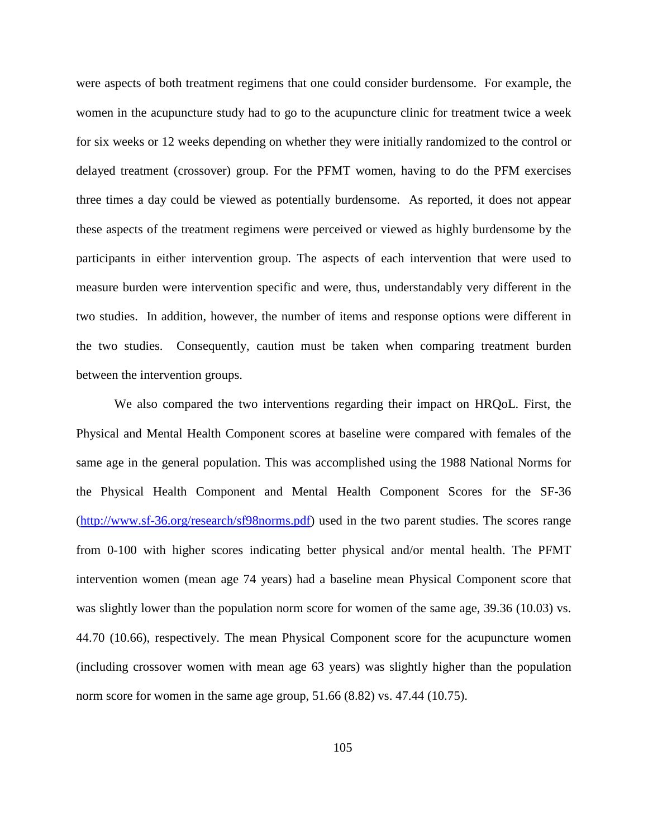were aspects of both treatment regimens that one could consider burdensome. For example, the women in the acupuncture study had to go to the acupuncture clinic for treatment twice a week for six weeks or 12 weeks depending on whether they were initially randomized to the control or delayed treatment (crossover) group. For the PFMT women, having to do the PFM exercises three times a day could be viewed as potentially burdensome. As reported, it does not appear these aspects of the treatment regimens were perceived or viewed as highly burdensome by the participants in either intervention group. The aspects of each intervention that were used to measure burden were intervention specific and were, thus, understandably very different in the two studies. In addition, however, the number of items and response options were different in the two studies. Consequently, caution must be taken when comparing treatment burden between the intervention groups.

We also compared the two interventions regarding their impact on HRQoL. First, the Physical and Mental Health Component scores at baseline were compared with females of the same age in the general population. This was accomplished using the 1988 National Norms for the Physical Health Component and Mental Health Component Scores for the SF-36 [\(http://www.sf-36.org/research/sf98norms.pdf\)](http://www.sf-36.org/research/sf98norms.pdf) used in the two parent studies. The scores range from 0-100 with higher scores indicating better physical and/or mental health. The PFMT intervention women (mean age 74 years) had a baseline mean Physical Component score that was slightly lower than the population norm score for women of the same age, 39.36 (10.03) vs. 44.70 (10.66), respectively. The mean Physical Component score for the acupuncture women (including crossover women with mean age 63 years) was slightly higher than the population norm score for women in the same age group, 51.66 (8.82) vs. 47.44 (10.75).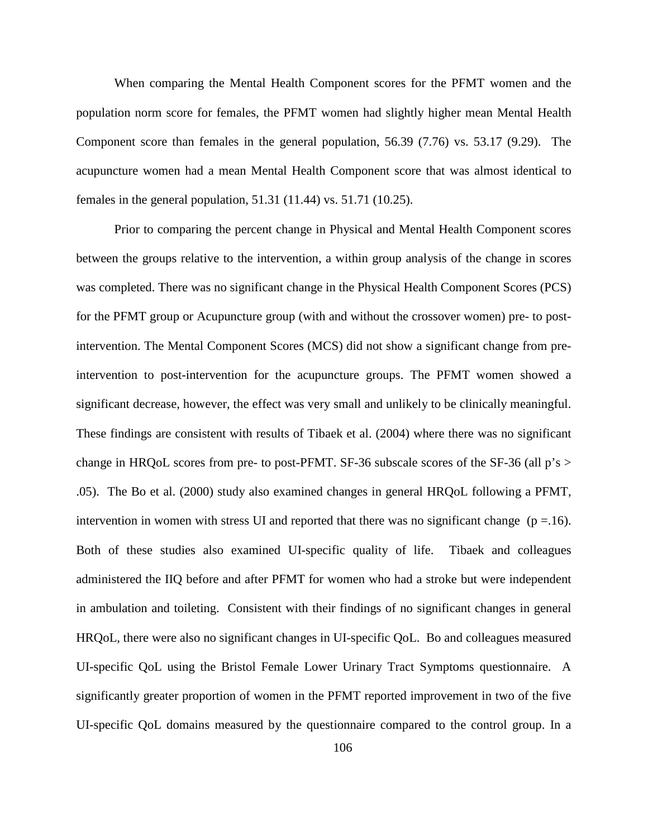When comparing the Mental Health Component scores for the PFMT women and the population norm score for females, the PFMT women had slightly higher mean Mental Health Component score than females in the general population, 56.39 (7.76) vs. 53.17 (9.29). The acupuncture women had a mean Mental Health Component score that was almost identical to females in the general population, 51.31 (11.44) vs. 51.71 (10.25).

Prior to comparing the percent change in Physical and Mental Health Component scores between the groups relative to the intervention, a within group analysis of the change in scores was completed. There was no significant change in the Physical Health Component Scores (PCS) for the PFMT group or Acupuncture group (with and without the crossover women) pre- to postintervention. The Mental Component Scores (MCS) did not show a significant change from preintervention to post-intervention for the acupuncture groups. The PFMT women showed a significant decrease, however, the effect was very small and unlikely to be clinically meaningful. These findings are consistent with results of Tibaek et al. (2004) where there was no significant change in HRQoL scores from pre- to post-PFMT. SF-36 subscale scores of the SF-36 (all  $p's >$ .05). The Bo et al. (2000) study also examined changes in general HRQoL following a PFMT, intervention in women with stress UI and reported that there was no significant change ( $p = .16$ ). Both of these studies also examined UI-specific quality of life. Tibaek and colleagues administered the IIQ before and after PFMT for women who had a stroke but were independent in ambulation and toileting. Consistent with their findings of no significant changes in general HRQoL, there were also no significant changes in UI-specific QoL. Bo and colleagues measured UI-specific QoL using the Bristol Female Lower Urinary Tract Symptoms questionnaire. A significantly greater proportion of women in the PFMT reported improvement in two of the five UI-specific QoL domains measured by the questionnaire compared to the control group. In a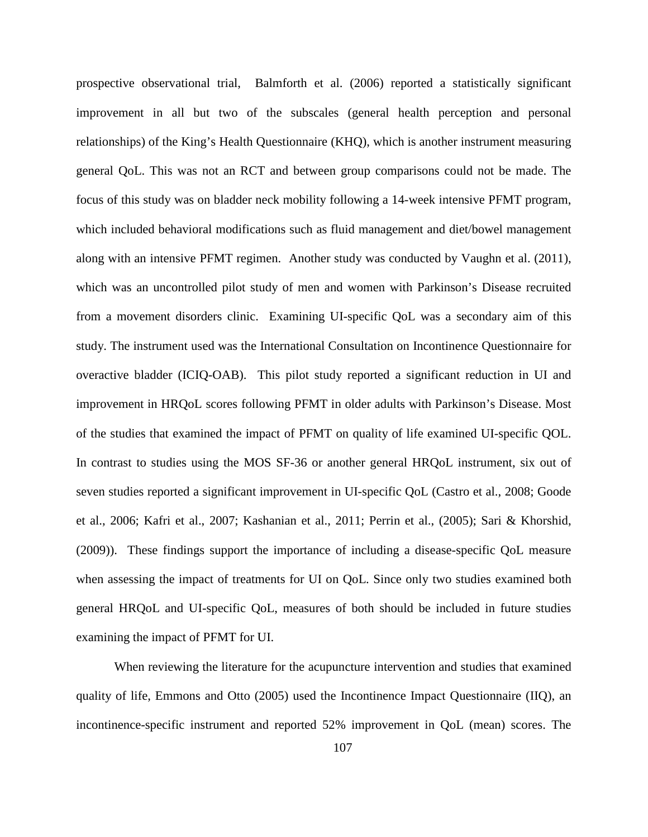prospective observational trial, Balmforth et al. (2006) reported a statistically significant improvement in all but two of the subscales (general health perception and personal relationships) of the King's Health Questionnaire (KHQ), which is another instrument measuring general QoL. This was not an RCT and between group comparisons could not be made. The focus of this study was on bladder neck mobility following a 14-week intensive PFMT program, which included behavioral modifications such as fluid management and diet/bowel management along with an intensive PFMT regimen. Another study was conducted by Vaughn et al. (2011), which was an uncontrolled pilot study of men and women with Parkinson's Disease recruited from a movement disorders clinic. Examining UI-specific QoL was a secondary aim of this study. The instrument used was the International Consultation on Incontinence Questionnaire for overactive bladder (ICIQ-OAB). This pilot study reported a significant reduction in UI and improvement in HRQoL scores following PFMT in older adults with Parkinson's Disease. Most of the studies that examined the impact of PFMT on quality of life examined UI-specific QOL. In contrast to studies using the MOS SF-36 or another general HRQoL instrument, six out of seven studies reported a significant improvement in UI-specific QoL (Castro et al., 2008; Goode et al., 2006; Kafri et al., 2007; Kashanian et al., 2011; Perrin et al., (2005); Sari & Khorshid, (2009)). These findings support the importance of including a disease-specific QoL measure when assessing the impact of treatments for UI on QoL. Since only two studies examined both general HRQoL and UI-specific QoL, measures of both should be included in future studies examining the impact of PFMT for UI.

When reviewing the literature for the acupuncture intervention and studies that examined quality of life, Emmons and Otto (2005) used the Incontinence Impact Questionnaire (IIQ), an incontinence-specific instrument and reported 52% improvement in QoL (mean) scores. The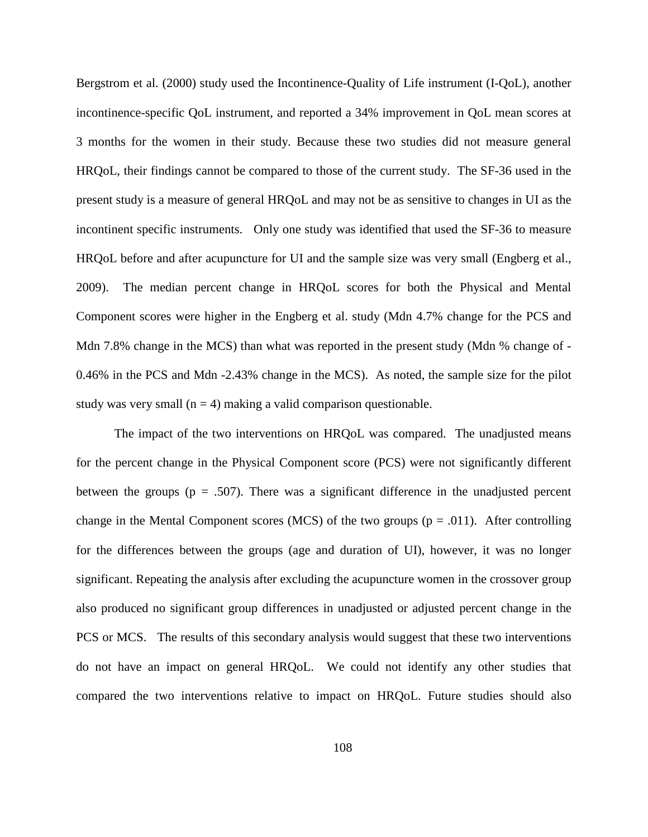Bergstrom et al. (2000) study used the Incontinence-Quality of Life instrument (I-QoL), another incontinence-specific QoL instrument, and reported a 34% improvement in QoL mean scores at 3 months for the women in their study. Because these two studies did not measure general HRQoL, their findings cannot be compared to those of the current study. The SF-36 used in the present study is a measure of general HRQoL and may not be as sensitive to changes in UI as the incontinent specific instruments. Only one study was identified that used the SF-36 to measure HRQoL before and after acupuncture for UI and the sample size was very small (Engberg et al., 2009). The median percent change in HRQoL scores for both the Physical and Mental Component scores were higher in the Engberg et al. study (Mdn 4.7% change for the PCS and Mdn 7.8% change in the MCS) than what was reported in the present study (Mdn % change of -0.46% in the PCS and Mdn -2.43% change in the MCS). As noted, the sample size for the pilot study was very small ( $n = 4$ ) making a valid comparison questionable.

The impact of the two interventions on HRQoL was compared. The unadjusted means for the percent change in the Physical Component score (PCS) were not significantly different between the groups ( $p = .507$ ). There was a significant difference in the unadjusted percent change in the Mental Component scores (MCS) of the two groups ( $p = .011$ ). After controlling for the differences between the groups (age and duration of UI), however, it was no longer significant. Repeating the analysis after excluding the acupuncture women in the crossover group also produced no significant group differences in unadjusted or adjusted percent change in the PCS or MCS. The results of this secondary analysis would suggest that these two interventions do not have an impact on general HRQoL. We could not identify any other studies that compared the two interventions relative to impact on HRQoL. Future studies should also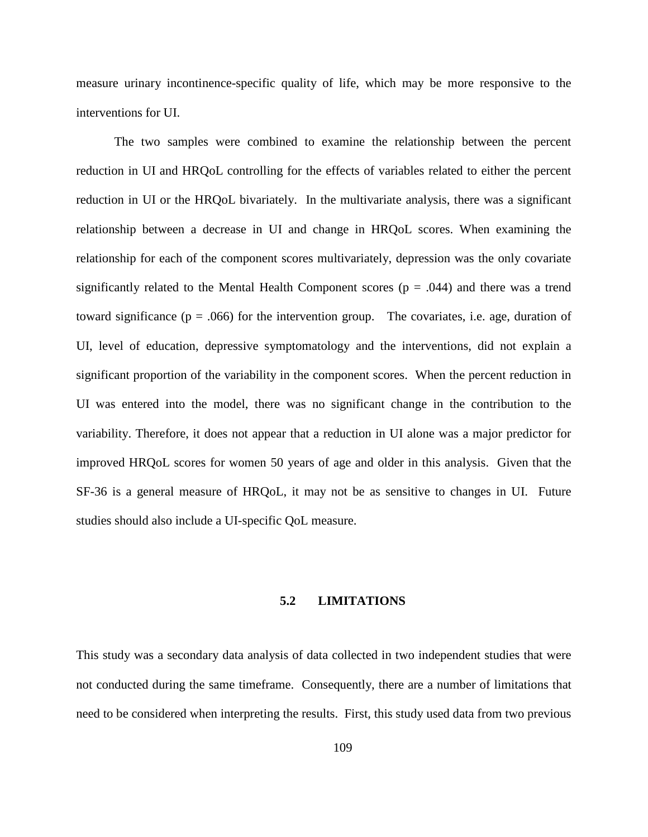measure urinary incontinence-specific quality of life, which may be more responsive to the interventions for UI.

The two samples were combined to examine the relationship between the percent reduction in UI and HRQoL controlling for the effects of variables related to either the percent reduction in UI or the HRQoL bivariately. In the multivariate analysis, there was a significant relationship between a decrease in UI and change in HRQoL scores. When examining the relationship for each of the component scores multivariately, depression was the only covariate significantly related to the Mental Health Component scores ( $p = .044$ ) and there was a trend toward significance ( $p = .066$ ) for the intervention group. The covariates, i.e. age, duration of UI, level of education, depressive symptomatology and the interventions, did not explain a significant proportion of the variability in the component scores. When the percent reduction in UI was entered into the model, there was no significant change in the contribution to the variability. Therefore, it does not appear that a reduction in UI alone was a major predictor for improved HRQoL scores for women 50 years of age and older in this analysis. Given that the SF-36 is a general measure of HRQoL, it may not be as sensitive to changes in UI. Future studies should also include a UI-specific QoL measure.

#### **5.2 LIMITATIONS**

This study was a secondary data analysis of data collected in two independent studies that were not conducted during the same timeframe. Consequently, there are a number of limitations that need to be considered when interpreting the results. First, this study used data from two previous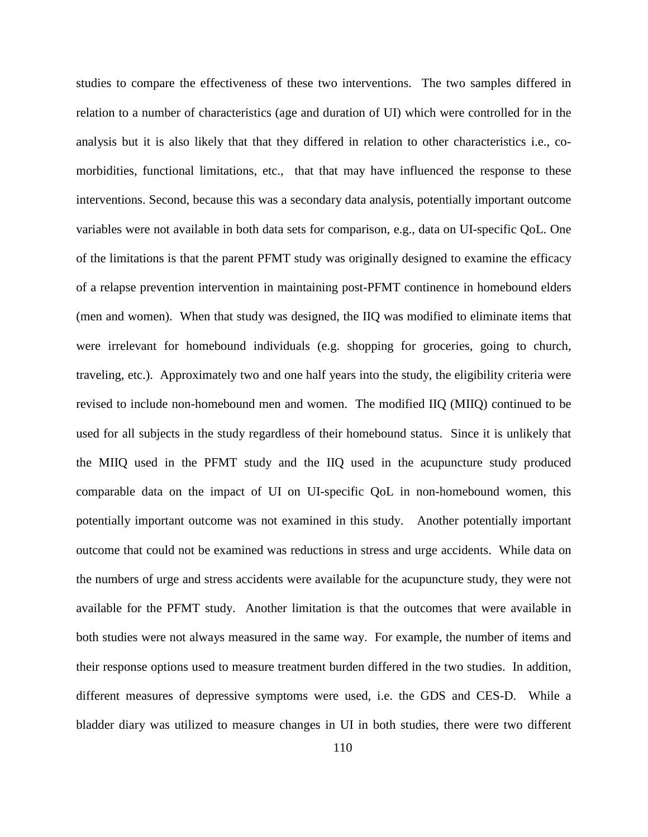studies to compare the effectiveness of these two interventions. The two samples differed in relation to a number of characteristics (age and duration of UI) which were controlled for in the analysis but it is also likely that that they differed in relation to other characteristics i.e., comorbidities, functional limitations, etc., that that may have influenced the response to these interventions. Second, because this was a secondary data analysis, potentially important outcome variables were not available in both data sets for comparison, e.g., data on UI-specific QoL. One of the limitations is that the parent PFMT study was originally designed to examine the efficacy of a relapse prevention intervention in maintaining post-PFMT continence in homebound elders (men and women). When that study was designed, the IIQ was modified to eliminate items that were irrelevant for homebound individuals (e.g. shopping for groceries, going to church, traveling, etc.). Approximately two and one half years into the study, the eligibility criteria were revised to include non-homebound men and women. The modified IIQ (MIIQ) continued to be used for all subjects in the study regardless of their homebound status. Since it is unlikely that the MIIQ used in the PFMT study and the IIQ used in the acupuncture study produced comparable data on the impact of UI on UI-specific QoL in non-homebound women, this potentially important outcome was not examined in this study. Another potentially important outcome that could not be examined was reductions in stress and urge accidents. While data on the numbers of urge and stress accidents were available for the acupuncture study, they were not available for the PFMT study. Another limitation is that the outcomes that were available in both studies were not always measured in the same way. For example, the number of items and their response options used to measure treatment burden differed in the two studies. In addition, different measures of depressive symptoms were used, i.e. the GDS and CES-D. While a bladder diary was utilized to measure changes in UI in both studies, there were two different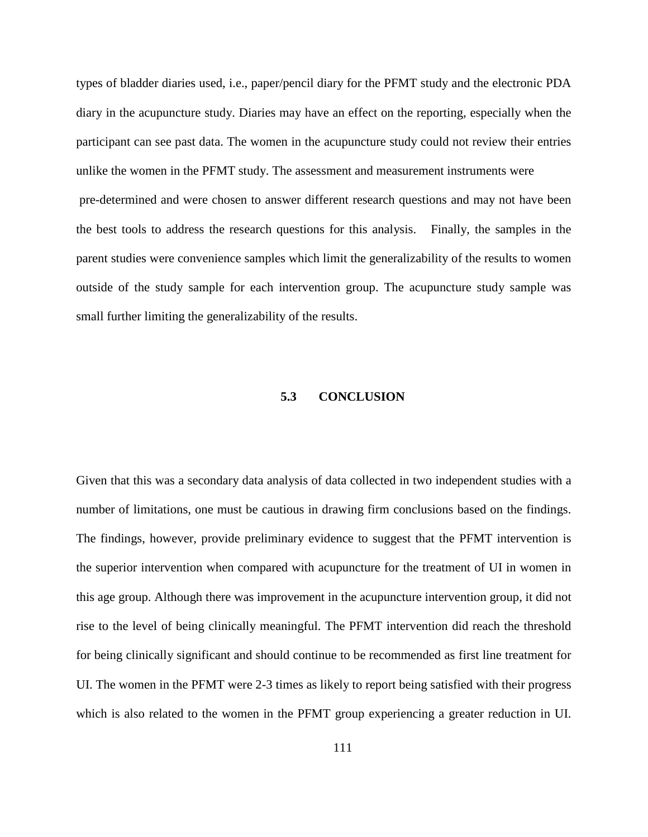types of bladder diaries used, i.e., paper/pencil diary for the PFMT study and the electronic PDA diary in the acupuncture study. Diaries may have an effect on the reporting, especially when the participant can see past data. The women in the acupuncture study could not review their entries unlike the women in the PFMT study. The assessment and measurement instruments were pre-determined and were chosen to answer different research questions and may not have been the best tools to address the research questions for this analysis. Finally, the samples in the parent studies were convenience samples which limit the generalizability of the results to women outside of the study sample for each intervention group. The acupuncture study sample was small further limiting the generalizability of the results.

## **5.3 CONCLUSION**

Given that this was a secondary data analysis of data collected in two independent studies with a number of limitations, one must be cautious in drawing firm conclusions based on the findings. The findings, however, provide preliminary evidence to suggest that the PFMT intervention is the superior intervention when compared with acupuncture for the treatment of UI in women in this age group. Although there was improvement in the acupuncture intervention group, it did not rise to the level of being clinically meaningful. The PFMT intervention did reach the threshold for being clinically significant and should continue to be recommended as first line treatment for UI. The women in the PFMT were 2-3 times as likely to report being satisfied with their progress which is also related to the women in the PFMT group experiencing a greater reduction in UI.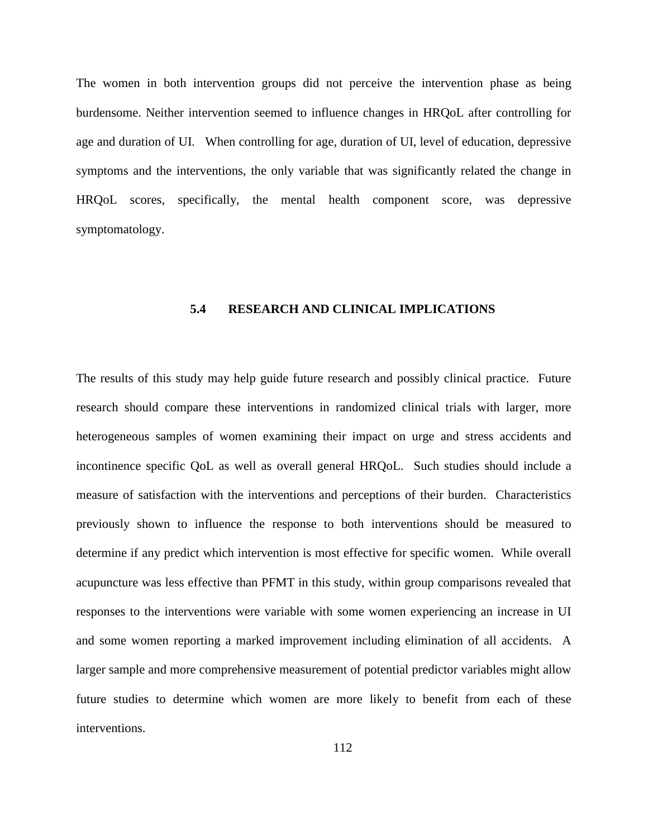The women in both intervention groups did not perceive the intervention phase as being burdensome. Neither intervention seemed to influence changes in HRQoL after controlling for age and duration of UI. When controlling for age, duration of UI, level of education, depressive symptoms and the interventions, the only variable that was significantly related the change in HRQoL scores, specifically, the mental health component score, was depressive symptomatology.

## **5.4 RESEARCH AND CLINICAL IMPLICATIONS**

The results of this study may help guide future research and possibly clinical practice. Future research should compare these interventions in randomized clinical trials with larger, more heterogeneous samples of women examining their impact on urge and stress accidents and incontinence specific QoL as well as overall general HRQoL. Such studies should include a measure of satisfaction with the interventions and perceptions of their burden. Characteristics previously shown to influence the response to both interventions should be measured to determine if any predict which intervention is most effective for specific women. While overall acupuncture was less effective than PFMT in this study, within group comparisons revealed that responses to the interventions were variable with some women experiencing an increase in UI and some women reporting a marked improvement including elimination of all accidents. A larger sample and more comprehensive measurement of potential predictor variables might allow future studies to determine which women are more likely to benefit from each of these interventions.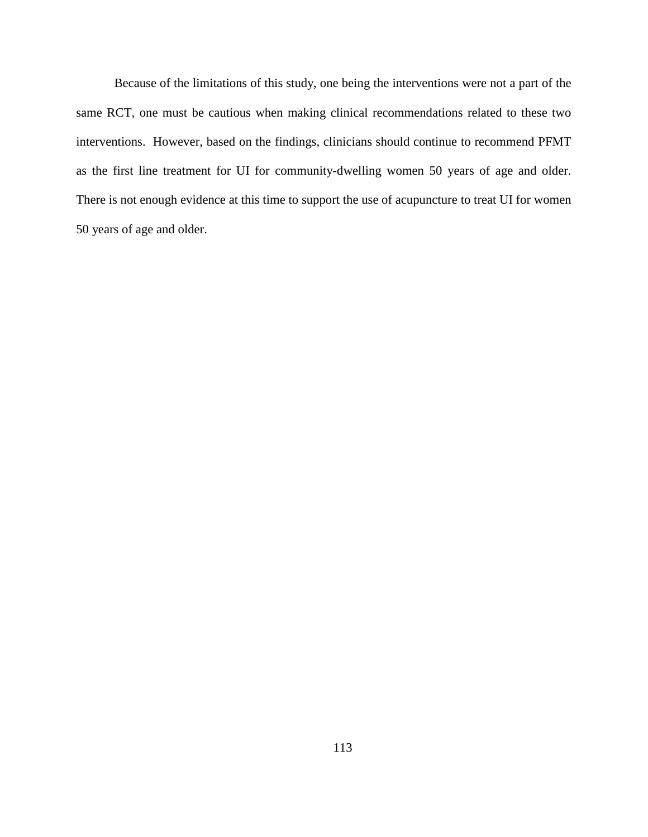Because of the limitations of this study, one being the interventions were not a part of the same RCT, one must be cautious when making clinical recommendations related to these two interventions. However, based on the findings, clinicians should continue to recommend PFMT as the first line treatment for UI for community-dwelling women 50 years of age and older. There is not enough evidence at this time to support the use of acupuncture to treat UI for women 50 years of age and older.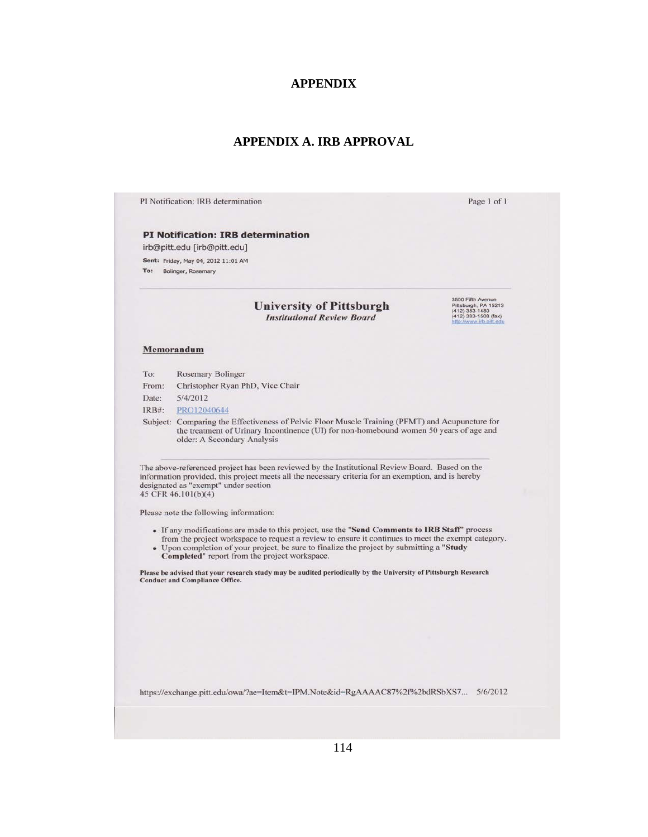#### **APPENDIX**

## **APPENDIX A. IRB APPROVAL**

PI Notification: IRB determination

#### **PI Notification: IRB determination**

irb@pitt.edu [irb@pitt.edu]

Sent: Friday, May 04, 2012 11:01 AM To: Bolinger, Rosemary

#### **University of Pittsburgh Institutional Review Board**

3500 Fifth Avenue<br>Pittsburgh, PA 15213<br>(412) 383-1480<br>(412) 383-1508 (fax) www.irb.p

Page 1 of 1

#### Memorandum

| To:      | <b>Rosemary Bolinger</b>                                                                                                                                                                                                 |
|----------|--------------------------------------------------------------------------------------------------------------------------------------------------------------------------------------------------------------------------|
| From:    | Christopher Ryan PhD, Vice Chair                                                                                                                                                                                         |
| Date:    | 5/4/2012                                                                                                                                                                                                                 |
| $IRB#$ : | PRO12040644                                                                                                                                                                                                              |
|          | Subject: Comparing the Effectiveness of Pelvic Floor Muscle Training (PFMT) and Acupuncture for<br>the treatment of Urinary Incontinence (UI) for non-homebound women 50 years of age and<br>older: A Secondary Analysis |

The above-referenced project has been reviewed by the Institutional Review Board. Based on the information provided, this project meets all the necessary criteria for an exemption, and is hereby designated as "exempt" under section 45 CFR 46.101(b)(4)

Please note the following information:

- If any modifications are made to this project, use the "Send Comments to IRB Staff" process from the project workspace to request a review to ensure it continues to meet the exempt category.
- Upon completion of your project, be sure to finalize the project by submitting a "Study<br> **Completed**" report from the project workspace.

Please be advised that your research study may be audited periodically by the University of Pittsburgh Research **Conduct and Compliance Office.** 

https://exchange.pitt.edu/owa/?ae=Item&t=IPM.Note&id=RgAAAAC87%2f%2bdRSbXS7... 5/6/2012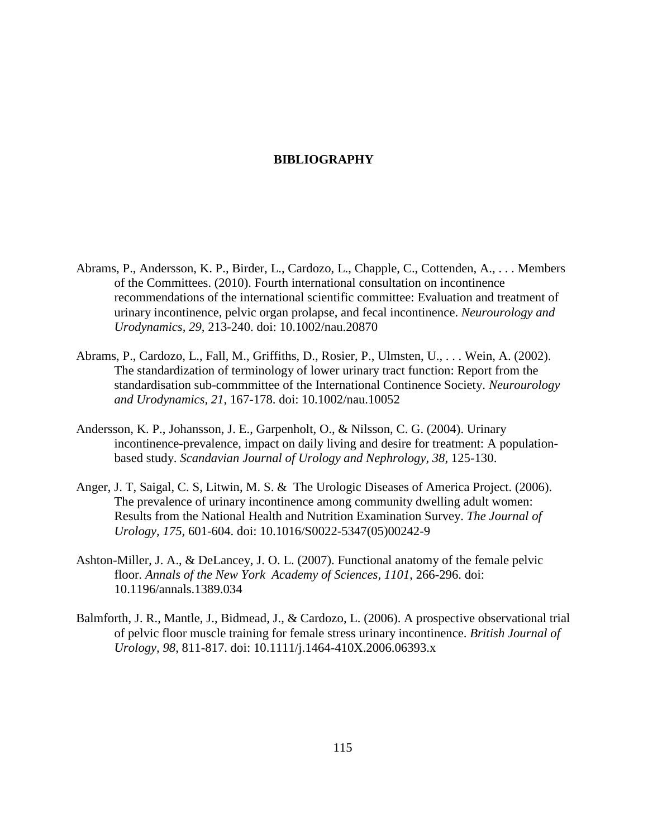### **BIBLIOGRAPHY**

- Abrams, P., Andersson, K. P., Birder, L., Cardozo, L., Chapple, C., Cottenden, A., . . . Members of the Committees. (2010). Fourth international consultation on incontinence recommendations of the international scientific committee: Evaluation and treatment of urinary incontinence, pelvic organ prolapse, and fecal incontinence. *Neurourology and Urodynamics, 29*, 213-240. doi: 10.1002/nau.20870
- Abrams, P., Cardozo, L., Fall, M., Griffiths, D., Rosier, P., Ulmsten, U., . . . Wein, A. (2002). The standardization of terminology of lower urinary tract function: Report from the standardisation sub-commmittee of the International Continence Society. *Neurourology and Urodynamics, 21*, 167-178. doi: 10.1002/nau.10052
- Andersson, K. P., Johansson, J. E., Garpenholt, O., & Nilsson, C. G. (2004). Urinary incontinence-prevalence, impact on daily living and desire for treatment: A populationbased study. *Scandavian Journal of Urology and Nephrology, 38*, 125-130.
- Anger, J. T, Saigal, C. S, Litwin, M. S. & The Urologic Diseases of America Project. (2006). The prevalence of urinary incontinence among community dwelling adult women: Results from the National Health and Nutrition Examination Survey. *The Journal of Urology, 175*, 601-604. doi: 10.1016/S0022-5347(05)00242-9
- Ashton-Miller, J. A., & DeLancey, J. O. L. (2007). Functional anatomy of the female pelvic floor. *Annals of the New York Academy of Sciences, 1101*, 266-296. doi: 10.1196/annals.1389.034
- Balmforth, J. R., Mantle, J., Bidmead, J., & Cardozo, L. (2006). A prospective observational trial of pelvic floor muscle training for female stress urinary incontinence. *British Journal of Urology, 98*, 811-817. doi: 10.1111/j.1464-410X.2006.06393.x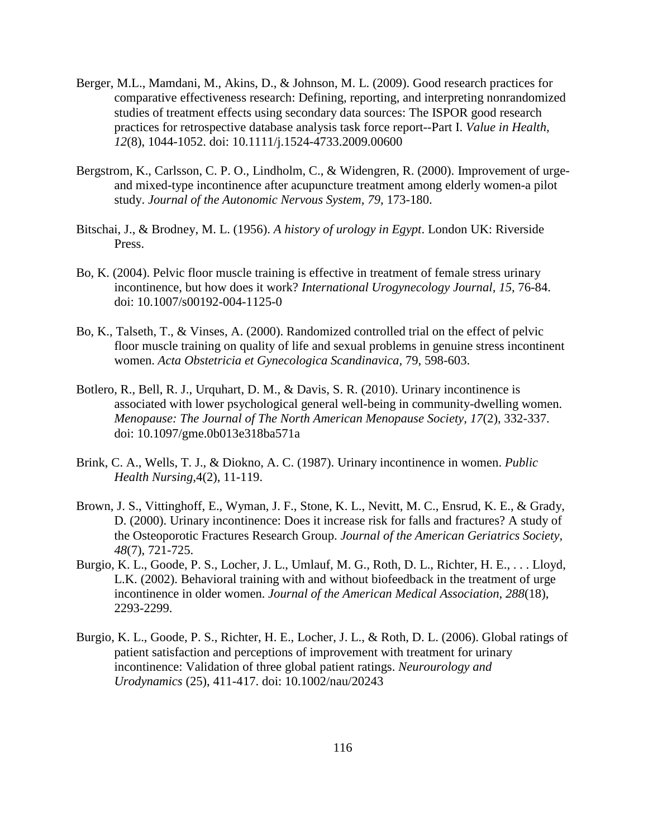- Berger, M.L., Mamdani, M., Akins, D., & Johnson, M. L. (2009). Good research practices for comparative effectiveness research: Defining, reporting, and interpreting nonrandomized studies of treatment effects using secondary data sources: The ISPOR good research practices for retrospective database analysis task force report--Part I. *Value in Health, 12*(8), 1044-1052. doi: 10.1111/j.1524-4733.2009.00600
- Bergstrom, K., Carlsson, C. P. O., Lindholm, C., & Widengren, R. (2000). Improvement of urgeand mixed-type incontinence after acupuncture treatment among elderly women-a pilot study. *Journal of the Autonomic Nervous System, 79*, 173-180.
- Bitschai, J., & Brodney, M. L. (1956). *A history of urology in Egypt*. London UK: Riverside Press.
- Bo, K. (2004). Pelvic floor muscle training is effective in treatment of female stress urinary incontinence, but how does it work? *International Urogynecology Journal, 15*, 76-84. doi: 10.1007/s00192-004-1125-0
- Bo, K., Talseth, T., & Vinses, A. (2000). Randomized controlled trial on the effect of pelvic floor muscle training on quality of life and sexual problems in genuine stress incontinent women. *Acta Obstetricia et Gynecologica Scandinavica,* 79, 598-603.
- Botlero, R., Bell, R. J., Urquhart, D. M., & Davis, S. R. (2010). Urinary incontinence is associated with lower psychological general well-being in community-dwelling women. *Menopause: The Journal of The North American Menopause Society, 17*(2), 332-337. doi: 10.1097/gme.0b013e318ba571a
- Brink, C. A., Wells, T. J., & Diokno, A. C. (1987). Urinary incontinence in women. *Public Health Nursing,*4(2), 11-119.
- Brown, J. S., Vittinghoff, E., Wyman, J. F., Stone, K. L., Nevitt, M. C., Ensrud, K. E., & Grady, D. (2000). Urinary incontinence: Does it increase risk for falls and fractures? A study of the Osteoporotic Fractures Research Group. *Journal of the American Geriatrics Society, 48*(7), 721-725.
- Burgio, K. L., Goode, P. S., Locher, J. L., Umlauf, M. G., Roth, D. L., Richter, H. E., . . . Lloyd, L.K. (2002). Behavioral training with and without biofeedback in the treatment of urge incontinence in older women. *Journal of the American Medical Association, 288*(18), 2293-2299.
- Burgio, K. L., Goode, P. S., Richter, H. E., Locher, J. L., & Roth, D. L. (2006). Global ratings of patient satisfaction and perceptions of improvement with treatment for urinary incontinence: Validation of three global patient ratings. *Neurourology and Urodynamics* (25), 411-417. doi: 10.1002/nau/20243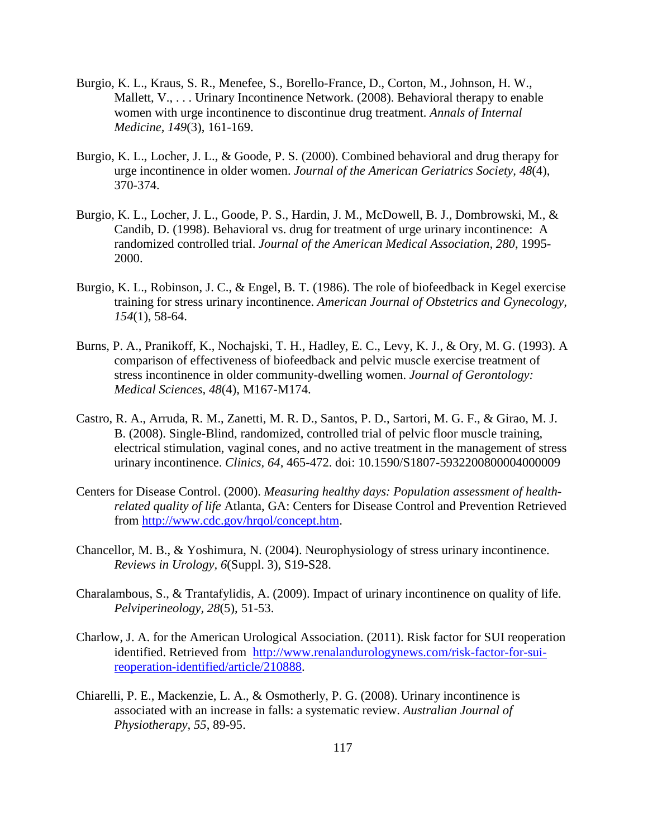- Burgio, K. L., Kraus, S. R., Menefee, S., Borello-France, D., Corton, M., Johnson, H. W., Mallett, V., . . . Urinary Incontinence Network. (2008). Behavioral therapy to enable women with urge incontinence to discontinue drug treatment. *Annals of Internal Medicine, 149*(3), 161-169.
- Burgio, K. L., Locher, J. L., & Goode, P. S. (2000). Combined behavioral and drug therapy for urge incontinence in older women. *Journal of the American Geriatrics Society, 48*(4), 370-374.
- Burgio, K. L., Locher, J. L., Goode, P. S., Hardin, J. M., McDowell, B. J., Dombrowski, M., & Candib, D. (1998). Behavioral vs. drug for treatment of urge urinary incontinence: A randomized controlled trial. *Journal of the American Medical Association, 280*, 1995- 2000.
- Burgio, K. L., Robinson, J. C., & Engel, B. T. (1986). The role of biofeedback in Kegel exercise training for stress urinary incontinence. *American Journal of Obstetrics and Gynecology, 154*(1), 58-64.
- Burns, P. A., Pranikoff, K., Nochajski, T. H., Hadley, E. C., Levy, K. J., & Ory, M. G. (1993). A comparison of effectiveness of biofeedback and pelvic muscle exercise treatment of stress incontinence in older community-dwelling women. *Journal of Gerontology: Medical Sciences, 48*(4), M167-M174.
- Castro, R. A., Arruda, R. M., Zanetti, M. R. D., Santos, P. D., Sartori, M. G. F., & Girao, M. J. B. (2008). Single-Blind, randomized, controlled trial of pelvic floor muscle training, electrical stimulation, vaginal cones, and no active treatment in the management of stress urinary incontinence. *Clinics, 64*, 465-472. doi: 10.1590/S1807-5932200800004000009
- Centers for Disease Control. (2000). *Measuring healthy days: Population assessment of healthrelated quality of life* Atlanta, GA: Centers for Disease Control and Prevention Retrieved from [http://www.cdc.gov/hrqol/concept.htm.](http://www.cdc.gov/hrqol/concept.htm)
- Chancellor, M. B., & Yoshimura, N. (2004). Neurophysiology of stress urinary incontinence. *Reviews in Urology, 6*(Suppl. 3), S19-S28.
- Charalambous, S., & Trantafylidis, A. (2009). Impact of urinary incontinence on quality of life. *Pelviperineology, 28*(5), 51-53.
- Charlow, J. A. for the American Urological Association. (2011). Risk factor for SUI reoperation identified. Retrieved from [http://www.renalandurologynews.com/risk-factor-for-sui](http://www.renalandurologynews.com/risk-factor-for-sui-reoperation-identified/article/210888)[reoperation-identified/article/210888.](http://www.renalandurologynews.com/risk-factor-for-sui-reoperation-identified/article/210888)
- Chiarelli, P. E., Mackenzie, L. A., & Osmotherly, P. G. (2008). Urinary incontinence is associated with an increase in falls: a systematic review. *Australian Journal of Physiotherapy, 55*, 89-95.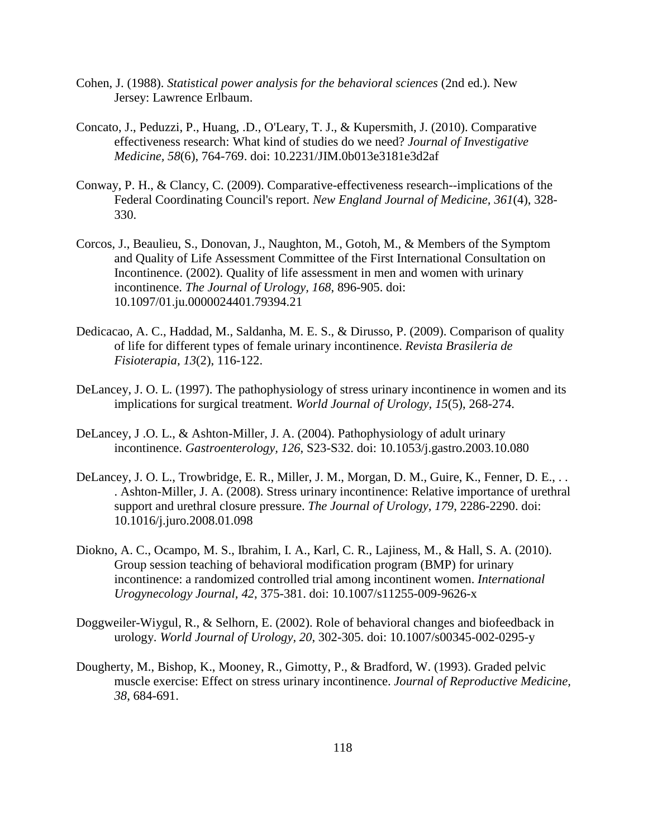- Cohen, J. (1988). *Statistical power analysis for the behavioral sciences* (2nd ed.). New Jersey: Lawrence Erlbaum.
- Concato, J., Peduzzi, P., Huang, .D., O'Leary, T. J., & Kupersmith, J. (2010). Comparative effectiveness research: What kind of studies do we need? *Journal of Investigative Medicine, 58*(6), 764-769. doi: 10.2231/JIM.0b013e3181e3d2af
- Conway, P. H., & Clancy, C. (2009). Comparative-effectiveness research--implications of the Federal Coordinating Council's report. *New England Journal of Medicine, 361*(4), 328- 330.
- Corcos, J., Beaulieu, S., Donovan, J., Naughton, M., Gotoh, M., & Members of the Symptom and Quality of Life Assessment Committee of the First International Consultation on Incontinence. (2002). Quality of life assessment in men and women with urinary incontinence. *The Journal of Urology, 168*, 896-905. doi: 10.1097/01.ju.0000024401.79394.21
- Dedicacao, A. C., Haddad, M., Saldanha, M. E. S., & Dirusso, P. (2009). Comparison of quality of life for different types of female urinary incontinence. *Revista Brasileria de Fisioterapia, 13*(2), 116-122.
- DeLancey, J. O. L. (1997). The pathophysiology of stress urinary incontinence in women and its implications for surgical treatment. *World Journal of Urology, 15*(5), 268-274.
- DeLancey, J .O. L., & Ashton-Miller, J. A. (2004). Pathophysiology of adult urinary incontinence. *Gastroenterology, 126*, S23-S32. doi: 10.1053/j.gastro.2003.10.080
- DeLancey, J. O. L., Trowbridge, E. R., Miller, J. M., Morgan, D. M., Guire, K., Fenner, D. E., . . . Ashton-Miller, J. A. (2008). Stress urinary incontinence: Relative importance of urethral support and urethral closure pressure. *The Journal of Urology, 179*, 2286-2290. doi: 10.1016/j.juro.2008.01.098
- Diokno, A. C., Ocampo, M. S., Ibrahim, I. A., Karl, C. R., Lajiness, M., & Hall, S. A. (2010). Group session teaching of behavioral modification program (BMP) for urinary incontinence: a randomized controlled trial among incontinent women. *International Urogynecology Journal, 42*, 375-381. doi: 10.1007/s11255-009-9626-x
- Doggweiler-Wiygul, R., & Selhorn, E. (2002). Role of behavioral changes and biofeedback in urology. *World Journal of Urology, 20*, 302-305. doi: 10.1007/s00345-002-0295-y
- Dougherty, M., Bishop, K., Mooney, R., Gimotty, P., & Bradford, W. (1993). Graded pelvic muscle exercise: Effect on stress urinary incontinence. *Journal of Reproductive Medicine, 38*, 684-691.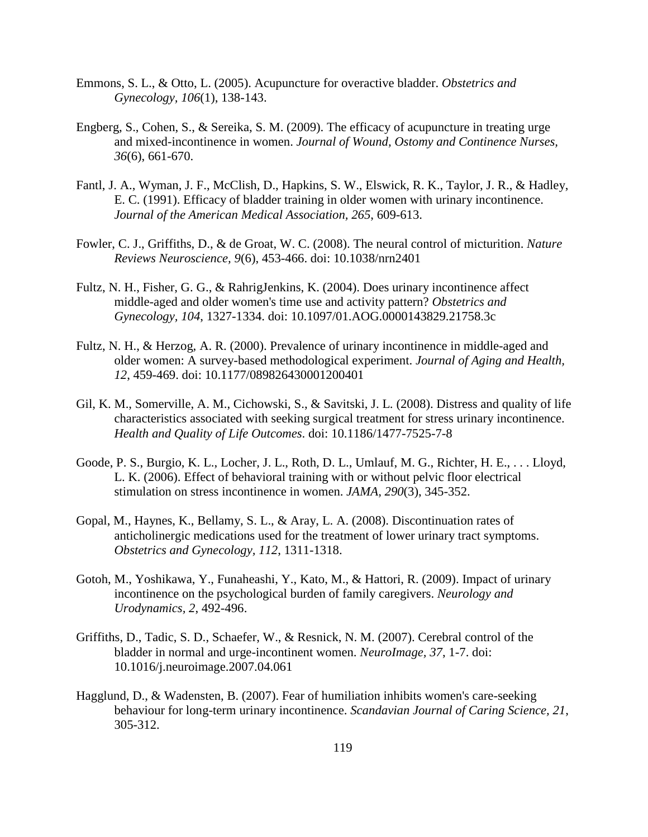- Emmons, S. L., & Otto, L. (2005). Acupuncture for overactive bladder. *Obstetrics and Gynecology, 106*(1), 138-143.
- Engberg, S., Cohen, S., & Sereika, S. M. (2009). The efficacy of acupuncture in treating urge and mixed-incontinence in women. *Journal of Wound, Ostomy and Continence Nurses, 36*(6), 661-670.
- Fantl, J. A., Wyman, J. F., McClish, D., Hapkins, S. W., Elswick, R. K., Taylor, J. R., & Hadley, E. C. (1991). Efficacy of bladder training in older women with urinary incontinence. *Journal of the American Medical Association, 265*, 609-613.
- Fowler, C. J., Griffiths, D., & de Groat, W. C. (2008). The neural control of micturition. *Nature Reviews Neuroscience, 9*(6), 453-466. doi: 10.1038/nrn2401
- Fultz, N. H., Fisher, G. G., & RahrigJenkins, K. (2004). Does urinary incontinence affect middle-aged and older women's time use and activity pattern? *Obstetrics and Gynecology, 104*, 1327-1334. doi: 10.1097/01.AOG.0000143829.21758.3c
- Fultz, N. H., & Herzog, A. R. (2000). Prevalence of urinary incontinence in middle-aged and older women: A survey-based methodological experiment. *Journal of Aging and Health, 12*, 459-469. doi: 10.1177/089826430001200401
- Gil, K. M., Somerville, A. M., Cichowski, S., & Savitski, J. L. (2008). Distress and quality of life characteristics associated with seeking surgical treatment for stress urinary incontinence. *Health and Quality of Life Outcomes*. doi: 10.1186/1477-7525-7-8
- Goode, P. S., Burgio, K. L., Locher, J. L., Roth, D. L., Umlauf, M. G., Richter, H. E., . . . Lloyd, L. K. (2006). Effect of behavioral training with or without pelvic floor electrical stimulation on stress incontinence in women. *JAMA, 290*(3), 345-352.
- Gopal, M., Haynes, K., Bellamy, S. L., & Aray, L. A. (2008). Discontinuation rates of anticholinergic medications used for the treatment of lower urinary tract symptoms. *Obstetrics and Gynecology, 112*, 1311-1318.
- Gotoh, M., Yoshikawa, Y., Funaheashi, Y., Kato, M., & Hattori, R. (2009). Impact of urinary incontinence on the psychological burden of family caregivers. *Neurology and Urodynamics, 2*, 492-496.
- Griffiths, D., Tadic, S. D., Schaefer, W., & Resnick, N. M. (2007). Cerebral control of the bladder in normal and urge-incontinent women. *NeuroImage, 37*, 1-7. doi: 10.1016/j.neuroimage.2007.04.061
- Hagglund, D., & Wadensten, B. (2007). Fear of humiliation inhibits women's care-seeking behaviour for long-term urinary incontinence. *Scandavian Journal of Caring Science, 21*, 305-312.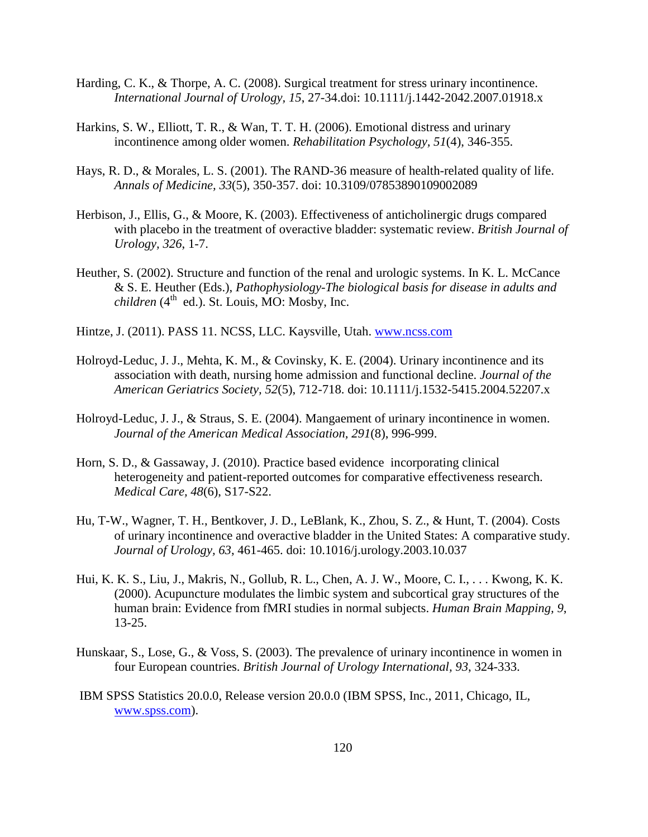- Harding, C. K., & Thorpe, A. C. (2008). Surgical treatment for stress urinary incontinence. *International Journal of Urology, 15*, 27-34.doi: 10.1111/j.1442-2042.2007.01918.x
- Harkins, S. W., Elliott, T. R., & Wan, T. T. H. (2006). Emotional distress and urinary incontinence among older women. *Rehabilitation Psychology, 51*(4), 346-355.
- Hays, R. D., & Morales, L. S. (2001). The RAND-36 measure of health-related quality of life. *Annals of Medicine, 33*(5), 350-357. doi: 10.3109/07853890109002089
- Herbison, J., Ellis, G., & Moore, K. (2003). Effectiveness of anticholinergic drugs compared with placebo in the treatment of overactive bladder: systematic review. *British Journal of Urology, 326*, 1-7.
- Heuther, S. (2002). Structure and function of the renal and urologic systems. In K. L. McCance & S. E. Heuther (Eds.), *Pathophysiology-The biological basis for disease in adults and*   $children (4<sup>th</sup> ed.).$  St. Louis, MO: Mosby, Inc.
- Hintze, J. (2011). PASS 11. NCSS, LLC. Kaysville, Utah. [www.ncss.com](http://www.ncss.com/)
- Holroyd-Leduc, J. J., Mehta, K. M., & Covinsky, K. E. (2004). Urinary incontinence and its association with death, nursing home admission and functional decline. *Journal of the American Geriatrics Society, 52*(5), 712-718. doi: 10.1111/j.1532-5415.2004.52207.x
- Holroyd-Leduc, J. J., & Straus, S. E. (2004). Mangaement of urinary incontinence in women. *Journal of the American Medical Association, 291*(8), 996-999.
- Horn, S. D., & Gassaway, J. (2010). Practice based evidence incorporating clinical heterogeneity and patient-reported outcomes for comparative effectiveness research. *Medical Care, 48*(6), S17-S22.
- Hu, T-W., Wagner, T. H., Bentkover, J. D., LeBlank, K., Zhou, S. Z., & Hunt, T. (2004). Costs of urinary incontinence and overactive bladder in the United States: A comparative study. *Journal of Urology, 63*, 461-465. doi: 10.1016/j.urology.2003.10.037
- Hui, K. K. S., Liu, J., Makris, N., Gollub, R. L., Chen, A. J. W., Moore, C. I., . . . Kwong, K. K. (2000). Acupuncture modulates the limbic system and subcortical gray structures of the human brain: Evidence from fMRI studies in normal subjects. *Human Brain Mapping, 9*, 13-25.
- Hunskaar, S., Lose, G., & Voss, S. (2003). The prevalence of urinary incontinence in women in four European countries. *British Journal of Urology International, 93*, 324-333.
- IBM SPSS Statistics 20.0.0, Release version 20.0.0 (IBM SPSS, Inc., 2011, Chicago, IL, [www.spss.com\)](http://www.spss.com/).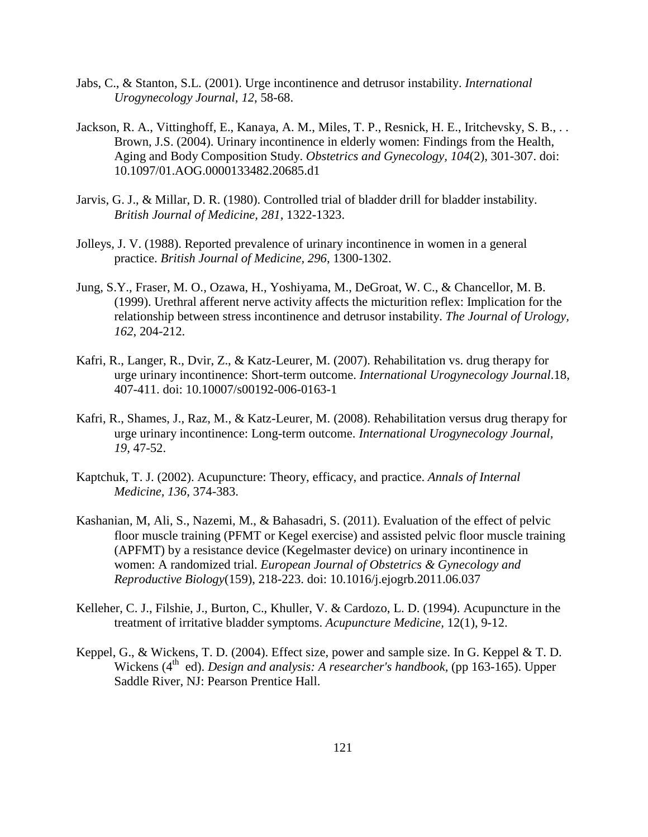- Jabs, C., & Stanton, S.L. (2001). Urge incontinence and detrusor instability. *International Urogynecology Journal, 12*, 58-68.
- Jackson, R. A., Vittinghoff, E., Kanaya, A. M., Miles, T. P., Resnick, H. E., Iritchevsky, S. B., . . Brown, J.S. (2004). Urinary incontinence in elderly women: Findings from the Health, Aging and Body Composition Study. *Obstetrics and Gynecology, 104*(2), 301-307. doi: 10.1097/01.AOG.0000133482.20685.d1
- Jarvis, G. J., & Millar, D. R. (1980). Controlled trial of bladder drill for bladder instability. *British Journal of Medicine, 281*, 1322-1323.
- Jolleys, J. V. (1988). Reported prevalence of urinary incontinence in women in a general practice. *British Journal of Medicine, 296*, 1300-1302.
- Jung, S.Y., Fraser, M. O., Ozawa, H., Yoshiyama, M., DeGroat, W. C., & Chancellor, M. B. (1999). Urethral afferent nerve activity affects the micturition reflex: Implication for the relationship between stress incontinence and detrusor instability. *The Journal of Urology, 162*, 204-212.
- Kafri, R., Langer, R., Dvir, Z., & Katz-Leurer, M. (2007). Rehabilitation vs. drug therapy for urge urinary incontinence: Short-term outcome. *International Urogynecology Journal*.18, 407-411. doi: 10.10007/s00192-006-0163-1
- Kafri, R., Shames, J., Raz, M., & Katz-Leurer, M. (2008). Rehabilitation versus drug therapy for urge urinary incontinence: Long-term outcome. *International Urogynecology Journal, 19*, 47-52.
- Kaptchuk, T. J. (2002). Acupuncture: Theory, efficacy, and practice. *Annals of Internal Medicine, 136*, 374-383.
- Kashanian, M, Ali, S., Nazemi, M., & Bahasadri, S. (2011). Evaluation of the effect of pelvic floor muscle training (PFMT or Kegel exercise) and assisted pelvic floor muscle training (APFMT) by a resistance device (Kegelmaster device) on urinary incontinence in women: A randomized trial. *European Journal of Obstetrics & Gynecology and Reproductive Biology*(159), 218-223. doi: 10.1016/j.ejogrb.2011.06.037
- Kelleher, C. J., Filshie, J., Burton, C., Khuller, V. & Cardozo, L. D. (1994). Acupuncture in the treatment of irritative bladder symptoms. *Acupuncture Medicine,* 12(1), 9-12.
- Keppel, G., & Wickens, T. D. (2004). Effect size, power and sample size. In G. Keppel & T. D. Wickens (4<sup>th</sup> ed). *Design and analysis: A researcher's handbook*, (pp 163-165). Upper Saddle River, NJ: Pearson Prentice Hall.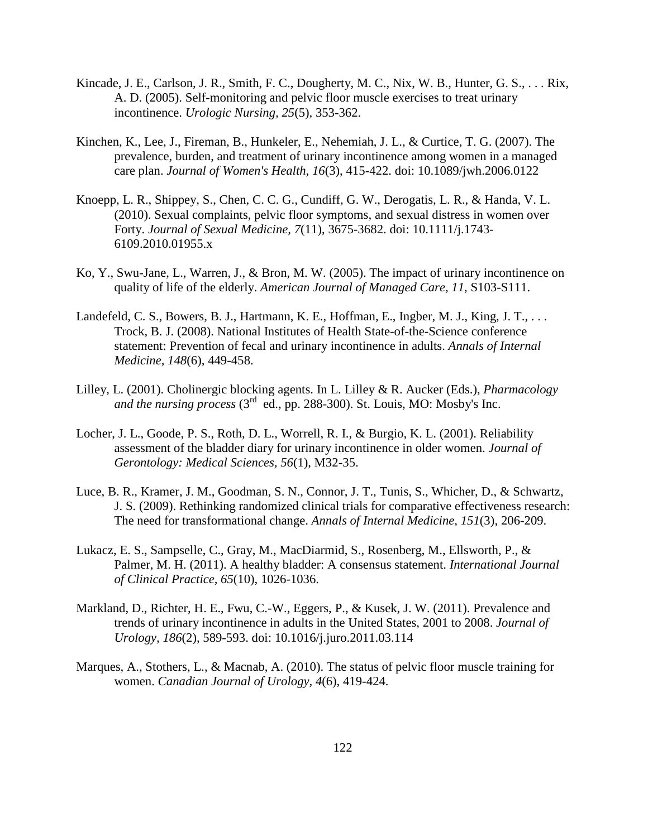- Kincade, J. E., Carlson, J. R., Smith, F. C., Dougherty, M. C., Nix, W. B., Hunter, G. S., . . . Rix, A. D. (2005). Self-monitoring and pelvic floor muscle exercises to treat urinary incontinence. *Urologic Nursing, 25*(5), 353-362.
- Kinchen, K., Lee, J., Fireman, B., Hunkeler, E., Nehemiah, J. L., & Curtice, T. G. (2007). The prevalence, burden, and treatment of urinary incontinence among women in a managed care plan. *Journal of Women's Health, 16*(3), 415-422. doi: 10.1089/jwh.2006.0122
- Knoepp, L. R., Shippey, S., Chen, C. C. G., Cundiff, G. W., Derogatis, L. R., & Handa, V. L. (2010). Sexual complaints, pelvic floor symptoms, and sexual distress in women over Forty. *Journal of Sexual Medicine, 7*(11), 3675-3682. doi: 10.1111/j.1743- 6109.2010.01955.x
- Ko, Y., Swu-Jane, L., Warren, J., & Bron, M. W. (2005). The impact of urinary incontinence on quality of life of the elderly. *American Journal of Managed Care, 11*, S103-S111.
- Landefeld, C. S., Bowers, B. J., Hartmann, K. E., Hoffman, E., Ingber, M. J., King, J. T., . . . Trock, B. J. (2008). National Institutes of Health State-of-the-Science conference statement: Prevention of fecal and urinary incontinence in adults. *Annals of Internal Medicine, 148*(6), 449-458.
- Lilley, L. (2001). Cholinergic blocking agents. In L. Lilley & R. Aucker (Eds.), *Pharmacology*  and the nursing process  $(3^{rd}$  ed., pp. 288-300). St. Louis, MO: Mosby's Inc.
- Locher, J. L., Goode, P. S., Roth, D. L., Worrell, R. I., & Burgio, K. L. (2001). Reliability assessment of the bladder diary for urinary incontinence in older women. *Journal of Gerontology: Medical Sciences, 56*(1), M32-35.
- Luce, B. R., Kramer, J. M., Goodman, S. N., Connor, J. T., Tunis, S., Whicher, D., & Schwartz, J. S. (2009). Rethinking randomized clinical trials for comparative effectiveness research: The need for transformational change. *Annals of Internal Medicine, 151*(3), 206-209.
- Lukacz, E. S., Sampselle, C., Gray, M., MacDiarmid, S., Rosenberg, M., Ellsworth, P., & Palmer, M. H. (2011). A healthy bladder: A consensus statement. *International Journal of Clinical Practice, 65*(10), 1026-1036.
- Markland, D., Richter, H. E., Fwu, C.-W., Eggers, P., & Kusek, J. W. (2011). Prevalence and trends of urinary incontinence in adults in the United States, 2001 to 2008. *Journal of Urology, 186*(2), 589-593. doi: 10.1016/j.juro.2011.03.114
- Marques, A., Stothers, L., & Macnab, A. (2010). The status of pelvic floor muscle training for women. *Canadian Journal of Urology, 4*(6), 419-424.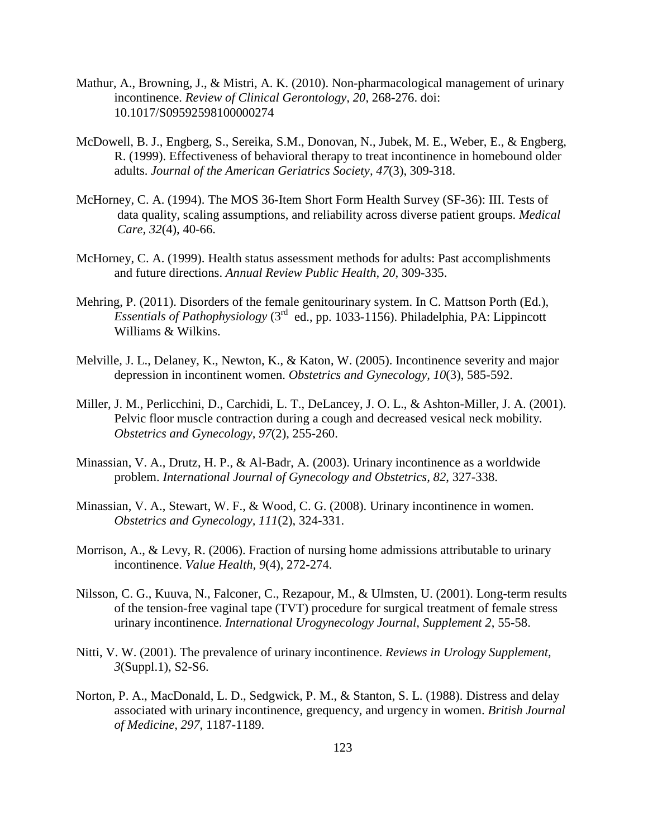- Mathur, A., Browning, J., & Mistri, A. K. (2010). Non-pharmacological management of urinary incontinence. *Review of Clinical Gerontology, 20*, 268-276. doi: 10.1017/S09592598100000274
- McDowell, B. J., Engberg, S., Sereika, S.M., Donovan, N., Jubek, M. E., Weber, E., & Engberg, R. (1999). Effectiveness of behavioral therapy to treat incontinence in homebound older adults. *Journal of the American Geriatrics Society, 47*(3), 309-318.
- McHorney, C. A. (1994). The MOS 36-Item Short Form Health Survey (SF-36): III. Tests of data quality, scaling assumptions, and reliability across diverse patient groups. *Medical Care, 32*(4), 40-66.
- McHorney, C. A. (1999). Health status assessment methods for adults: Past accomplishments and future directions. *Annual Review Public Health, 20*, 309-335.
- Mehring, P. (2011). Disorders of the female genitourinary system. In C. Mattson Porth (Ed.), *Essentials of Pathophysiology* (3rd ed., pp. 1033-1156). Philadelphia, PA: Lippincott Williams & Wilkins.
- Melville, J. L., Delaney, K., Newton, K., & Katon, W. (2005). Incontinence severity and major depression in incontinent women. *Obstetrics and Gynecology, 10*(3), 585-592.
- Miller, J. M., Perlicchini, D., Carchidi, L. T., DeLancey, J. O. L., & Ashton-Miller, J. A. (2001). Pelvic floor muscle contraction during a cough and decreased vesical neck mobility. *Obstetrics and Gynecology, 97*(2), 255-260.
- Minassian, V. A., Drutz, H. P., & Al-Badr, A. (2003). Urinary incontinence as a worldwide problem. *International Journal of Gynecology and Obstetrics, 82*, 327-338.
- Minassian, V. A., Stewart, W. F., & Wood, C. G. (2008). Urinary incontinence in women. *Obstetrics and Gynecology, 111*(2), 324-331.
- Morrison, A., & Levy, R. (2006). Fraction of nursing home admissions attributable to urinary incontinence. *Value Health, 9*(4), 272-274.
- Nilsson, C. G., Kuuva, N., Falconer, C., Rezapour, M., & Ulmsten, U. (2001). Long-term results of the tension-free vaginal tape (TVT) procedure for surgical treatment of female stress urinary incontinence. *International Urogynecology Journal, Supplement 2*, 55-58.
- Nitti, V. W. (2001). The prevalence of urinary incontinence. *Reviews in Urology Supplement, 3*(Suppl.1), S2-S6.
- Norton, P. A., MacDonald, L. D., Sedgwick, P. M., & Stanton, S. L. (1988). Distress and delay associated with urinary incontinence, grequency, and urgency in women. *British Journal of Medicine, 297*, 1187-1189.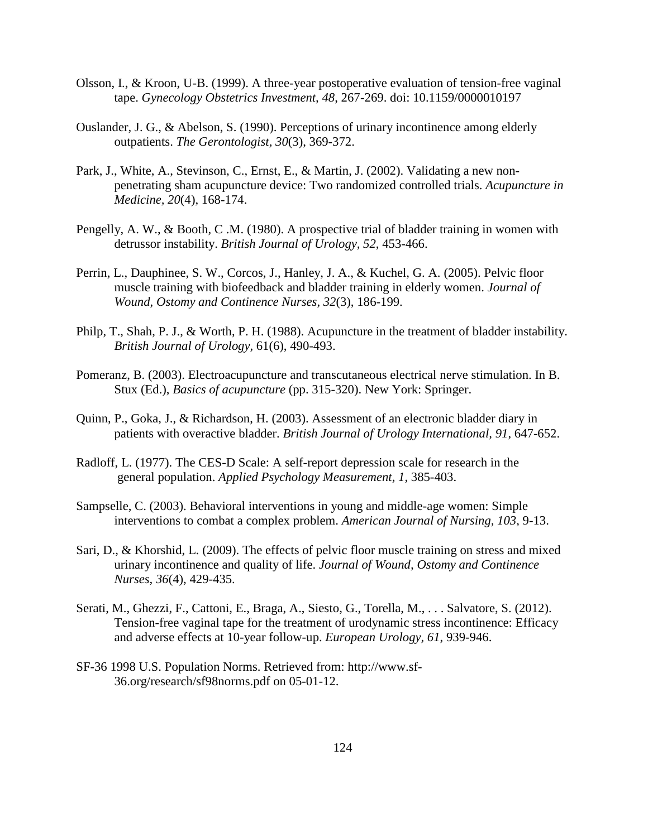- Olsson, I., & Kroon, U-B. (1999). A three-year postoperative evaluation of tension-free vaginal tape. *Gynecology Obstetrics Investment, 48*, 267-269. doi: 10.1159/0000010197
- Ouslander, J. G., & Abelson, S. (1990). Perceptions of urinary incontinence among elderly outpatients. *The Gerontologist, 30*(3), 369-372.
- Park, J., White, A., Stevinson, C., Ernst, E., & Martin, J. (2002). Validating a new nonpenetrating sham acupuncture device: Two randomized controlled trials. *Acupuncture in Medicine, 20*(4), 168-174.
- Pengelly, A. W., & Booth, C.M. (1980). A prospective trial of bladder training in women with detrussor instability. *British Journal of Urology, 52*, 453-466.
- Perrin, L., Dauphinee, S. W., Corcos, J., Hanley, J. A., & Kuchel, G. A. (2005). Pelvic floor muscle training with biofeedback and bladder training in elderly women. *Journal of Wound, Ostomy and Continence Nurses, 32*(3), 186-199.
- Philp, T., Shah, P. J., & Worth, P. H. (1988). Acupuncture in the treatment of bladder instability. *British Journal of Urology,* 61(6), 490-493.
- Pomeranz, B. (2003). Electroacupuncture and transcutaneous electrical nerve stimulation. In B. Stux (Ed.), *Basics of acupuncture* (pp. 315-320). New York: Springer.
- Quinn, P., Goka, J., & Richardson, H. (2003). Assessment of an electronic bladder diary in patients with overactive bladder. *British Journal of Urology International, 91*, 647-652.
- Radloff, L. (1977). The CES-D Scale: A self-report depression scale for research in the general population. *Applied Psychology Measurement, 1*, 385-403.
- Sampselle, C. (2003). Behavioral interventions in young and middle-age women: Simple interventions to combat a complex problem. *American Journal of Nursing, 103*, 9-13.
- Sari, D., & Khorshid, L. (2009). The effects of pelvic floor muscle training on stress and mixed urinary incontinence and quality of life. *Journal of Wound, Ostomy and Continence Nurses, 36*(4), 429-435.
- Serati, M., Ghezzi, F., Cattoni, E., Braga, A., Siesto, G., Torella, M., . . . Salvatore, S. (2012). Tension-free vaginal tape for the treatment of urodynamic stress incontinence: Efficacy and adverse effects at 10-year follow-up. *European Urology, 61*, 939-946.
- SF-36 1998 U.S. Population Norms. Retrieved from: http://www.sf-36.org/research/sf98norms.pdf on 05-01-12.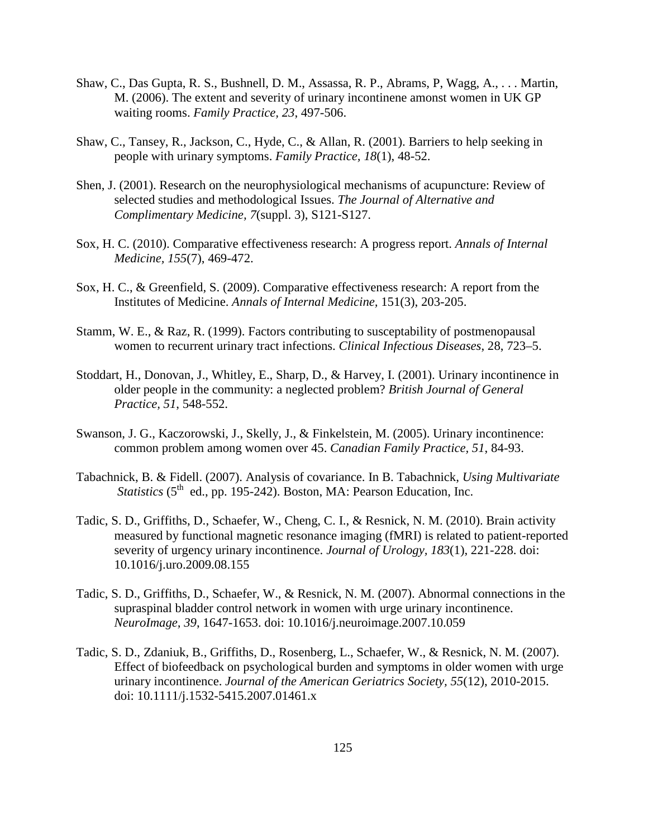- Shaw, C., Das Gupta, R. S., Bushnell, D. M., Assassa, R. P., Abrams, P, Wagg, A., . . . Martin, M. (2006). The extent and severity of urinary incontinene amonst women in UK GP waiting rooms. *Family Practice, 23*, 497-506.
- Shaw, C., Tansey, R., Jackson, C., Hyde, C., & Allan, R. (2001). Barriers to help seeking in people with urinary symptoms. *Family Practice, 18*(1), 48-52.
- Shen, J. (2001). Research on the neurophysiological mechanisms of acupuncture: Review of selected studies and methodological Issues. *The Journal of Alternative and Complimentary Medicine, 7*(suppl. 3), S121-S127.
- Sox, H. C. (2010). Comparative effectiveness research: A progress report. *Annals of Internal Medicine, 155*(7), 469-472.
- Sox, H. C., & Greenfield, S. (2009). Comparative effectiveness research: A report from the Institutes of Medicine. *Annals of Internal Medicine,* 151(3), 203-205.
- Stamm, W. E., & Raz, R. (1999). Factors contributing to susceptability of postmenopausal women to recurrent urinary tract infections. *Clinical Infectious Diseases*, 28, 723–5.
- Stoddart, H., Donovan, J., Whitley, E., Sharp, D., & Harvey, I. (2001). Urinary incontinence in older people in the community: a neglected problem? *British Journal of General Practice, 51*, 548-552.
- Swanson, J. G., Kaczorowski, J., Skelly, J., & Finkelstein, M. (2005). Urinary incontinence: common problem among women over 45. *Canadian Family Practice, 51*, 84-93.
- Tabachnick, B. & Fidell. (2007). Analysis of covariance. In B. Tabachnick, *Using Multivariate Statistics* ( $5^{\text{th}}$  ed., pp. 195-242). Boston, MA: Pearson Education, Inc.
- Tadic, S. D., Griffiths, D., Schaefer, W., Cheng, C. I., & Resnick, N. M. (2010). Brain activity measured by functional magnetic resonance imaging (fMRI) is related to patient-reported severity of urgency urinary incontinence. *Journal of Urology, 183*(1), 221-228. doi: 10.1016/j.uro.2009.08.155
- Tadic, S. D., Griffiths, D., Schaefer, W., & Resnick, N. M. (2007). Abnormal connections in the supraspinal bladder control network in women with urge urinary incontinence. *NeuroImage, 39*, 1647-1653. doi: 10.1016/j.neuroimage.2007.10.059
- Tadic, S. D., Zdaniuk, B., Griffiths, D., Rosenberg, L., Schaefer, W., & Resnick, N. M. (2007). Effect of biofeedback on psychological burden and symptoms in older women with urge urinary incontinence. *Journal of the American Geriatrics Society, 55*(12), 2010-2015. doi: 10.1111/j.1532-5415.2007.01461.x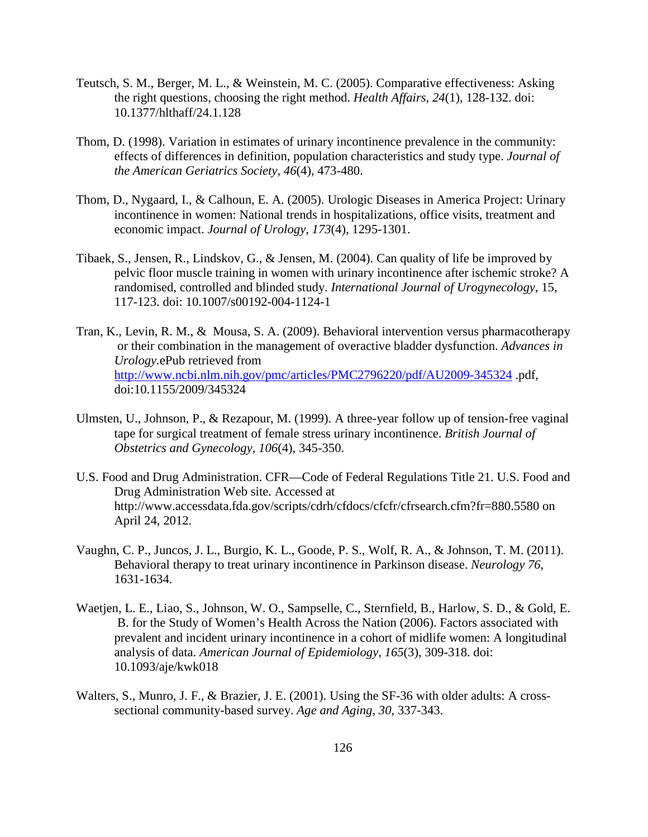- Teutsch, S. M., Berger, M. L., & Weinstein, M. C. (2005). Comparative effectiveness: Asking the right questions, choosing the right method. *Health Affairs, 24*(1), 128-132. doi: 10.1377/hlthaff/24.1.128
- Thom, D. (1998). Variation in estimates of urinary incontinence prevalence in the community: effects of differences in definition, population characteristics and study type. *Journal of the American Geriatrics Society, 46*(4), 473-480.
- Thom, D., Nygaard, I., & Calhoun, E. A. (2005). Urologic Diseases in America Project: Urinary incontinence in women: National trends in hospitalizations, office visits, treatment and economic impact. *Journal of Urology, 173*(4), 1295-1301.
- Tibaek, S., Jensen, R., Lindskov, G., & Jensen, M. (2004). Can quality of life be improved by pelvic floor muscle training in women with urinary incontinence after ischemic stroke? A randomised, controlled and blinded study. *International Journal of Urogynecology*, 15, 117-123. doi: 10.1007/s00192-004-1124-1
- Tran, K., Levin, R. M., & Mousa, S. A. (2009). Behavioral intervention versus pharmacotherapy or their combination in the management of overactive bladder dysfunction. *Advances in Urology.*ePub retrieved from <http://www.ncbi.nlm.nih.gov/pmc/articles/PMC2796220/pdf/AU2009-345324> .pdf, doi:10.1155/2009/345324
- Ulmsten, U., Johnson, P., & Rezapour, M. (1999). A three-year follow up of tension-free vaginal tape for surgical treatment of female stress urinary incontinence. *British Journal of Obstetrics and Gynecology, 106*(4), 345-350.
- U.S. Food and Drug Administration. CFR—Code of Federal Regulations Title 21. U.S. Food and Drug Administration Web site. Accessed at http://www.accessdata.fda.gov/scripts/cdrh/cfdocs/cfcfr/cfrsearch.cfm?fr=880.5580 on April 24, 2012.
- Vaughn, C. P., Juncos, J. L., Burgio, K. L., Goode, P. S., Wolf, R. A., & Johnson, T. M. (2011). Behavioral therapy to treat urinary incontinence in Parkinson disease. *Neurology 76*, 1631-1634.
- Waetjen, L. E., Liao, S., Johnson, W. O., Sampselle, C., Sternfield, B., Harlow, S. D., & Gold, E. B. for the Study of Women's Health Across the Nation (2006). Factors associated with prevalent and incident urinary incontinence in a cohort of midlife women: A longitudinal analysis of data. *American Journal of Epidemiology, 165*(3), 309-318. doi: 10.1093/aje/kwk018
- Walters, S., Munro, J. F., & Brazier, J. E. (2001). Using the SF-36 with older adults: A crosssectional community-based survey. *Age and Aging, 30*, 337-343.